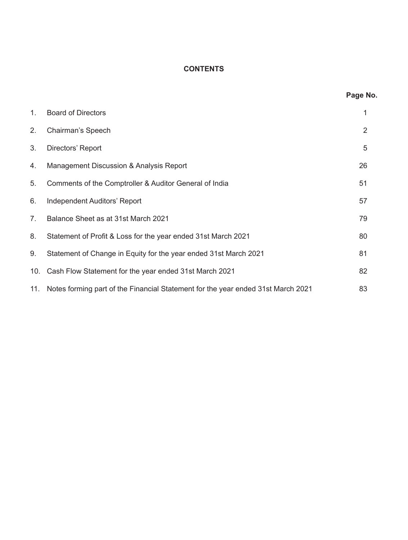# **CONTENTS**

# **Page No.**

| 1.  | <b>Board of Directors</b>                                                        | 1  |
|-----|----------------------------------------------------------------------------------|----|
| 2.  | Chairman's Speech                                                                | 2  |
| 3.  | Directors' Report                                                                | 5  |
| 4.  | Management Discussion & Analysis Report                                          | 26 |
| 5.  | Comments of the Comptroller & Auditor General of India                           | 51 |
| 6.  | Independent Auditors' Report                                                     | 57 |
| 7.  | Balance Sheet as at 31st March 2021                                              | 79 |
| 8.  | Statement of Profit & Loss for the year ended 31st March 2021                    | 80 |
| 9.  | Statement of Change in Equity for the year ended 31st March 2021                 | 81 |
|     | 10. Cash Flow Statement for the year ended 31st March 2021                       | 82 |
| 11. | Notes forming part of the Financial Statement for the year ended 31st March 2021 | 83 |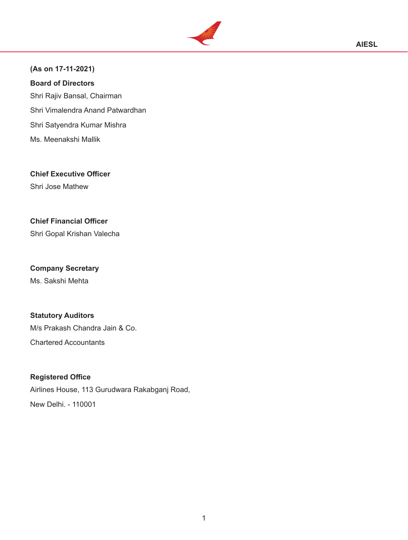

**(As on 17-11-2021)**

**Board of Directors** Shri Rajiv Bansal, Chairman Shri Vimalendra Anand Patwardhan Shri Satyendra Kumar Mishra Ms. Meenakshi Mallik

**Chief Executive Officer**

Shri Jose Mathew

## **Chief Financial Officer**

Shri Gopal Krishan Valecha

## **Company Secretary**

Ms. Sakshi Mehta

## **Statutory Auditors**

M/s Prakash Chandra Jain & Co.

Chartered Accountants

# **Registered Office** Airlines House, 113 Gurudwara Rakabganj Road,

New Delhi. - 110001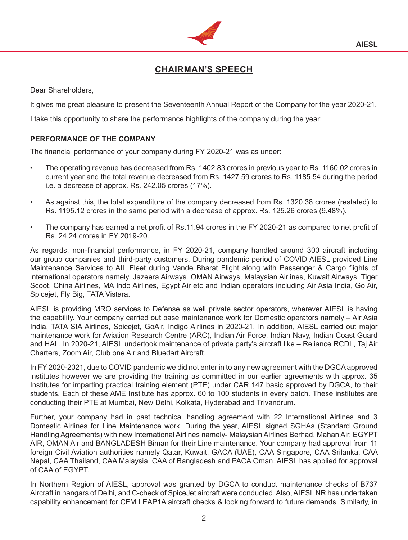

# **CHAIRMAN'S SPEECH**

Dear Shareholders,

It gives me great pleasure to present the Seventeenth Annual Report of the Company for the year 2020-21.

I take this opportunity to share the performance highlights of the company during the year:

## **PERFORMANCE OF THE COMPANY**

The financial performance of your company during FY 2020-21 was as under:

- • The operating revenue has decreased from Rs. 1402.83 crores in previous year to Rs. 1160.02 crores in current year and the total revenue decreased from Rs. 1427.59 crores to Rs. 1185.54 during the period i.e. a decrease of approx. Rs. 242.05 crores (17%).
- As against this, the total expenditure of the company decreased from Rs. 1320.38 crores (restated) to Rs. 1195.12 crores in the same period with a decrease of approx. Rs. 125.26 crores (9.48%).
- The company has earned a net profit of Rs.11.94 crores in the FY 2020-21 as compared to net profit of Rs. 24.24 crores in FY 2019-20.

As regards, non-financial performance, in FY 2020-21, company handled around 300 aircraft including our group companies and third-party customers. During pandemic period of COVID AIESL provided Line Maintenance Services to AIL Fleet during Vande Bharat Flight along with Passenger & Cargo flights of international operators namely, Jazeera Airways. OMAN Airways, Malaysian Airlines, Kuwait Airways, Tiger Scoot, China Airlines, MA Indo Airlines, Egypt Air etc and Indian operators including Air Asia India, Go Air, Spicejet, Fly Big, TATA Vistara.

AIESL is providing MRO services to Defense as well private sector operators, wherever AIESL is having the capability. Your company carried out base maintenance work for Domestic operators namely – Air Asia India, TATA SIA Airlines, Spicejet, GoAir, Indigo Airlines in 2020-21. In addition, AIESL carried out major maintenance work for Aviation Research Centre (ARC), Indian Air Force, Indian Navy, Indian Coast Guard and HAL. In 2020-21, AIESL undertook maintenance of private party's aircraft like – Reliance RCDL, Taj Air Charters, Zoom Air, Club one Air and Bluedart Aircraft.

In FY 2020-2021, due to COVID pandemic we did not enter in to any new agreement with the DGCAapproved institutes however we are providing the training as committed in our earlier agreements with approx. 35 Institutes for imparting practical training element (PTE) under CAR 147 basic approved by DGCA, to their students. Each of these AME Institute has approx. 60 to 100 students in every batch. These institutes are conducting their PTE at Mumbai, New Delhi, Kolkata, Hyderabad and Trivandrum.

Further, your company had in past technical handling agreement with 22 International Airlines and 3 Domestic Airlines for Line Maintenance work. During the year, AIESL signed SGHAs (Standard Ground Handling Agreements) with new International Airlines namely- Malaysian Airlines Berhad, Mahan Air, EGYPT AIR, OMAN Air and BANGLADESH Biman for their Line maintenance. Your company had approval from 11 foreign Civil Aviation authorities namely Qatar, Kuwait, GACA (UAE), CAA Singapore, CAA Srilanka, CAA Nepal, CAA Thailand, CAA Malaysia, CAA of Bangladesh and PACA Oman. AIESL has applied for approval of CAA of EGYPT.

In Northern Region of AIESL, approval was granted by DGCA to conduct maintenance checks of B737 Aircraft in hangars of Delhi, and C-check of SpiceJet aircraft were conducted.Also,AIESL NR has undertaken capability enhancement for CFM LEAP1A aircraft checks & looking forward to future demands. Similarly, in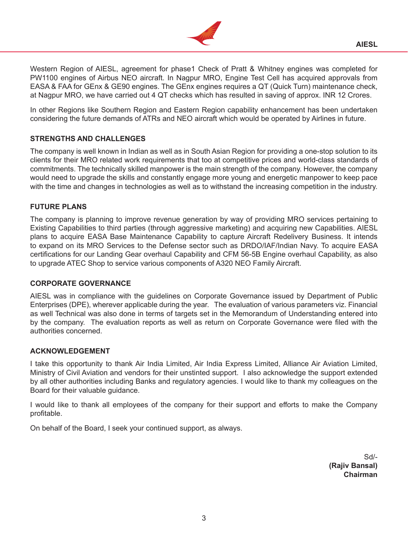Western Region of AIESL, agreement for phase1 Check of Pratt & Whitney engines was completed for PW1100 engines of Airbus NEO aircraft. In Nagpur MRO, Engine Test Cell has acquired approvals from EASA & FAA for GEnx & GE90 engines. The GEnx engines requires a QT (Quick Turn) maintenance check, at Nagpur MRO, we have carried out 4 QT checks which has resulted in saving of approx. INR 12 Crores.

In other Regions like Southern Region and Eastern Region capability enhancement has been undertaken considering the future demands of ATRs and NEO aircraft which would be operated by Airlines in future.

## **STRENGTHS AND CHALLENGES**

The company is well known in Indian as well as in South Asian Region for providing a one-stop solution to its clients for their MRO related work requirements that too at competitive prices and world-class standards of commitments. The technically skilled manpower is the main strength of the company. However, the company would need to upgrade the skills and constantly engage more young and energetic manpower to keep pace with the time and changes in technologies as well as to withstand the increasing competition in the industry.

## **FUTURE PLANS**

The company is planning to improve revenue generation by way of providing MRO services pertaining to Existing Capabilities to third parties (through aggressive marketing) and acquiring new Capabilities. AIESL plans to acquire EASA Base Maintenance Capability to capture Aircraft Redelivery Business. It intends to expand on its MRO Services to the Defense sector such as DRDO/IAF/Indian Navy. To acquire EASA certifications for our Landing Gear overhaul Capability and CFM 56-5B Engine overhaul Capability, as also to upgrade ATEC Shop to service various components of A320 NEO Family Aircraft.

#### **CORPORATE GOVERNANCE**

AIESL was in compliance with the guidelines on Corporate Governance issued by Department of Public Enterprises (DPE), wherever applicable during the year. The evaluation of various parameters viz. Financial as well Technical was also done in terms of targets set in the Memorandum of Understanding entered into by the company. The evaluation reports as well as return on Corporate Governance were filed with the authorities concerned.

#### **ACKNOWLEDGEMENT**

I take this opportunity to thank Air India Limited, Air India Express Limited, Alliance Air Aviation Limited, Ministry of Civil Aviation and vendors for their unstinted support. I also acknowledge the support extended by all other authorities including Banks and regulatory agencies. I would like to thank my colleagues on the Board for their valuable guidance.

I would like to thank all employees of the company for their support and efforts to make the Company profitable.

On behalf of the Board, I seek your continued support, as always.

Sd/- **(Rajiv Bansal) Chairman**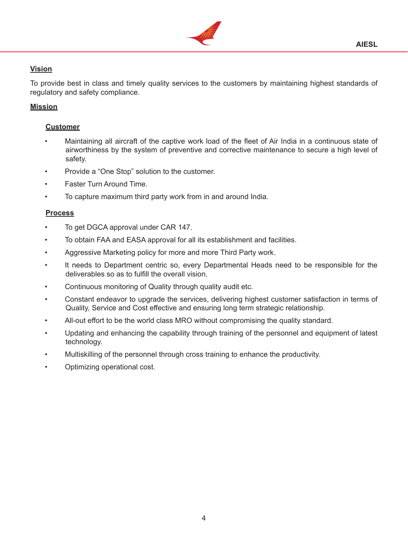

## **Vision**

To provide best in class and timely quality services to the customers by maintaining highest standards of regulatory and safety compliance.

## **Mission**

## **Customer**

- Maintaining all aircraft of the captive work load of the fleet of Air India in a continuous state of airworthiness by the system of preventive and corrective maintenance to secure a high level of safety.
- Provide a "One Stop" solution to the customer.
- **Faster Turn Around Time.**
- To capture maximum third party work from in and around India.

## **Process**

- To get DGCA approval under CAR 147.
- To obtain FAA and EASA approval for all its establishment and facilities.
- Aggressive Marketing policy for more and more Third Party work.
- It needs to Department centric so, every Departmental Heads need to be responsible for the deliverables so as to fulfill the overall vision.
- Continuous monitoring of Quality through quality audit etc.
- Constant endeavor to upgrade the services, delivering highest customer satisfaction in terms of Quality, Service and Cost effective and ensuring long term strategic relationship.
- All-out effort to be the world class MRO without compromising the quality standard.
- Updating and enhancing the capability through training of the personnel and equipment of latest technology.
- Multiskilling of the personnel through cross training to enhance the productivity.
- Optimizing operational cost.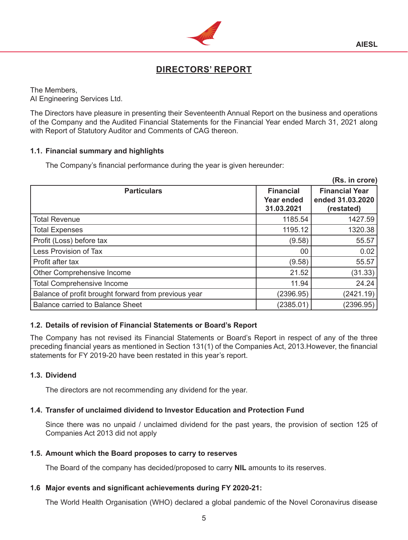

# **DIRECTORS' REPORT**

The Members, AI Engineering Services Ltd.

The Directors have pleasure in presenting their Seventeenth Annual Report on the business and operations of the Company and the Audited Financial Statements for the Financial Year ended March 31, 2021 along with Report of Statutory Auditor and Comments of CAG thereon.

## **1.1. Financial summary and highlights**

 The Company's financial performance during the year is given hereunder:

|                                                      |                                                     | (Rs. in crore)                                          |
|------------------------------------------------------|-----------------------------------------------------|---------------------------------------------------------|
| <b>Particulars</b>                                   | <b>Financial</b><br><b>Year ended</b><br>31.03.2021 | <b>Financial Year</b><br>ended 31.03.2020<br>(restated) |
| <b>Total Revenue</b>                                 | 1185.54                                             | 1427.59                                                 |
| <b>Total Expenses</b>                                | 1195.12                                             | 1320.38                                                 |
| Profit (Loss) before tax                             | (9.58)                                              | 55.57                                                   |
| Less Provision of Tax                                | 00                                                  | 0.02                                                    |
| Profit after tax                                     | (9.58)                                              | 55.57                                                   |
| Other Comprehensive Income                           | 21.52                                               | (31.33)                                                 |
| <b>Total Comprehensive Income</b>                    | 11.94                                               | 24.24                                                   |
| Balance of profit brought forward from previous year | (2396.95)                                           | (2421.19)                                               |
| <b>Balance carried to Balance Sheet</b>              | (2385.01)                                           | (2396.95)                                               |

## **1.2. Details of revision of Financial Statements or Board's Report**

The Company has not revised its Financial Statements or Board's Report in respect of any of the three preceding financial years as mentioned in Section 131(1) of the Companies Act, 2013.However, the financial statements for FY 2019-20 have been restated in this year's report.

## **1.3. Dividend**

The directors are not recommending any dividend for the year.

## **1.4. Transfer of unclaimed dividend to Investor Education and Protection Fund**

Since there was no unpaid / unclaimed dividend for the past years, the provision of section 125 of Companies Act 2013 did not apply

## **1.5. Amount which the Board proposes to carry to reserves**

The Board of the company has decided/proposed to carry **NIL** amounts to its reserves.

## **1.6 Major events and significant achievements during FY 2020-21:**

The World Health Organisation (WHO) declared a global pandemic of the Novel Coronavirus disease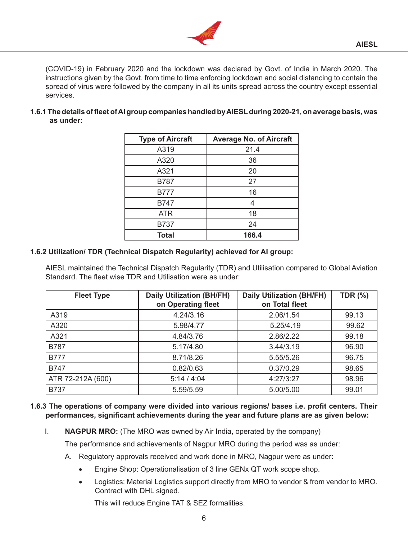

(COVID-19) in February 2020 and the lockdown was declared by Govt. of India in March 2020. The instructions given by the Govt. from time to time enforcing lockdown and social distancing to contain the spread of virus were followed by the company in all its units spread across the country except essential services.

**1.6.1 The details of fleet of AI group companies handled by AIESL during 2020-21, on average basis, was as under:**

| <b>Type of Aircraft</b> | <b>Average No. of Aircraft</b> |
|-------------------------|--------------------------------|
| A319                    | 21.4                           |
| A320                    | 36                             |
| A321                    | 20                             |
| <b>B787</b>             | 27                             |
| <b>B777</b>             | 16                             |
| <b>B747</b>             | Δ                              |
| <b>ATR</b>              | 18                             |
| <b>B737</b>             | 24                             |
| <b>Total</b>            | 166.4                          |

## **1.6.2 Utilization/ TDR (Technical Dispatch Regularity) achieved for AI group:**

 AIESL maintained the Technical Dispatch Regularity (TDR) and Utilisation compared to Global Aviation Standard. The fleet wise TDR and Utilisation were as under:

| <b>Fleet Type</b> | <b>Daily Utilization (BH/FH)</b><br>on Operating fleet | <b>Daily Utilization (BH/FH)</b><br>on Total fleet | <b>TDR (%)</b> |
|-------------------|--------------------------------------------------------|----------------------------------------------------|----------------|
|                   |                                                        |                                                    |                |
| A319              | 4.24/3.16                                              | 2.06/1.54                                          | 99.13          |
| A320              | 5.98/4.77                                              | 5.25/4.19                                          | 99.62          |
| A321              | 4.84/3.76                                              | 2.86/2.22                                          | 99.18          |
| <b>B787</b>       | 5.17/4.80                                              | 3.44/3.19                                          | 96.90          |
| <b>B777</b>       | 8.71/8.26                                              | 5.55/5.26                                          | 96.75          |
| <b>B747</b>       | 0.82/0.63                                              | 0.37/0.29                                          | 98.65          |
| ATR 72-212A (600) | 5:14/4:04                                              | 4:27/3:27                                          | 98.96          |
| <b>B737</b>       | 5.59/5.59                                              | 5.00/5.00                                          | 99.01          |

#### **1.6.3 The operations of company were divided into various regions/ bases i.e. profit centers. Their performances, significant achievements during the year and future plans are as given below:**

I. **NAGPUR MRO:** (The MRO was owned by Air India, operated by the company)

The performance and achievements of Nagpur MRO during the period was as under:

- A. Regulatory approvals received and work done in MRO, Nagpur were as under:
	- Engine Shop: Operationalisation of 3 line GENx QT work scope shop.
	- Logistics: Material Logistics support directly from MRO to vendor & from vendor to MRO. Contract with DHL signed.

This will reduce Engine TAT & SEZ formalities.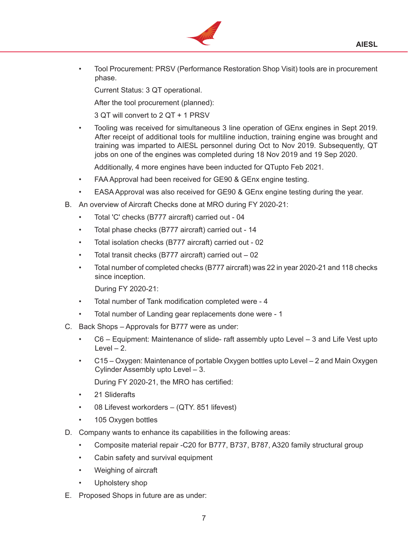

Tool Procurement: PRSV (Performance Restoration Shop Visit) tools are in procurement phase.

Current Status: 3 QT operational.

After the tool procurement (planned):

3 QT will convert to 2 QT + 1 PRSV

Tooling was received for simultaneous 3 line operation of GEnx engines in Sept 2019. After receipt of additional tools for multiline induction, training engine was brought and training was imparted to AIESL personnel during Oct to Nov 2019. Subsequently, QT jobs on one of the engines was completed during 18 Nov 2019 and 19 Sep 2020.

Additionally, 4 more engines have been inducted for QTupto Feb 2021.

- FAA Approval had been received for GE90 & GEnx engine testing.
- EASA Approval was also received for GE90 & GEnx engine testing during the year.
- B. An overview of Aircraft Checks done at MRO during FY 2020-21:
	- Total 'C' checks (B777 aircraft) carried out 04
	- Total phase checks (B777 aircraft) carried out 14
	- Total isolation checks (B777 aircraft) carried out 02
	- Total transit checks (B777 aircraft) carried out  $-02$
	- Total number of completed checks (B777 aircraft) was 22 in year 2020-21 and 118 checks since inception.

 During FY 2020-21:

- Total number of Tank modification completed were 4
- Total number of Landing gear replacements done were 1
- C. Back Shops Approvals for B777 were as under:
	- C6 Equipment: Maintenance of slide- raft assembly upto Level 3 and Life Vest upto Level  $-2$ .
	- C15 Oxygen: Maintenance of portable Oxygen bottles upto Level 2 and Main Oxygen Cylinder Assembly upto Level – 3.

 During FY 2020-21, the MRO has certified:

- 21 Sliderafts
- 08 Lifevest workorders  $-$  (QTY. 851 lifevest)
- 105 Oxygen bottles
- D. Company wants to enhance its capabilities in the following areas:
	- Composite material repair -C20 for B777, B737, B787, A320 family structural group
	- Cabin safety and survival equipment
	- Weighing of aircraft
	- Upholstery shop
- E. Proposed Shops in future are as under: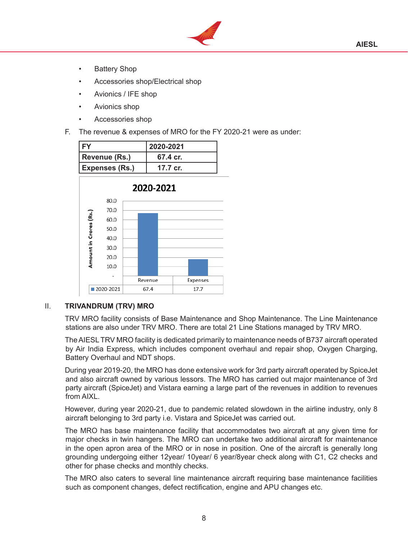

- Battery Shop
- Accessories shop/Electrical shop
- Avionics / IFE shop
- Avionics shop
- Accessories shop
- F. The revenue & expenses of MRO for the FY 2020-21 were as under:

| I FY                  | 2020-2021  |
|-----------------------|------------|
| Revenue (Rs.)         | 67.4 cr.   |
| <b>Expenses (Rs.)</b> | 17.7 $cr.$ |



#### II. **TRIVANDRUM (TRV) MRO**

TRV MRO facility consists of Base Maintenance and Shop Maintenance. The Line Maintenance stations are also under TRV MRO. There are total 21 Line Stations managed by TRV MRO.

The AIESL TRV MRO facility is dedicated primarily to maintenance needs of B737 aircraft operated by Air India Express, which includes component overhaul and repair shop, Oxygen Charging, Battery Overhaul and NDT shops.

During year 2019-20, the MRO has done extensive work for 3rd party aircraft operated by SpiceJet and also aircraft owned by various lessors. The MRO has carried out major maintenance of 3rd party aircraft (SpiceJet) and Vistara earning a large part of the revenues in addition to revenues from AIXL.

However, during year 2020-21, due to pandemic related slowdown in the airline industry, only 8 aircraft belonging to 3rd party i.e. Vistara and SpiceJet was carried out.

The MRO has base maintenance facility that accommodates two aircraft at any given time for major checks in twin hangers. The MRO can undertake two additional aircraft for maintenance in the open apron area of the MRO or in nose in position. One of the aircraft is generally long grounding undergoing either 12year/ 10year/ 6 year/8year check along with C1, C2 checks and other for phase checks and monthly checks.

The MRO also caters to several line maintenance aircraft requiring base maintenance facilities such as component changes, defect rectification, engine and APU changes etc.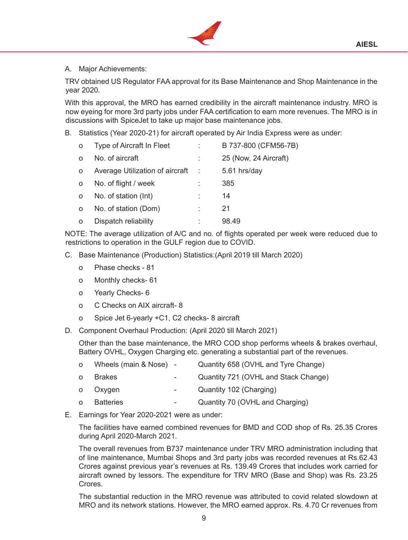

#### A. Major Achievements:

TRV obtained US Regulator FAA approval for its Base Maintenance and Shop Maintenance in the year 2020.

With this approval, the MRO has earned credibility in the aircraft maintenance industry. MRO is now eyeing for more 3rd party jobs under FAA certification to earn more revenues. The MRO is in discussions with SpiceJet to take up major base maintenance jobs.

B. Statistics (Year 2020-21) for aircraft operated by Air India Express were as under:

| $\circ$  | Type of Aircraft In Fleet       |   | B 737-800 (CFM56-7B)  |
|----------|---------------------------------|---|-----------------------|
| $\Omega$ | No. of aircraft                 |   | 25 (Now, 24 Aircraft) |
| $\Omega$ | Average Utilization of aircraft | ÷ | 5.61 hrs/day          |
| $\Omega$ | No. of flight / week            |   | 385                   |
| O        | No. of station (Int)            |   | 14                    |
| $\Omega$ | No. of station (Dom)            |   | 21                    |
|          | Dispatch reliability            |   | 98.49                 |
|          |                                 |   |                       |

 NOTE: The average utilization of A/C and no. of flights operated per week were reduced due to restrictions to operation in the GULF region due to COVID.

- C. Base Maintenance (Production) Statistics:(April 2019 till March 2020)
	- o Phase checks 81
	- o Monthly checks- 61
	- o Yearly Checks- 6
	- o C Checks on AIX aircraft- 8
	- o Spice Jet 6-yearly +C1, C2 checks- 8 aircraft
- D. Component Overhaul Production: (April 2020 till March 2021)

Other than the base maintenance, the MRO COD shop performs wheels & brakes overhaul, Battery OVHL, Oxygen Charging etc. generating a substantial part of the revenues.

- o Wheels (main & Nose) Quantity 658 (OVHL and Tyre Change)
- o Brakes  **Cuantity 721 (OVHL and Stack Change)**
- o Oxygen Quantity 102 (Charging)
- o Batteries **Canadian Community 70 (OVHL and Charging)**
- E. Earnings for Year 2020-2021 were as under:

The facilities have earned combined revenues for BMD and COD shop of Rs. 25.35 Crores during April 2020-March 2021.

The overall revenues from B737 maintenance under TRV MRO administration including that of line maintenance, Mumbai Shops and 3rd party jobs was recorded revenues at Rs.62.43 Crores against previous year's revenues at Rs. 139.49 Crores that includes work carried for aircraft owned by lessors. The expenditure for TRV MRO (Base and Shop) was Rs. 23.25 Crores.

The substantial reduction in the MRO revenue was attributed to covid related slowdown at MRO and its network stations. However, the MRO earned approx. Rs. 4.70 Cr revenues from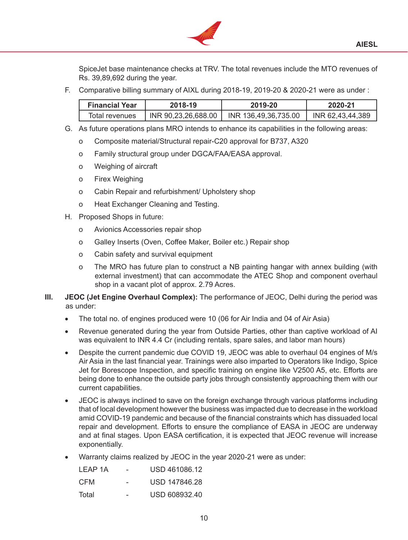

SpiceJet base maintenance checks at TRV. The total revenues include the MTO revenues of Rs. 39,89,692 during the year.

F. Comparative billing summary of AIXL during 2018-19, 2019-20 & 2020-21 were as under :

| <b>Financial Year</b> | 2018-19             | 2019-20              | 2020-21          |
|-----------------------|---------------------|----------------------|------------------|
| Total revenues        | INR 90,23,26,688.00 | INR 136,49,36,735.00 | INR 62,43,44,389 |

- G. As future operations plans MRO intends to enhance its capabilities in the following areas:
	- o Composite material/Structural repair-C20 approval for B737, A320
	- o Family structural group under DGCA/FAA/EASA approval.
	- o Weighing of aircraft
	- o Firex Weighing
	- o Cabin Repair and refurbishment/ Upholstery shop
	- o Heat Exchanger Cleaning and Testing.
- H. Proposed Shops in future:
	- o Avionics Accessories repair shop
	- o Galley Inserts (Oven, Coffee Maker, Boiler etc.) Repair shop
	- o Cabin safety and survival equipment
	- o The MRO has future plan to construct a NB painting hangar with annex building (with external investment) that can accommodate the ATEC Shop and component overhaul shop in a vacant plot of approx. 2.79 Acres.
- **III. JEOC (Jet Engine Overhaul Complex):** The performance of JEOC, Delhi during the period was as under:
	- The total no. of engines produced were 10 (06 for Air India and 04 of Air Asia)
	- Revenue generated during the year from Outside Parties, other than captive workload of AI was equivalent to INR 4.4 Cr (including rentals, spare sales, and labor man hours)
	- Despite the current pandemic due COVID 19, JEOC was able to overhaul 04 engines of M/s Air Asia in the last financial year. Trainings were also imparted to Operators like Indigo, Spice Jet for Borescope Inspection, and specific training on engine like V2500 A5, etc. Efforts are being done to enhance the outside party jobs through consistently approaching them with our current capabilities.
	- JEOC is always inclined to save on the foreign exchange through various platforms including that of local development however the business was impacted due to decrease in the workload amid COVID-19 pandemic and because of the financial constraints which has dissuaded local repair and development. Efforts to ensure the compliance of EASA in JEOC are underway and at final stages. Upon EASA certification, it is expected that JEOC revenue will increase exponentially.
	- Warranty claims realized by JEOC in the year 2020-21 were as under:

| LEAP 1A    | USD 461086.12 |
|------------|---------------|
| <b>CFM</b> | USD 147846.28 |
| Total      | USD 608932.40 |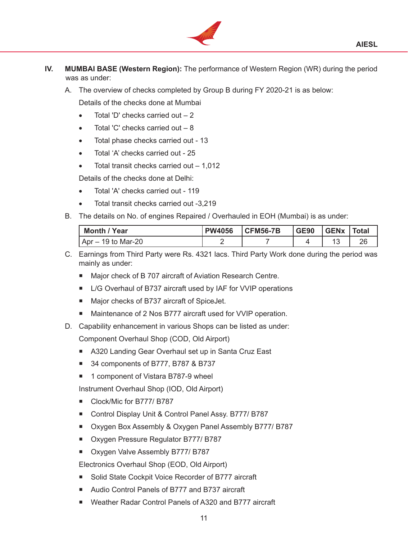

**IV. MUMBAI BASE (Western Region):** The performance of Western Region (WR) during the period was as under:

**AIESL**

A. The overview of checks completed by Group B during FY 2020-21 is as below:

Details of the checks done at Mumbai

- Total 'D' checks carried out  $-2$
- Total 'C' checks carried out  $-8$
- Total phase checks carried out 13
- Total 'A' checks carried out 25
- Total transit checks carried out  $-1.012$

Details of the checks done at Delhi:

- Total 'A' checks carried out 119
- Total transit checks carried out -3,219
- B. The details on No. of engines Repaired / Overhauled in EOH (Mumbai) is as under:

| Month / Year                  | <b>PW4056</b> | <b>CFM56-7B</b> | GE90 | <b>GENx</b> | l Total |
|-------------------------------|---------------|-----------------|------|-------------|---------|
| $\sqrt{2}$ Apr – 19 to Mar-20 |               |                 |      |             |         |

- C. Earnings from Third Party were Rs. 4321 lacs. Third Party Work done during the period was mainly as under:
	- Major check of B 707 aircraft of Aviation Research Centre.
	- L/G Overhaul of B737 aircraft used by IAF for VVIP operations
	- Major checks of B737 aircraft of SpiceJet.
	- Maintenance of 2 Nos B777 aircraft used for VVIP operation.
- D. Capability enhancement in various Shops can be listed as under:

Component Overhaul Shop (COD, Old Airport)

- A320 Landing Gear Overhaul set up in Santa Cruz East
- 34 components of B777, B787 & B737
- 1 component of Vistara B787-9 wheel

Instrument Overhaul Shop (IOD, Old Airport)

- Clock/Mic for B777/ B787
- Control Display Unit & Control Panel Assy. B777/ B787
- Oxygen Box Assembly & Oxygen Panel Assembly B777/ B787
- Oxygen Pressure Regulator B777/ B787
- Oxygen Valve Assembly B777/ B787

Electronics Overhaul Shop (EOD, Old Airport)

- Solid State Cockpit Voice Recorder of B777 aircraft
- Audio Control Panels of B777 and B737 aircraft
- Weather Radar Control Panels of A320 and B777 aircraft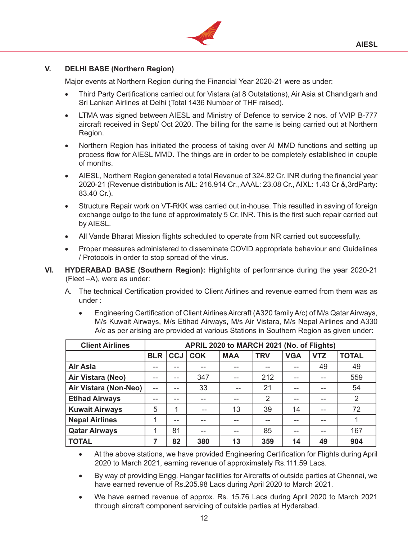

## **V. DELHI BASE (Northern Region)**

Major events at Northern Region during the Financial Year 2020-21 were as under:

- Third Party Certifications carried out for Vistara (at 8 Outstations), Air Asia at Chandigarh and Sri Lankan Airlines at Delhi (Total 1436 Number of THF raised).
- LTMA was signed between AIESL and Ministry of Defence to service 2 nos. of VVIP B-777 aircraft received in Sept/ Oct 2020. The billing for the same is being carried out at Northern Region.
- Northern Region has initiated the process of taking over AI MMD functions and setting up process flow for AIESL MMD. The things are in order to be completely established in couple of months.
- AIESL, Northern Region generated a total Revenue of 324.82 Cr. INR during the financial year 2020-21 (Revenue distribution is AIL: 216.914 Cr., AAAL: 23.08 Cr., AIXL: 1.43 Cr &,3rdParty: 83.40 Cr.).
- Structure Repair work on VT-RKK was carried out in-house. This resulted in saving of foreign exchange outgo to the tune of approximately 5 Cr. INR. This is the first such repair carried out by AIESL.
- All Vande Bharat Mission flights scheduled to operate from NR carried out successfully.
- Proper measures administered to disseminate COVID appropriate behaviour and Guidelines / Protocols in order to stop spread of the virus.
- **VI. HYDERABAD BASE (Southern Region):** Highlights of performance during the year 2020-21 (Fleet –A), were as under:
	- A. The technical Certification provided to Client Airlines and revenue earned from them was as under :
		- Engineering Certification of Client Airlines Aircraft (A320 family  $A/c$ ) of M/s Qatar Airways, M/s Kuwait Airways, M/s Etihad Airways, M/s Air Vistara, M/s Nepal Airlines and A330 A/c as per arising are provided at various Stations in Southern Region as given under:

| <b>Client Airlines</b> | APRIL 2020 to MARCH 2021 (No. of Flights) |            |            |            |                |            |            |              |  |  |
|------------------------|-------------------------------------------|------------|------------|------------|----------------|------------|------------|--------------|--|--|
|                        | <b>BLR</b>                                | <b>CCJ</b> | <b>COK</b> | <b>MAA</b> | <b>TRV</b>     | <b>VGA</b> | <b>VTZ</b> | <b>TOTAL</b> |  |  |
| <b>Air Asia</b>        | --                                        | --         | --         | --         | --             | --         | 49         | 49           |  |  |
| Air Vistara (Neo)      | --                                        | --         | 347        | --         | 212            | --         | --         | 559          |  |  |
| Air Vistara (Non-Neo)  | --                                        | --         | 33         |            | 21             | --         |            | 54           |  |  |
| <b>Etihad Airways</b>  | --                                        | --         | --         | --         | $\overline{2}$ | --         | --         | 2            |  |  |
| <b>Kuwait Airways</b>  | 5                                         | 1          | --         | 13         | 39             | 14         | --         | 72           |  |  |
| <b>Nepal Airlines</b>  |                                           | --         |            |            | --             | --         |            |              |  |  |
| <b>Qatar Airways</b>   | и                                         | 81         | --         | --         | 85             | $- -$      | --         | 167          |  |  |
| <b>TOTAL</b>           | 7                                         | 82         | 380        | 13         | 359            | 14         | 49         | 904          |  |  |

- At the above stations, we have provided Engineering Certification for Flights during April 2020 to March 2021, earning revenue of approximately Rs.111.59 Lacs.
- By way of providing Engg. Hangar facilities for Aircrafts of outside parties at Chennai, we have earned revenue of Rs.205.98 Lacs during April 2020 to March 2021.
- We have earned revenue of approx. Rs. 15.76 Lacs during April 2020 to March 2021 through aircraft component servicing of outside parties at Hyderabad.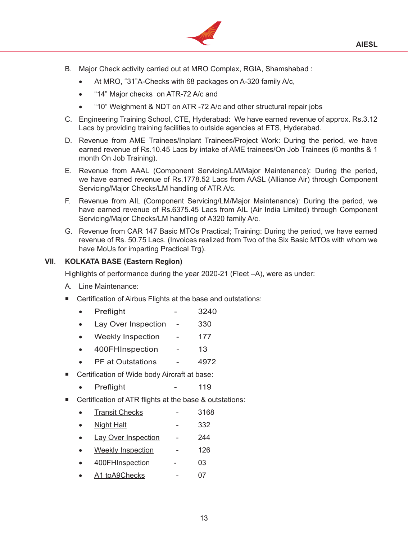

- B. Major Check activity carried out at MRO Complex, RGIA, Shamshabad :
	- At MRO, "31"A-Checks with 68 packages on A-320 family A/c,
	- "14" Major checks on ATR-72 A/c and
	- "10" Weighment & NDT on ATR -72 A/c and other structural repair jobs
- C. Engineering Training School, CTE, Hyderabad: We have earned revenue of approx. Rs.3.12 Lacs by providing training facilities to outside agencies at ETS, Hyderabad.
- D. Revenue from AME Trainees/Inplant Trainees/Project Work: During the period, we have earned revenue of Rs.10.45 Lacs by intake of AME trainees/On Job Trainees (6 months & 1 month On Job Training).
- E. Revenue from AAAL (Component Servicing/LM/Major Maintenance): During the period, we have earned revenue of Rs.1778.52 Lacs from AASL (Alliance Air) through Component Servicing/Major Checks/LM handling of ATR A/c.
- F. Revenue from AIL (Component Servicing/LM/Major Maintenance): During the period, we have earned revenue of Rs.6375.45 Lacs from AIL (Air India Limited) through Component Servicing/Major Checks/LM handling of A320 family A/c.
- G. Revenue from CAR 147 Basic MTOs Practical; Training: During the period, we have earned revenue of Rs. 50.75 Lacs. (Invoices realized from Two of the Six Basic MTOs with whom we have MoUs for imparting Practical Trg).

## **VII**. **KOLKATA BASE (Eastern Region)**

Highlights of performance during the year 2020-21 (Fleet –A), were as under:

- A. Line Maintenance:
- Certification of Airbus Flights at the base and outstations:
	- Preflight 3240
	- Lay Over Inspection 330
	- Weekly Inspection 177
	- 400FHInspection 13
	- PF at Outstations 4972
- Certification of Wide body Aircraft at base:
	- Preflight 119
- Certification of ATR flights at the base & outstations:
	- Transit Checks 3168
	- Night Halt **Figure 10 Figure 10** Figure 10 1332
	- **Lay Over Inspection** 244
	- Weekly Inspection 126
	- 400FHInspection 03
	- A1 toA9Checks 07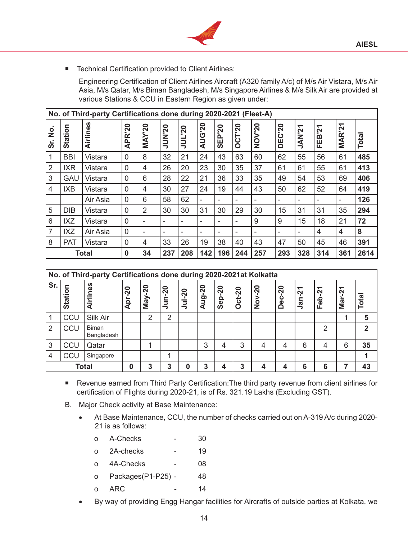

■ Technical Certification provided to Client Airlines:

 Engineering Certification of Client Airlines Aircraft (A320 family A/c) of M/s Air Vistara, M/s Air Asia, M/s Qatar, M/s Biman Bangladesh, M/s Singapore Airlines & M/s Silk Air are provided at various Stations & CCU in Eastern Region as given under:

|                     | No. of Third-party Certifications done during 2020-2021 (Fleet-A) |              |               |                |                                          |                                       |                      |                                    |                               |               |              |                       |            |                          |       |
|---------------------|-------------------------------------------------------------------|--------------|---------------|----------------|------------------------------------------|---------------------------------------|----------------------|------------------------------------|-------------------------------|---------------|--------------|-----------------------|------------|--------------------------|-------|
| $\frac{1}{2}$<br>ູ່ | tation<br>ഗ                                                       | ທ<br>Airline | <b>APR'20</b> | <b>MAY'20</b>  | <b>UN'20</b><br>$\overline{\phantom{1}}$ | $\overline{20}$<br>$\Rightarrow$<br>∍ | G <sub>20</sub><br>₹ | $\mathbf{S}$<br><b>Q</b><br>ш<br>ഗ | $\overline{20}$<br><u>ပွဲ</u> | <b>NOV'20</b> | 20<br>ပ<br>Ë | ↽<br><b>AN'2</b><br>∍ | EB'21<br>щ | <b>AR'21</b><br>Σ        | Total |
|                     | <b>BBI</b>                                                        | Vistara      | 0             | 8              | 32                                       | 21                                    | 24                   | 43                                 | 63                            | 60            | 62           | 55                    | 56         | 61                       | 485   |
| $\overline{2}$      | <b>IXR</b>                                                        | Vistara      | 0             | 4              | 26                                       | 20                                    | 23                   | 30                                 | 35                            | 37            | 61           | 61                    | 55         | 61                       | 413   |
| 3                   | <b>GAU</b>                                                        | Vistara      | 0             | 6              | 28                                       | 22                                    | 21                   | 36                                 | 33                            | 35            | 49           | 54                    | 53         | 69                       | 406   |
| 4                   | <b>IXB</b>                                                        | Vistara      | 0             | $\overline{4}$ | 30                                       | 27                                    | 24                   | 19                                 | 44                            | 43            | 50           | 62                    | 52         | 64                       | 419   |
|                     |                                                                   | Air Asia     | 0             | 6              | 58                                       | 62                                    |                      |                                    |                               | -             | ۰            |                       | ۰.         | $\overline{\phantom{a}}$ | 126   |
| 5                   | <b>DIB</b>                                                        | Vistara      | 0             | $\overline{2}$ | 30                                       | 30                                    | 31                   | 30                                 | 29                            | 30            | 15           | 31                    | 31         | 35                       | 294   |
| 6                   | IXZ                                                               | Vistara      | 0             |                |                                          |                                       |                      |                                    |                               | 9             | 9            | 15                    | 18         | 21                       | 72    |
| 7                   | IXZ                                                               | Air Asia     | 0             | ۰              | $\overline{\phantom{a}}$                 | ٠                                     |                      |                                    |                               | ٠             | ٠            |                       | 4          | 4                        | 8     |
| 8                   | <b>PAT</b>                                                        | Vistara      | 0             | $\overline{4}$ | 33                                       | 26                                    | 19                   | 38                                 | 40                            | 43            | 47           | 50                    | 45         | 46                       | 391   |
|                     |                                                                   | <b>Total</b> | 0             | 34             | 237                                      | 208                                   | 142                  | 196                                | 244                           | 257           | 293          | 328                   | 314        | 361                      | 2614  |

|     | No. of Third-party Certifications done during 2020-2021at Kolkatta |                            |               |               |                 |         |                         |                          |            |                           |                    |                             |                        |                 |              |
|-----|--------------------------------------------------------------------|----------------------------|---------------|---------------|-----------------|---------|-------------------------|--------------------------|------------|---------------------------|--------------------|-----------------------------|------------------------|-----------------|--------------|
| Sr. | So<br><b>Statio</b>                                                | Airlines                   | <b>Apr-20</b> | $-20$<br>Nay. | $\overline{20}$ | $ul-20$ | $\mathbf{S}$<br>פֿ<br>כ | 0<br>Ņ<br>$\Delta$<br>တိ | 0<br>Oct-2 | $-20$<br>$\sum_{i=1}^{N}$ | 0<br>$\sim$<br>Dec | ↽<br>$\mathbf{\Omega}$<br>ă | $\overline{5}$<br>Feb. | <u>ក</u><br>Mar | <b>Total</b> |
|     | CCU                                                                | Silk Air                   |               | っ             | $\overline{2}$  |         |                         |                          |            |                           |                    |                             |                        |                 | 5            |
| 2   | CCU                                                                | <b>Biman</b><br>Bangladesh |               |               |                 |         |                         |                          |            |                           |                    |                             | ⌒                      |                 | $\mathbf{2}$ |
| 3   | CCU                                                                | Qatar                      |               |               |                 |         | 3                       | 4                        | 3          |                           | 4                  | 6                           |                        | 6               | 35           |
|     | CCU                                                                | Singapore                  |               |               |                 |         |                         |                          |            |                           |                    |                             |                        |                 |              |
|     | <b>Total</b>                                                       |                            | ŋ             | 3             | 3               | 0       | 3                       |                          | 3          |                           | Δ                  | 6                           | 6                      |                 | 43           |

- Revenue earned from Third Party Certification: The third party revenue from client airlines for certification of Flights during 2020-21, is of Rs. 321.19 Lakhs (Excluding GST).
- B. Major Check activity at Base Maintenance:
	- At Base Maintenance, CCU, the number of checks carried out on A-319 A/c during 2020- 21 is as follows:
		- o A-Checks 30
		- o 2A-checks 19
		- o 4A-Checks 08
		- o Packages(P1-P25) 48
		- o ARC 14
	- By way of providing Engg Hangar facilities for Aircrafts of outside parties at Kolkata, we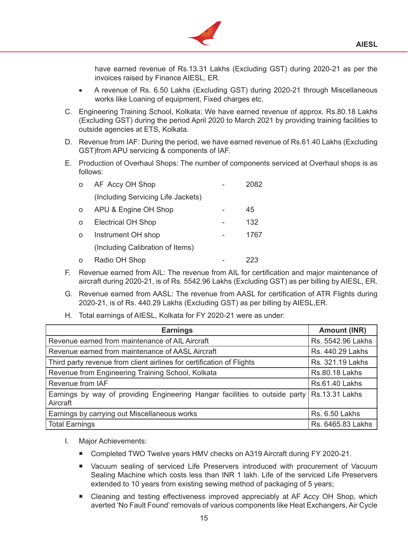

have earned revenue of Rs.13.31 Lakhs (Excluding GST) during 2020-21 as per the invoices raised by Finance AIESL, ER.

- A revenue of Rs. 6.50 Lakhs (Excluding GST) during 2020-21 through Miscellaneous works like Loaning of equipment, Fixed charges etc.
- C. Engineering Training School, Kolkata: We have earned revenue of approx. Rs.80.18 Lakhs (Excluding GST) during the period April 2020 to March 2021 by providing training facilities to outside agencies at ETS, Kolkata.
- D. Revenue from IAF: During the period, we have earned revenue of Rs.61.40 Lakhs (Excluding GST)from APU servicing & components of IAF.
- E. Production of Overhaul Shops: The number of components serviced at Overhaul shops is as follows:

| $\circ$ | AF Accy OH Shop                    | 2082 |
|---------|------------------------------------|------|
|         | (Including Servicing Life Jackets) |      |
| $\circ$ | APU & Engine OH Shop               | 45   |
| O       | <b>Electrical OH Shop</b>          | 132  |
| $\circ$ | Instrument OH shop                 | 1767 |
|         | (Including Calibration of Items)   |      |
| $\circ$ | Radio OH Shop                      |      |

- F. Revenue earned from AIL: The revenue from AIL for certification and major maintenance of aircraft during 2020-21, is of Rs. 5542.96 Lakhs (Excluding GST) as per billing by AIESL, ER.
- G. Revenue earned from AASL: The revenue from AASL for certification of ATR Flights during 2020-21, is of Rs. 440.29 Lakhs (Excluding GST) as per billing by AIESL,ER.
- H. Total earnings of AIESL, Kolkata for FY 2020-21 were as under:

| <b>Earnings</b>                                                                                          | <b>Amount (INR)</b>   |
|----------------------------------------------------------------------------------------------------------|-----------------------|
| Revenue earned from maintenance of AIL Aircraft                                                          | Rs. 5542.96 Lakhs     |
| Revenue earned from maintenance of AASL Aircraft                                                         | Rs. 440.29 Lakhs      |
| Third party revenue from client airlines for certification of Flights                                    | Rs. 321.19 Lakhs      |
| Revenue from Engineering Training School, Kolkata                                                        | <b>Rs.80.18 Lakhs</b> |
| Revenue from IAF                                                                                         | <b>Rs.61.40 Lakhs</b> |
| Earnings by way of providing Engineering Hangar facilities to outside party   Rs.13.31 Lakhs<br>Aircraft |                       |
| Earnings by carrying out Miscellaneous works                                                             | <b>Rs. 6.50 Lakhs</b> |
| Total Earnings                                                                                           | Rs. 6465.83 Lakhs     |

- I. Major Achievements:
	- Completed TWO Twelve years HMV checks on A319 Aircraft during FY 2020-21.
	- Vacuum sealing of serviced Life Preservers introduced with procurement of Vacuum Sealing Machine which costs less than INR 1 lakh. Life of the serviced Life Preservers extended to 10 years from existing sewing method of packaging of 5 years;
	- Cleaning and testing effectiveness improved appreciably at AF Accy OH Shop, which averted 'No Fault Found' removals of various components like Heat Exchangers, Air Cycle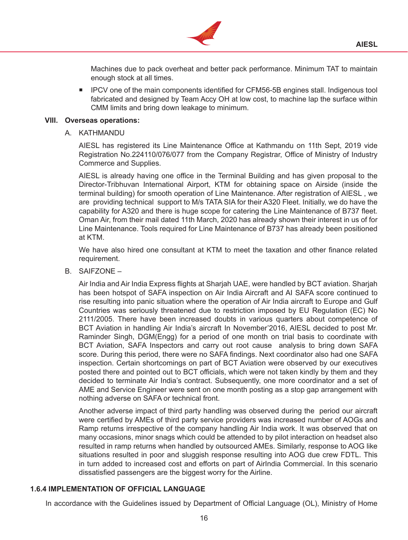

Machines due to pack overheat and better pack performance. Minimum TAT to maintain enough stock at all times.

■ IPCV one of the main components identified for CFM56-5B engines stall. Indigenous tool fabricated and designed by Team Accy OH at low cost, to machine lap the surface within CMM limits and bring down leakage to minimum.

#### **VIII. Overseas operations:**

A. KATHMANDU

 AIESL has registered its Line Maintenance Office at Kathmandu on 11th Sept, 2019 vide Registration No.224110/076/077 from the Company Registrar, Office of Ministry of Industry Commerce and Supplies.

 AIESL is already having one office in the Terminal Building and has given proposal to the Director-Tribhuvan International Airport, KTM for obtaining space on Airside (inside the terminal building) for smooth operation of Line Maintenance. After registration of AIESL , we are providing technical support to M/s TATA SIA for their A320 Fleet. Initially, we do have the capability for A320 and there is huge scope for catering the Line Maintenance of B737 fleet. Oman Air, from their mail dated 11th March, 2020 has already shown their interest in us of for Line Maintenance. Tools required for Line Maintenance of B737 has already been positioned at KTM.

 We have also hired one consultant at KTM to meet the taxation and other finance related requirement.

B. SAIFZONE –

 Air India and Air India Express flights at Sharjah UAE, were handled by BCT aviation. Sharjah has been hotspot of SAFA inspection on Air India Aircraft and AI SAFA score continued to rise resulting into panic situation where the operation of Air India aircraft to Europe and Gulf Countries was seriously threatened due to restriction imposed by EU Regulation (EC) No 2111/2005. There have been increased doubts in various quarters about competence of BCT Aviation in handling Air India's aircraft In November'2016, AIESL decided to post Mr. Raminder Singh, DGM(Engg) for a period of one month on trial basis to coordinate with BCT Aviation, SAFA Inspectors and carry out root cause analysis to bring down SAFA score. During this period, there were no SAFA findings. Next coordinator also had one SAFA inspection. Certain shortcomings on part of BCT Aviation were observed by our executives posted there and pointed out to BCT officials, which were not taken kindly by them and they decided to terminate Air India's contract. Subsequently, one more coordinator and a set of AME and Service Engineer were sent on one month posting as a stop gap arrangement with nothing adverse on SAFA or technical front.

Another adverse impact of third party handling was observed during the period our aircraft were certified by AMEs of third party service providers was increased number of AOGs and Ramp returns irrespective of the company handling Air India work. It was observed that on many occasions, minor snags which could be attended to by pilot interaction on headset also resulted in ramp returns when handled by outsourced AMEs. Similarly, response to AOG like situations resulted in poor and sluggish response resulting into AOG due crew FDTL. This in turn added to increased cost and efforts on part of AirIndia Commercial. In this scenario dissatisfied passengers are the biggest worry for the Airline.

#### **1.6.4 IMPLEMENTATION OF OFFICIAL LANGUAGE**

 In accordance with the Guidelines issued by Department of Official Language (OL), Ministry of Home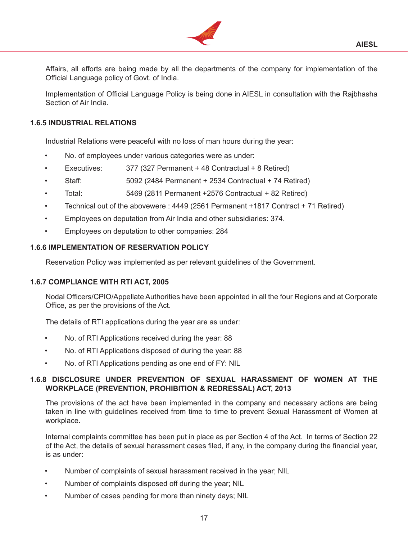

Affairs, all efforts are being made by all the departments of the company for implementation of the Official Language policy of Govt. of India.

 Implementation of Official Language Policy is being done in AIESL in consultation with the Rajbhasha Section of Air India.

## **1.6.5 INDUSTRIAL RELATIONS**

Industrial Relations were peaceful with no loss of man hours during the year:

- No. of employees under various categories were as under:
- Executives: 377 (327 Permanent + 48 Contractual + 8 Retired)
- Staff: 5092 (2484 Permanent + 2534 Contractual + 74 Retired)
- Total: 5469 (2811 Permanent +2576 Contractual + 82 Retired)
- Technical out of the abovewere :  $4449$  (2561 Permanent +1817 Contract + 71 Retired)
- Employees on deputation from Air India and other subsidiaries: 374.
- • Employees on deputation to other companies: 284

#### **1.6.6 IMPLEMENTATION OF RESERVATION POLICY**

Reservation Policy was implemented as per relevant guidelines of the Government.

## **1.6.7 COMPLIANCE WITH RTI ACT, 2005**

 Nodal Officers/CPIO/Appellate Authorities have been appointed in all the four Regions and at Corporate Office, as per the provisions of the Act.

The details of RTI applications during the year are as under:

- No. of RTI Applications received during the year: 88
- No. of RTI Applications disposed of during the year: 88
- No. of RTI Applications pending as one end of FY: NIL

#### **1.6.8 DISCLOSURE UNDER PREVENTION OF SEXUAL HARASSMENT OF WOMEN AT THE WORKPLACE (PREVENTION, PROHIBITION & REDRESSAL) ACT, 2013**

The provisions of the act have been implemented in the company and necessary actions are being taken in line with guidelines received from time to time to prevent Sexual Harassment of Women at workplace.

Internal complaints committee has been put in place as per Section 4 of the Act. In terms of Section 22 of the Act, the details of sexual harassment cases filed, if any, in the company during the financial year, is as under:

- Number of complaints of sexual harassment received in the year; NIL
- Number of complaints disposed off during the year; NIL
- Number of cases pending for more than ninety days; NIL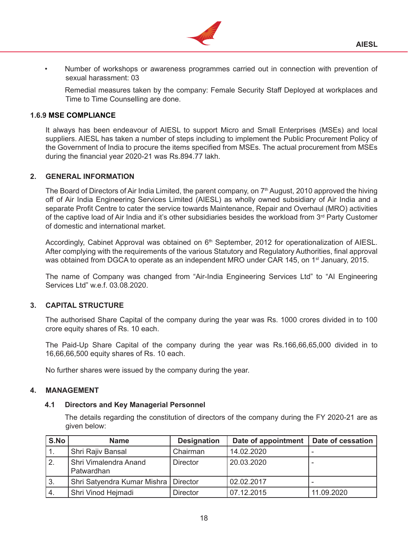

• Number of workshops or awareness programmes carried out in connection with prevention of sexual harassment: 03

 Remedial measures taken by the company: Female Security Staff Deployed at workplaces and Time to Time Counselling are done.

#### **1.6.9 MSE COMPLIANCE**

 It always has been endeavour of AIESL to support Micro and Small Enterprises (MSEs) and local suppliers. AIESL has taken a number of steps including to implement the Public Procurement Policy of the Government of India to procure the items specified from MSEs. The actual procurement from MSEs during the financial year 2020-21 was Rs.894.77 lakh.

#### **2. GENERAL INFORMATION**

The Board of Directors of Air India Limited, the parent company, on 7<sup>th</sup> August, 2010 approved the hiving off of Air India Engineering Services Limited (AIESL) as wholly owned subsidiary of Air India and a separate Profit Centre to cater the service towards Maintenance, Repair and Overhaul (MRO) activities of the captive load of Air India and it's other subsidiaries besides the workload from 3<sup>rd</sup> Party Customer of domestic and international market.

Accordingly, Cabinet Approval was obtained on 6<sup>th</sup> September, 2012 for operationalization of AIESL. After complying with the requirements of the various Statutory and Regulatory Authorities, final approval was obtained from DGCA to operate as an independent MRO under CAR 145, on 1<sup>st</sup> January, 2015.

 The name of Company was changed from "Air-India Engineering Services Ltd" to "AI Engineering Services Ltd" w.e.f. 03.08.2020.

## **3. CAPITAL STRUCTURE**

The authorised Share Capital of the company during the year was Rs. 1000 crores divided in to 100 crore equity shares of Rs. 10 each.

The Paid-Up Share Capital of the company during the year was Rs.166,66,65,000 divided in to 16,66,66,500 equity shares of Rs. 10 each.

No further shares were issued by the company during the year.

#### **4. MANAGEMENT**

#### **4.1 Directors and Key Managerial Personnel**

The details regarding the constitution of directors of the company during the FY 2020-21 are as given below:

| S.No | <b>Name</b>                         | <b>Designation</b> | Date of appointment | Date of cessation |
|------|-------------------------------------|--------------------|---------------------|-------------------|
|      | Shri Rajiv Bansal                   | Chairman           | 14.02.2020          |                   |
|      | Shri Vimalendra Anand<br>Patwardhan | <b>Director</b>    | 20.03.2020          |                   |
| 3.   | Shri Satyendra Kumar Mishra         | <b>Director</b>    | 02.02.2017          |                   |
|      | Shri Vinod Hejmadi                  | <b>Director</b>    | 07.12.2015          | 11.09.2020        |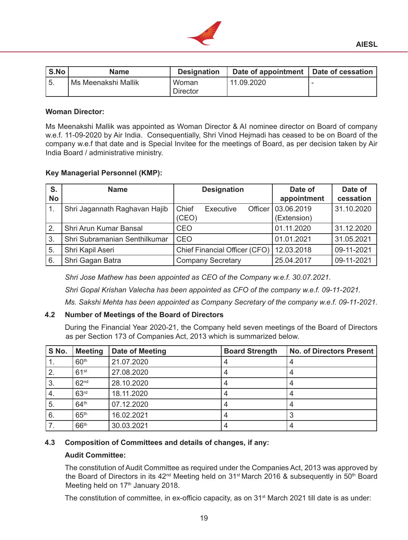

| S.No | Name                | <b>Designation</b> | Date of appointment   Date of cessation |  |
|------|---------------------|--------------------|-----------------------------------------|--|
|      | Ms Meenakshi Mallik | Woman<br>Director  | 11.09.2020                              |  |

#### **Woman Director:**

Ms Meenakshi Mallik was appointed as Woman Director & AI nominee director on Board of company w.e.f. 11-09-2020 by Air India. Consequentially, Shri Vinod Hejmadi has ceased to be on Board of the company w.e.f that date and is Special Invitee for the meetings of Board, as per decision taken by Air India Board / administrative ministry.

#### **Key Managerial Personnel (KMP):**

| S.        | <b>Name</b>                   | <b>Designation</b>            | Date of     | Date of    |
|-----------|-------------------------------|-------------------------------|-------------|------------|
| <b>No</b> |                               |                               | appointment | cessation  |
|           | Shri Jagannath Raghavan Hajib | Officer<br>Chief<br>Executive | 03.06.2019  | 31.10.2020 |
|           |                               | (CEO)                         | (Extension) |            |
| 2.        | Shri Arun Kumar Bansal        | <b>CEO</b>                    | 01.11.2020  | 31.12.2020 |
| 3.        | Shri Subramanian Senthilkumar | <b>CEO</b>                    | 01.01.2021  | 31.05.2021 |
| 5.        | Shri Kapil Aseri              | Chief Financial Officer (CFO) | 12.03.2018  | 09-11-2021 |
| 6.        | Shri Gagan Batra              | <b>Company Secretary</b>      | 25.04.2017  | 09-11-2021 |

*Shri Jose Mathew has been appointed as CEO of the Company w.e.f. 30.07.2021.*

*Shri Gopal Krishan Valecha has been appointed as CFO of the company w.e.f. 09-11-2021.*

*Ms. Sakshi Mehta has been appointed as Company Secretary of the company w.e.f. 09-11-2021.*

## **4.2 Number of Meetings of the Board of Directors**

 During the Financial Year 2020-21, the Company held seven meetings of the Board of Directors as per Section 173 of Companies Act, 2013 which is summarized below.

| S No. | <b>Meeting</b>   | Date of Meeting | <b>Board Strength</b> | No. of Directors Present |
|-------|------------------|-----------------|-----------------------|--------------------------|
|       | 60 <sup>th</sup> | 21.07.2020      | 4                     |                          |
| 2.    | 61 <sup>st</sup> | 27.08.2020      | 4                     |                          |
| 3.    | 62 <sup>nd</sup> | 28.10.2020      | 4                     | 4                        |
| 4.    | 63 <sup>rd</sup> | 18.11.2020      | 4                     |                          |
| 5.    | 64 <sup>th</sup> | 07.12.2020      | 4                     | 4                        |
| 6.    | 65 <sup>th</sup> | 16.02.2021      | 4                     |                          |
|       | 66 <sup>th</sup> | 30.03.2021      | 4                     |                          |

## **4.3 Composition of Committees and details of changes, if any:**

#### **Audit Committee:**

The constitution of Audit Committee as required under the Companies Act, 2013 was approved by the Board of Directors in its 42<sup>nd</sup> Meeting held on 31<sup>st</sup> March 2016 & subsequently in 50<sup>th</sup> Board Meeting held on 17<sup>th</sup> January 2018.

The constitution of committee, in ex-officio capacity, as on  $31<sup>st</sup>$  March 2021 till date is as under: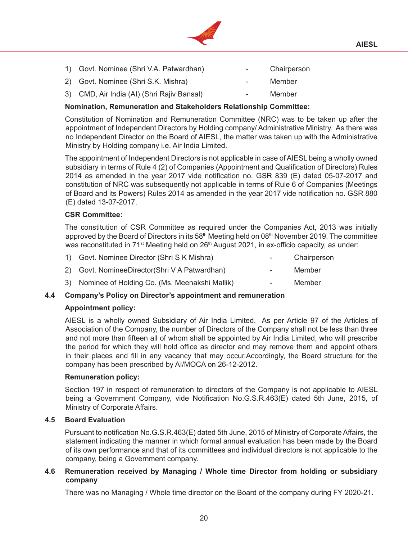

- 1) Govt. Nominee (Shri V.A. Patwardhan) Chairperson
- 2) Govt. Nominee (Shri S.K. Mishra) Member
- 3) CMD, Air India (AI) (Shri Rajiv Bansal) Member

## **Nomination, Remuneration and Stakeholders Relationship Committee:**

Constitution of Nomination and Remuneration Committee (NRC) was to be taken up after the appointment of Independent Directors by Holding company/ Administrative Ministry. As there was no Independent Director on the Board of AIESL, the matter was taken up with the Administrative Ministry by Holding company i.e. Air India Limited.

The appointment of Independent Directors is not applicable in case of AIESL being a wholly owned subsidiary in terms of Rule 4 (2) of Companies (Appointment and Qualification of Directors) Rules 2014 as amended in the year 2017 vide notification no. GSR 839 (E) dated 05-07-2017 and constitution of NRC was subsequently not applicable in terms of Rule 6 of Companies (Meetings of Board and its Powers) Rules 2014 as amended in the year 2017 vide notification no. GSR 880 (E) dated 13-07-2017.

#### **CSR Committee:**

The constitution of CSR Committee as required under the Companies Act, 2013 was initially approved by the Board of Directors in its 58<sup>th</sup> Meeting held on  $08<sup>th</sup>$  November 2019. The committee was reconstituted in  $71<sup>st</sup>$  Meeting held on  $26<sup>th</sup>$  August 2021, in ex-officio capacity, as under:

| 1) Govt. Nominee Director (Shri S K Mishra)      | $\sim$ 10 $\pm$  | Chairperson |
|--------------------------------------------------|------------------|-------------|
| 2) Govt. NomineeDirector(Shri V A Patwardhan)    | $\sim$ 100 $\mu$ | Member      |
| 3) Nominee of Holding Co. (Ms. Meenakshi Mallik) | $\sim$ 100 $\mu$ | Member      |

## **4.4 Company's Policy on Director's appointment and remuneration**

## **Appointment policy:**

AIESL is a wholly owned Subsidiary of Air India Limited. As per Article 97 of the Articles of Association of the Company, the number of Directors of the Company shall not be less than three and not more than fifteen all of whom shall be appointed by Air India Limited, who will prescribe the period for which they will hold office as director and may remove them and appoint others in their places and fill in any vacancy that may occur.Accordingly, the Board structure for the company has been prescribed by AI/MOCA on 26-12-2012.

#### **Remuneration policy:**

Section 197 in respect of remuneration to directors of the Company is not applicable to AIESL being a Government Company, vide Notification No.G.S.R.463(E) dated 5th June, 2015, of Ministry of Corporate Affairs.

#### **4.5 Board Evaluation**

Pursuant to notification No.G.S.R.463(E) dated 5th June, 2015 of Ministry of Corporate Affairs, the statement indicating the manner in which formal annual evaluation has been made by the Board of its own performance and that of its committees and individual directors is not applicable to the company, being a Government company.

#### **4.6 Remuneration received by Managing / Whole time Director from holding or subsidiary company**

There was no Managing / Whole time director on the Board of the company during FY 2020-21.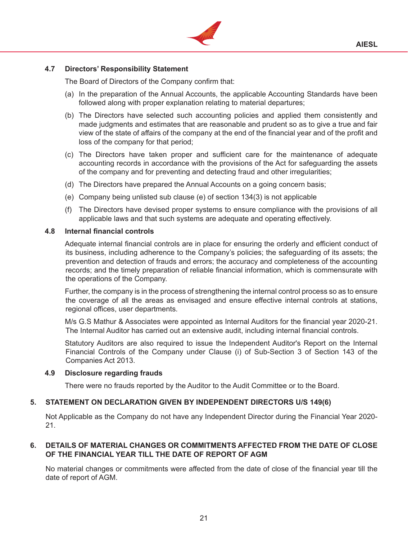

## **4.7 Directors' Responsibility Statement**

The Board of Directors of the Company confirm that:

- (a) In the preparation of the Annual Accounts, the applicable Accounting Standards have been followed along with proper explanation relating to material departures;
- (b) The Directors have selected such accounting policies and applied them consistently and made judgments and estimates that are reasonable and prudent so as to give a true and fair view of the state of affairs of the company at the end of the financial year and of the profit and loss of the company for that period;
- (c) The Directors have taken proper and sufficient care for the maintenance of adequate accounting records in accordance with the provisions of the Act for safeguarding the assets of the company and for preventing and detecting fraud and other irregularities;
- (d) The Directors have prepared the Annual Accounts on a going concern basis;
- (e) Company being unlisted sub clause (e) of section 134(3) is not applicable
- (f) The Directors have devised proper systems to ensure compliance with the provisions of all applicable laws and that such systems are adequate and operating effectively.

#### **4.8 Internal financial controls**

 Adequate internal financial controls are in place for ensuring the orderly and efficient conduct of its business, including adherence to the Company's policies; the safeguarding of its assets; the prevention and detection of frauds and errors; the accuracy and completeness of the accounting records; and the timely preparation of reliable financial information, which is commensurate with the operations of the Company.

Further, the company is in the process of strengthening the internal control process so as to ensure the coverage of all the areas as envisaged and ensure effective internal controls at stations, regional offices, user departments.

 M/s G.S Mathur & Associates were appointed as Internal Auditors for the financial year 2020-21. The Internal Auditor has carried out an extensive audit, including internal financial controls.

 Statutory Auditors are also required to issue the Independent Auditor's Report on the Internal Financial Controls of the Company under Clause (i) of Sub-Section 3 of Section 143 of the Companies Act 2013.

#### **4.9 Disclosure regarding frauds**

There were no frauds reported by the Auditor to the Audit Committee or to the Board.

#### **5. STATEMENT ON DECLARATION GIVEN BY INDEPENDENT DIRECTORS U/S 149(6)**

 Not Applicable as the Company do not have any Independent Director during the Financial Year 2020- 21.

#### **6. DETAILS OF MATERIAL CHANGES OR COMMITMENTS AFFECTED FROM THE DATE OF CLOSE OF THE FINANCIAL YEAR TILL THE DATE OF REPORT OF AGM**

 No material changes or commitments were affected from the date of close of the financial year till the date of report of AGM.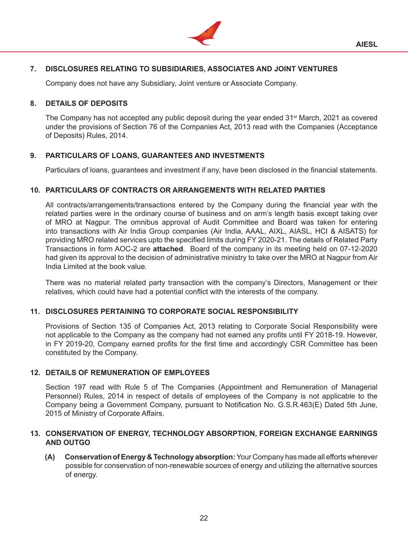

## **7. DISCLOSURES RELATING TO SUBSIDIARIES, ASSOCIATES AND JOINT VENTURES**

Company does not have any Subsidiary, Joint venture or Associate Company.

## **8. DETAILS OF DEPOSITS**

The Company has not accepted any public deposit during the year ended 31<sup>st</sup> March, 2021 as covered under the provisions of Section 76 of the Companies Act, 2013 read with the Companies (Acceptance of Deposits) Rules, 2014.

## **9. PARTICULARS OF LOANS, GUARANTEES AND INVESTMENTS**

 Particulars of loans, guarantees and investment if any, have been disclosed in the financial statements.

## **10. PARTICULARS OF CONTRACTS OR ARRANGEMENTS WITH RELATED PARTIES**

 All contracts/arrangements/transactions entered by the Company during the financial year with the related parties were in the ordinary course of business and on arm's length basis except taking over of MRO at Nagpur. The omnibus approval of Audit Committee and Board was taken for entering into transactions with Air India Group companies (Air India, AAAL, AIXL, AIASL, HCI & AISATS) for providing MRO related services upto the specified limits during FY 2020-21. The details of Related Party Transactions in form AOC-2 are **attached**. Board of the company in its meeting held on 07-12-2020 had given its approval to the decision of administrative ministry to take over the MRO at Nagpur from Air India Limited at the book value.

There was no material related party transaction with the company's Directors, Management or their relatives, which could have had a potential conflict with the interests of the company.

## **11. DISCLOSURES PERTAINING TO CORPORATE SOCIAL RESPONSIBILITY**

Provisions of Section 135 of Companies Act, 2013 relating to Corporate Social Responsibility were not applicable to the Company as the company had not earned any profits until FY 2018-19. However, in FY 2019-20, Company earned profits for the first time and accordingly CSR Committee has been constituted by the Company.

## **12. DETAILS OF REMUNERATION OF EMPLOYEES**

Section 197 read with Rule 5 of The Companies (Appointment and Remuneration of Managerial Personnel) Rules, 2014 in respect of details of employees of the Company is not applicable to the Company being a Government Company, pursuant to Notification No. G.S.R.463(E) Dated 5th June, 2015 of Ministry of Corporate Affairs.

## **13. CONSERVATION OF ENERGY, TECHNOLOGY ABSORPTION, FOREIGN EXCHANGE EARNINGS AND OUTGO**

**(A) Conservation of Energy & Technology absorption:** Your Company has made all efforts wherever possible for conservation of non-renewable sources of energy and utilizing the alternative sources of energy.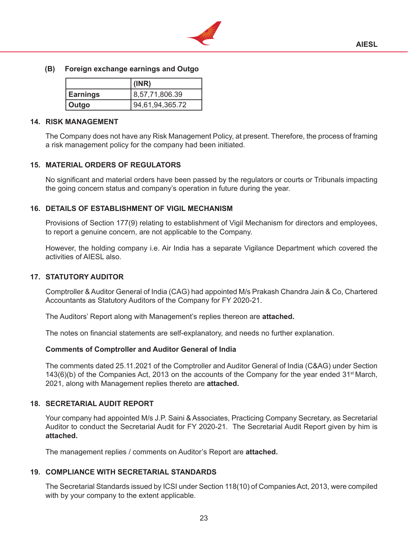

#### **(B) Foreign exchange earnings and Outgo**

|                 | (INR)           |  |
|-----------------|-----------------|--|
| <b>Earnings</b> | 8,57,71,806.39  |  |
| <b>Outgo</b>    | 94,61,94,365.72 |  |

#### **14. RISK MANAGEMENT**

The Company does not have any Risk Management Policy, at present. Therefore, the process of framing a risk management policy for the company had been initiated.

#### **15. MATERIAL ORDERS OF REGULATORS**

 No significant and material orders have been passed by the regulators or courts or Tribunals impacting the going concern status and company's operation in future during the year.

#### **16. DETAILS OF ESTABLISHMENT OF VIGIL MECHANISM**

Provisions of Section 177(9) relating to establishment of Vigil Mechanism for directors and employees, to report a genuine concern, are not applicable to the Company.

However, the holding company i.e. Air India has a separate Vigilance Department which covered the activities of AIESL also.

#### **17. STATUTORY AUDITOR**

Comptroller & Auditor General of India (CAG) had appointed M/s Prakash Chandra Jain & Co, Chartered Accountants as Statutory Auditors of the Company for FY 2020-21.

The Auditors' Report along with Management's replies thereon are **attached.** 

 The notes on financial statements are self-explanatory, and needs no further explanation.

#### **Comments of Comptroller and Auditor General of India**

The comments dated 25.11.2021 of the Comptroller and Auditor General of India (C&AG) under Section 143(6)(b) of the Companies Act, 2013 on the accounts of the Company for the year ended 31<sup>st</sup> March, 2021, along with Management replies thereto are **attached.**

#### **18. SECRETARIAL AUDIT REPORT**

Your company had appointed M/s J.P. Saini & Associates, Practicing Company Secretary, as Secretarial Auditor to conduct the Secretarial Audit for FY 2020-21. The Secretarial Audit Report given by him is **attached.**

The management replies / comments on Auditor's Report are **attached.**

#### **19. COMPLIANCE WITH SECRETARIAL STANDARDS**

The Secretarial Standards issued by ICSI under Section 118(10) of Companies Act, 2013, were compiled with by your company to the extent applicable.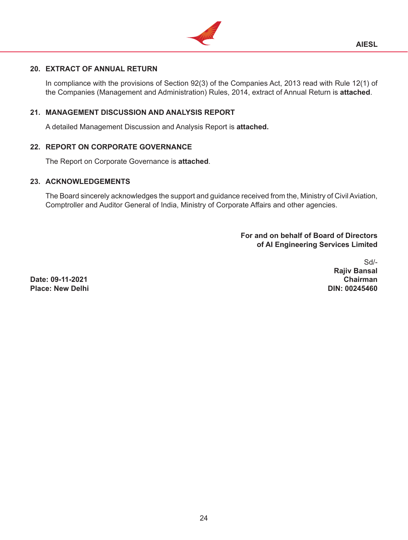

## **20. EXTRACT OF ANNUAL RETURN**

In compliance with the provisions of Section 92(3) of the Companies Act, 2013 read with Rule 12(1) of the Companies (Management and Administration) Rules, 2014, extract of Annual Return is **attached**.

#### **21. MANAGEMENT DISCUSSION AND ANALYSIS REPORT**

A detailed Management Discussion and Analysis Report is **attached.**

#### **22. REPORT ON CORPORATE GOVERNANCE**

The Report on Corporate Governance is **attached**.

#### **23. ACKNOWLEDGEMENTS**

The Board sincerely acknowledges the support and guidance received from the, Ministry of Civil Aviation, Comptroller and Auditor General of India, Ministry of Corporate Affairs and other agencies.

> **For and on behalf of Board of Directors of AI Engineering Services Limited**

> > Sd/- **Rajiv Bansal**

**Date: 09-11-2021 Chairman Place: New Delhi** 

**AIESL**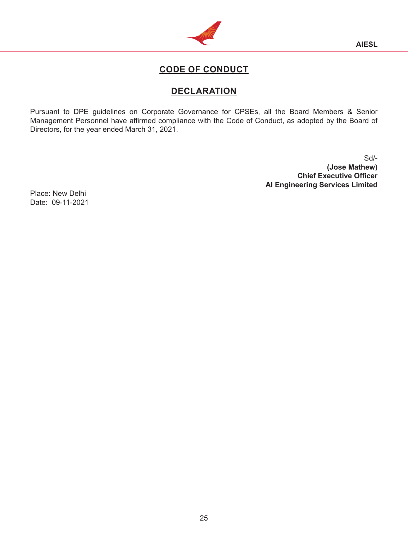

# **CODE OF CONDUCT**

# **DECLARATION**

Pursuant to DPE guidelines on Corporate Governance for CPSEs, all the Board Members & Senior Management Personnel have affirmed compliance with the Code of Conduct, as adopted by the Board of Directors, for the year ended March 31, 2021.

> Sd/- **(Jose Mathew) Chief Executive Officer AI Engineering Services Limited**

Place: New Delhi Date: 09-11-2021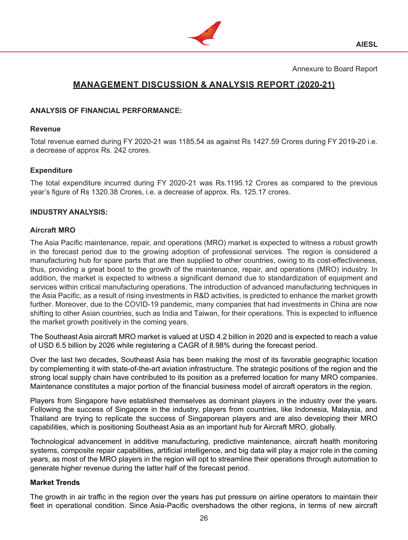

Annexure to Board Report

# **MANAGEMENT DISCUSSION & ANALYSIS REPORT (2020-21)**

## **ANALYSIS OF FINANCIAL PERFORMANCE:**

#### **Revenue**

Total revenue earned during FY 2020-21 was 1185.54 as against Rs 1427.59 Crores during FY 2019-20 i.e. a decrease of approx Rs. 242 crores.

## **Expenditure**

The total expenditure incurred during FY 2020-21 was Rs.1195.12 Crores as compared to the previous year's figure of Rs 1320.38 Crores, i.e. a decrease of approx. Rs. 125.17 crores.

## **INDUSTRY ANALYSIS:**

## **Aircraft MRO**

The Asia Pacific maintenance, repair, and operations (MRO) market is expected to witness a robust growth in the forecast period due to the growing adoption of professional services. The region is considered a manufacturing hub for spare parts that are then supplied to other countries, owing to its cost-effectiveness, thus, providing a great boost to the growth of the maintenance, repair, and operations (MRO) industry. In addition, the market is expected to witness a significant demand due to standardization of equipment and services within critical manufacturing operations. The introduction of advanced manufacturing techniques in the Asia Pacific, as a result of rising investments in R&D activities, is predicted to enhance the market growth further. Moreover, due to the COVID-19 pandemic, many companies that had investments in China are now shifting to other Asian countries, such as India and Taiwan, for their operations. This is expected to influence the market growth positively in the coming years.

The Southeast Asia aircraft MRO market is valued at USD 4.2 billion in 2020 and is expected to reach a value of USD 6.5 billion by 2026 while registering a CAGR of 8.98% during the forecast period.

Over the last two decades, Southeast Asia has been making the most of its favorable geographic location by complementing it with state-of-the-art aviation infrastructure. The strategic positions of the region and the strong local supply chain have contributed to its position as a preferred location for many MRO companies. Maintenance constitutes a major portion of the financial business model of aircraft operators in the region.

Players from Singapore have established themselves as dominant players in the industry over the years. Following the success of Singapore in the industry, players from countries, like Indonesia, Malaysia, and Thailand are trying to replicate the success of Singaporean players and are also developing their MRO capabilities, which is positioning Southeast Asia as an important hub for Aircraft MRO, globally.

Technological advancement in additive manufacturing, predictive maintenance, aircraft health monitoring systems, composite repair capabilities, artificial intelligence, and big data will play a major role in the coming years, as most of the MRO players in the region will opt to streamline their operations through automation to generate higher revenue during the latter half of the forecast period.

## **Market Trends**

The growth in air traffic in the region over the years has put pressure on airline operators to maintain their fleet in operational condition. Since Asia-Pacific overshadows the other regions, in terms of new aircraft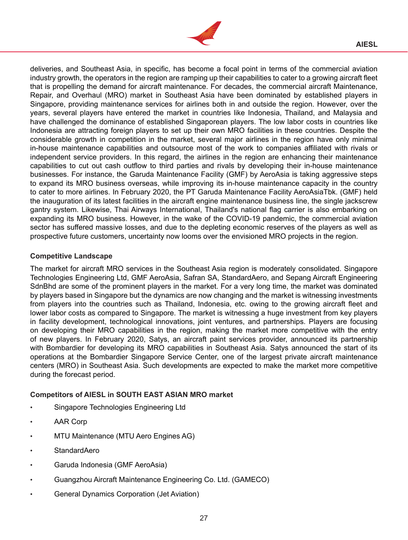

deliveries, and Southeast Asia, in specific, has become a focal point in terms of the commercial aviation industry growth, the operators in the region are ramping up their capabilities to cater to a growing aircraft fleet that is propelling the demand for aircraft maintenance. For decades, the commercial aircraft Maintenance, Repair, and Overhaul (MRO) market in Southeast Asia have been dominated by established players in Singapore, providing maintenance services for airlines both in and outside the region. However, over the years, several players have entered the market in countries like Indonesia, Thailand, and Malaysia and have challenged the dominance of established Singaporean players. The low labor costs in countries like Indonesia are attracting foreign players to set up their own MRO facilities in these countries. Despite the considerable growth in competition in the market, several major airlines in the region have only minimal in-house maintenance capabilities and outsource most of the work to companies affiliated with rivals or independent service providers. In this regard, the airlines in the region are enhancing their maintenance capabilities to cut out cash outflow to third parties and rivals by developing their in-house maintenance businesses. For instance, the Garuda Maintenance Facility (GMF) by AeroAsia is taking aggressive steps to expand its MRO business overseas, while improving its in-house maintenance capacity in the country to cater to more airlines. In February 2020, the PT Garuda Maintenance Facility AeroAsiaTbk. (GMF) held the inauguration of its latest facilities in the aircraft engine maintenance business line, the single jackscrew gantry system. Likewise, Thai Airways International, Thailand's national flag carrier is also embarking on expanding its MRO business. However, in the wake of the COVID-19 pandemic, the commercial aviation sector has suffered massive losses, and due to the depleting economic reserves of the players as well as prospective future customers, uncertainty now looms over the envisioned MRO projects in the region.

#### **Competitive Landscape**

The market for aircraft MRO services in the Southeast Asia region is moderately consolidated. Singapore Technologies Engineering Ltd, GMF AeroAsia, Safran SA, StandardAero, and Sepang Aircraft Engineering SdnBhd are some of the prominent players in the market. For a very long time, the market was dominated by players based in Singapore but the dynamics are now changing and the market is witnessing investments from players into the countries such as Thailand, Indonesia, etc. owing to the growing aircraft fleet and lower labor costs as compared to Singapore. The market is witnessing a huge investment from key players in facility development, technological innovations, joint ventures, and partnerships. Players are focusing on developing their MRO capabilities in the region, making the market more competitive with the entry of new players. In February 2020, Satys, an aircraft paint services provider, announced its partnership with Bombardier for developing its MRO capabilities in Southeast Asia. Satys announced the start of its operations at the Bombardier Singapore Service Center, one of the largest private aircraft maintenance centers (MRO) in Southeast Asia. Such developments are expected to make the market more competitive during the forecast period.

## **Competitors of AIESL in SOUTH EAST ASIAN MRO market**

- Singapore Technologies Engineering Ltd
- **AAR Corp**
- MTU Maintenance (MTU Aero Engines AG)
- StandardAero
- Garuda Indonesia (GMF AeroAsia)
- Guangzhou Aircraft Maintenance Engineering Co. Ltd. (GAMECO)
- General Dynamics Corporation (Jet Aviation)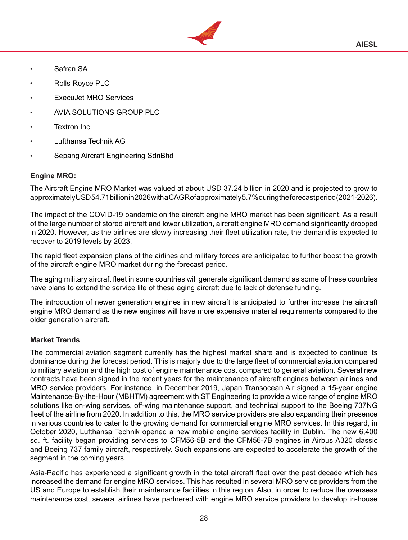

- Safran SA
- Rolls Royce PLC
- **ExecuJet MRO Services**
- **AVIA SOLUTIONS GROUP PLC**
- Textron Inc.
- **Lufthansa Technik AG**
- Sepang Aircraft Engineering SdnBhd

## **Engine MRO:**

The Aircraft Engine MRO Market was valued at about USD 37.24 billion in 2020 and is projected to grow to approximately USD 54.71 billion in 2026 with a CAGR of approximately 5.7% during the forecast period (2021-2026).

The impact of the COVID-19 pandemic on the aircraft engine MRO market has been significant. As a result of the large number of stored aircraft and lower utilization, aircraft engine MRO demand significantly dropped in 2020. However, as the airlines are slowly increasing their fleet utilization rate, the demand is expected to recover to 2019 levels by 2023.

The rapid fleet expansion plans of the airlines and military forces are anticipated to further boost the growth of the aircraft engine MRO market during the forecast period.

The aging military aircraft fleet in some countries will generate significant demand as some of these countries have plans to extend the service life of these aging aircraft due to lack of defense funding.

The introduction of newer generation engines in new aircraft is anticipated to further increase the aircraft engine MRO demand as the new engines will have more expensive material requirements compared to the older generation aircraft.

## **Market Trends**

The commercial aviation segment currently has the highest market share and is expected to continue its dominance during the forecast period. This is majorly due to the large fleet of commercial aviation compared to military aviation and the high cost of engine maintenance cost compared to general aviation. Several new contracts have been signed in the recent years for the maintenance of aircraft engines between airlines and MRO service providers. For instance, in December 2019, Japan Transocean Air signed a 15-year engine Maintenance-By-the-Hour (MBHTM) agreement with ST Engineering to provide a wide range of engine MRO solutions like on-wing services, off-wing maintenance support, and technical support to the Boeing 737NG fleet of the airline from 2020. In addition to this, the MRO service providers are also expanding their presence in various countries to cater to the growing demand for commercial engine MRO services. In this regard, in October 2020, Lufthansa Technik opened a new mobile engine services facility in Dublin. The new 6,400 sq. ft. facility began providing services to CFM56-5B and the CFM56-7B engines in Airbus A320 classic and Boeing 737 family aircraft, respectively. Such expansions are expected to accelerate the growth of the segment in the coming years.

Asia-Pacific has experienced a significant growth in the total aircraft fleet over the past decade which has increased the demand for engine MRO services. This has resulted in several MRO service providers from the US and Europe to establish their maintenance facilities in this region. Also, in order to reduce the overseas maintenance cost, several airlines have partnered with engine MRO service providers to develop in-house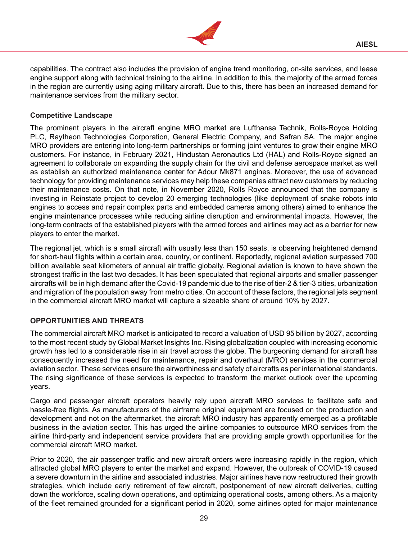

capabilities. The contract also includes the provision of engine trend monitoring, on-site services, and lease engine support along with technical training to the airline. In addition to this, the majority of the armed forces in the region are currently using aging military aircraft. Due to this, there has been an increased demand for maintenance services from the military sector.

## **Competitive Landscape**

The prominent players in the aircraft engine MRO market are Lufthansa Technik, Rolls-Royce Holding PLC, Raytheon Technologies Corporation, General Electric Company, and Safran SA. The major engine MRO providers are entering into long-term partnerships or forming joint ventures to grow their engine MRO customers. For instance, in February 2021, Hindustan Aeronautics Ltd (HAL) and Rolls-Royce signed an agreement to collaborate on expanding the supply chain for the civil and defense aerospace market as well as establish an authorized maintenance center for Adour Mk871 engines. Moreover, the use of advanced technology for providing maintenance services may help these companies attract new customers by reducing their maintenance costs. On that note, in November 2020, Rolls Royce announced that the company is investing in Reinstate project to develop 20 emerging technologies (like deployment of snake robots into engines to access and repair complex parts and embedded cameras among others) aimed to enhance the engine maintenance processes while reducing airline disruption and environmental impacts. However, the long-term contracts of the established players with the armed forces and airlines may act as a barrier for new players to enter the market.

The regional jet, which is a small aircraft with usually less than 150 seats, is observing heightened demand for short-haul flights within a certain area, country, or continent. Reportedly, regional aviation surpassed 700 billion available seat kilometers of annual air traffic globally. Regional aviation is known to have shown the strongest traffic in the last two decades. It has been speculated that regional airports and smaller passenger aircrafts will be in high demand after the Covid-19 pandemic due to the rise of tier-2 & tier-3 cities, urbanization and migration of the population away from metro cities. On account of these factors, the regional jets segment in the commercial aircraft MRO market will capture a sizeable share of around 10% by 2027.

## **OPPORTUNITIES AND THREATS**

The commercial aircraft MRO market is anticipated to record a valuation of USD 95 billion by 2027, according to the most recent study by Global Market Insights Inc. Rising globalization coupled with increasing economic growth has led to a considerable rise in air travel across the globe. The burgeoning demand for aircraft has consequently increased the need for maintenance, repair and overhaul (MRO) services in the commercial aviation sector. These services ensure the airworthiness and safety of aircrafts as per international standards. The rising significance of these services is expected to transform the market outlook over the upcoming years.

Cargo and passenger aircraft operators heavily rely upon aircraft MRO services to facilitate safe and hassle-free flights. As manufacturers of the airframe original equipment are focused on the production and development and not on the aftermarket, the aircraft MRO industry has apparently emerged as a profitable business in the aviation sector. This has urged the airline companies to outsource MRO services from the airline third-party and independent service providers that are providing ample growth opportunities for the commercial aircraft MRO market.

Prior to 2020, the air passenger traffic and new aircraft orders were increasing rapidly in the region, which attracted global MRO players to enter the market and expand. However, the outbreak of COVID-19 caused a severe downturn in the airline and associated industries. Major airlines have now restructured their growth strategies, which include early retirement of few aircraft, postponement of new aircraft deliveries, cutting down the workforce, scaling down operations, and optimizing operational costs, among others. As a majority of the fleet remained grounded for a significant period in 2020, some airlines opted for major maintenance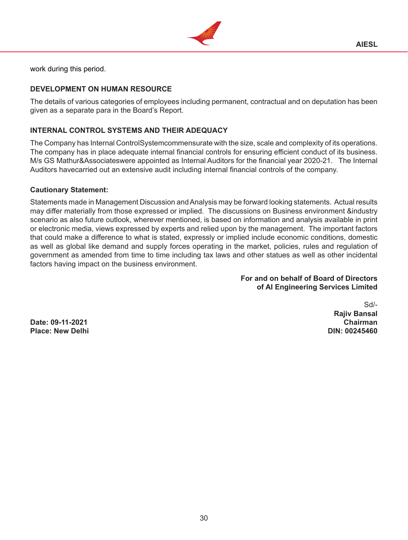

work during this period.

## **DEVELOPMENT ON HUMAN RESOURCE**

The details of various categories of employees including permanent, contractual and on deputation has been given as a separate para in the Board's Report.

## **INTERNAL CONTROL SYSTEMS AND THEIR ADEQUACY**

The Company has Internal ControlSystemcommensurate with the size, scale and complexity of its operations. The company has in place adequate internal financial controls for ensuring efficient conduct of its business. M/s GS Mathur&Associateswere appointed as Internal Auditors for the financial year 2020-21. The Internal Auditors havecarried out an extensive audit including internal financial controls of the company.

## **Cautionary Statement:**

Statements made in Management Discussion and Analysis may be forward looking statements. Actual results may differ materially from those expressed or implied. The discussions on Business environment &industry scenario as also future outlook, wherever mentioned, is based on information and analysis available in print or electronic media, views expressed by experts and relied upon by the management. The important factors that could make a difference to what is stated, expressly or implied include economic conditions, domestic as well as global like demand and supply forces operating in the market, policies, rules and regulation of government as amended from time to time including tax laws and other statues as well as other incidental factors having impact on the business environment.

> **For and on behalf of Board of Directors of AI Engineering Services Limited**

**Date: 09-11-2021 Chairman Place: New Delhi DIN: 00245460**

Sd/- **Rajiv Bansal**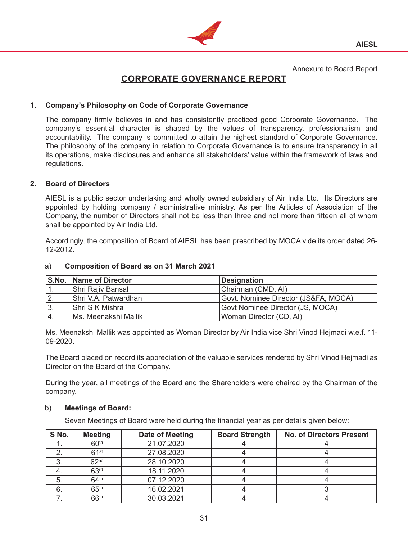

Annexure to Board Report

## **CORPORATE GOVERNANCE REPORT**

#### **1. Company's Philosophy on Code of Corporate Governance**

 The company firmly believes in and has consistently practiced good Corporate Governance. The company's essential character is shaped by the values of transparency, professionalism and accountability. The company is committed to attain the highest standard of Corporate Governance. The philosophy of the company in relation to Corporate Governance is to ensure transparency in all its operations, make disclosures and enhance all stakeholders' value within the framework of laws and regulations.

#### **2. Board of Directors**

 AIESL is a public sector undertaking and wholly owned subsidiary of Air India Ltd. Its Directors are appointed by holding company / administrative ministry. As per the Articles of Association of the Company, the number of Directors shall not be less than three and not more than fifteen all of whom shall be appointed by Air India Ltd.

 Accordingly, the composition of Board of AIESL has been prescribed by MOCA vide its order dated 26- 12-2012.

#### a) **Composition of Board as on 31 March 2021**

|     | S.No. Name of Director       | Designation                          |
|-----|------------------------------|--------------------------------------|
|     | Shri Rajiv Bansal            | Chairman (CMD, AI)                   |
|     | Shri V.A. Patwardhan         | Govt. Nominee Director (JS&FA, MOCA) |
| '3. | <b>Shri S K Mishra</b>       | Govt Nominee Director (JS, MOCA)     |
|     | <b>IMs. Meenakshi Mallik</b> | Woman Director (CD, AI)              |

Ms. Meenakshi Mallik was appointed as Woman Director by Air India vice Shri Vinod Hejmadi w.e.f. 11- 09-2020.

The Board placed on record its appreciation of the valuable services rendered by Shri Vinod Hejmadi as Director on the Board of the Company.

During the year, all meetings of the Board and the Shareholders were chaired by the Chairman of the company.

#### b) **Meetings of Board:**

 Seven Meetings of Board were held during the financial year as per details given below:

| S No. | <b>Meeting</b>   | Date of Meeting | <b>Board Strength</b> | <b>No. of Directors Present</b> |
|-------|------------------|-----------------|-----------------------|---------------------------------|
| . .   | 60 <sup>th</sup> | 21.07.2020      |                       |                                 |
|       | 61 <sup>st</sup> | 27.08.2020      |                       |                                 |
|       | 62 <sup>nd</sup> | 28.10.2020      |                       |                                 |
|       | 63 <sup>rd</sup> | 18.11.2020      |                       |                                 |
| -5.   | 64 <sup>th</sup> | 07.12.2020      |                       |                                 |
| 6.    | 65 <sup>th</sup> | 16.02.2021      |                       |                                 |
|       | 66 <sup>th</sup> | 30.03.2021      |                       |                                 |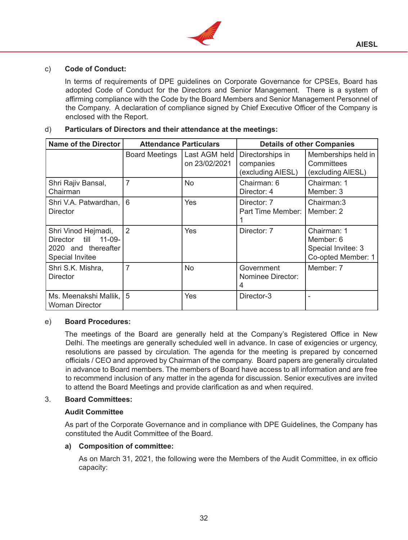

#### c) **Code of Conduct:**

In terms of requirements of DPE guidelines on Corporate Governance for CPSEs, Board has adopted Code of Conduct for the Directors and Senior Management. There is a system of affirming compliance with the Code by the Board Members and Senior Management Personnel of the Company. A declaration of compliance signed by Chief Executive Officer of the Company is enclosed with the Report.

| <b>Name of the Director</b>                                                                   | <b>Attendance Particulars</b> |                                | <b>Details of other Companies</b>                  |                                                                      |
|-----------------------------------------------------------------------------------------------|-------------------------------|--------------------------------|----------------------------------------------------|----------------------------------------------------------------------|
|                                                                                               | <b>Board Meetings</b>         | Last AGM held<br>on 23/02/2021 | Directorships in<br>companies<br>(excluding AIESL) | Memberships held in<br>Committees<br>(excluding AIESL)               |
| Shri Rajiv Bansal,<br>Chairman                                                                | $\overline{7}$                | No                             | Chairman: 6<br>Director: 4                         | Chairman: 1<br>Member: 3                                             |
| Shri V.A. Patwardhan,<br><b>Director</b>                                                      | l 6                           | <b>Yes</b>                     | Director: 7<br>Part Time Member:                   | Chairman:3<br>Member: 2                                              |
| Shri Vinod Hejmadi,<br>$11 - 09 -$<br>Director till<br>2020 and thereafter<br>Special Invitee | $\overline{2}$                | Yes                            | Director: 7                                        | Chairman: 1<br>Member: 6<br>Special Invitee: 3<br>Co-opted Member: 1 |
| Shri S.K. Mishra,<br>Director                                                                 | 7                             | No                             | Government<br>Nominee Director:<br>4               | Member: 7                                                            |
| Ms. Meenakshi Mallik,<br><b>Woman Director</b>                                                | 5                             | Yes                            | Director-3                                         |                                                                      |

#### d) **Particulars of Directors and their attendance at the meetings:**

#### e) **Board Procedures:**

 The meetings of the Board are generally held at the Company's Registered Office in New Delhi. The meetings are generally scheduled well in advance. In case of exigencies or urgency, resolutions are passed by circulation. The agenda for the meeting is prepared by concerned officials / CEO and approved by Chairman of the company. Board papers are generally circulated in advance to Board members. The members of Board have access to all information and are free to recommend inclusion of any matter in the agenda for discussion. Senior executives are invited to attend the Board Meetings and provide clarification as and when required.

#### 3. **Board Committees:**

#### **Audit Committee**

As part of the Corporate Governance and in compliance with DPE Guidelines, the Company has constituted the Audit Committee of the Board.

#### **a) Composition of committee:**

As on March 31, 2021, the following were the Members of the Audit Committee, in ex officio capacity: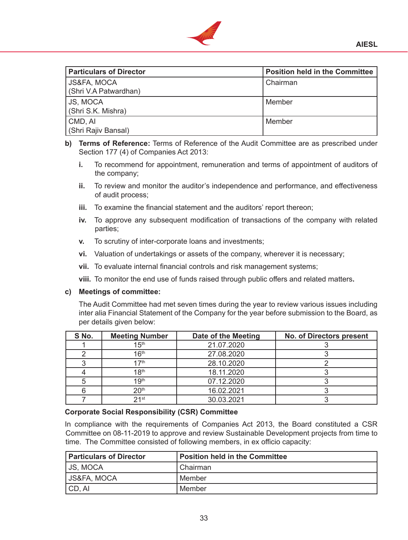

| <b>Particulars of Director</b> | <b>Position held in the Committee</b> |
|--------------------------------|---------------------------------------|
| JS&FA, MOCA                    | Chairman                              |
| (Shri V.A Patwardhan)          |                                       |
| JS, MOCA                       | Member                                |
| (Shri S.K. Mishra)             |                                       |
| CMD, AI                        | Member                                |
| (Shri Rajiv Bansal)            |                                       |

- **b) Terms of Reference:** Terms of Reference of the Audit Committee are as prescribed under Section 177 (4) of Companies Act 2013:
	- **i.** To recommend for appointment, remuneration and terms of appointment of auditors of the company;
	- **ii.** To review and monitor the auditor's independence and performance, and effectiveness of audit process;
	- **iii.** To examine the financial statement and the auditors' report thereon;
	- **iv.** To approve any subsequent modification of transactions of the company with related parties;
	- **v.** To scrutiny of inter-corporate loans and investments;
	- **vi.** Valuation of undertakings or assets of the company, wherever it is necessary;
	- **vii.** To evaluate internal financial controls and risk management systems;
	- **viii.** To monitor the end use of funds raised through public offers and related matters**.**

#### **c) Meetings of committee:**

The Audit Committee had met seven times during the year to review various issues including inter alia Financial Statement of the Company for the year before submission to the Board, as per details given below:

| S No. | <b>Meeting Number</b> | Date of the Meeting | <b>No. of Directors present</b> |
|-------|-----------------------|---------------------|---------------------------------|
|       | 15 <sup>th</sup>      | 21.07.2020          |                                 |
|       | 16 <sup>th</sup>      | 27.08.2020          |                                 |
|       | 17 <sup>th</sup>      | 28.10.2020          |                                 |
|       | 18 <sup>th</sup>      | 18.11.2020          |                                 |
|       | 19 <sup>th</sup>      | 07.12.2020          |                                 |
|       | 20 <sup>th</sup>      | 16.02.2021          |                                 |
|       | 21st                  | 30.03.2021          |                                 |

## **Corporate Social Responsibility (CSR) Committee**

In compliance with the requirements of Companies Act 2013, the Board constituted a CSR Committee on 08-11-2019 to approve and review Sustainable Development projects from time to time. The Committee consisted of following members, in ex officio capacity:

| <b>Particulars of Director</b> | <b>Position held in the Committee</b> |  |
|--------------------------------|---------------------------------------|--|
| ∣ JS, MOCA                     | Chairman                              |  |
| JS&FA, MOCA                    | Member                                |  |
| CD, AI                         | Member                                |  |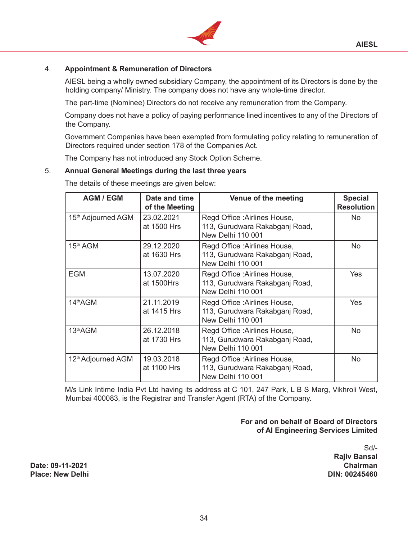

## 4. **Appointment & Remuneration of Directors**

 AIESL being a wholly owned subsidiary Company, the appointment of its Directors is done by the holding company/ Ministry. The company does not have any whole-time director.

The part-time (Nominee) Directors do not receive any remuneration from the Company.

Company does not have a policy of paying performance lined incentives to any of the Directors of the Company.

Government Companies have been exempted from formulating policy relating to remuneration of Directors required under section 178 of the Companies Act.

The Company has not introduced any Stock Option Scheme.

#### 5. **Annual General Meetings during the last three years**

| <b>AGM / EGM</b>                                                       | Date and time<br>of the Meeting | Venue of the meeting                                                                        | <b>Special</b><br><b>Resolution</b> |
|------------------------------------------------------------------------|---------------------------------|---------------------------------------------------------------------------------------------|-------------------------------------|
| 15th Adjourned AGM                                                     | 23.02.2021<br>at 1500 Hrs       | Regd Office : Airlines House,<br>113, Gurudwara Rakabganj Road,<br>New Delhi 110 001        | No.                                 |
| 15 <sup>th</sup> AGM<br>29.12.2020<br>at 1630 Hrs<br>New Delhi 110 001 |                                 | Regd Office : Airlines House,<br>113, Gurudwara Rakabganj Road,                             | No.                                 |
| <b>EGM</b>                                                             | 13.07.2020<br>at 1500Hrs        | Regd Office : Airlines House,<br>113, Gurudwara Rakabganj Road,<br><b>New Delhi 110 001</b> | Yes                                 |
| 14th AGM                                                               | 21.11.2019<br>at 1415 Hrs       | Regd Office : Airlines House,<br>113, Gurudwara Rakabganj Road,<br>New Delhi 110 001        | Yes                                 |
| 13th AGM                                                               | 26.12.2018<br>at 1730 Hrs       | Regd Office : Airlines House,<br>113, Gurudwara Rakabganj Road,<br><b>New Delhi 110 001</b> | No.                                 |
| 12th Adjourned AGM                                                     | 19.03.2018<br>at 1100 Hrs       | Regd Office : Airlines House,<br>113, Gurudwara Rakabganj Road,<br>New Delhi 110 001        | No.                                 |

The details of these meetings are given below:

 M/s Link Intime India Pvt Ltd having its address at C 101, 247 Park, L B S Marg, Vikhroli West, Mumbai 400083, is the Registrar and Transfer Agent (RTA) of the Company.

## **For and on behalf of Board of Directors of AI Engineering Services Limited**

Sd/- **Rajiv Bansal**

**Date: 09-11-2021 Chairman Place: New Delhi**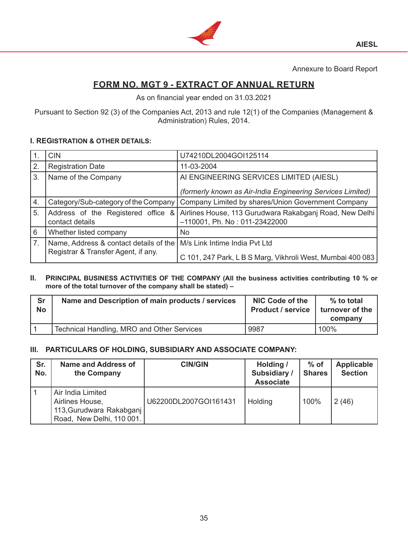

Annexure to Board Report

# **FORM NO. MGT 9 - EXTRACT OF ANNUAL RETURN**

As on financial year ended on 31.03.2021

Pursuant to Section 92 (3) of the Companies Act, 2013 and rule 12(1) of the Companies (Management & Administration) Rules, 2014.

## **I. REGISTRATION & OTHER DETAILS:**

|                  | <b>CIN</b>                                                                                                    | U74210DL2004GOI125114                                                                      |  |  |
|------------------|---------------------------------------------------------------------------------------------------------------|--------------------------------------------------------------------------------------------|--|--|
| 2.               | <b>Registration Date</b>                                                                                      | 11-03-2004                                                                                 |  |  |
| 3.               | Name of the Company                                                                                           | AI ENGINEERING SERVICES LIMITED (AIESL)                                                    |  |  |
|                  |                                                                                                               | (formerly known as Air-India Engineering Services Limited)                                 |  |  |
| $\overline{4}$ . | Category/Sub-category of the Company                                                                          | Company Limited by shares/Union Government Company                                         |  |  |
| 5.               | Address of the Registered office &<br>contact details                                                         | Airlines House, 113 Gurudwara Rakabganj Road, New Delhi  <br>-110001, Ph. No: 011-23422000 |  |  |
| 6                | Whether listed company                                                                                        | N <sub>o</sub>                                                                             |  |  |
| 7 <sub>1</sub>   | Name, Address & contact details of the   M/s Link Intime India Pvt Ltd<br>Registrar & Transfer Agent, if any. | C 101, 247 Park, L B S Marg, Vikhroli West, Mumbai 400 083                                 |  |  |

#### **II. PRINCIPAL BUSINESS ACTIVITIES OF THE COMPANY (All the business activities contributing 10 % or more of the total turnover of the company shall be stated) –**

| <b>Sr</b><br><b>No</b> | Name and Description of main products / services | <b>NIC Code of the</b><br><b>Product / service</b> | % to total<br>turnover of the<br>company |
|------------------------|--------------------------------------------------|----------------------------------------------------|------------------------------------------|
|                        | Technical Handling, MRO and Other Services       | 9987                                               | 100%                                     |

## **III. PARTICULARS OF HOLDING, SUBSIDIARY AND ASSOCIATE COMPANY:**

| Sr.<br>No. | <b>Name and Address of</b><br>the Company                                                     | <b>CIN/GIN</b>        | Holding /<br>Subsidiary /<br><b>Associate</b> | $%$ of<br><b>Shares</b> | <b>Applicable</b><br><b>Section</b> |
|------------|-----------------------------------------------------------------------------------------------|-----------------------|-----------------------------------------------|-------------------------|-------------------------------------|
|            | Air India Limited<br>Airlines House,<br>113, Gurudwara Rakabganj<br>Road, New Delhi, 110 001. | U62200DL2007GOI161431 | <b>Holding</b>                                | 100%                    | 2(46)                               |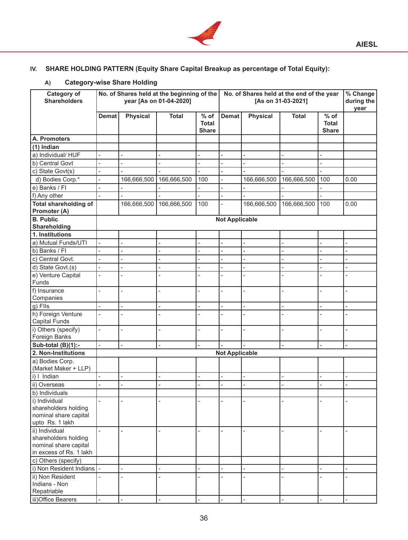

### **IV. SHARE HOLDING PATTERN (Equity Share Capital Breakup as percentage of Total Equity):**

### **A) Category-wise Share Holding**

| <b>Category of</b><br><b>Shareholders</b>                                                  |                          | No. of Shares held at the beginning of the<br>year [As on 01-04-2020] |                          |                                        |                          | No. of Shares held at the end of the year | [As on 31-03-2021]           |                                        | % Change<br>during the<br>year |
|--------------------------------------------------------------------------------------------|--------------------------|-----------------------------------------------------------------------|--------------------------|----------------------------------------|--------------------------|-------------------------------------------|------------------------------|----------------------------------------|--------------------------------|
|                                                                                            | <b>Demat</b>             | <b>Physical</b>                                                       | <b>Total</b>             | $%$ of<br><b>Total</b><br><b>Share</b> | <b>Demat</b>             | <b>Physical</b>                           | <b>Total</b>                 | $%$ of<br><b>Total</b><br><b>Share</b> |                                |
| A. Promoters                                                                               |                          |                                                                       |                          |                                        |                          |                                           |                              |                                        |                                |
| $(1)$ Indian                                                                               |                          |                                                                       |                          |                                        |                          |                                           |                              |                                        |                                |
| a) Individual/HUF                                                                          | $\overline{a}$           |                                                                       |                          | $\overline{\phantom{0}}$               |                          | $\overline{a}$                            |                              |                                        |                                |
| b) Central Govt                                                                            |                          |                                                                       |                          |                                        |                          | $\blacksquare$                            |                              |                                        |                                |
| c) State Govt(s)                                                                           |                          |                                                                       |                          |                                        |                          |                                           |                              |                                        |                                |
| d) Bodies Corp.*                                                                           |                          | 166,666,500                                                           | 166,666,500              | 100                                    |                          | 166,666,500                               | 166,666,500                  | 100                                    | 0.00                           |
| e) Banks / Fl                                                                              |                          |                                                                       |                          |                                        |                          |                                           |                              |                                        |                                |
| f) Any other                                                                               |                          |                                                                       |                          |                                        |                          |                                           |                              |                                        |                                |
| <b>Total shareholding of</b><br>Promoter (A)                                               |                          | 166,666,500                                                           | 166,666,500              | 100                                    |                          | 166,666,500                               | 166,666,500                  | 100                                    | 0.00                           |
| <b>B. Public</b><br>Shareholding                                                           |                          | <b>Not Applicable</b>                                                 |                          |                                        |                          |                                           |                              |                                        |                                |
| 1. Institutions                                                                            |                          |                                                                       |                          |                                        |                          |                                           |                              |                                        |                                |
| a) Mutual Funds/UTI                                                                        | $\overline{a}$           |                                                                       |                          | $\overline{a}$                         |                          | $\overline{a}$                            | $\overline{a}$               |                                        |                                |
| b) Banks / FI                                                                              | $\overline{a}$           |                                                                       | $\overline{a}$           | $\overline{a}$                         |                          | $\overline{a}$                            | $\frac{1}{2}$                |                                        |                                |
| c) Central Govt.                                                                           |                          |                                                                       | $\overline{a}$           | $\overline{a}$                         |                          | $\overline{a}$                            |                              |                                        |                                |
| d) State Govt.(s)                                                                          |                          |                                                                       | $\overline{a}$           | $\overline{a}$                         |                          | $\overline{a}$                            |                              |                                        |                                |
| e) Venture Capital                                                                         |                          |                                                                       |                          |                                        |                          | L                                         |                              |                                        |                                |
| Funds                                                                                      |                          |                                                                       |                          |                                        |                          |                                           |                              |                                        |                                |
| f) Insurance<br>Companies                                                                  | $\overline{a}$           |                                                                       | $\overline{\phantom{0}}$ | $\overline{a}$                         | $\overline{a}$           | $\overline{a}$                            | $\overline{a}$               |                                        |                                |
| $g)$ Flls                                                                                  | $\overline{a}$           |                                                                       | $\overline{a}$           | $\overline{a}$                         | $\overline{a}$           | $\overline{a}$                            | $\frac{1}{2}$                |                                        | $\overline{a}$                 |
| h) Foreign Venture<br><b>Capital Funds</b>                                                 | $\overline{a}$           |                                                                       | $\overline{a}$           | $\overline{a}$                         |                          | $\overline{a}$                            | $\overline{a}$               |                                        |                                |
| i) Others (specify)<br>Foreign Banks                                                       | $\overline{a}$           |                                                                       | $\overline{a}$           | $\overline{a}$                         |                          | $\overline{a}$                            |                              |                                        |                                |
| Sub-total (B)(1):-                                                                         | $\overline{\phantom{0}}$ |                                                                       | $\overline{a}$           | $\overline{a}$                         |                          |                                           | $\frac{1}{2}$                |                                        |                                |
| 2. Non-Institutions                                                                        |                          |                                                                       |                          |                                        | <b>Not Applicable</b>    |                                           |                              |                                        |                                |
| a) Bodies Corp.<br>(Market Maker + LLP)                                                    |                          |                                                                       |                          |                                        |                          |                                           |                              |                                        |                                |
| i) I Indian                                                                                | $\overline{a}$           |                                                                       | $\overline{a}$           | $\overline{a}$                         | $\overline{\phantom{0}}$ | $\overline{\phantom{0}}$                  | $\qquad \qquad \blacksquare$ |                                        |                                |
| ii) Overseas                                                                               |                          |                                                                       |                          | $\overline{a}$                         | $\overline{\phantom{0}}$ | $\overline{a}$                            | $\overline{\phantom{a}}$     |                                        |                                |
| b) Individuals                                                                             |                          |                                                                       |                          |                                        |                          |                                           |                              |                                        |                                |
| i) Individual<br>shareholders holding<br>nominal share capital<br>upto Rs. 1 lakh          |                          | $\overline{\phantom{a}}$                                              |                          | $\overline{a}$                         |                          | $\blacksquare$                            |                              |                                        |                                |
| ii) Individual<br>shareholders holding<br>nominal share capital<br>in excess of Rs. 1 lakh |                          | $\overline{\phantom{0}}$                                              | $\overline{a}$           |                                        |                          | $\overline{a}$                            |                              |                                        |                                |
| c) Others (specify)                                                                        |                          |                                                                       |                          |                                        |                          |                                           |                              |                                        |                                |
| i) Non Resident Indians  -                                                                 |                          |                                                                       |                          | $\overline{a}$                         |                          | $\overline{\phantom{0}}$                  | $\overline{a}$               |                                        |                                |
| ii) Non Resident<br>Indians - Non<br>Repatriable                                           |                          |                                                                       |                          |                                        |                          | $\overline{a}$                            |                              |                                        |                                |
| iii) Office Bearers                                                                        |                          |                                                                       | $\overline{\phantom{0}}$ |                                        |                          | $\overline{a}$                            |                              |                                        |                                |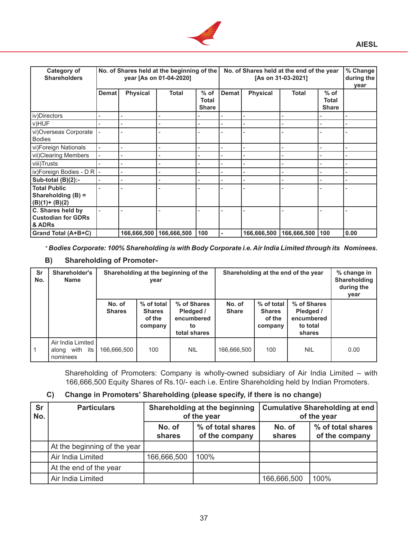

| <b>Category of</b><br><b>Shareholders</b>                    |              | No. of Shares held at the beginning of the<br>year [As on 01-04-2020] |              |                                 | No. of Shares held at the end of the year<br>[As on 31-03-2021] |                 |              |                                 | % Change<br>during the<br>year |
|--------------------------------------------------------------|--------------|-----------------------------------------------------------------------|--------------|---------------------------------|-----------------------------------------------------------------|-----------------|--------------|---------------------------------|--------------------------------|
|                                                              | <b>Demat</b> | <b>Physical</b>                                                       | <b>Total</b> | $%$ of<br>Total<br><b>Share</b> | Demat                                                           | <b>Physical</b> | <b>Total</b> | $%$ of<br>Total<br><b>Share</b> |                                |
| iv)Directors                                                 |              |                                                                       |              |                                 |                                                                 |                 |              |                                 |                                |
| v)HUF                                                        |              |                                                                       |              |                                 |                                                                 |                 |              |                                 |                                |
| vi) Overseas Corporate<br><b>Bodies</b>                      |              |                                                                       |              |                                 |                                                                 |                 |              |                                 |                                |
| vi) Foreign Nationals                                        |              |                                                                       |              |                                 |                                                                 |                 |              |                                 |                                |
| vii)Clearing Members                                         |              |                                                                       |              | ۰                               |                                                                 |                 | ۰            | $\overline{\phantom{0}}$        |                                |
| viii)Trusts                                                  |              |                                                                       |              |                                 |                                                                 |                 |              |                                 |                                |
| ix) Foreign Bodies - D R $\vert$ -                           |              |                                                                       |              | -                               |                                                                 |                 | ۰            | $\overline{\phantom{a}}$        |                                |
| Sub-total $(B)(2)$ :-                                        |              |                                                                       |              |                                 |                                                                 |                 |              |                                 |                                |
| <b>Total Public</b><br>Shareholding (B) =<br>$(B)(1)+(B)(2)$ |              |                                                                       |              |                                 |                                                                 |                 |              |                                 |                                |
| C. Shares held by<br><b>Custodian for GDRs</b><br>& ADRs     |              |                                                                       |              |                                 |                                                                 |                 |              |                                 |                                |
| Grand Total (A+B+C)                                          |              | 166,666,500                                                           | 166,666,500  | 100                             |                                                                 | 166,666,500     | 166,666,500  | 100                             | 0.00                           |

*\* Bodies Corporate: 100% Shareholding is with Body Corporate i.e. Air India Limited through its Nominees.*

### **B) Shareholding of Promoter-**

| Sr<br>No. | Shareholder's<br><b>Name</b>                       |                         | Shareholding at the beginning of the<br>year     |                                                              |                        | Shareholding at the end of the year              | % change in<br>Shareholding<br>during the<br>year            |      |
|-----------|----------------------------------------------------|-------------------------|--------------------------------------------------|--------------------------------------------------------------|------------------------|--------------------------------------------------|--------------------------------------------------------------|------|
|           |                                                    | No. of<br><b>Shares</b> | % of total<br><b>Shares</b><br>of the<br>company | % of Shares<br>Pledged /<br>encumbered<br>to<br>total shares | No. of<br><b>Share</b> | % of total<br><b>Shares</b><br>of the<br>company | % of Shares<br>Pledged /<br>encumbered<br>to total<br>shares |      |
| $\vert$ 1 | Air India Limited<br>with its<br>along<br>nominees | 166,666,500             | 100                                              | <b>NIL</b>                                                   | 166,666,500            | 100                                              | <b>NIL</b>                                                   | 0.00 |

Shareholding of Promoters: Company is wholly-owned subsidiary of Air India Limited – with 166,666,500 Equity Shares of Rs.10/- each i.e. Entire Shareholding held by Indian Promoters.

### **C) Change in Promoters' Shareholding (please specify, if there is no change)**

| <b>Sr</b><br>No. | <b>Particulars</b>           | Shareholding at the beginning<br>of the year |                                     | <b>Cumulative Shareholding at end</b><br>of the year |                                     |  |
|------------------|------------------------------|----------------------------------------------|-------------------------------------|------------------------------------------------------|-------------------------------------|--|
|                  |                              | No. of<br>shares                             | % of total shares<br>of the company | No. of<br>shares                                     | % of total shares<br>of the company |  |
|                  | At the beginning of the year |                                              |                                     |                                                      |                                     |  |
|                  | Air India Limited            | 166,666,500                                  | 100%                                |                                                      |                                     |  |
|                  | At the end of the year       |                                              |                                     |                                                      |                                     |  |
|                  | Air India Limited            |                                              |                                     | 166,666,500                                          | 100%                                |  |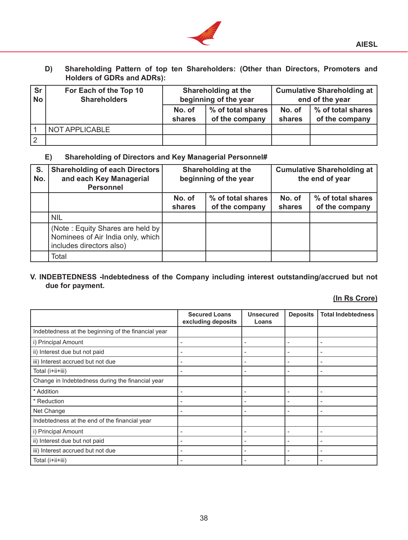

## **D) Shareholding Pattern of top ten Shareholders: (Other than Directors, Promoters and Holders of GDRs and ADRs):**

| Sr<br><b>No</b> | For Each of the Top 10<br><b>Shareholders</b> |                                                         | Shareholding at the<br>beginning of the year | Cumulative Shareholding at<br>end of the year |                                     |  |
|-----------------|-----------------------------------------------|---------------------------------------------------------|----------------------------------------------|-----------------------------------------------|-------------------------------------|--|
|                 |                                               | % of total shares<br>No. of<br>of the company<br>shares |                                              | No. of<br>shares                              | % of total shares<br>of the company |  |
|                 | NOT APPLICABLE                                |                                                         |                                              |                                               |                                     |  |
| $\overline{2}$  |                                               |                                                         |                                              |                                               |                                     |  |

### **E) Shareholding of Directors and Key Managerial Personnel#**

| S.<br>No. | <b>Shareholding of each Directors</b><br>and each Key Managerial<br><b>Personnel</b>              | Shareholding at the<br>beginning of the year |                                     | <b>Cumulative Shareholding at</b><br>the end of year |                                     |  |
|-----------|---------------------------------------------------------------------------------------------------|----------------------------------------------|-------------------------------------|------------------------------------------------------|-------------------------------------|--|
|           |                                                                                                   | No. of<br>shares                             | % of total shares<br>of the company | No. of<br>shares                                     | % of total shares<br>of the company |  |
|           | <b>NIL</b>                                                                                        |                                              |                                     |                                                      |                                     |  |
|           | (Note: Equity Shares are held by<br>Nominees of Air India only, which<br>includes directors also) |                                              |                                     |                                                      |                                     |  |
|           | Total                                                                                             |                                              |                                     |                                                      |                                     |  |

### **V. INDEBTEDNESS -Indebtedness of the Company including interest outstanding/accrued but not due for payment.**

### **(In Rs Crore)**

|                                                     | <b>Secured Loans</b><br>excluding deposits | <b>Unsecured</b><br>Loans | <b>Deposits</b>          | <b>Total Indebtedness</b> |
|-----------------------------------------------------|--------------------------------------------|---------------------------|--------------------------|---------------------------|
| Indebtedness at the beginning of the financial year |                                            |                           |                          |                           |
| i) Principal Amount                                 | $\overline{\phantom{0}}$                   | $\overline{\phantom{a}}$  | $\overline{\phantom{0}}$ | $\overline{\phantom{0}}$  |
| ii) Interest due but not paid                       | ۰                                          | ٠                         | ٠                        |                           |
| iii) Interest accrued but not due                   | ۰                                          |                           |                          |                           |
| Total (i+ii+iii)                                    | $\overline{\phantom{0}}$                   | $\overline{\phantom{a}}$  | $\overline{\phantom{a}}$ | $\overline{\phantom{0}}$  |
| Change in Indebtedness during the financial year    |                                            |                           |                          |                           |
| * Addition                                          | ۰                                          | $\overline{\phantom{a}}$  | $\overline{\phantom{a}}$ | $\overline{\phantom{0}}$  |
| * Reduction                                         | ۰                                          |                           | ۰                        |                           |
| Net Change                                          |                                            |                           |                          |                           |
| Indebtedness at the end of the financial year       |                                            |                           |                          |                           |
| i) Principal Amount                                 |                                            |                           |                          |                           |
| ii) Interest due but not paid                       | ۰                                          | ٠                         | ۰                        |                           |
| iii) Interest accrued but not due                   | ۰                                          | $\overline{\phantom{a}}$  | $\overline{\phantom{a}}$ | -                         |
| Total (i+ii+iii)                                    |                                            |                           | ۰                        |                           |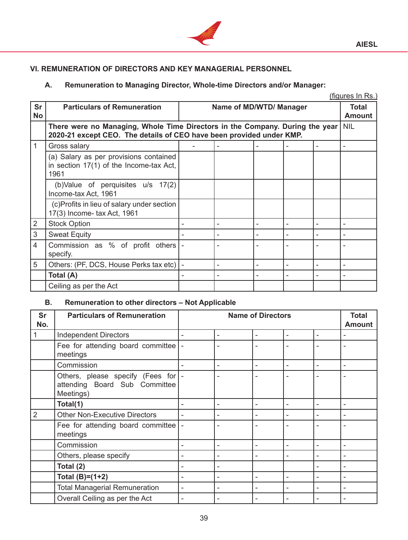

## **VI. REMUNERATION OF DIRECTORS AND KEY MANAGERIAL PERSONNEL**

### **A. Remuneration to Managing Director, Whole-time Directors and/or Manager:**

| <u>(figures In Rs.)</u>   |                                                                                           |  |                          |  |  |   |               |  |
|---------------------------|-------------------------------------------------------------------------------------------|--|--------------------------|--|--|---|---------------|--|
| <b>Sr</b>                 | <b>Particulars of Remuneration</b>                                                        |  | Name of MD/WTD/ Manager  |  |  |   | <b>Total</b>  |  |
| <b>No</b>                 |                                                                                           |  |                          |  |  |   | <b>Amount</b> |  |
|                           | There were no Managing, Whole Time Directors in the Company. During the year              |  |                          |  |  |   | <b>NIL</b>    |  |
|                           | 2020-21 except CEO. The details of CEO have been provided under KMP.                      |  |                          |  |  |   |               |  |
| $\mathbf{1}$              | Gross salary                                                                              |  |                          |  |  |   |               |  |
|                           | (a) Salary as per provisions contained<br>in section 17(1) of the Income-tax Act,<br>1961 |  |                          |  |  |   |               |  |
|                           | (b)Value of perquisites u/s 17(2)<br>Income-tax Act, 1961                                 |  |                          |  |  |   |               |  |
|                           | (c)Profits in lieu of salary under section<br>17(3) Income- tax Act, 1961                 |  |                          |  |  |   |               |  |
| $\overline{2}$            | <b>Stock Option</b>                                                                       |  | $\blacksquare$           |  |  |   |               |  |
| $\ensuremath{\mathsf{3}}$ | <b>Sweat Equity</b>                                                                       |  |                          |  |  |   |               |  |
| $\overline{4}$            | Commission as % of profit others<br>specify.                                              |  |                          |  |  |   |               |  |
| 5                         | Others: (PF, DCS, House Perks tax etc)                                                    |  | $\overline{\phantom{a}}$ |  |  | ۰ |               |  |
|                           | Total (A)                                                                                 |  | ۰                        |  |  | ۰ |               |  |
|                           | Ceiling as per the Act                                                                    |  |                          |  |  |   |               |  |

## **B. Remuneration to other directors – Not Applicable**

| <b>Sr</b><br>No. | <b>Particulars of Remuneration</b>                                                | <b>Name of Directors</b> |                          |                          |                |  | <b>Total</b><br><b>Amount</b> |
|------------------|-----------------------------------------------------------------------------------|--------------------------|--------------------------|--------------------------|----------------|--|-------------------------------|
| $\mathbf 1$      | <b>Independent Directors</b>                                                      |                          | ۰                        |                          |                |  |                               |
|                  | Fee for attending board committee<br>meetings                                     |                          |                          |                          |                |  |                               |
|                  | Commission                                                                        |                          |                          |                          |                |  |                               |
|                  | Others, please specify (Fees for  -<br>attending Board Sub Committee<br>Meetings) |                          |                          |                          |                |  |                               |
|                  | Total(1)                                                                          | $\blacksquare$           | $\overline{\phantom{a}}$ | $\blacksquare$           | $\blacksquare$ |  | $\blacksquare$                |
| $\overline{2}$   | <b>Other Non-Executive Directors</b>                                              | $\sim$                   | $\blacksquare$           | $\blacksquare$           | ۰              |  | $\overline{\phantom{a}}$      |
|                  | Fee for attending board committee<br>meetings                                     |                          |                          |                          |                |  |                               |
|                  | Commission                                                                        | $\overline{\phantom{a}}$ | $\blacksquare$           | $\blacksquare$           |                |  |                               |
|                  | Others, please specify                                                            | $\blacksquare$           | $\blacksquare$           | $\blacksquare$           | ۰              |  | ٠                             |
|                  | Total (2)                                                                         | $\overline{\phantom{a}}$ | $\overline{\phantom{a}}$ |                          |                |  |                               |
|                  | Total $(B)=(1+2)$                                                                 | $\blacksquare$           | $\sim$                   | $\overline{\phantom{a}}$ | ۰              |  | $\overline{\phantom{a}}$      |
|                  | <b>Total Managerial Remuneration</b>                                              | $\blacksquare$           | $\overline{\phantom{a}}$ | $\blacksquare$           | ۰              |  | $\overline{\phantom{a}}$      |
|                  | Overall Ceiling as per the Act                                                    | $\sim$                   | $\blacksquare$           | $\blacksquare$           |                |  |                               |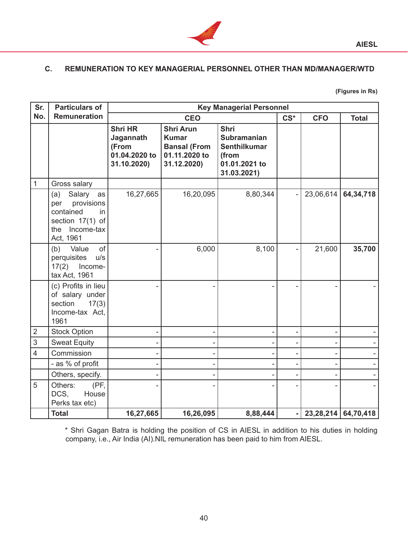

## **C. REMUNERATION TO KEY MANAGERIAL PERSONNEL OTHER THAN MD/MANAGER/WTD**

**(Figures in Rs)**

| Sr.            | <b>Particulars of</b>                                                                                          | <b>Key Managerial Personnel</b>                                      |                                                                                         |                                                                                                   |        |            |                       |  |
|----------------|----------------------------------------------------------------------------------------------------------------|----------------------------------------------------------------------|-----------------------------------------------------------------------------------------|---------------------------------------------------------------------------------------------------|--------|------------|-----------------------|--|
| No.            | <b>Remuneration</b>                                                                                            |                                                                      | <b>CEO</b>                                                                              |                                                                                                   | $CS^*$ | <b>CFO</b> | <b>Total</b>          |  |
|                |                                                                                                                | <b>Shri HR</b><br>Jagannath<br>(From<br>01.04.2020 to<br>31.10.2020) | <b>Shri Arun</b><br><b>Kumar</b><br><b>Bansal (From</b><br>01.11.2020 to<br>31.12.2020) | <b>Shri</b><br><b>Subramanian</b><br><b>Senthilkumar</b><br>(from<br>01.01.2021 to<br>31.03.2021) |        |            |                       |  |
| $\mathbf{1}$   | Gross salary                                                                                                   |                                                                      |                                                                                         |                                                                                                   |        |            |                       |  |
|                | Salary<br>(a)<br>as<br>provisions<br>per<br>contained<br>in<br>section 17(1) of<br>the Income-tax<br>Act, 1961 | 16,27,665                                                            | 16,20,095                                                                               | 8,80,344                                                                                          |        | 23,06,614  | 64, 34, 718           |  |
|                | of<br>(b)<br>Value<br>perquisites<br>u/s<br>17(2)<br>Income-<br>tax Act, 1961                                  |                                                                      | 6,000                                                                                   | 8,100                                                                                             |        | 21,600     | 35,700                |  |
|                | (c) Profits in lieu<br>of salary under<br>section<br>17(3)<br>Income-tax Act,<br>1961                          |                                                                      |                                                                                         |                                                                                                   |        |            |                       |  |
| $\overline{2}$ | <b>Stock Option</b>                                                                                            |                                                                      |                                                                                         |                                                                                                   |        |            |                       |  |
| $\overline{3}$ | <b>Sweat Equity</b>                                                                                            |                                                                      |                                                                                         |                                                                                                   |        |            |                       |  |
| $\overline{4}$ | Commission                                                                                                     |                                                                      |                                                                                         |                                                                                                   |        |            |                       |  |
|                | - as % of profit                                                                                               |                                                                      |                                                                                         |                                                                                                   |        |            |                       |  |
|                | Others, specify.                                                                                               |                                                                      |                                                                                         |                                                                                                   |        |            |                       |  |
| 5              | Others:<br>(PF,<br>DCS,<br>House<br>Perks tax etc)                                                             |                                                                      |                                                                                         |                                                                                                   |        |            |                       |  |
|                | <b>Total</b>                                                                                                   | 16,27,665                                                            | 16,26,095                                                                               | 8,88,444                                                                                          |        |            | $23,28,214$ 64,70,418 |  |

\* Shri Gagan Batra is holding the position of CS in AIESL in addition to his duties in holding company, i.e., Air India (AI).NIL remuneration has been paid to him from AIESL.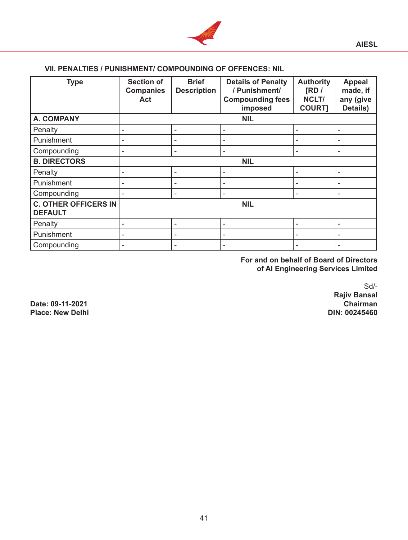

## **VII. PENALTIES / PUNISHMENT/ COMPOUNDING OF OFFENCES: NIL**

| <b>Type</b>                                   | <b>Section of</b><br><b>Companies</b><br>Act | <b>Brief</b><br><b>Description</b> | <b>Details of Penalty</b><br>/ Punishment/<br><b>Compounding fees</b><br>imposed |   | <b>Appeal</b><br>made, if<br>any (give<br>Details) |  |
|-----------------------------------------------|----------------------------------------------|------------------------------------|----------------------------------------------------------------------------------|---|----------------------------------------------------|--|
| <b>A. COMPANY</b>                             | <b>NIL</b>                                   |                                    |                                                                                  |   |                                                    |  |
| Penalty                                       |                                              | ۰                                  |                                                                                  | ۰ | ۰                                                  |  |
| Punishment                                    |                                              |                                    |                                                                                  | ۰ |                                                    |  |
| Compounding                                   | ۰                                            | ۰                                  |                                                                                  | ۰ | ۰                                                  |  |
| <b>B. DIRECTORS</b>                           | <b>NIL</b>                                   |                                    |                                                                                  |   |                                                    |  |
| Penalty                                       |                                              |                                    |                                                                                  | ۰ | $\blacksquare$                                     |  |
| Punishment                                    |                                              |                                    |                                                                                  | ۰ |                                                    |  |
| Compounding                                   |                                              | ٠                                  |                                                                                  | ۰ | ۰                                                  |  |
| <b>C. OTHER OFFICERS IN</b><br><b>DEFAULT</b> |                                              |                                    | <b>NIL</b>                                                                       |   |                                                    |  |
| Penalty                                       |                                              |                                    |                                                                                  | ۰ |                                                    |  |
| Punishment                                    | ۰                                            | ۰                                  |                                                                                  | ۰ |                                                    |  |
| Compounding                                   | ۰                                            | ۰                                  |                                                                                  | ۰ |                                                    |  |

**For and on behalf of Board of Directors of AI Engineering Services Limited**

**Date: 09-11-2021 Chairman Place: New Delhi** 

Sd/- **Rajiv Bansal**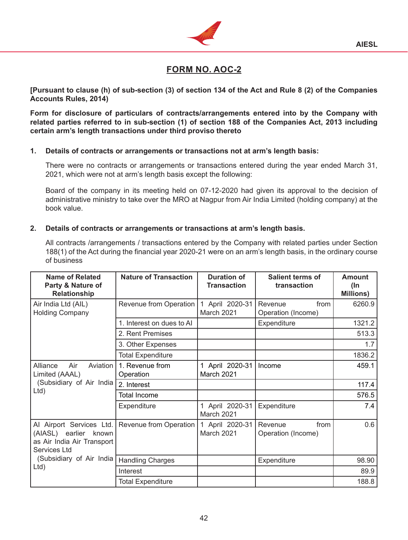

# **FORM NO. AOC-2**

**[Pursuant to clause (h) of sub-section (3) of section 134 of the Act and Rule 8 (2) of the Companies Accounts Rules, 2014)**

**Form for disclosure of particulars of contracts/arrangements entered into by the Company with related parties referred to in sub-section (1) of section 188 of the Companies Act, 2013 including certain arm's length transactions under third proviso thereto**

### **1. Details of contracts or arrangements or transactions not at arm's length basis:**

There were no contracts or arrangements or transactions entered during the year ended March 31, 2021, which were not at arm's length basis except the following:

Board of the company in its meeting held on 07-12-2020 had given its approval to the decision of administrative ministry to take over the MRO at Nagpur from Air India Limited (holding company) at the book value.

### **2. Details of contracts or arrangements or transactions at arm's length basis.**

All contracts /arrangements / transactions entered by the Company with related parties under Section 188(1) of the Act during the financial year 2020-21 were on an arm's length basis, in the ordinary course of business

| <b>Name of Related</b><br>Party & Nature of<br>Relationship                                        | <b>Nature of Transaction</b> | <b>Duration of</b><br><b>Transaction</b> | <b>Salient terms of</b><br>transaction | <b>Amount</b><br>(In<br><b>Millions)</b> |
|----------------------------------------------------------------------------------------------------|------------------------------|------------------------------------------|----------------------------------------|------------------------------------------|
| Air India Ltd (AIL)<br><b>Holding Company</b>                                                      | Revenue from Operation       | 1 April 2020-31<br>March 2021            | from<br>Revenue<br>Operation (Income)  | 6260.9                                   |
|                                                                                                    | 1. Interest on dues to AI    |                                          | Expenditure                            | 1321.2                                   |
|                                                                                                    | 2. Rent Premises             |                                          |                                        | 513.3                                    |
|                                                                                                    | 3. Other Expenses            |                                          |                                        | 1.7                                      |
|                                                                                                    | <b>Total Expenditure</b>     |                                          |                                        | 1836.2                                   |
| Alliance<br>Aviation<br>Air<br>Limited (AAAL)                                                      | 1. Revenue from<br>Operation | 1 April 2020-31<br>March 2021            | Income                                 | 459.1                                    |
| (Subsidiary of Air India                                                                           | 2. Interest                  |                                          |                                        | 117.4                                    |
| Ltd)                                                                                               | <b>Total Income</b>          |                                          |                                        | 576.5                                    |
|                                                                                                    | Expenditure                  | 1 April 2020-31<br>March 2021            | Expenditure                            | 7.4                                      |
| Al Airport Services Ltd.<br>(AIASL) earlier<br>known<br>as Air India Air Transport<br>Services Ltd | Revenue from Operation       | 1 April 2020-31<br>March 2021            | from<br>Revenue<br>Operation (Income)  | 0.6                                      |
| (Subsidiary of Air India                                                                           | <b>Handling Charges</b>      |                                          | Expenditure                            | 98.90                                    |
| Ltd)                                                                                               | Interest                     |                                          |                                        | 89.9                                     |
|                                                                                                    | <b>Total Expenditure</b>     |                                          |                                        | 188.8                                    |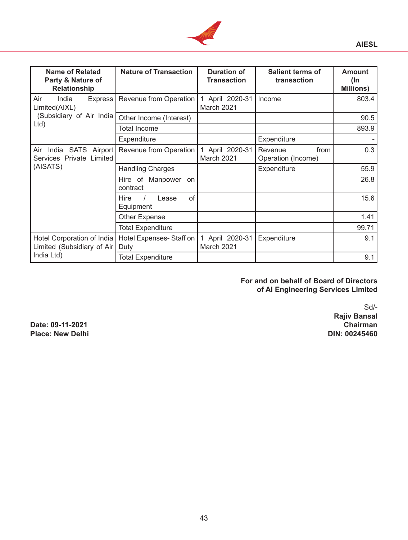

| <b>Name of Related</b><br>Party & Nature of<br><b>Relationship</b>    | <b>Nature of Transaction</b>          | <b>Duration of</b><br><b>Transaction</b>    | <b>Salient terms of</b><br>transaction | <b>Amount</b><br>(In<br><b>Millions)</b> |
|-----------------------------------------------------------------------|---------------------------------------|---------------------------------------------|----------------------------------------|------------------------------------------|
| Air<br>India<br><b>Express</b><br>Limited(AIXL)                       | Revenue from Operation                | April 2020-31<br>March 2021                 | Income                                 | 803.4                                    |
| (Subsidiary of Air India                                              | Other Income (Interest)               |                                             |                                        | 90.5                                     |
| Ltd)                                                                  | <b>Total Income</b>                   |                                             |                                        | 893.9                                    |
|                                                                       | Expenditure                           |                                             | Expenditure                            |                                          |
| <b>SATS</b><br>Airport<br>India<br>Air<br>Limited<br>Services Private | Revenue from Operation                | April 2020-31<br>$\mathbf{1}$<br>March 2021 | Revenue<br>from<br>Operation (Income)  | 0.3                                      |
| (AISATS)                                                              | <b>Handling Charges</b>               |                                             | Expenditure                            | 55.9                                     |
|                                                                       | Hire of<br>Manpower<br>on<br>contract |                                             |                                        | 26.8                                     |
|                                                                       | of<br>Hire<br>Lease<br>Equipment      |                                             |                                        | 15.6                                     |
|                                                                       | <b>Other Expense</b>                  |                                             |                                        | 1.41                                     |
|                                                                       | <b>Total Expenditure</b>              |                                             |                                        | 99.71                                    |
| Hotel Corporation of India<br>Limited (Subsidiary of Air              | Hotel Expenses-Staff on<br>Duty       | 1 April 2020-31<br>March 2021               | Expenditure                            | 9.1                                      |
| India Ltd)                                                            | <b>Total Expenditure</b>              |                                             |                                        | 9.1                                      |

### **For and on behalf of Board of Directors of AI Engineering Services Limited**

**Date: 09-11-2021 Chairman Place: New Delhi** 

Sd/- **Rajiv Bansal**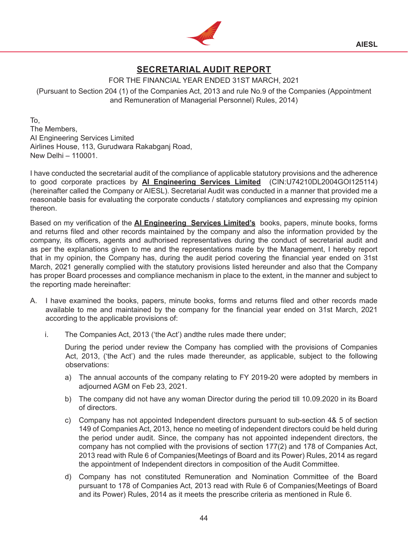

# **SECRETARIAL AUDIT REPORT**

FOR THE FINANCIAL YEAR ENDED 31ST MARCH, 2021

(Pursuant to Section 204 (1) of the Companies Act, 2013 and rule No.9 of the Companies (Appointment and Remuneration of Managerial Personnel) Rules, 2014)

To, The Members, AI Engineering Services Limited Airlines House, 113, Gurudwara Rakabganj Road, New Delhi – 110001.

I have conducted the secretarial audit of the compliance of applicable statutory provisions and the adherence to good corporate practices by **AI Engineering Services Limited** (CIN:U74210DL2004GOI125114) (hereinafter called the Company or AIESL). Secretarial Audit was conducted in a manner that provided me a reasonable basis for evaluating the corporate conducts / statutory compliances and expressing my opinion thereon.

Based on my verification of the **AI Engineering Services Limited's** books, papers, minute books, forms and returns filed and other records maintained by the company and also the information provided by the company, its officers, agents and authorised representatives during the conduct of secretarial audit and as per the explanations given to me and the representations made by the Management, I hereby report that in my opinion, the Company has, during the audit period covering the financial year ended on 31st March, 2021 generally complied with the statutory provisions listed hereunder and also that the Company has proper Board processes and compliance mechanism in place to the extent, in the manner and subject to the reporting made hereinafter:

- A. I have examined the books, papers, minute books, forms and returns filed and other records made available to me and maintained by the company for the financial year ended on 31st March, 2021 according to the applicable provisions of:
	- i. The Companies Act, 2013 ('the Act') andthe rules made there under;

During the period under review the Company has complied with the provisions of Companies Act, 2013, ('the Act') and the rules made thereunder, as applicable, subject to the following observations:

- a) The annual accounts of the company relating to FY 2019-20 were adopted by members in adjourned AGM on Feb 23, 2021.
- b) The company did not have any woman Director during the period till 10.09.2020 in its Board of directors.
- c) Company has not appointed Independent directors pursuant to sub-section 4& 5 of section 149 of Companies Act, 2013, hence no meeting of independent directors could be held during the period under audit. Since, the company has not appointed independent directors, the company has not complied with the provisions of section 177(2) and 178 of Companies Act, 2013 read with Rule 6 of Companies(Meetings of Board and its Power) Rules, 2014 as regard the appointment of Independent directors in composition of the Audit Committee.
- d) Company has not constituted Remuneration and Nomination Committee of the Board pursuant to 178 of Companies Act, 2013 read with Rule 6 of Companies(Meetings of Board and its Power) Rules, 2014 as it meets the prescribe criteria as mentioned in Rule 6.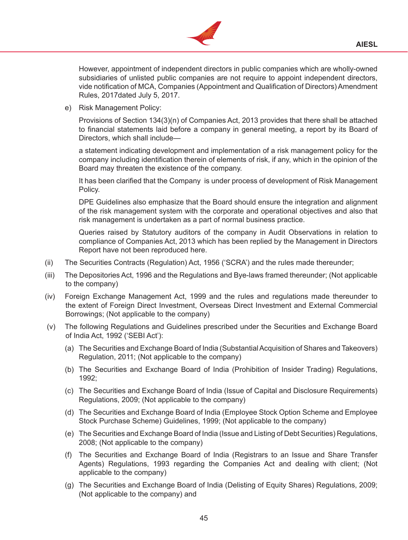

However, appointment of independent directors in public companies which are wholly-owned subsidiaries of unlisted public companies are not require to appoint independent directors, vide notification of MCA, Companies (Appointment and Qualification of Directors)Amendment Rules, 2017dated July 5, 2017.

e) Risk Management Policy:

Provisions of Section 134(3)(n) of Companies Act, 2013 provides that there shall be attached to financial statements laid before a company in general meeting, a report by its Board of Directors, which shall include—

a statement indicating development and implementation of a risk management policy for the company including identification therein of elements of risk, if any, which in the opinion of the Board may threaten the existence of the company.

 It has been clarified that the Company is under process of development of Risk Management Policy.

DPE Guidelines also emphasize that the Board should ensure the integration and alignment of the risk management system with the corporate and operational objectives and also that risk management is undertaken as a part of normal business practice.

Queries raised by Statutory auditors of the company in Audit Observations in relation to compliance of Companies Act, 2013 which has been replied by the Management in Directors Report have not been reproduced here.

- (ii) The Securities Contracts (Regulation) Act, 1956 ('SCRA') and the rules made thereunder;
- (iii) The Depositories Act, 1996 and the Regulations and Bye-laws framed thereunder; (Not applicable to the company)
- (iv) Foreign Exchange Management Act, 1999 and the rules and regulations made thereunder to the extent of Foreign Direct Investment, Overseas Direct Investment and External Commercial Borrowings; (Not applicable to the company)
- (v) The following Regulations and Guidelines prescribed under the Securities and Exchange Board of India Act, 1992 ('SEBI Act'):
	- (a) The Securities and Exchange Board of India (Substantial Acquisition of Shares and Takeovers) Regulation, 2011; (Not applicable to the company)
	- (b) The Securities and Exchange Board of India (Prohibition of Insider Trading) Regulations, 1992;
	- (c) The Securities and Exchange Board of India (Issue of Capital and Disclosure Requirements) Regulations, 2009; (Not applicable to the company)
	- (d) The Securities and Exchange Board of India (Employee Stock Option Scheme and Employee Stock Purchase Scheme) Guidelines, 1999; (Not applicable to the company)
	- (e) The Securities and Exchange Board of India (Issue and Listing of Debt Securities) Regulations, 2008; (Not applicable to the company)
	- (f) The Securities and Exchange Board of India (Registrars to an Issue and Share Transfer Agents) Regulations, 1993 regarding the Companies Act and dealing with client; (Not applicable to the company)
	- (g) The Securities and Exchange Board of India (Delisting of Equity Shares) Regulations, 2009; (Not applicable to the company) and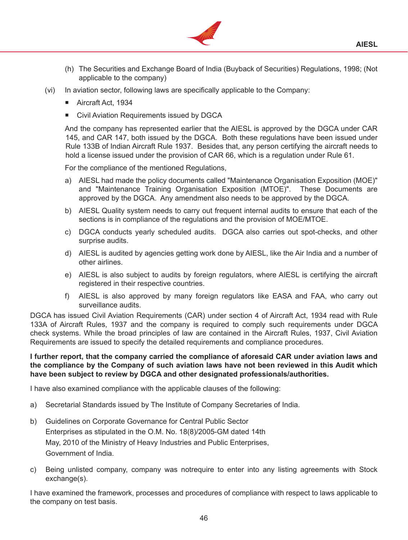

- (h) The Securities and Exchange Board of India (Buyback of Securities) Regulations, 1998; (Not applicable to the company)
- (vi) In aviation sector, following laws are specifically applicable to the Company:
	- Aircraft Act, 1934
	- Civil Aviation Requirements issued by DGCA

And the company has represented earlier that the AIESL is approved by the DGCA under CAR 145, and CAR 147, both issued by the DGCA. Both these regulations have been issued under Rule 133B of Indian Aircraft Rule 1937. Besides that, any person certifying the aircraft needs to hold a license issued under the provision of CAR 66, which is a regulation under Rule 61.

For the compliance of the mentioned Regulations,

- a) AIESL had made the policy documents called "Maintenance Organisation Exposition (MOE)" and "Maintenance Training Organisation Exposition (MTOE)". These Documents are approved by the DGCA. Any amendment also needs to be approved by the DGCA.
- b) AIESL Quality system needs to carry out frequent internal audits to ensure that each of the sections is in compliance of the regulations and the provision of MOE/MTOE.
- c) DGCA conducts yearly scheduled audits. DGCA also carries out spot-checks, and other surprise audits.
- d) AIESL is audited by agencies getting work done by AIESL, like the Air India and a number of other airlines.
- e) AIESL is also subject to audits by foreign regulators, where AIESL is certifying the aircraft registered in their respective countries.
- f) AIESL is also approved by many foreign regulators like EASA and FAA, who carry out surveillance audits.

DGCA has issued Civil Aviation Requirements (CAR) under section 4 of Aircraft Act, 1934 read with Rule 133A of Aircraft Rules, 1937 and the company is required to comply such requirements under DGCA check systems. While the broad principles of law are contained in the Aircraft Rules, 1937, Civil Aviation Requirements are issued to specify the detailed requirements and compliance procedures.

### **I further report, that the company carried the compliance of aforesaid CAR under aviation laws and the compliance by the Company of such aviation laws have not been reviewed in this Audit which have been subject to review by DGCA and other designated professionals/authorities.**

I have also examined compliance with the applicable clauses of the following:

- a) Secretarial Standards issued by The Institute of Company Secretaries of India.
- b) Guidelines on Corporate Governance for Central Public Sector Enterprises as stipulated in the O.M. No. 18(8)/2005-GM dated 14th May, 2010 of the Ministry of Heavy Industries and Public Enterprises, Government of India.
- c) Being unlisted company, company was notrequire to enter into any listing agreements with Stock exchange(s).

I have examined the framework, processes and procedures of compliance with respect to laws applicable to the company on test basis.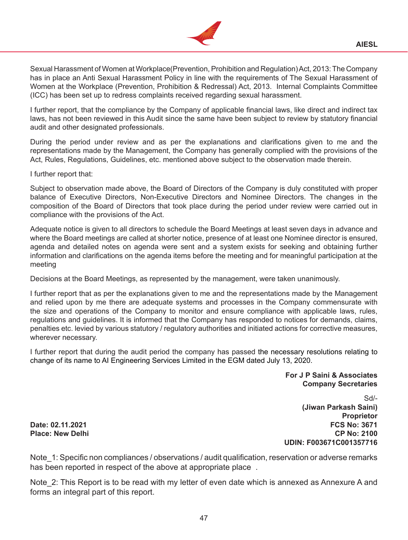

Sexual Harassment of Women at Workplace(Prevention, Prohibition and Regulation) Act, 2013: The Company has in place an Anti Sexual Harassment Policy in line with the requirements of The Sexual Harassment of Women at the Workplace (Prevention, Prohibition & Redressal) Act, 2013. Internal Complaints Committee (ICC) has been set up to redress complaints received regarding sexual harassment.

I further report, that the compliance by the Company of applicable financial laws, like direct and indirect tax laws, has not been reviewed in this Audit since the same have been subject to review by statutory financial audit and other designated professionals.

During the period under review and as per the explanations and clarifications given to me and the representations made by the Management, the Company has generally complied with the provisions of the Act, Rules, Regulations, Guidelines, etc. mentioned above subject to the observation made therein.

I further report that:

Subject to observation made above, the Board of Directors of the Company is duly constituted with proper balance of Executive Directors, Non-Executive Directors and Nominee Directors. The changes in the composition of the Board of Directors that took place during the period under review were carried out in compliance with the provisions of the Act.

Adequate notice is given to all directors to schedule the Board Meetings at least seven days in advance and where the Board meetings are called at shorter notice, presence of at least one Nominee director is ensured, agenda and detailed notes on agenda were sent and a system exists for seeking and obtaining further information and clarifications on the agenda items before the meeting and for meaningful participation at the meeting

Decisions at the Board Meetings, as represented by the management, were taken unanimously.

I further report that as per the explanations given to me and the representations made by the Management and relied upon by me there are adequate systems and processes in the Company commensurate with the size and operations of the Company to monitor and ensure compliance with applicable laws, rules, regulations and guidelines. It is informed that the Company has responded to notices for demands, claims, penalties etc. levied by various statutory / regulatory authorities and initiated actions for corrective measures, wherever necessary.

I further report that during the audit period the company has passed the necessary resolutions relating to change of its name to AI Engineering Services Limited in the EGM dated July 13, 2020.

> **For J P Saini & Associates Company Secretaries**

Sd/- **(Jiwan Parkash Saini) Proprietor Date: 02.11.2021 FCS No: 3671 UDIN: F003671C001357716**

**Place: New Delhi** 

Note 1: Specific non compliances / observations / audit qualification, reservation or adverse remarks has been reported in respect of the above at appropriate place .

Note 2: This Report is to be read with my letter of even date which is annexed as Annexure A and forms an integral part of this report.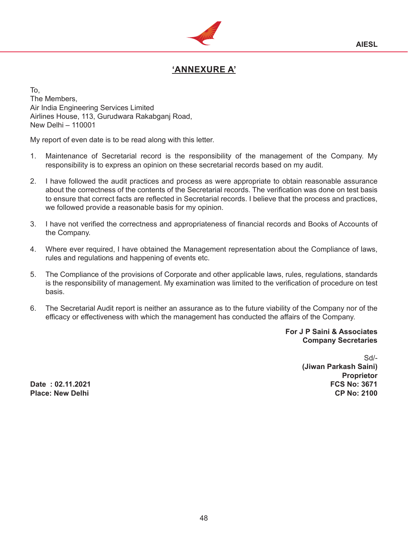

## **'ANNEXURE A'**

To, The Members, Air India Engineering Services Limited Airlines House, 113, Gurudwara Rakabganj Road, New Delhi – 110001

My report of even date is to be read along with this letter.

- 1. Maintenance of Secretarial record is the responsibility of the management of the Company. My responsibility is to express an opinion on these secretarial records based on my audit.
- 2. I have followed the audit practices and process as were appropriate to obtain reasonable assurance about the correctness of the contents of the Secretarial records. The verification was done on test basis to ensure that correct facts are reflected in Secretarial records. I believe that the process and practices, we followed provide a reasonable basis for my opinion.
- 3. I have not verified the correctness and appropriateness of financial records and Books of Accounts of the Company.
- 4. Where ever required, I have obtained the Management representation about the Compliance of laws, rules and regulations and happening of events etc.
- 5. The Compliance of the provisions of Corporate and other applicable laws, rules, regulations, standards is the responsibility of management. My examination was limited to the verification of procedure on test basis.
- 6. The Secretarial Audit report is neither an assurance as to the future viability of the Company nor of the efficacy or effectiveness with which the management has conducted the affairs of the Company.

### **For J P Saini & Associates Company Secretaries**

Sd/- **(Jiwan Parkash Saini) Proprietor Date : 02.11.2021 FCS No: 3671**

**Place: New Delhi**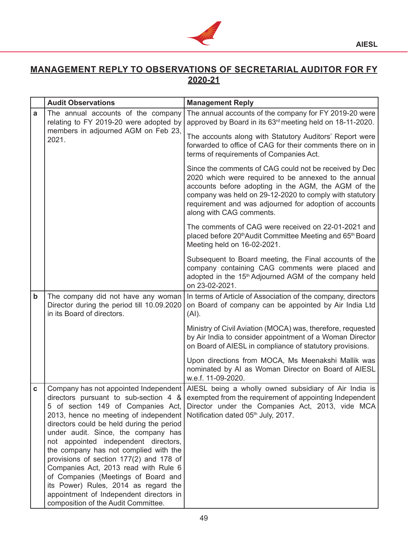

# **MANAGEMENT REPLY TO OBSERVATIONS OF SECRETARIAL AUDITOR FOR FY 2020-21**

|              | <b>Audit Observations</b>                                                                                                                                                                                                                                                                                                                                                                                                                                                                                                                                                              | <b>Management Reply</b>                                                                                                                                                                                                                                                                                                |
|--------------|----------------------------------------------------------------------------------------------------------------------------------------------------------------------------------------------------------------------------------------------------------------------------------------------------------------------------------------------------------------------------------------------------------------------------------------------------------------------------------------------------------------------------------------------------------------------------------------|------------------------------------------------------------------------------------------------------------------------------------------------------------------------------------------------------------------------------------------------------------------------------------------------------------------------|
| $\mathbf{a}$ | The annual accounts of the company<br>relating to FY 2019-20 were adopted by<br>members in adjourned AGM on Feb 23,<br>2021.                                                                                                                                                                                                                                                                                                                                                                                                                                                           | The annual accounts of the company for FY 2019-20 were<br>approved by Board in its 63 <sup>rd</sup> meeting held on 18-11-2020.                                                                                                                                                                                        |
|              |                                                                                                                                                                                                                                                                                                                                                                                                                                                                                                                                                                                        | The accounts along with Statutory Auditors' Report were<br>forwarded to office of CAG for their comments there on in<br>terms of requirements of Companies Act.                                                                                                                                                        |
|              |                                                                                                                                                                                                                                                                                                                                                                                                                                                                                                                                                                                        | Since the comments of CAG could not be received by Dec<br>2020 which were required to be annexed to the annual<br>accounts before adopting in the AGM, the AGM of the<br>company was held on 29-12-2020 to comply with statutory<br>requirement and was adjourned for adoption of accounts<br>along with CAG comments. |
|              |                                                                                                                                                                                                                                                                                                                                                                                                                                                                                                                                                                                        | The comments of CAG were received on 22-01-2021 and<br>placed before 20 <sup>th</sup> Audit Committee Meeting and 65 <sup>th</sup> Board<br>Meeting held on 16-02-2021.                                                                                                                                                |
|              |                                                                                                                                                                                                                                                                                                                                                                                                                                                                                                                                                                                        | Subsequent to Board meeting, the Final accounts of the<br>company containing CAG comments were placed and<br>adopted in the 15 <sup>th</sup> Adjourned AGM of the company held<br>on 23-02-2021.                                                                                                                       |
| $\mathsf b$  | The company did not have any woman<br>Director during the period till 10.09.2020<br>in its Board of directors.                                                                                                                                                                                                                                                                                                                                                                                                                                                                         | In terms of Article of Association of the company, directors<br>on Board of company can be appointed by Air India Ltd<br>(AI).                                                                                                                                                                                         |
|              |                                                                                                                                                                                                                                                                                                                                                                                                                                                                                                                                                                                        | Ministry of Civil Aviation (MOCA) was, therefore, requested<br>by Air India to consider appointment of a Woman Director<br>on Board of AIESL in compliance of statutory provisions.                                                                                                                                    |
|              |                                                                                                                                                                                                                                                                                                                                                                                                                                                                                                                                                                                        | Upon directions from MOCA, Ms Meenakshi Mallik was<br>nominated by AI as Woman Director on Board of AIESL<br>w.e.f. 11-09-2020.                                                                                                                                                                                        |
| $\mathbf c$  | Company has not appointed Independent<br>directors pursuant to sub-section 4 &<br>5 of section 149 of Companies Act,<br>2013, hence no meeting of independent<br>directors could be held during the period<br>under audit. Since, the company has<br>not appointed independent directors,<br>the company has not complied with the<br>provisions of section 177(2) and 178 of<br>Companies Act, 2013 read with Rule 6<br>of Companies (Meetings of Board and<br>its Power) Rules, 2014 as regard the<br>appointment of Independent directors in<br>composition of the Audit Committee. | AIESL being a wholly owned subsidiary of Air India is<br>exempted from the requirement of appointing Independent<br>Director under the Companies Act, 2013, vide MCA<br>Notification dated 05th July, 2017.                                                                                                            |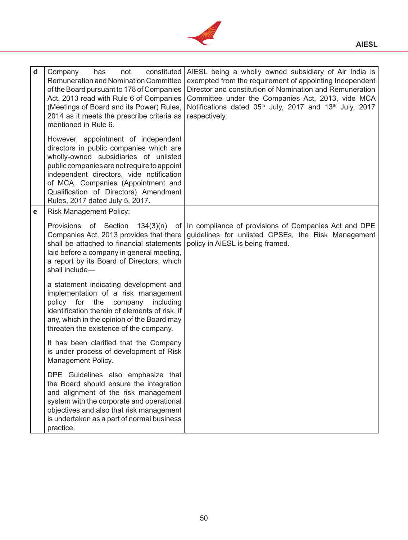

| $\mathbf d$ | has<br>constituted<br>Company<br>not<br>Remuneration and Nomination Committee<br>of the Board pursuant to 178 of Companies<br>Act, 2013 read with Rule 6 of Companies<br>(Meetings of Board and its Power) Rules,<br>2014 as it meets the prescribe criteria as<br>mentioned in Rule 6.                                              | AIESL being a wholly owned subsidiary of Air India is<br>exempted from the requirement of appointing Independent<br>Director and constitution of Nomination and Remuneration<br>Committee under the Companies Act, 2013, vide MCA<br>Notifications dated 05 <sup>th</sup> July, 2017 and 13 <sup>th</sup> July, 2017<br>respectively. |
|-------------|--------------------------------------------------------------------------------------------------------------------------------------------------------------------------------------------------------------------------------------------------------------------------------------------------------------------------------------|---------------------------------------------------------------------------------------------------------------------------------------------------------------------------------------------------------------------------------------------------------------------------------------------------------------------------------------|
|             | However, appointment of independent<br>directors in public companies which are<br>wholly-owned subsidiaries of unlisted<br>public companies are not require to appoint<br>independent directors, vide notification<br>of MCA, Companies (Appointment and<br>Qualification of Directors) Amendment<br>Rules, 2017 dated July 5, 2017. |                                                                                                                                                                                                                                                                                                                                       |
| e           | <b>Risk Management Policy:</b>                                                                                                                                                                                                                                                                                                       |                                                                                                                                                                                                                                                                                                                                       |
|             | Provisions of Section<br>134(3)(n)<br>of<br>Companies Act, 2013 provides that there<br>shall be attached to financial statements<br>laid before a company in general meeting,<br>a report by its Board of Directors, which<br>shall include-                                                                                         | In compliance of provisions of Companies Act and DPE<br>guidelines for unlisted CPSEs, the Risk Management<br>policy in AIESL is being framed.                                                                                                                                                                                        |
|             | a statement indicating development and<br>implementation of a risk management<br>policy for the company<br>including<br>identification therein of elements of risk, if<br>any, which in the opinion of the Board may<br>threaten the existence of the company.                                                                       |                                                                                                                                                                                                                                                                                                                                       |
|             | It has been clarified that the Company<br>is under process of development of Risk<br>Management Policy.                                                                                                                                                                                                                              |                                                                                                                                                                                                                                                                                                                                       |
|             | DPE Guidelines also emphasize that<br>the Board should ensure the integration<br>and alignment of the risk management<br>system with the corporate and operational<br>objectives and also that risk management<br>is undertaken as a part of normal business<br>practice.                                                            |                                                                                                                                                                                                                                                                                                                                       |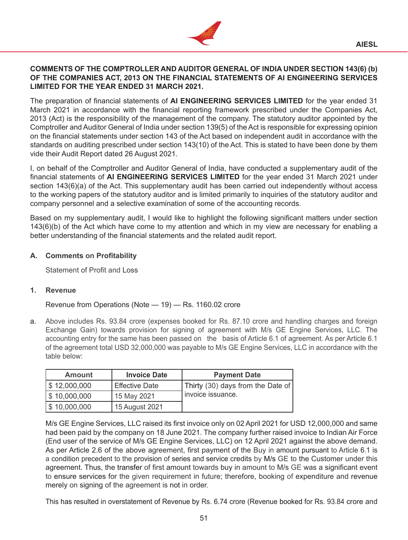

### **COMMENTS OF THE COMPTROLLER AND AUDITOR GENERAL OF INDIA UNDER SECTION 143(6) (b) OF THE COMPANIES ACT, 2013 ON THE FINANCIAL STATEMENTS OF AI ENGINEERING SERVICES LIMITED FOR THE YEAR ENDED 31 MARCH 2021.**

The preparation of financial statements of **AI ENGINEERING SERVICES LIMITED** for the year ended 31 March 2021 in accordance with the financial reporting framework prescribed under the Companies Act, 2013 (Act) is the responsibility of the management of the company. The statutory auditor appointed by the Comptroller and Auditor General of India under section 139(5) of the Act is responsible for expressing opinion on the financial statements under section 143 of the Act based on independent audit in accordance with the standards on auditing prescribed under section 143(10) of the Act. This is stated to have been done by them vide their Audit Report dated 26 August 2021.

I, on behalf of the Comptroller and Auditor General of India, have conducted a supplementary audit of the financial statements of **AI ENGINEERING SERVICES LIMITED** for the year ended 31 March 2021 under section 143(6)(a) of the Act. This supplementary audit has been carried out independently without access to the working papers of the statutory auditor and is limited primarily to inquiries of the statutory auditor and company personnel and a selective examination of some of the accounting records.

Based on my supplementary audit, I would like to highlight the following significant matters under section 143(6)(b) of the Act which have come to my attention and which in my view are necessary for enabling a better understanding of the financial statements and the related audit report.

### **A. Comments on Profitability**

Statement of Profit and Loss

### **1. Revenue**

Revenue from Operations (Note — 19) — Rs. 1160.02 crore

a. Above includes Rs. 93.84 crore (expenses booked for Rs. 87.10 crore and handling charges and foreign Exchange Gain) towards provision for signing of agreement with M/s GE Engine Services, LLC. The accounting entry for the same has been passed on the basis of Article 6.1 of agreement. As per Article 6.1 of the agreement total USD 32,000,000 was payable to M/s GE Engine Services, LLC in accordance with the table below:

| <b>Amount</b> | <b>Invoice Date</b>   | <b>Payment Date</b>               |
|---------------|-----------------------|-----------------------------------|
| \$12,000,000  | <b>Effective Date</b> | Thirty (30) days from the Date of |
| \$10,000,000  | 15 May 2021           | invoice issuance.                 |
| \$10,000,000  | 15 August 2021        |                                   |

 M/s GE Engine Services, LLC raised its first invoice only on 02 April 2021 for USD 12,000,000 and same had been paid by the company on 18 June 2021. The company further raised invoice to Indian Air Force (End user of the service of M/s GE Engine Services, LLC) on 12 April 2021 against the above demand. As per Article 2.6 of the above agreement, first payment of the Buy in amount pursuant to Article 6.1 is a condition precedent to the provision of series and service credits by M/s GE to the Customer under this agreement. Thus, the transfer of first amount towards buy in amount to M/s GE was a significant event to ensure services for the given requirement in future; therefore, booking of expenditure and revenue merely on signing of the agreement is not in order.

This has resulted in overstatement of Revenue by Rs. 6.74 crore (Revenue booked for Rs. 93.84 crore and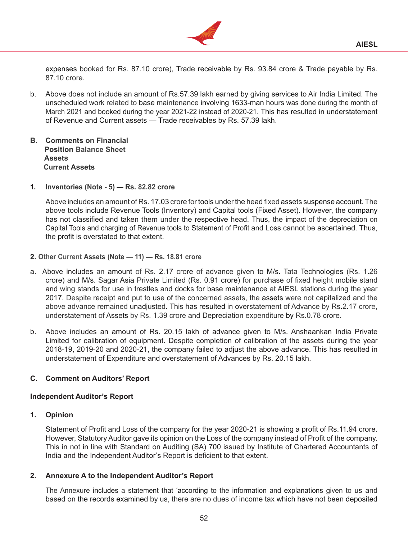

expenses booked for Rs. 87.10 crore), Trade receivable by Rs. 93.84 crore & Trade payable by Rs. 87.10 crore.

- b. Above does not include an amount of Rs.57.39 lakh earned by giving services to Air India Limited. The unscheduled work related to base maintenance involving 1633-man hours was done during the month of March 2021 and booked during the year 2021-22 instead of 2020-21. This has resulted in understatement of Revenue and Current assets — Trade receivables by Rs. 57.39 lakh.
- **B. Comments on Financial Position Balance Sheet Assets Current Assets**
- **1. Inventories (Note 5) Rs. 82.82 crore**

Above includes an amount of Rs. 17.03 crore for tools under the head fixed assets suspense account. The above tools include Revenue Tools (Inventory) and Capital tools (Fixed Asset). However, the company has not classified and taken them under the respective head. Thus, the impact of the depreciation on Capital Tools and charging of Revenue tools to Statement of Profit and Loss cannot be ascertained. Thus, the profit is overstated to that extent.

- **2. Other Current Assets (Note 11) Rs. 18.81 crore**
- a. Above includes an amount of Rs. 2.17 crore of advance given to M/s. Tata Technologies (Rs. 1.26 crore) and M/s. Sagar Asia Private Limited (Rs. 0.91 crore) for purchase of fixed height mobile stand and wing stands for use in trestles and docks for base maintenance at AIESL stations during the year 2017. Despite receipt and put to use of the concerned assets, the assets were not capitalized and the above advance remained unadjusted. This has resulted in overstatement of Advance by Rs.2.17 crore, understatement of Assets by Rs. 1.39 crore and Depreciation expenditure by Rs.0.78 crore.
- b. Above includes an amount of Rs. 20.15 lakh of advance given to M/s. Anshaankan India Private Limited for calibration of equipment. Despite completion of calibration of the assets during the year 2018-19, 2019-20 and 2020-21, the company failed to adjust the above advance. This has resulted in understatement of Expenditure and overstatement of Advances by Rs. 20.15 lakh.

### **C. Comment on Auditors' Report**

### **Independent Auditor's Report**

### **1. Opinion**

 Statement of Profit and Loss of the company for the year 2020-21 is showing a profit of Rs.11.94 crore. However, Statutory Auditor gave its opinion on the Loss of the company instead of Profit of the company. This in not in line with Standard on Auditing (SA) 700 issued by Institute of Chartered Accountants of India and the Independent Auditor's Report is deficient to that extent.

### **2. Annexure A to the Independent Auditor's Report**

The Annexure includes a statement that 'according to the information and explanations given to us and based on the records examined by us, there are no dues of income tax which have not been deposited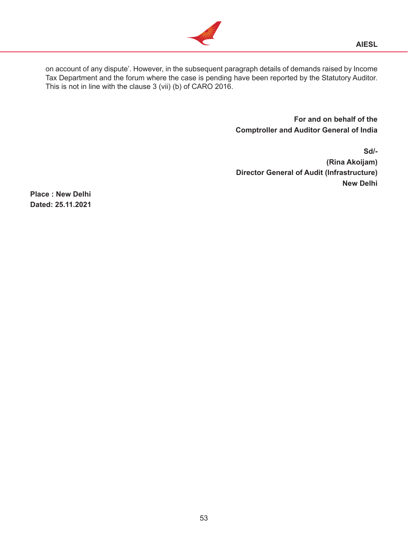

on account of any dispute'. However, in the subsequent paragraph details of demands raised by Income Tax Department and the forum where the case is pending have been reported by the Statutory Auditor. This is not in line with the clause 3 (vii) (b) of CARO 2016.

> **For and on behalf of the Comptroller and Auditor General of India**

> **Sd/- (Rina Akoijam) Director General of Audit (Infrastructure) New Delhi**

**Place : New Delhi Dated: 25.11.2021**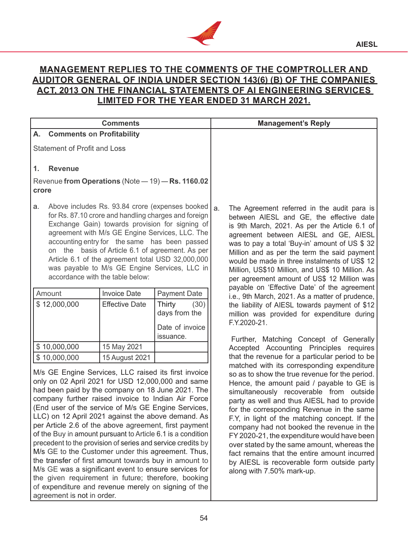

## **MANAGEMENT REPLIES TO THE COMMENTS OF THE COMPTROLLER AND AUDITOR GENERAL OF INDIA UNDER SECTION 143(6) (B) OF THE COMPANIES ACT, 2013 ON THE FINANCIAL STATEMENTS OF AI ENGINEERING SERVICES LIMITED FOR THE YEAR ENDED 31 MARCH 2021.**

|                                                                                                                                                                                                                                                                                                                                                                                                                                                                                                                                                                                                                                                                                                                                                         | <b>Comments</b>                  |                                                                                                                                                                                                                                                                                                                                                                                                        |                                                                                                                                                                                                                                                                                                                                                                                                                                                                                                                                                                                                         |    | <b>Management's Reply</b>                                                                                                                                                                                                                                                                                                                                                                                                               |
|---------------------------------------------------------------------------------------------------------------------------------------------------------------------------------------------------------------------------------------------------------------------------------------------------------------------------------------------------------------------------------------------------------------------------------------------------------------------------------------------------------------------------------------------------------------------------------------------------------------------------------------------------------------------------------------------------------------------------------------------------------|----------------------------------|--------------------------------------------------------------------------------------------------------------------------------------------------------------------------------------------------------------------------------------------------------------------------------------------------------------------------------------------------------------------------------------------------------|---------------------------------------------------------------------------------------------------------------------------------------------------------------------------------------------------------------------------------------------------------------------------------------------------------------------------------------------------------------------------------------------------------------------------------------------------------------------------------------------------------------------------------------------------------------------------------------------------------|----|-----------------------------------------------------------------------------------------------------------------------------------------------------------------------------------------------------------------------------------------------------------------------------------------------------------------------------------------------------------------------------------------------------------------------------------------|
| А.                                                                                                                                                                                                                                                                                                                                                                                                                                                                                                                                                                                                                                                                                                                                                      | <b>Comments on Profitability</b> |                                                                                                                                                                                                                                                                                                                                                                                                        |                                                                                                                                                                                                                                                                                                                                                                                                                                                                                                                                                                                                         |    |                                                                                                                                                                                                                                                                                                                                                                                                                                         |
| <b>Statement of Profit and Loss</b>                                                                                                                                                                                                                                                                                                                                                                                                                                                                                                                                                                                                                                                                                                                     |                                  |                                                                                                                                                                                                                                                                                                                                                                                                        |                                                                                                                                                                                                                                                                                                                                                                                                                                                                                                                                                                                                         |    |                                                                                                                                                                                                                                                                                                                                                                                                                                         |
| 1.                                                                                                                                                                                                                                                                                                                                                                                                                                                                                                                                                                                                                                                                                                                                                      | <b>Revenue</b>                   |                                                                                                                                                                                                                                                                                                                                                                                                        |                                                                                                                                                                                                                                                                                                                                                                                                                                                                                                                                                                                                         |    |                                                                                                                                                                                                                                                                                                                                                                                                                                         |
| crore                                                                                                                                                                                                                                                                                                                                                                                                                                                                                                                                                                                                                                                                                                                                                   |                                  | Revenue from Operations (Note - 19) - Rs. 1160.02                                                                                                                                                                                                                                                                                                                                                      |                                                                                                                                                                                                                                                                                                                                                                                                                                                                                                                                                                                                         |    |                                                                                                                                                                                                                                                                                                                                                                                                                                         |
| а.                                                                                                                                                                                                                                                                                                                                                                                                                                                                                                                                                                                                                                                                                                                                                      | on                               | Above includes Rs. 93.84 crore (expenses booked<br>for Rs. 87.10 crore and handling charges and foreign<br>agreement with M/s GE Engine Services, LLC. The<br>accounting entry for the same has been passed<br>the basis of Article 6.1 of agreement. As per<br>Article 6.1 of the agreement total USD 32,000,000<br>was payable to M/s GE Engine Services, LLC in<br>accordance with the table below: | Exchange Gain) towards provision for signing of                                                                                                                                                                                                                                                                                                                                                                                                                                                                                                                                                         | a. | The Agreement referred in the audit para is<br>between AIESL and GE, the effective date<br>is 9th March, 2021. As per the Article 6.1 of<br>agreement between AIESL and GE, AIESL<br>was to pay a total 'Buy-in' amount of US \$ 32<br>Million and as per the term the said payment<br>would be made in three instalments of US\$ 12<br>Million, US\$10 Million, and US\$ 10 Million. As<br>per agreement amount of US\$ 12 Million was |
|                                                                                                                                                                                                                                                                                                                                                                                                                                                                                                                                                                                                                                                                                                                                                         | Amount                           | <b>Invoice Date</b>                                                                                                                                                                                                                                                                                                                                                                                    | <b>Payment Date</b>                                                                                                                                                                                                                                                                                                                                                                                                                                                                                                                                                                                     |    | payable on 'Effective Date' of the agreement<br>i.e., 9th March, 2021. As a matter of prudence,                                                                                                                                                                                                                                                                                                                                         |
|                                                                                                                                                                                                                                                                                                                                                                                                                                                                                                                                                                                                                                                                                                                                                         | \$12,000,000                     | <b>Effective Date</b>                                                                                                                                                                                                                                                                                                                                                                                  | (30)<br><b>Thirty</b><br>days from the<br>Date of invoice<br>issuance.                                                                                                                                                                                                                                                                                                                                                                                                                                                                                                                                  |    | the liability of AIESL towards payment of \$12<br>million was provided for expenditure during<br>F.Y.2020-21.                                                                                                                                                                                                                                                                                                                           |
|                                                                                                                                                                                                                                                                                                                                                                                                                                                                                                                                                                                                                                                                                                                                                         | \$10,000,000                     | 15 May 2021                                                                                                                                                                                                                                                                                                                                                                                            |                                                                                                                                                                                                                                                                                                                                                                                                                                                                                                                                                                                                         |    | Further, Matching Concept of Generally<br>Accepted Accounting Principles requires                                                                                                                                                                                                                                                                                                                                                       |
|                                                                                                                                                                                                                                                                                                                                                                                                                                                                                                                                                                                                                                                                                                                                                         | \$10,000,000                     | 15 August 2021                                                                                                                                                                                                                                                                                                                                                                                         |                                                                                                                                                                                                                                                                                                                                                                                                                                                                                                                                                                                                         |    | that the revenue for a particular period to be                                                                                                                                                                                                                                                                                                                                                                                          |
| M/s GE Engine Services, LLC raised its first invoice<br>only on 02 April 2021 for USD 12,000,000 and same<br>had been paid by the company on 18 June 2021. The<br>company further raised invoice to Indian Air Force<br>(End user of the service of M/s GE Engine Services,<br>LLC) on 12 April 2021 against the above demand. As<br>per Article 2.6 of the above agreement, first payment<br>of the Buy in amount pursuant to Article 6.1 is a condition<br>precedent to the provision of series and service credits by<br>M/s GE to the Customer under this agreement. Thus,<br>the transfer of first amount towards buy in amount to<br>M/s GE was a significant event to ensure services for<br>the given requirement in future; therefore, booking |                                  |                                                                                                                                                                                                                                                                                                                                                                                                        | matched with its corresponding expenditure<br>so as to show the true revenue for the period.<br>Hence, the amount paid / payable to GE is<br>simultaneously recoverable from outside<br>party as well and thus AIESL had to provide<br>for the corresponding Revenue in the same<br>F.Y, in light of the matching concept. If the<br>company had not booked the revenue in the<br>FY 2020-21, the expenditure would have been<br>over stated by the same amount, whereas the<br>fact remains that the entire amount incurred<br>by AIESL is recoverable form outside party<br>along with 7.50% mark-up. |    |                                                                                                                                                                                                                                                                                                                                                                                                                                         |

of expenditure and revenue merely on signing of the

agreement is not in order.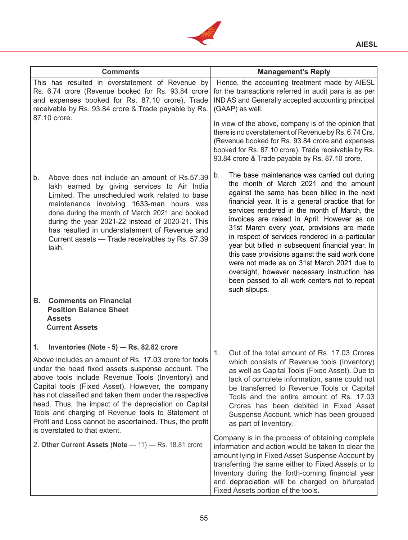

| <b>Comments</b>                                                                                                                                                                                                                                                                                                                                                                                                                                                                                                                              | <b>Management's Reply</b>                                                                                                                                                                                                                                                                                                                                                                                                                                                                                                                                                                                                                                               |  |
|----------------------------------------------------------------------------------------------------------------------------------------------------------------------------------------------------------------------------------------------------------------------------------------------------------------------------------------------------------------------------------------------------------------------------------------------------------------------------------------------------------------------------------------------|-------------------------------------------------------------------------------------------------------------------------------------------------------------------------------------------------------------------------------------------------------------------------------------------------------------------------------------------------------------------------------------------------------------------------------------------------------------------------------------------------------------------------------------------------------------------------------------------------------------------------------------------------------------------------|--|
| This has resulted in overstatement of Revenue by<br>Rs. 6.74 crore (Revenue booked for Rs. 93.84 crore<br>and expenses booked for Rs. 87.10 crore), Trade<br>receivable by Rs. 93.84 crore & Trade payable by Rs.                                                                                                                                                                                                                                                                                                                            | Hence, the accounting treatment made by AIESL<br>for the transactions referred in audit para is as per<br>IND AS and Generally accepted accounting principal<br>(GAAP) as well.                                                                                                                                                                                                                                                                                                                                                                                                                                                                                         |  |
| 87.10 crore.                                                                                                                                                                                                                                                                                                                                                                                                                                                                                                                                 | In view of the above, company is of the opinion that<br>there is no overstatement of Revenue by Rs. 6.74 Crs.<br>(Revenue booked for Rs. 93.84 crore and expenses<br>booked for Rs. 87.10 crore), Trade receivable by Rs.<br>93.84 crore & Trade payable by Rs. 87.10 crore.                                                                                                                                                                                                                                                                                                                                                                                            |  |
| b.<br>Above does not include an amount of Rs.57.39<br>lakh earned by giving services to Air India<br>Limited. The unscheduled work related to base<br>maintenance involving 1633-man hours was<br>done during the month of March 2021 and booked<br>during the year 2021-22 instead of 2020-21. This<br>has resulted in understatement of Revenue and<br>Current assets - Trade receivables by Rs. 57.39<br>lakh.                                                                                                                            | The base maintenance was carried out during<br>b.<br>the month of March 2021 and the amount<br>against the same has been billed in the next<br>financial year. It is a general practice that for<br>services rendered in the month of March, the<br>invoices are raised in April. However as on<br>31st March every year, provisions are made<br>in respect of services rendered in a particular<br>year but billed in subsequent financial year. In<br>this case provisions against the said work done<br>were not made as on 31st March 2021 due to<br>oversight, however necessary instruction has<br>been passed to all work centers not to repeat<br>such slipups. |  |
| <b>Comments on Financial</b><br>В.<br><b>Position Balance Sheet</b><br><b>Assets</b><br><b>Current Assets</b>                                                                                                                                                                                                                                                                                                                                                                                                                                |                                                                                                                                                                                                                                                                                                                                                                                                                                                                                                                                                                                                                                                                         |  |
| Inventories (Note - 5) - Rs. 82.82 crore<br>1.<br>Above includes an amount of Rs. 17.03 crore for tools<br>under the head fixed assets suspense account. The<br>above tools include Revenue Tools (Inventory) and<br>Capital tools (Fixed Asset). However, the company<br>has not classified and taken them under the respective<br>head. Thus, the impact of the depreciation on Capital<br>Tools and charging of Revenue tools to Statement of<br>Profit and Loss cannot be ascertained. Thus, the profit<br>is overstated to that extent. | Out of the total amount of Rs. 17.03 Crores<br>1.<br>which consists of Revenue tools (Inventory)<br>as well as Capital Tools (Fixed Asset). Due to<br>lack of complete information, same could not<br>be transferred to Revenue Tools or Capital<br>Tools and the entire amount of Rs. 17.03<br>Crores has been debited in Fixed Asset<br>Suspense Account, which has been grouped<br>as part of Inventory.                                                                                                                                                                                                                                                             |  |
| 2. Other Current Assets (Note $-11$ ) - Rs. 18.81 crore                                                                                                                                                                                                                                                                                                                                                                                                                                                                                      | Company is in the process of obtaining complete<br>information and action would be taken to clear the<br>amount lying in Fixed Asset Suspense Account by<br>transferring the same either to Fixed Assets or to<br>Inventory during the forth-coming financial year<br>and depreciation will be charged on bifurcated<br>Fixed Assets portion of the tools.                                                                                                                                                                                                                                                                                                              |  |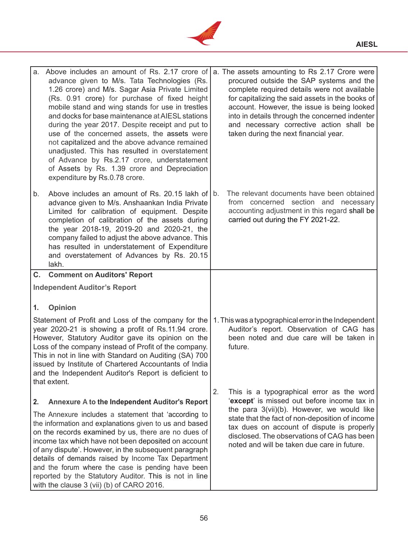

| a.                                                                                                                                                                                                                                                                                                                                                                                                                   | Above includes an amount of Rs. 2.17 crore of<br>advance given to M/s. Tata Technologies (Rs.<br>1.26 crore) and M/s. Sagar Asia Private Limited<br>(Rs. 0.91 crore) for purchase of fixed height<br>mobile stand and wing stands for use in trestles<br>and docks for base maintenance at AIESL stations<br>during the year 2017. Despite receipt and put to<br>use of the concerned assets, the assets were<br>not capitalized and the above advance remained<br>unadjusted. This has resulted in overstatement<br>of Advance by Rs.2.17 crore, understatement<br>of Assets by Rs. 1.39 crore and Depreciation<br>expenditure by Rs.0.78 crore. |    | a. The assets amounting to Rs 2.17 Crore were<br>procured outside the SAP systems and the<br>complete required details were not available<br>for capitalizing the said assets in the books of<br>account. However, the issue is being looked<br>into in details through the concerned indenter<br>and necessary corrective action shall be<br>taken during the next financial year. |
|----------------------------------------------------------------------------------------------------------------------------------------------------------------------------------------------------------------------------------------------------------------------------------------------------------------------------------------------------------------------------------------------------------------------|---------------------------------------------------------------------------------------------------------------------------------------------------------------------------------------------------------------------------------------------------------------------------------------------------------------------------------------------------------------------------------------------------------------------------------------------------------------------------------------------------------------------------------------------------------------------------------------------------------------------------------------------------|----|-------------------------------------------------------------------------------------------------------------------------------------------------------------------------------------------------------------------------------------------------------------------------------------------------------------------------------------------------------------------------------------|
| b.                                                                                                                                                                                                                                                                                                                                                                                                                   | Above includes an amount of Rs. 20.15 lakh of b.<br>advance given to M/s. Anshaankan India Private<br>Limited for calibration of equipment. Despite<br>completion of calibration of the assets during<br>the year 2018-19, 2019-20 and 2020-21, the<br>company failed to adjust the above advance. This<br>has resulted in understatement of Expenditure<br>and overstatement of Advances by Rs. 20.15<br>lakh.                                                                                                                                                                                                                                   |    | The relevant documents have been obtained<br>from concerned section and necessary<br>accounting adjustment in this regard shall be<br>carried out during the FY 2021-22.                                                                                                                                                                                                            |
| $C_{1}$                                                                                                                                                                                                                                                                                                                                                                                                              | <b>Comment on Auditors' Report</b>                                                                                                                                                                                                                                                                                                                                                                                                                                                                                                                                                                                                                |    |                                                                                                                                                                                                                                                                                                                                                                                     |
|                                                                                                                                                                                                                                                                                                                                                                                                                      | <b>Independent Auditor's Report</b>                                                                                                                                                                                                                                                                                                                                                                                                                                                                                                                                                                                                               |    |                                                                                                                                                                                                                                                                                                                                                                                     |
| 1.                                                                                                                                                                                                                                                                                                                                                                                                                   | <b>Opinion</b>                                                                                                                                                                                                                                                                                                                                                                                                                                                                                                                                                                                                                                    |    |                                                                                                                                                                                                                                                                                                                                                                                     |
| Statement of Profit and Loss of the company for the<br>year 2020-21 is showing a profit of Rs.11.94 crore.<br>However, Statutory Auditor gave its opinion on the<br>Loss of the company instead of Profit of the company.<br>This in not in line with Standard on Auditing (SA) 700<br>issued by Institute of Chartered Accountants of India<br>and the Independent Auditor's Report is deficient to<br>that extent. |                                                                                                                                                                                                                                                                                                                                                                                                                                                                                                                                                                                                                                                   |    | 1. This was a typographical error in the Independent<br>Auditor's report. Observation of CAG has<br>been noted and due care will be taken in<br>future.                                                                                                                                                                                                                             |
|                                                                                                                                                                                                                                                                                                                                                                                                                      |                                                                                                                                                                                                                                                                                                                                                                                                                                                                                                                                                                                                                                                   | 2. | This is a typographical error as the word                                                                                                                                                                                                                                                                                                                                           |
| 2.                                                                                                                                                                                                                                                                                                                                                                                                                   | <b>Annexure A to the Independent Auditor's Report</b><br>The Annexure includes a statement that 'according to<br>the information and explanations given to us and based<br>on the records examined by us, there are no dues of<br>income tax which have not been deposited on account<br>of any dispute'. However, in the subsequent paragraph<br>details of demands raised by Income Tax Department<br>and the forum where the case is pending have been<br>reported by the Statutory Auditor. This is not in line<br>with the clause 3 (vii) (b) of CARO 2016.                                                                                  |    | 'except' is missed out before income tax in<br>the para 3(vii)(b). However, we would like<br>state that the fact of non-deposition of income<br>tax dues on account of dispute is properly<br>disclosed. The observations of CAG has been<br>noted and will be taken due care in future.                                                                                            |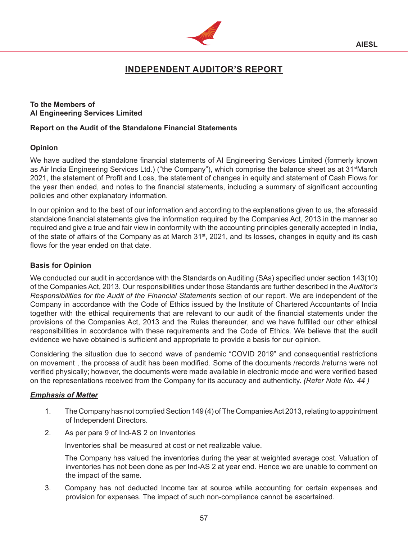

## **INDEPENDENT AUDITOR'S REPORT**

### **To the Members of AI Engineering Services Limited**

### **Report on the Audit of the Standalone Financial Statements**

### **Opinion**

We have audited the standalone financial statements of AI Engineering Services Limited (formerly known as Air India Engineering Services Ltd.) ("the Company"), which comprise the balance sheet as at 31<sup>st</sup>March 2021, the statement of Profit and Loss, the statement of changes in equity and statement of Cash Flows for the year then ended, and notes to the financial statements, including a summary of significant accounting policies and other explanatory information.

In our opinion and to the best of our information and according to the explanations given to us, the aforesaid standalone financial statements give the information required by the Companies Act, 2013 in the manner so required and give a true and fair view in conformity with the accounting principles generally accepted in India, of the state of affairs of the Company as at March 31<sup>st</sup>, 2021, and its losses, changes in equity and its cash flows for the year ended on that date.

### **Basis for Opinion**

We conducted our audit in accordance with the Standards on Auditing (SAs) specified under section 143(10) of the Companies Act, 2013. Our responsibilities under those Standards are further described in the *Auditor's Responsibilities for the Audit of the Financial Statements* section of our report. We are independent of the Company in accordance with the Code of Ethics issued by the Institute of Chartered Accountants of India together with the ethical requirements that are relevant to our audit of the financial statements under the provisions of the Companies Act, 2013 and the Rules thereunder, and we have fulfilled our other ethical responsibilities in accordance with these requirements and the Code of Ethics. We believe that the audit evidence we have obtained is sufficient and appropriate to provide a basis for our opinion.

Considering the situation due to second wave of pandemic "COVID 2019" and consequential restrictions on movement , the process of audit has been modified. Some of the documents /records /returns were not verified physically; however, the documents were made available in electronic mode and were verified based on the representations received from the Company for its accuracy and authenticity. *(Refer Note No. 44 )*

### *Emphasis of Matter*

- 1. The Company has not complied Section 149 (4) of The Companies Act 2013, relating to appointment of Independent Directors.
- 2. As per para 9 of Ind-AS 2 on Inventories

Inventories shall be measured at cost or net realizable value.

The Company has valued the inventories during the year at weighted average cost. Valuation of inventories has not been done as per Ind-AS 2 at year end. Hence we are unable to comment on the impact of the same.

3. Company has not deducted Income tax at source while accounting for certain expenses and provision for expenses. The impact of such non-compliance cannot be ascertained.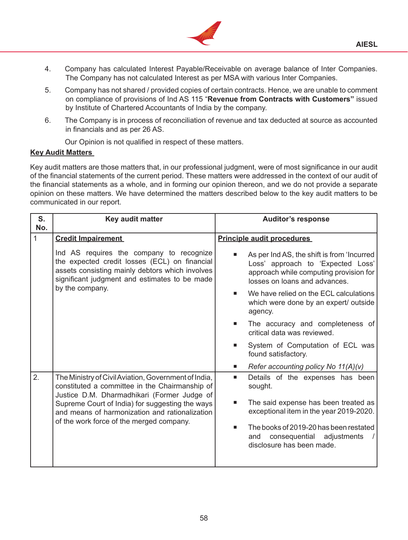

- 4. Company has calculated Interest Payable/Receivable on average balance of Inter Companies. The Company has not calculated Interest as per MSA with various Inter Companies.
- 5. Company has not shared / provided copies of certain contracts. Hence, we are unable to comment on compliance of provisions of Ind AS 115 "**Revenue from Contracts with Customers"** issued by Institute of Chartered Accountants of India by the company.
- 6. The Company is in process of reconciliation of revenue and tax deducted at source as accounted in financials and as per 26 AS.

 Our Opinion is not qualified in respect of these matters.

### **Key Audit Matters**

Key audit matters are those matters that, in our professional judgment, were of most significance in our audit of the financial statements of the current period. These matters were addressed in the context of our audit of the financial statements as a whole, and in forming our opinion thereon, and we do not provide a separate opinion on these matters. We have determined the matters described below to the key audit matters to be communicated in our report.

| S.<br>No. | Key audit matter                                                                                                                                                                              | <b>Auditor's response</b>                                                                                                                                  |  |
|-----------|-----------------------------------------------------------------------------------------------------------------------------------------------------------------------------------------------|------------------------------------------------------------------------------------------------------------------------------------------------------------|--|
| 1         | <b>Credit Impairement</b>                                                                                                                                                                     | Principle audit procedures                                                                                                                                 |  |
|           | Ind AS requires the company to recognize<br>the expected credit losses (ECL) on financial<br>assets consisting mainly debtors which involves<br>significant judgment and estimates to be made | As per Ind AS, the shift is from 'Incurred<br>Loss' approach to 'Expected Loss'<br>approach while computing provision for<br>losses on loans and advances. |  |
|           | by the company.                                                                                                                                                                               | We have relied on the ECL calculations<br>ш<br>which were done by an expert/ outside<br>agency.                                                            |  |
|           |                                                                                                                                                                                               | The accuracy and completeness of<br>m.<br>critical data was reviewed.                                                                                      |  |
|           |                                                                                                                                                                                               | System of Computation of ECL was<br>found satisfactory.                                                                                                    |  |
|           |                                                                                                                                                                                               | Refer accounting policy No $11(A)(v)$<br>ш                                                                                                                 |  |
| 2.        | The Ministry of Civil Aviation, Government of India,<br>constituted a committee in the Chairmanship of<br>Justice D.M. Dharmadhikari (Former Judge of                                         | Details of the expenses has been<br>$\blacksquare$<br>sought.                                                                                              |  |
|           | Supreme Court of India) for suggesting the ways<br>and means of harmonization and rationalization                                                                                             | The said expense has been treated as<br>ш<br>exceptional item in the year 2019-2020.                                                                       |  |
|           | of the work force of the merged company.                                                                                                                                                      | The books of 2019-20 has been restated<br>ш<br>consequential adjustments<br>and<br>disclosure has been made.                                               |  |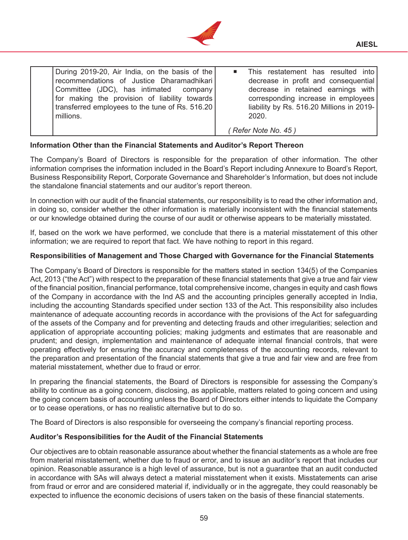

During 2019-20, Air India, on the basis of the recommendations of Justice Dharamadhikari Committee (JDC), has intimated company for making the provision of liability towards transferred employees to the tune of Rs. 516.20 millions. **This restatement has resulted into** decrease in profit and consequential decrease in retained earnings with corresponding increase in employees liability by Rs. 516.20 Millions in 2019- 2020.  *( Refer Note No. 45 )*

### **Information Other than the Financial Statements and Auditor's Report Thereon**

The Company's Board of Directors is responsible for the preparation of other information. The other information comprises the information included in the Board's Report including Annexure to Board's Report, Business Responsibility Report, Corporate Governance and Shareholder's Information, but does not include the standalone financial statements and our auditor's report thereon.

In connection with our audit of the financial statements, our responsibility is to read the other information and, in doing so, consider whether the other information is materially inconsistent with the financial statements or our knowledge obtained during the course of our audit or otherwise appears to be materially misstated.

If, based on the work we have performed, we conclude that there is a material misstatement of this other information; we are required to report that fact. We have nothing to report in this regard.

### **Responsibilities of Management and Those Charged with Governance for the Financial Statements**

The Company's Board of Directors is responsible for the matters stated in section 134(5) of the Companies Act, 2013 ("the Act") with respect to the preparation of these financial statements that give a true and fair view of the financial position, financial performance, total comprehensive income, changes in equity and cash flows of the Company in accordance with the Ind AS and the accounting principles generally accepted in India, including the accounting Standards specified under section 133 of the Act. This responsibility also includes maintenance of adequate accounting records in accordance with the provisions of the Act for safeguarding of the assets of the Company and for preventing and detecting frauds and other irregularities; selection and application of appropriate accounting policies; making judgments and estimates that are reasonable and prudent; and design, implementation and maintenance of adequate internal financial controls, that were operating effectively for ensuring the accuracy and completeness of the accounting records, relevant to the preparation and presentation of the financial statements that give a true and fair view and are free from material misstatement, whether due to fraud or error.

In preparing the financial statements, the Board of Directors is responsible for assessing the Company's ability to continue as a going concern, disclosing, as applicable, matters related to going concern and using the going concern basis of accounting unless the Board of Directors either intends to liquidate the Company or to cease operations, or has no realistic alternative but to do so.

The Board of Directors is also responsible for overseeing the company's financial reporting process.

### **Auditor's Responsibilities for the Audit of the Financial Statements**

Our objectives are to obtain reasonable assurance about whether the financial statements as a whole are free from material misstatement, whether due to fraud or error, and to issue an auditor's report that includes our opinion. Reasonable assurance is a high level of assurance, but is not a guarantee that an audit conducted in accordance with SAs will always detect a material misstatement when it exists. Misstatements can arise from fraud or error and are considered material if, individually or in the aggregate, they could reasonably be expected to influence the economic decisions of users taken on the basis of these financial statements.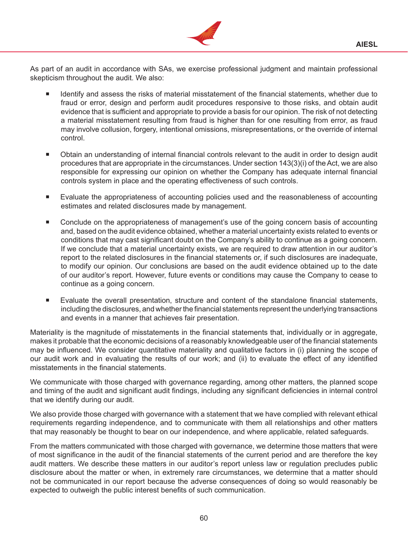

As part of an audit in accordance with SAs, we exercise professional judgment and maintain professional skepticism throughout the audit. We also:

- Identify and assess the risks of material misstatement of the financial statements, whether due to fraud or error, design and perform audit procedures responsive to those risks, and obtain audit evidence that is sufficient and appropriate to provide a basis for our opinion. The risk of not detecting a material misstatement resulting from fraud is higher than for one resulting from error, as fraud may involve collusion, forgery, intentional omissions, misrepresentations, or the override of internal control.
- Obtain an understanding of internal financial controls relevant to the audit in order to design audit procedures that are appropriate in the circumstances. Under section 143(3)(i) of the Act, we are also responsible for expressing our opinion on whether the Company has adequate internal financial controls system in place and the operating effectiveness of such controls.
- Evaluate the appropriateness of accounting policies used and the reasonableness of accounting estimates and related disclosures made by management.
- Conclude on the appropriateness of management's use of the going concern basis of accounting and, based on the audit evidence obtained, whether a material uncertainty exists related to events or conditions that may cast significant doubt on the Company's ability to continue as a going concern. If we conclude that a material uncertainty exists, we are required to draw attention in our auditor's report to the related disclosures in the financial statements or, if such disclosures are inadequate, to modify our opinion. Our conclusions are based on the audit evidence obtained up to the date of our auditor's report. However, future events or conditions may cause the Company to cease to continue as a going concern.
- Evaluate the overall presentation, structure and content of the standalone financial statements, including the disclosures, and whether the financial statements represent the underlying transactions and events in a manner that achieves fair presentation.

Materiality is the magnitude of misstatements in the financial statements that, individually or in aggregate, makes it probable that the economic decisions of a reasonably knowledgeable user of the financial statements may be influenced. We consider quantitative materiality and qualitative factors in (i) planning the scope of our audit work and in evaluating the results of our work; and (ii) to evaluate the effect of any identified misstatements in the financial statements.

We communicate with those charged with governance regarding, among other matters, the planned scope and timing of the audit and significant audit findings, including any significant deficiencies in internal control that we identify during our audit.

We also provide those charged with governance with a statement that we have complied with relevant ethical requirements regarding independence, and to communicate with them all relationships and other matters that may reasonably be thought to bear on our independence, and where applicable, related safeguards.

From the matters communicated with those charged with governance, we determine those matters that were of most significance in the audit of the financial statements of the current period and are therefore the key audit matters. We describe these matters in our auditor's report unless law or regulation precludes public disclosure about the matter or when, in extremely rare circumstances, we determine that a matter should not be communicated in our report because the adverse consequences of doing so would reasonably be expected to outweigh the public interest benefits of such communication.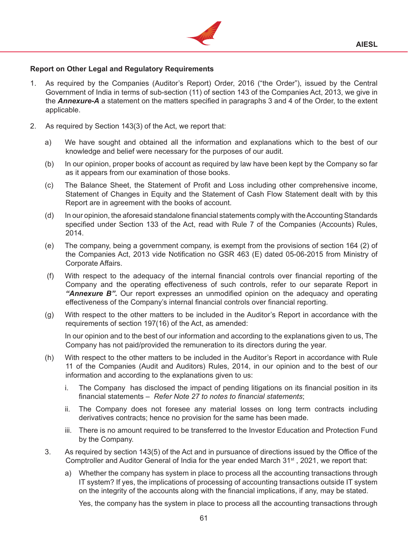

### **Report on Other Legal and Regulatory Requirements**

- 1. As required by the Companies (Auditor's Report) Order, 2016 ("the Order"), issued by the Central Government of India in terms of sub-section (11) of section 143 of the Companies Act, 2013, we give in the *Annexure-A* a statement on the matters specified in paragraphs 3 and 4 of the Order, to the extent applicable.
- 2. As required by Section 143(3) of the Act, we report that:
	- a) We have sought and obtained all the information and explanations which to the best of our knowledge and belief were necessary for the purposes of our audit.
	- (b) In our opinion, proper books of account as required by law have been kept by the Company so far as it appears from our examination of those books.
	- (c) The Balance Sheet, the Statement of Profit and Loss including other comprehensive income, Statement of Changes in Equity and the Statement of Cash Flow Statement dealt with by this Report are in agreement with the books of account.
	- (d) In our opinion, the aforesaid standalone financial statements comply with the Accounting Standards specified under Section 133 of the Act, read with Rule 7 of the Companies (Accounts) Rules, 2014.
	- (e) The company, being a government company, is exempt from the provisions of section 164 (2) of the Companies Act, 2013 vide Notification no GSR 463 (E) dated 05-06-2015 from Ministry of Corporate Affairs.
	- (f) With respect to the adequacy of the internal financial controls over financial reporting of the Company and the operating effectiveness of such controls, refer to our separate Report in *"Annexure B".* Our report expresses an unmodified opinion on the adequacy and operating effectiveness of the Company's internal financial controls over financial reporting.
	- (g) With respect to the other matters to be included in the Auditor's Report in accordance with the requirements of section 197(16) of the Act, as amended:

In our opinion and to the best of our information and according to the explanations given to us, The Company has not paid/provided the remuneration to its directors during the year.

- (h) With respect to the other matters to be included in the Auditor's Report in accordance with Rule 11 of the Companies (Audit and Auditors) Rules, 2014, in our opinion and to the best of our information and according to the explanations given to us:
	- i. The Company has disclosed the impact of pending litigations on its financial position in its financial statements – *Refer Note 27 to notes to financial statements*;
	- ii. The Company does not foresee any material losses on long term contracts including derivatives contracts; hence no provision for the same has been made.
	- iii. There is no amount required to be transferred to the Investor Education and Protection Fund by the Company.
- 3. As required by section 143(5) of the Act and in pursuance of directions issued by the Office of the Comptroller and Auditor General of India for the year ended March 31<sup>st</sup>, 2021, we report that:
	- a) Whether the company has system in place to process all the accounting transactions through IT system? If yes, the implications of processing of accounting transactions outside IT system on the integrity of the accounts along with the financial implications, if any, may be stated.

 Yes, the company has the system in place to process all the accounting transactions through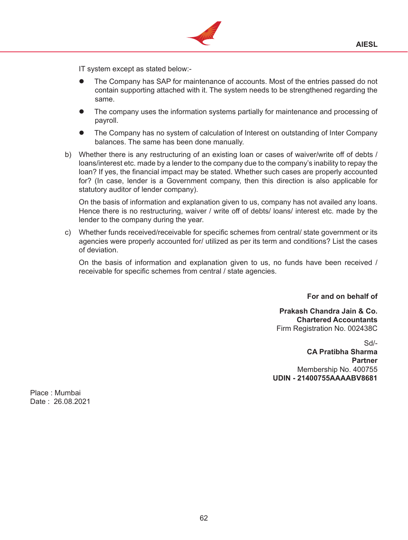

IT system except as stated below:-

- The Company has SAP for maintenance of accounts. Most of the entries passed do not contain supporting attached with it. The system needs to be strengthened regarding the same.
- The company uses the information systems partially for maintenance and processing of payroll.
- The Company has no system of calculation of Interest on outstanding of Inter Company balances. The same has been done manually.
- b) Whether there is any restructuring of an existing loan or cases of waiver/write off of debts / loans/interest etc. made by a lender to the company due to the company's inability to repay the loan? If yes, the financial impact may be stated. Whether such cases are properly accounted for? (In case, lender is a Government company, then this direction is also applicable for statutory auditor of lender company).

On the basis of information and explanation given to us, company has not availed any loans. Hence there is no restructuring, waiver / write off of debts/ loans/ interest etc. made by the lender to the company during the year.

c) Whether funds received/receivable for specific schemes from central/ state government or its agencies were properly accounted for/ utilized as per its term and conditions? List the cases of deviation.

On the basis of information and explanation given to us, no funds have been received / receivable for specific schemes from central / state agencies.

 **For and on behalf of**

 **Prakash Chandra Jain & Co. Chartered Accountants** Firm Registration No. 002438C

Sd/-  **CA Pratibha Sharma Partner** Membership No. 400755  **UDIN - 21400755AAAABV8681** 

Place : Mumbai Date : 26.08.2021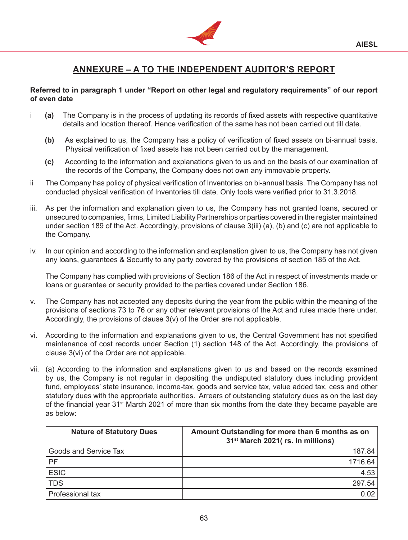

## **ANNEXURE – A TO THE INDEPENDENT AUDITOR'S REPORT**

### **Referred to in paragraph 1 under "Report on other legal and regulatory requirements" of our report of even date**

- i **(a)** The Company is in the process of updating its records of fixed assets with respective quantitative details and location thereof. Hence verification of the same has not been carried out till date.
	- **(b)** As explained to us, the Company has a policy of verification of fixed assets on bi-annual basis. Physical verification of fixed assets has not been carried out by the management.
	- **(c)** According to the information and explanations given to us and on the basis of our examination of the records of the Company, the Company does not own any immovable property.
- ii The Company has policy of physical verification of Inventories on bi-annual basis. The Company has not conducted physical verification of Inventories till date. Only tools were verified prior to 31.3.2018.
- iii. As per the information and explanation given to us, the Company has not granted loans, secured or unsecured to companies, firms, Limited Liability Partnerships or parties covered in the register maintained under section 189 of the Act. Accordingly, provisions of clause 3(iii) (a), (b) and (c) are not applicable to the Company.
- iv. In our opinion and according to the information and explanation given to us, the Company has not given any loans, guarantees & Security to any party covered by the provisions of section 185 of the Act.

The Company has complied with provisions of Section 186 of the Act in respect of investments made or loans or guarantee or security provided to the parties covered under Section 186.

- v. The Company has not accepted any deposits during the year from the public within the meaning of the provisions of sections 73 to 76 or any other relevant provisions of the Act and rules made there under. Accordingly, the provisions of clause 3(v) of the Order are not applicable.
- vi. According to the information and explanations given to us, the Central Government has not specified maintenance of cost records under Section (1) section 148 of the Act. Accordingly, the provisions of clause 3(vi) of the Order are not applicable.
- vii. (a) According to the information and explanations given to us and based on the records examined by us, the Company is not regular in depositing the undisputed statutory dues including provident fund, employees' state insurance, income-tax, goods and service tax, value added tax, cess and other statutory dues with the appropriate authorities. Arrears of outstanding statutory dues as on the last day of the financial year 31<sup>st</sup> March 2021 of more than six months from the date they became payable are as below:

| <b>Nature of Statutory Dues</b> | Amount Outstanding for more than 6 months as on<br>31 <sup>st</sup> March 2021(rs. In millions) |
|---------------------------------|-------------------------------------------------------------------------------------------------|
| Goods and Service Tax           | 187.84                                                                                          |
| PF                              | 1716.64                                                                                         |
| <b>ESIC</b>                     | 4.53                                                                                            |
| <b>TDS</b>                      | 297.54                                                                                          |
| Professional tax                | 0.02                                                                                            |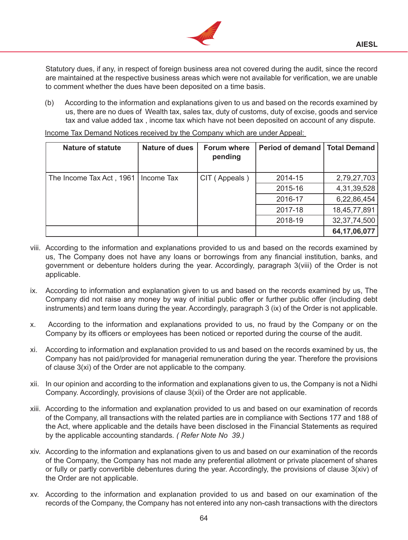

Statutory dues, if any, in respect of foreign business area not covered during the audit, since the record are maintained at the respective business areas which were not available for verification, we are unable to comment whether the dues have been deposited on a time basis.

(b) According to the information and explanations given to us and based on the records examined by us, there are no dues of Wealth tax, sales tax, duty of customs, duty of excise, goods and service tax and value added tax , income tax which have not been deposited on account of any dispute.

| Income Tax Demand Notices received by the Company which are under Appeal: |  |
|---------------------------------------------------------------------------|--|
|                                                                           |  |

| <b>Nature of statute</b> | <b>Nature of dues</b> | <b>Forum where</b><br>pending | Period of demand   Total Demand |                 |
|--------------------------|-----------------------|-------------------------------|---------------------------------|-----------------|
| The Income Tax Act, 1961 | Income Tax            | CIT (Appeals)                 | 2014-15                         | 2,79,27,703     |
|                          |                       |                               | 2015-16                         | 4,31,39,528     |
|                          |                       |                               | 2016-17                         | 6,22,86,454     |
|                          |                       |                               | 2017-18                         | 18,45,77,891    |
|                          |                       |                               | 2018-19                         | 32, 37, 74, 500 |
|                          |                       |                               |                                 | 64, 17, 06, 077 |

- viii. According to the information and explanations provided to us and based on the records examined by us, The Company does not have any loans or borrowings from any financial institution, banks, and government or debenture holders during the year. Accordingly, paragraph 3(viii) of the Order is not applicable.
- ix. According to information and explanation given to us and based on the records examined by us, The Company did not raise any money by way of initial public offer or further public offer (including debt instruments) and term loans during the year. Accordingly, paragraph 3 (ix) of the Order is not applicable.
- x. According to the information and explanations provided to us, no fraud by the Company or on the Company by its officers or employees has been noticed or reported during the course of the audit.
- xi. According to information and explanation provided to us and based on the records examined by us, the Company has not paid/provided for managerial remuneration during the year. Therefore the provisions of clause 3(xi) of the Order are not applicable to the company.
- xii. In our opinion and according to the information and explanations given to us, the Company is not a Nidhi Company. Accordingly, provisions of clause 3(xii) of the Order are not applicable.
- xiii. According to the information and explanation provided to us and based on our examination of records of the Company, all transactions with the related parties are in compliance with Sections 177 and 188 of the Act, where applicable and the details have been disclosed in the Financial Statements as required by the applicable accounting standards*. ( Refer Note No 39.)*
- xiv. According to the information and explanations given to us and based on our examination of the records of the Company, the Company has not made any preferential allotment or private placement of shares or fully or partly convertible debentures during the year. Accordingly, the provisions of clause 3(xiv) of the Order are not applicable.
- xv. According to the information and explanation provided to us and based on our examination of the records of the Company, the Company has not entered into any non-cash transactions with the directors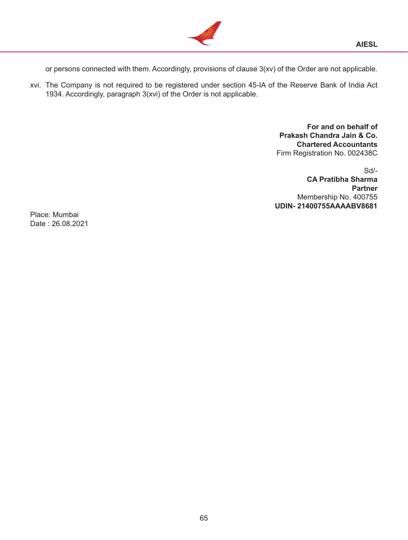

or persons connected with them. Accordingly, provisions of clause 3(xv) of the Order are not applicable.

xvi. The Company is not required to be registered under section 45-IA of the Reserve Bank of India Act 1934. Accordingly, paragraph 3(xvi) of the Order is not applicable.

> **For and on behalf of Prakash Chandra Jain & Co. Chartered Accountants** Firm Registration No. 002438C

> Sd/- **CA Pratibha Sharma Partner** Membership No. 400755 **UDIN- 21400755AAAABV8681**

Place: Mumbai Date : 26.08.2021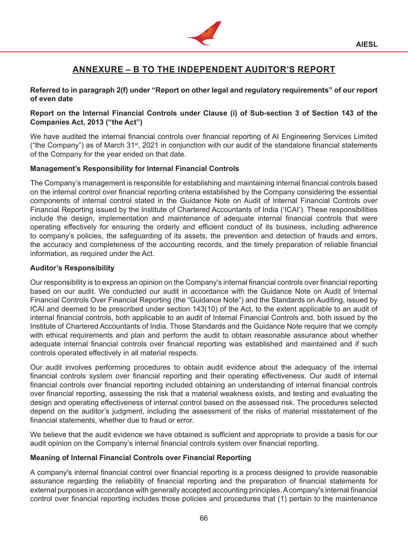

## **ANNEXURE – B TO THE INDEPENDENT AUDITOR'S REPORT**

**Referred to in paragraph 2(f) under "Report on other legal and regulatory requirements" of our report of even date**

### **Report on the Internal Financial Controls under Clause (i) of Sub-section 3 of Section 143 of the Companies Act, 2013 ("the Act")**

We have audited the internal financial controls over financial reporting of AI Engineering Services Limited ("the Company") as of March 31 $st$ , 2021 in conjunction with our audit of the standalone financial statements of the Company for the year ended on that date.

### **Management's Responsibility for Internal Financial Controls**

The Company's management is responsible for establishing and maintaining internal financial controls based on the internal control over financial reporting criteria established by the Company considering the essential components of internal control stated in the Guidance Note on Audit of Internal Financial Controls over Financial Reporting issued by the Institute of Chartered Accountants of India ('ICAI'). These responsibilities include the design, implementation and maintenance of adequate internal financial controls that were operating effectively for ensuring the orderly and efficient conduct of its business, including adherence to company's policies, the safeguarding of its assets, the prevention and detection of frauds and errors, the accuracy and completeness of the accounting records, and the timely preparation of reliable financial information, as required under the Act.

### **Auditor's Responsibility**

Our responsibility is to express an opinion on the Company's internal financial controls over financial reporting based on our audit. We conducted our audit in accordance with the Guidance Note on Audit of Internal Financial Controls Over Financial Reporting (the "Guidance Note") and the Standards on Auditing, issued by ICAI and deemed to be prescribed under section 143(10) of the Act, to the extent applicable to an audit of internal financial controls, both applicable to an audit of Internal Financial Controls and, both issued by the Institute of Chartered Accountants of India. Those Standards and the Guidance Note require that we comply with ethical requirements and plan and perform the audit to obtain reasonable assurance about whether adequate internal financial controls over financial reporting was established and maintained and if such controls operated effectively in all material respects.

Our audit involves performing procedures to obtain audit evidence about the adequacy of the internal financial controls system over financial reporting and their operating effectiveness. Our audit of internal financial controls over financial reporting included obtaining an understanding of internal financial controls over financial reporting, assessing the risk that a material weakness exists, and testing and evaluating the design and operating effectiveness of internal control based on the assessed risk. The procedures selected depend on the auditor's judgment, including the assessment of the risks of material misstatement of the financial statements, whether due to fraud or error.

We believe that the audit evidence we have obtained is sufficient and appropriate to provide a basis for our audit opinion on the Company's internal financial controls system over financial reporting.

### **Meaning of Internal Financial Controls over Financial Reporting**

A company's internal financial control over financial reporting is a process designed to provide reasonable assurance regarding the reliability of financial reporting and the preparation of financial statements for external purposes in accordance with generally accepted accounting principles. A company's internal financial control over financial reporting includes those policies and procedures that (1) pertain to the maintenance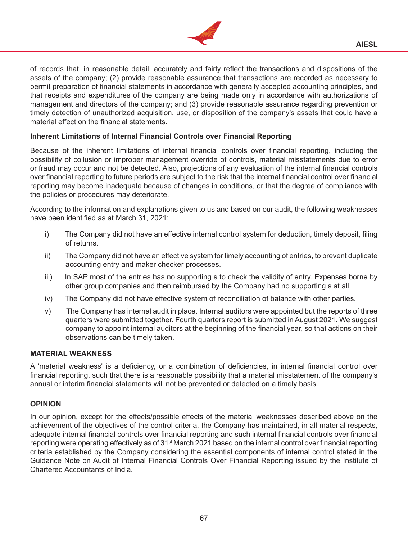

of records that, in reasonable detail, accurately and fairly reflect the transactions and dispositions of the assets of the company; (2) provide reasonable assurance that transactions are recorded as necessary to permit preparation of financial statements in accordance with generally accepted accounting principles, and that receipts and expenditures of the company are being made only in accordance with authorizations of management and directors of the company; and (3) provide reasonable assurance regarding prevention or timely detection of unauthorized acquisition, use, or disposition of the company's assets that could have a material effect on the financial statements.

### **Inherent Limitations of Internal Financial Controls over Financial Reporting**

Because of the inherent limitations of internal financial controls over financial reporting, including the possibility of collusion or improper management override of controls, material misstatements due to error or fraud may occur and not be detected. Also, projections of any evaluation of the internal financial controls over financial reporting to future periods are subject to the risk that the internal financial control over financial reporting may become inadequate because of changes in conditions, or that the degree of compliance with the policies or procedures may deteriorate.

According to the information and explanations given to us and based on our audit, the following weaknesses have been identified as at March 31, 2021:

- i) The Company did not have an effective internal control system for deduction, timely deposit, filing of returns.
- ii) The Company did not have an effective system for timely accounting of entries, to prevent duplicate accounting entry and maker checker processes.
- iii) In SAP most of the entries has no supporting s to check the validity of entry. Expenses borne by other group companies and then reimbursed by the Company had no supporting s at all.
- iv) The Company did not have effective system of reconciliation of balance with other parties.
- v) The Company has internal audit in place. Internal auditors were appointed but the reports of three quarters were submitted together. Fourth quarters report is submitted in August 2021. We suggest company to appoint internal auditors at the beginning of the financial year, so that actions on their observations can be timely taken.

### **MATERIAL WEAKNESS**

A 'material weakness' is a deficiency, or a combination of deficiencies, in internal financial control over financial reporting, such that there is a reasonable possibility that a material misstatement of the company's annual or interim financial statements will not be prevented or detected on a timely basis.

### **OPINION**

In our opinion, except for the effects/possible effects of the material weaknesses described above on the achievement of the objectives of the control criteria, the Company has maintained, in all material respects, adequate internal financial controls over financial reporting and such internal financial controls over financial reporting were operating effectively as of 31st March 2021 based on the internal control over financial reporting criteria established by the Company considering the essential components of internal control stated in the Guidance Note on Audit of Internal Financial Controls Over Financial Reporting issued by the Institute of Chartered Accountants of India.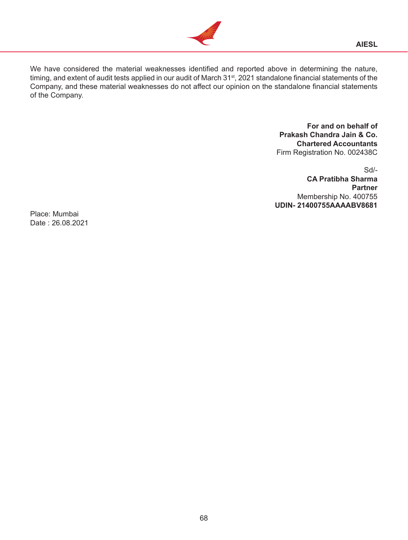We have considered the material weaknesses identified and reported above in determining the nature, timing, and extent of audit tests applied in our audit of March 31<sup>st</sup>, 2021 standalone financial statements of the Company, and these material weaknesses do not affect our opinion on the standalone financial statements of the Company.

> **For and on behalf of Prakash Chandra Jain & Co. Chartered Accountants** Firm Registration No. 002438C

> Sd/- **CA Pratibha Sharma Partner** Membership No. 400755 **UDIN- 21400755AAAABV8681**

Place: Mumbai Date : 26.08.2021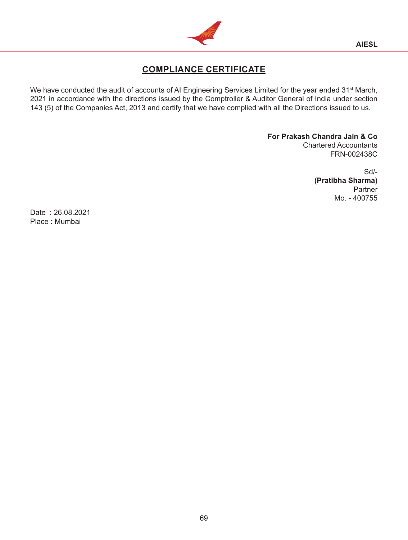

# **COMPLIANCE CERTIFICATE**

We have conducted the audit of accounts of AI Engineering Services Limited for the year ended 31<sup>st</sup> March, 2021 in accordance with the directions issued by the Comptroller & Auditor General of India under section 143 (5) of the Companies Act, 2013 and certify that we have complied with all the Directions issued to us.

**For Prakash Chandra Jain & Co**

Chartered Accountants FRN-002438C

> Sd/- **(Pratibha Sharma)** Partner Mo. - 400755

Date : 26.08.2021 Place : Mumbai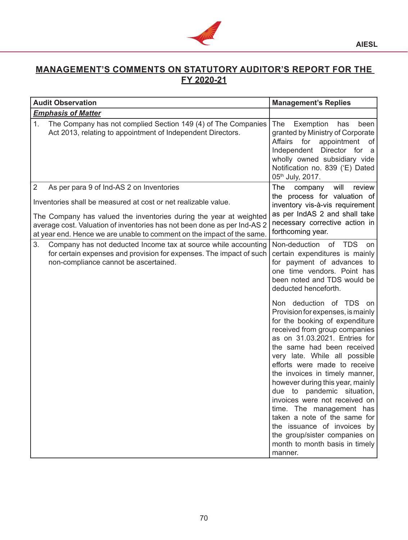

# **MANAGEMENT'S COMMENTS ON STATUTORY AUDITOR'S REPORT FOR THE FY 2020-21**

| <b>Audit Observation</b>                                                                                                                                                                                                 | <b>Management's Replies</b>                                                                                                                                                                                                                                                                                                                                                                                                                                                                                                                                                                                                                                                                                                                                        |  |
|--------------------------------------------------------------------------------------------------------------------------------------------------------------------------------------------------------------------------|--------------------------------------------------------------------------------------------------------------------------------------------------------------------------------------------------------------------------------------------------------------------------------------------------------------------------------------------------------------------------------------------------------------------------------------------------------------------------------------------------------------------------------------------------------------------------------------------------------------------------------------------------------------------------------------------------------------------------------------------------------------------|--|
| <b>Emphasis of Matter</b>                                                                                                                                                                                                |                                                                                                                                                                                                                                                                                                                                                                                                                                                                                                                                                                                                                                                                                                                                                                    |  |
| 1 <sub>1</sub><br>The Company has not complied Section 149 (4) of The Companies<br>Act 2013, relating to appointment of Independent Directors.                                                                           | The<br>Exemption<br>has<br>been<br>granted by Ministry of Corporate<br>Affairs<br>for<br>appointment of<br>Independent Director for a<br>wholly owned subsidiary vide<br>Notification no. 839 ('E) Dated<br>05th July, 2017.                                                                                                                                                                                                                                                                                                                                                                                                                                                                                                                                       |  |
| $\overline{2}$<br>As per para 9 of Ind-AS 2 on Inventories                                                                                                                                                               | The<br>will<br>review<br>company                                                                                                                                                                                                                                                                                                                                                                                                                                                                                                                                                                                                                                                                                                                                   |  |
| Inventories shall be measured at cost or net realizable value.                                                                                                                                                           | the process for valuation of<br>inventory vis-à-vis requirement                                                                                                                                                                                                                                                                                                                                                                                                                                                                                                                                                                                                                                                                                                    |  |
| The Company has valued the inventories during the year at weighted<br>average cost. Valuation of inventories has not been done as per Ind-AS 2<br>at year end. Hence we are unable to comment on the impact of the same. | as per IndAS 2 and shall take<br>necessary corrective action in<br>forthcoming year.                                                                                                                                                                                                                                                                                                                                                                                                                                                                                                                                                                                                                                                                               |  |
| 3.<br>Company has not deducted Income tax at source while accounting<br>for certain expenses and provision for expenses. The impact of such<br>non-compliance cannot be ascertained.                                     | Non-deduction of TDS<br>on.<br>certain expenditures is mainly<br>for payment of advances to<br>one time vendors. Point has<br>been noted and TDS would be<br>deducted henceforth.<br>Non deduction of TDS on<br>Provision for expenses, is mainly<br>for the booking of expenditure<br>received from group companies<br>as on 31.03.2021. Entries for<br>the same had been received<br>very late. While all possible<br>efforts were made to receive<br>the invoices in timely manner,<br>however during this year, mainly<br>due to pandemic situation,<br>invoices were not received on<br>time. The management has<br>taken a note of the same for<br>the issuance of invoices by<br>the group/sister companies on<br>month to month basis in timely<br>manner. |  |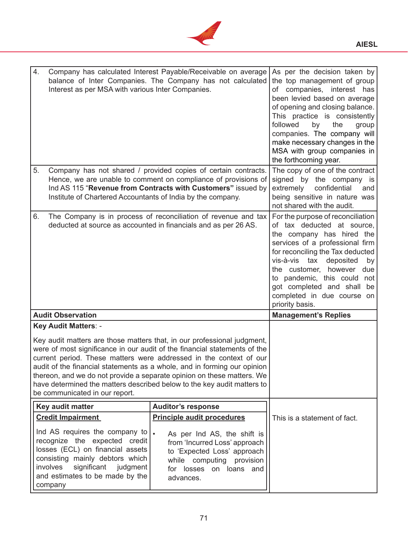

| 4.                                                                                                                                                                                                                                                                                                                                                                                                                                                                                            | Interest as per MSA with various Inter Companies.                                                                                                                                                                                                                 | Company has calculated Interest Payable/Receivable on average<br>balance of Inter Companies. The Company has not calculated                                                                                                                                                                                                                        | As per the decision taken by<br>the top management of group<br>of companies, interest has<br>been levied based on average<br>of opening and closing balance.<br>This practice is consistently<br>followed<br>by<br>the<br>group<br>companies. The company will<br>make necessary changes in the<br>MSA with group companies in<br>the forthcoming year. |
|-----------------------------------------------------------------------------------------------------------------------------------------------------------------------------------------------------------------------------------------------------------------------------------------------------------------------------------------------------------------------------------------------------------------------------------------------------------------------------------------------|-------------------------------------------------------------------------------------------------------------------------------------------------------------------------------------------------------------------------------------------------------------------|----------------------------------------------------------------------------------------------------------------------------------------------------------------------------------------------------------------------------------------------------------------------------------------------------------------------------------------------------|---------------------------------------------------------------------------------------------------------------------------------------------------------------------------------------------------------------------------------------------------------------------------------------------------------------------------------------------------------|
| 5.                                                                                                                                                                                                                                                                                                                                                                                                                                                                                            | Company has not shared / provided copies of certain contracts.<br>Hence, we are unable to comment on compliance of provisions of<br>Ind AS 115 "Revenue from Contracts with Customers" issued by<br>Institute of Chartered Accountants of India by the company.   |                                                                                                                                                                                                                                                                                                                                                    | The copy of one of the contract<br>signed by the company is<br>confidential<br>extremely<br>and<br>being sensitive in nature was<br>not shared with the audit.                                                                                                                                                                                          |
| The Company is in process of reconciliation of revenue and tax<br>6.<br>deducted at source as accounted in financials and as per 26 AS.                                                                                                                                                                                                                                                                                                                                                       |                                                                                                                                                                                                                                                                   | For the purpose of reconciliation<br>of tax deducted at source,<br>the company has hired the<br>services of a professional firm<br>for reconciling the Tax deducted<br>vis-à-vis tax<br>deposited<br>by<br>the customer, however due<br>to pandemic, this could not<br>got completed and shall be<br>completed in due course on<br>priority basis. |                                                                                                                                                                                                                                                                                                                                                         |
| <b>Audit Observation</b>                                                                                                                                                                                                                                                                                                                                                                                                                                                                      |                                                                                                                                                                                                                                                                   |                                                                                                                                                                                                                                                                                                                                                    | <b>Management's Replies</b>                                                                                                                                                                                                                                                                                                                             |
|                                                                                                                                                                                                                                                                                                                                                                                                                                                                                               | <b>Key Audit Matters: -</b>                                                                                                                                                                                                                                       |                                                                                                                                                                                                                                                                                                                                                    |                                                                                                                                                                                                                                                                                                                                                         |
| Key audit matters are those matters that, in our professional judgment,<br>were of most significance in our audit of the financial statements of the<br>current period. These matters were addressed in the context of our<br>audit of the financial statements as a whole, and in forming our opinion<br>thereon, and we do not provide a separate opinion on these matters. We<br>have determined the matters described below to the key audit matters to<br>be communicated in our report. |                                                                                                                                                                                                                                                                   |                                                                                                                                                                                                                                                                                                                                                    |                                                                                                                                                                                                                                                                                                                                                         |
|                                                                                                                                                                                                                                                                                                                                                                                                                                                                                               | Key audit matter                                                                                                                                                                                                                                                  | <b>Auditor's response</b>                                                                                                                                                                                                                                                                                                                          |                                                                                                                                                                                                                                                                                                                                                         |
|                                                                                                                                                                                                                                                                                                                                                                                                                                                                                               | <b>Credit Impairment</b><br>Ind AS requires the company to $\mathbf{.}$<br>recognize the expected credit<br>losses (ECL) on financial assets<br>consisting mainly debtors which<br>involves<br>significant judgment<br>and estimates to be made by the<br>company | <b>Principle audit procedures</b><br>As per Ind AS, the shift is<br>from 'Incurred Loss' approach<br>to 'Expected Loss' approach<br>while computing provision<br>for losses on loans and<br>advances.                                                                                                                                              | This is a statement of fact.                                                                                                                                                                                                                                                                                                                            |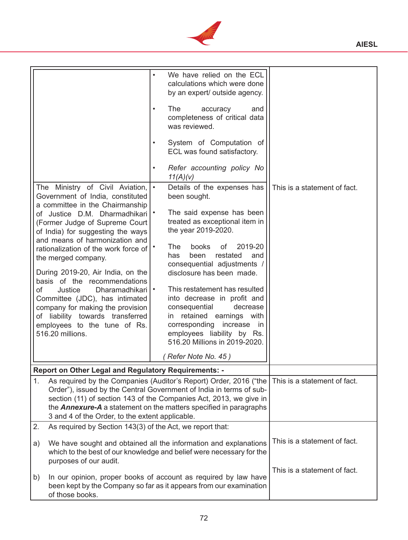

|                                                                                                                                                                                                   | We have relied on the ECL<br>$\bullet$<br>calculations which were done<br>by an expert/ outside agency.                                                                                                                                                                                    |                              |
|---------------------------------------------------------------------------------------------------------------------------------------------------------------------------------------------------|--------------------------------------------------------------------------------------------------------------------------------------------------------------------------------------------------------------------------------------------------------------------------------------------|------------------------------|
|                                                                                                                                                                                                   | The<br>accuracy<br>and<br>$\bullet$<br>completeness of critical data<br>was reviewed.                                                                                                                                                                                                      |                              |
|                                                                                                                                                                                                   | System of Computation of<br>$\bullet$<br>ECL was found satisfactory.                                                                                                                                                                                                                       |                              |
|                                                                                                                                                                                                   | Refer accounting policy No<br>$\bullet$<br>11(A)(v)                                                                                                                                                                                                                                        |                              |
| The Ministry of Civil Aviation,<br>Government of India, constituted<br>a committee in the Chairmanship                                                                                            | Details of the expenses has<br>$\bullet$<br>been sought.                                                                                                                                                                                                                                   | This is a statement of fact. |
| of Justice D.M. Dharmadhikari   •<br>(Former Judge of Supreme Court<br>of India) for suggesting the ways                                                                                          | The said expense has been<br>treated as exceptional item in<br>the year 2019-2020.                                                                                                                                                                                                         |                              |
| and means of harmonization and<br>rationalization of the work force of<br>the merged company.                                                                                                     | of<br>2019-20<br>The<br>books<br>been<br>restated<br>and<br>has<br>consequential adjustments /                                                                                                                                                                                             |                              |
| During 2019-20, Air India, on the<br>basis of the recommendations                                                                                                                                 | disclosure has been made.                                                                                                                                                                                                                                                                  |                              |
| Dharamadhikari   •<br>of<br>Justice<br>Committee (JDC), has intimated<br>company for making the provision<br>of liability towards transferred<br>employees to the tune of Rs.<br>516.20 millions. | This restatement has resulted<br>into decrease in profit and<br>decrease<br>consequential<br>in retained earnings with<br>corresponding increase<br>in<br>employees liability by Rs.<br>516.20 Millions in 2019-2020.                                                                      |                              |
|                                                                                                                                                                                                   | Refer Note No. 45)                                                                                                                                                                                                                                                                         |                              |
| <b>Report on Other Legal and Regulatory Requirements: -</b>                                                                                                                                       |                                                                                                                                                                                                                                                                                            |                              |
| 1.<br>3 and 4 of the Order, to the extent applicable.                                                                                                                                             | As required by the Companies (Auditor's Report) Order, 2016 ("the<br>Order"), issued by the Central Government of India in terms of sub-<br>section (11) of section 143 of the Companies Act, 2013, we give in<br>the <b>Annexure-A</b> a statement on the matters specified in paragraphs | This is a statement of fact. |
| 2.<br>As required by Section 143(3) of the Act, we report that:                                                                                                                                   |                                                                                                                                                                                                                                                                                            |                              |
| a)<br>purposes of our audit.                                                                                                                                                                      | We have sought and obtained all the information and explanations<br>which to the best of our knowledge and belief were necessary for the                                                                                                                                                   |                              |
| In our opinion, proper books of account as required by law have<br>b)<br>been kept by the Company so far as it appears from our examination<br>of those books.                                    | This is a statement of fact.                                                                                                                                                                                                                                                               |                              |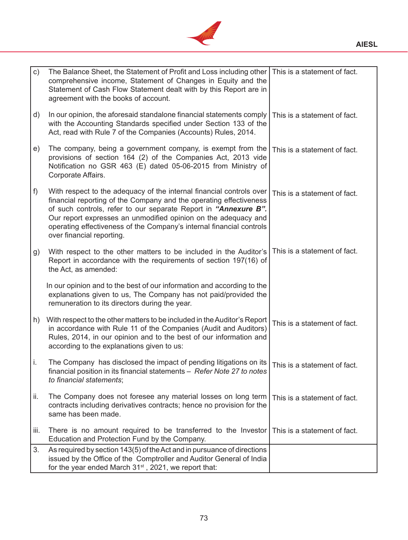

| c)   | The Balance Sheet, the Statement of Profit and Loss including other   This is a statement of fact.<br>comprehensive income, Statement of Changes in Equity and the<br>Statement of Cash Flow Statement dealt with by this Report are in<br>agreement with the books of account.                                                                                                      |                              |
|------|--------------------------------------------------------------------------------------------------------------------------------------------------------------------------------------------------------------------------------------------------------------------------------------------------------------------------------------------------------------------------------------|------------------------------|
| d)   | In our opinion, the aforesaid standalone financial statements comply<br>with the Accounting Standards specified under Section 133 of the<br>Act, read with Rule 7 of the Companies (Accounts) Rules, 2014.                                                                                                                                                                           | This is a statement of fact. |
| e)   | The company, being a government company, is exempt from the<br>provisions of section 164 (2) of the Companies Act, 2013 vide<br>Notification no GSR 463 (E) dated 05-06-2015 from Ministry of<br>Corporate Affairs.                                                                                                                                                                  | This is a statement of fact. |
| f)   | With respect to the adequacy of the internal financial controls over<br>financial reporting of the Company and the operating effectiveness<br>of such controls, refer to our separate Report in "Annexure B".<br>Our report expresses an unmodified opinion on the adequacy and<br>operating effectiveness of the Company's internal financial controls<br>over financial reporting. | This is a statement of fact. |
| g)   | With respect to the other matters to be included in the Auditor's   This is a statement of fact.<br>Report in accordance with the requirements of section 197(16) of<br>the Act, as amended:                                                                                                                                                                                         |                              |
|      | In our opinion and to the best of our information and according to the<br>explanations given to us, The Company has not paid/provided the<br>remuneration to its directors during the year.                                                                                                                                                                                          |                              |
| h)   | With respect to the other matters to be included in the Auditor's Report<br>in accordance with Rule 11 of the Companies (Audit and Auditors)<br>Rules, 2014, in our opinion and to the best of our information and<br>according to the explanations given to us:                                                                                                                     | This is a statement of fact. |
|      | The Company has disclosed the impact of pending litigations on its $\mid$ This is a statement of fact.<br>financial position in its financial statements - Refer Note 27 to notes<br>to financial statements;                                                                                                                                                                        |                              |
| ii.  | The Company does not foresee any material losses on long term<br>contracts including derivatives contracts; hence no provision for the<br>same has been made.                                                                                                                                                                                                                        | This is a statement of fact. |
| iii. | There is no amount required to be transferred to the Investor This is a statement of fact.<br>Education and Protection Fund by the Company.                                                                                                                                                                                                                                          |                              |
| 3.   | As required by section 143(5) of the Act and in pursuance of directions<br>issued by the Office of the Comptroller and Auditor General of India<br>for the year ended March 31 <sup>st</sup> , 2021, we report that:                                                                                                                                                                 |                              |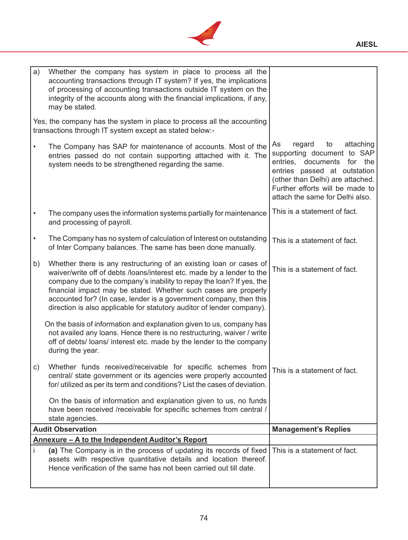

| a) | Whether the company has system in place to process all the<br>accounting transactions through IT system? If yes, the implications<br>of processing of accounting transactions outside IT system on the<br>integrity of the accounts along with the financial implications, if any,<br>may be stated.                                                                                                                                     |                                                                                                                                                                                                                                       |
|----|------------------------------------------------------------------------------------------------------------------------------------------------------------------------------------------------------------------------------------------------------------------------------------------------------------------------------------------------------------------------------------------------------------------------------------------|---------------------------------------------------------------------------------------------------------------------------------------------------------------------------------------------------------------------------------------|
|    | Yes, the company has the system in place to process all the accounting<br>transactions through IT system except as stated below:-                                                                                                                                                                                                                                                                                                        |                                                                                                                                                                                                                                       |
|    | The Company has SAP for maintenance of accounts. Most of the<br>entries passed do not contain supporting attached with it. The<br>system needs to be strengthened regarding the same.                                                                                                                                                                                                                                                    | attaching<br>As<br>regard<br>to<br>supporting document to SAP<br>entries, documents for the<br>entries passed at outstation<br>(other than Delhi) are attached.<br>Further efforts will be made to<br>attach the same for Delhi also. |
|    | The company uses the information systems partially for maintenance<br>and processing of payroll.                                                                                                                                                                                                                                                                                                                                         | This is a statement of fact.                                                                                                                                                                                                          |
|    | The Company has no system of calculation of Interest on outstanding<br>of Inter Company balances. The same has been done manually.                                                                                                                                                                                                                                                                                                       | This is a statement of fact.                                                                                                                                                                                                          |
| b) | Whether there is any restructuring of an existing loan or cases of<br>waiver/write off of debts /loans/interest etc. made by a lender to the<br>company due to the company's inability to repay the loan? If yes, the<br>financial impact may be stated. Whether such cases are properly<br>accounted for? (In case, lender is a government company, then this<br>direction is also applicable for statutory auditor of lender company). | This is a statement of fact.                                                                                                                                                                                                          |
|    | On the basis of information and explanation given to us, company has<br>not availed any loans. Hence there is no restructuring, waiver / write<br>off of debts/ loans/ interest etc. made by the lender to the company<br>during the year.                                                                                                                                                                                               |                                                                                                                                                                                                                                       |
| C) | Whether funds received/receivable for specific schemes from<br>central/ state government or its agencies were properly accounted<br>for/utilized as per its term and conditions? List the cases of deviation.                                                                                                                                                                                                                            | This is a statement of fact.                                                                                                                                                                                                          |
|    | On the basis of information and explanation given to us, no funds<br>have been received /receivable for specific schemes from central /<br>state agencies.                                                                                                                                                                                                                                                                               |                                                                                                                                                                                                                                       |
|    | <b>Audit Observation</b>                                                                                                                                                                                                                                                                                                                                                                                                                 | <b>Management's Replies</b>                                                                                                                                                                                                           |
|    | Annexure - A to the Independent Auditor's Report                                                                                                                                                                                                                                                                                                                                                                                         |                                                                                                                                                                                                                                       |
|    | (a) The Company is in the process of updating its records of fixed<br>assets with respective quantitative details and location thereof.<br>Hence verification of the same has not been carried out till date.                                                                                                                                                                                                                            | This is a statement of fact.                                                                                                                                                                                                          |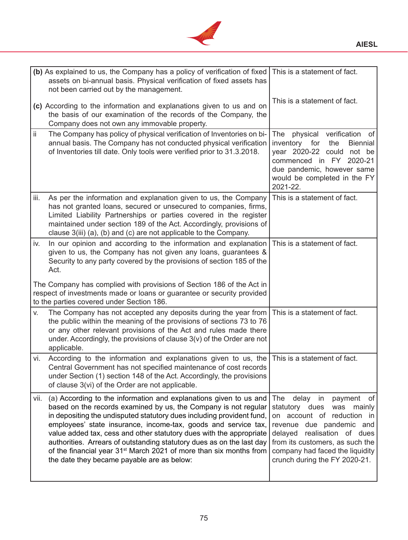

|      | (b) As explained to us, the Company has a policy of verification of fixed<br>assets on bi-annual basis. Physical verification of fixed assets has<br>not been carried out by the management.                                                                                                                                                                                                                                                                                                                                                                    | This is a statement of fact.                                                                                                                                                                                                                                           |  |  |
|------|-----------------------------------------------------------------------------------------------------------------------------------------------------------------------------------------------------------------------------------------------------------------------------------------------------------------------------------------------------------------------------------------------------------------------------------------------------------------------------------------------------------------------------------------------------------------|------------------------------------------------------------------------------------------------------------------------------------------------------------------------------------------------------------------------------------------------------------------------|--|--|
|      | (c) According to the information and explanations given to us and on<br>the basis of our examination of the records of the Company, the<br>Company does not own any immovable property.                                                                                                                                                                                                                                                                                                                                                                         | This is a statement of fact.                                                                                                                                                                                                                                           |  |  |
| ii.  | The Company has policy of physical verification of Inventories on bi-<br>annual basis. The Company has not conducted physical verification<br>of Inventories till date. Only tools were verified prior to 31.3.2018.                                                                                                                                                                                                                                                                                                                                            | The physical verification of<br>inventory for<br>the<br><b>Biennial</b><br>year 2020-22 could not be<br>commenced in FY 2020-21<br>due pandemic, however same<br>would be completed in the FY<br>2021-22.                                                              |  |  |
| iii. | As per the information and explanation given to us, the Company<br>has not granted loans, secured or unsecured to companies, firms,<br>Limited Liability Partnerships or parties covered in the register<br>maintained under section 189 of the Act. Accordingly, provisions of<br>clause 3(iii) (a), (b) and (c) are not applicable to the Company.                                                                                                                                                                                                            | This is a statement of fact.                                                                                                                                                                                                                                           |  |  |
| iv.  | In our opinion and according to the information and explanation<br>given to us, the Company has not given any loans, guarantees &<br>Security to any party covered by the provisions of section 185 of the<br>Act.                                                                                                                                                                                                                                                                                                                                              | This is a statement of fact.                                                                                                                                                                                                                                           |  |  |
|      | The Company has complied with provisions of Section 186 of the Act in<br>respect of investments made or loans or guarantee or security provided<br>to the parties covered under Section 186.                                                                                                                                                                                                                                                                                                                                                                    |                                                                                                                                                                                                                                                                        |  |  |
| V.   | The Company has not accepted any deposits during the year from<br>the public within the meaning of the provisions of sections 73 to 76<br>or any other relevant provisions of the Act and rules made there<br>under. Accordingly, the provisions of clause $3(v)$ of the Order are not<br>applicable.                                                                                                                                                                                                                                                           | This is a statement of fact.                                                                                                                                                                                                                                           |  |  |
| vi.  | According to the information and explanations given to us, the This is a statement of fact.<br>Central Government has not specified maintenance of cost records<br>under Section (1) section 148 of the Act. Accordingly, the provisions<br>of clause 3(vi) of the Order are not applicable.                                                                                                                                                                                                                                                                    |                                                                                                                                                                                                                                                                        |  |  |
| vii. | (a) According to the information and explanations given to us and<br>based on the records examined by us, the Company is not regular<br>in depositing the undisputed statutory dues including provident fund,<br>employees' state insurance, income-tax, goods and service tax,<br>value added tax, cess and other statutory dues with the appropriate<br>authorities. Arrears of outstanding statutory dues as on the last day<br>of the financial year 31 <sup>st</sup> March 2021 of more than six months from<br>the date they became payable are as below: | The<br>delay<br>in<br>payment<br>of<br>statutory dues<br>was<br>mainly<br>on account of reduction in<br>revenue due pandemic and<br>delayed realisation of dues<br>from its customers, as such the<br>company had faced the liquidity<br>crunch during the FY 2020-21. |  |  |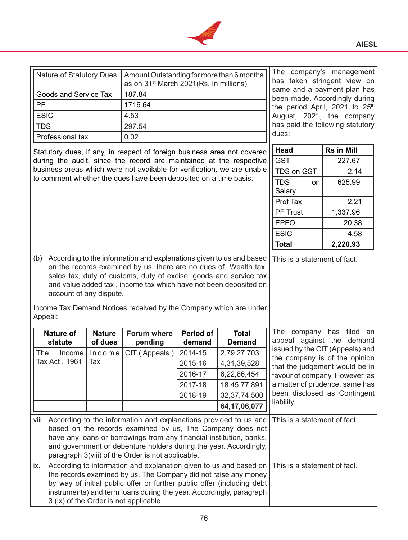The company's management has taken stringent view on same and a payment plan has been made. Accordingly during the period April, 2021 to 25<sup>th</sup> August, 2021, the company has paid the following statutory dues:

| Head              | <b>Rs in Mill</b> |
|-------------------|-------------------|
| <b>GST</b>        | 227.67            |
| <b>TDS on GST</b> | 2.14              |
| <b>TDS</b><br>on  | 625.99            |
| Salary            |                   |
| Prof Tax          | 2.21              |
| <b>PF Trust</b>   | 1,337.96          |
| EPFO              | 20.38             |
| <b>ESIC</b>       | 4.58              |
| Total             | 2.220.93          |

(b) According to the information and explanations given to us and based This is a statement of fact. on the records examined by us, there are no dues of Wealth tax, sales tax, duty of customs, duty of excise, goods and service tax and value added tax , income tax which have not been deposited on account of any dispute.

Nature of Statutory Dues  $\vert$  Amount Outstanding for more than 6 months

Statutory dues, if any, in respect of foreign business area not covered during the audit, since the record are maintained at the respective business areas which were not available for verification, we are unable to comment whether the dues have been deposited on a time basis.

Goods and Service Tax | 187.84 PF 1716.64 ESIC 4.53 TDS 297.54 Professional tax 10.02

Income Tax Demand Notices received by the Company which are under Appeal:

| <b>Nature of</b><br>statute |                                                                                                                                                                                                                                                                                                                                                                   | <b>Nature</b><br>of dues | Forum where<br>pending | Period of<br>demand | Total<br><b>Demand</b> | The company has filed an<br>appeal against the demand           |  |  |
|-----------------------------|-------------------------------------------------------------------------------------------------------------------------------------------------------------------------------------------------------------------------------------------------------------------------------------------------------------------------------------------------------------------|--------------------------|------------------------|---------------------|------------------------|-----------------------------------------------------------------|--|--|
| The                         | Income I                                                                                                                                                                                                                                                                                                                                                          | Income                   | CIT (Appeals)          | 2014-15             | 2,79,27,703            | issued by the CIT (Appeals) and                                 |  |  |
|                             | Tax Act , 1961                                                                                                                                                                                                                                                                                                                                                    | Tax                      |                        | 2015-16             | 4,31,39,528            | the company is of the opinion<br>that the judgement would be in |  |  |
|                             |                                                                                                                                                                                                                                                                                                                                                                   |                          |                        | 2016-17             | 6,22,86,454            | favour of company. However, as                                  |  |  |
|                             |                                                                                                                                                                                                                                                                                                                                                                   |                          |                        | 2017-18             | 18,45,77,891           | a matter of prudence, same has                                  |  |  |
|                             |                                                                                                                                                                                                                                                                                                                                                                   |                          |                        | 2018-19             | 32, 37, 74, 500        | been disclosed as Contingent                                    |  |  |
|                             |                                                                                                                                                                                                                                                                                                                                                                   |                          |                        |                     | 64, 17, 06, 077        | liability.                                                      |  |  |
|                             | viii. According to the information and explanations provided to us and This is a statement of fact.<br>based on the records examined by us, The Company does not<br>have any loans or borrowings from any financial institution, banks,<br>and government or debenture holders during the year. Accordingly,<br>paragraph 3(viii) of the Order is not applicable. |                          |                        |                     |                        |                                                                 |  |  |
| ix.                         | According to information and explanation given to us and based on   This is a statement of fact.<br>the records examined by us, The Company did not raise any money<br>by way of initial public offer or further public offer (including debt<br>instruments) and term loans during the year. Accordingly, paragraph<br>3 (ix) of the Order is not applicable.    |                          |                        |                     |                        |                                                                 |  |  |



as on 31st March 2021(Rs. In millions)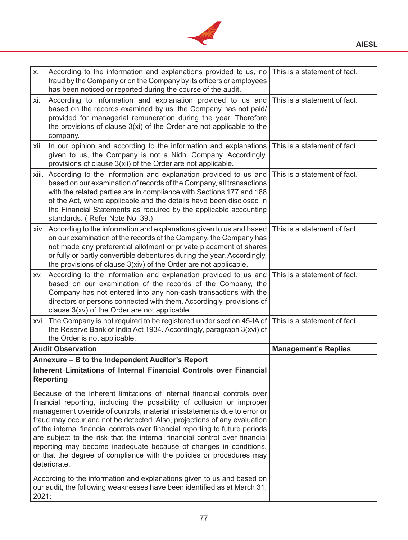

| X.    | According to the information and explanations provided to us, no<br>fraud by the Company or on the Company by its officers or employees<br>has been noticed or reported during the course of the audit.                                                                                                                                                                                                                                                                                                                                                                                                                                                                                                         | This is a statement of fact. |
|-------|-----------------------------------------------------------------------------------------------------------------------------------------------------------------------------------------------------------------------------------------------------------------------------------------------------------------------------------------------------------------------------------------------------------------------------------------------------------------------------------------------------------------------------------------------------------------------------------------------------------------------------------------------------------------------------------------------------------------|------------------------------|
| xi.   | According to information and explanation provided to us and<br>based on the records examined by us, the Company has not paid/<br>provided for managerial remuneration during the year. Therefore<br>the provisions of clause $3(xi)$ of the Order are not applicable to the<br>company.                                                                                                                                                                                                                                                                                                                                                                                                                         | This is a statement of fact. |
| XII.  | In our opinion and according to the information and explanations<br>given to us, the Company is not a Nidhi Company. Accordingly,<br>provisions of clause 3(xii) of the Order are not applicable.                                                                                                                                                                                                                                                                                                                                                                                                                                                                                                               | This is a statement of fact. |
|       | xiii. According to the information and explanation provided to us and<br>based on our examination of records of the Company, all transactions<br>with the related parties are in compliance with Sections 177 and 188<br>of the Act, where applicable and the details have been disclosed in<br>the Financial Statements as required by the applicable accounting<br>standards. (Refer Note No 39.)                                                                                                                                                                                                                                                                                                             | This is a statement of fact. |
|       | xiv. According to the information and explanations given to us and based<br>on our examination of the records of the Company, the Company has<br>not made any preferential allotment or private placement of shares<br>or fully or partly convertible debentures during the year. Accordingly,<br>the provisions of clause 3(xiv) of the Order are not applicable.                                                                                                                                                                                                                                                                                                                                              | This is a statement of fact. |
| XV.   | According to the information and explanation provided to us and<br>based on our examination of the records of the Company, the<br>Company has not entered into any non-cash transactions with the<br>directors or persons connected with them. Accordingly, provisions of<br>clause 3(xv) of the Order are not applicable.                                                                                                                                                                                                                                                                                                                                                                                      | This is a statement of fact. |
|       | xvi. The Company is not required to be registered under section 45-IA of<br>the Reserve Bank of India Act 1934. Accordingly, paragraph 3(xvi) of<br>the Order is not applicable.                                                                                                                                                                                                                                                                                                                                                                                                                                                                                                                                | This is a statement of fact. |
|       | <b>Audit Observation</b>                                                                                                                                                                                                                                                                                                                                                                                                                                                                                                                                                                                                                                                                                        | <b>Management's Replies</b>  |
|       | Annexure - B to the Independent Auditor's Report                                                                                                                                                                                                                                                                                                                                                                                                                                                                                                                                                                                                                                                                |                              |
|       | Inherent Limitations of Internal Financial Controls over Financial<br><b>Reporting</b>                                                                                                                                                                                                                                                                                                                                                                                                                                                                                                                                                                                                                          |                              |
|       | Because of the inherent limitations of internal financial controls over<br>financial reporting, including the possibility of collusion or improper<br>management override of controls, material misstatements due to error or<br>fraud may occur and not be detected. Also, projections of any evaluation<br>of the internal financial controls over financial reporting to future periods<br>are subject to the risk that the internal financial control over financial<br>reporting may become inadequate because of changes in conditions,<br>or that the degree of compliance with the policies or procedures may<br>deteriorate.<br>According to the information and explanations given to us and based on |                              |
| 2021: | our audit, the following weaknesses have been identified as at March 31,                                                                                                                                                                                                                                                                                                                                                                                                                                                                                                                                                                                                                                        |                              |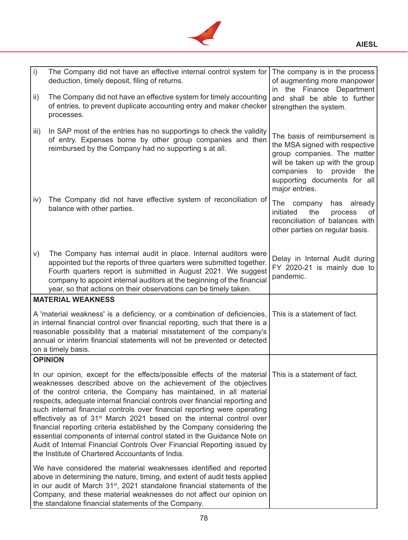

| i)            | The Company did not have an effective internal control system for<br>deduction, timely deposit, filing of returns.                                                                                                                                                                                                                                                                                                                                                                                                                                                                                                                                                                                                                                     | The company is in the process<br>of augmenting more manpower<br>in the Finance Department                                                                                                                       |  |
|---------------|--------------------------------------------------------------------------------------------------------------------------------------------------------------------------------------------------------------------------------------------------------------------------------------------------------------------------------------------------------------------------------------------------------------------------------------------------------------------------------------------------------------------------------------------------------------------------------------------------------------------------------------------------------------------------------------------------------------------------------------------------------|-----------------------------------------------------------------------------------------------------------------------------------------------------------------------------------------------------------------|--|
| $\mathsf{ii}$ | The Company did not have an effective system for timely accounting<br>of entries, to prevent duplicate accounting entry and maker checker<br>processes.                                                                                                                                                                                                                                                                                                                                                                                                                                                                                                                                                                                                | and shall be able to further<br>strengthen the system.                                                                                                                                                          |  |
| iii)          | In SAP most of the entries has no supportings to check the validity<br>of entry. Expenses borne by other group companies and then<br>reimbursed by the Company had no supporting s at all.                                                                                                                                                                                                                                                                                                                                                                                                                                                                                                                                                             | The basis of reimbursement is<br>the MSA signed with respective<br>group companies. The matter<br>will be taken up with the group<br>companies to provide the<br>supporting documents for all<br>major entries. |  |
| iv)           | The Company did not have effective system of reconciliation of<br>balance with other parties.                                                                                                                                                                                                                                                                                                                                                                                                                                                                                                                                                                                                                                                          | The company<br>has already<br>initiated<br>the<br>process<br>of<br>reconciliation of balances with<br>other parties on regular basis.                                                                           |  |
| V)            | The Company has internal audit in place. Internal auditors were<br>appointed but the reports of three quarters were submitted together.<br>Fourth quarters report is submitted in August 2021. We suggest<br>company to appoint internal auditors at the beginning of the financial<br>year, so that actions on their observations can be timely taken.                                                                                                                                                                                                                                                                                                                                                                                                | Delay in Internal Audit during<br>FY 2020-21 is mainly due to<br>pandemic.                                                                                                                                      |  |
|               | <b>MATERIAL WEAKNESS</b>                                                                                                                                                                                                                                                                                                                                                                                                                                                                                                                                                                                                                                                                                                                               |                                                                                                                                                                                                                 |  |
|               | A 'material weakness' is a deficiency, or a combination of deficiencies,<br>in internal financial control over financial reporting, such that there is a<br>reasonable possibility that a material misstatement of the company's<br>annual or interim financial statements will not be prevented or detected<br>on a timely basis.                                                                                                                                                                                                                                                                                                                                                                                                                     | This is a statement of fact.                                                                                                                                                                                    |  |
|               | <b>OPINION</b>                                                                                                                                                                                                                                                                                                                                                                                                                                                                                                                                                                                                                                                                                                                                         |                                                                                                                                                                                                                 |  |
|               | In our opinion, except for the effects/possible effects of the material<br>weaknesses described above on the achievement of the objectives<br>of the control criteria, the Company has maintained, in all material<br>respects, adequate internal financial controls over financial reporting and<br>such internal financial controls over financial reporting were operating<br>effectively as of 31 <sup>st</sup> March 2021 based on the internal control over<br>financial reporting criteria established by the Company considering the<br>essential components of internal control stated in the Guidance Note on<br>Audit of Internal Financial Controls Over Financial Reporting issued by<br>the Institute of Chartered Accountants of India. | This is a statement of fact.                                                                                                                                                                                    |  |
|               | We have considered the material weaknesses identified and reported<br>above in determining the nature, timing, and extent of audit tests applied<br>in our audit of March 31 <sup>st</sup> , 2021 standalone financial statements of the<br>Company, and these material weaknesses do not affect our opinion on<br>the standalone financial statements of the Company.                                                                                                                                                                                                                                                                                                                                                                                 |                                                                                                                                                                                                                 |  |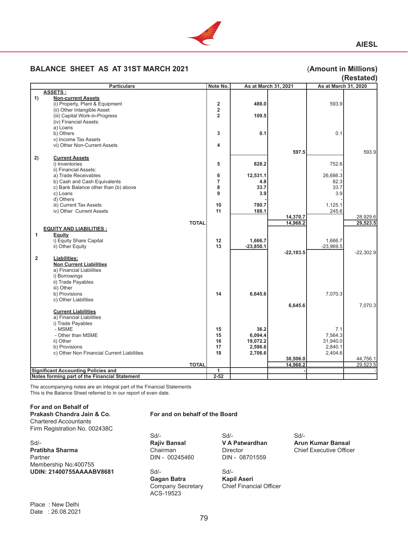

#### **AIESL**

#### **BALANCE SHEET AS AT 31ST MARCH 2021** (**Amount in Millions)**

|                |                                               |              |                |             |                      |                      | (Restated)  |
|----------------|-----------------------------------------------|--------------|----------------|-------------|----------------------|----------------------|-------------|
|                | <b>Particulars</b>                            |              | Note No.       |             | As at March 31, 2021 | As at March 31, 2020 |             |
|                | <b>ASSETS:</b>                                |              |                |             |                      |                      |             |
| 1)             | <b>Non-current Assets</b>                     |              |                |             |                      |                      |             |
|                | (i) Property, Plant & Equipment               |              | $\overline{2}$ | 488.0       |                      | 593.9                |             |
|                | (ii) Other Intangible Asset                   |              | $\overline{2}$ |             |                      |                      |             |
|                | (iii) Capital Work-in-Progress                |              | $\overline{2}$ | 109.5       |                      |                      |             |
|                | (iv) Financial Assets:                        |              |                |             |                      |                      |             |
|                | a) Loans                                      |              |                |             |                      |                      |             |
|                | b) Others                                     |              | 3              | 0.1         |                      | 0.1                  |             |
|                | v) Income Tax Assets                          |              |                |             |                      |                      |             |
|                | vi) Other Non-Current Assets                  |              | 4              |             |                      |                      |             |
|                |                                               |              |                |             |                      |                      | 593.9       |
|                |                                               |              |                |             | 597.5                |                      |             |
| 2)             | <b>Current Assets</b>                         |              |                |             |                      |                      |             |
|                | i) Inventories                                |              | 5              | 828.2       |                      | 752.6                |             |
|                | ii) Financial Assets:                         |              |                |             |                      |                      |             |
|                | a) Trade Receivables                          |              | 6              | 12,531.1    |                      | 26,686.3             |             |
|                | b) Cash and Cash Equivalents                  |              | $\overline{7}$ | 4.8         |                      | 82.3                 |             |
|                | c) Bank Balance other than (b) above          |              | 8              | 33.7        |                      | 33.7                 |             |
|                | c) Loans                                      |              | 9              | 3.9         |                      | 3.9                  |             |
|                | d) Others                                     |              |                |             |                      |                      |             |
|                | iii) Current Tax Assets                       |              | 10             | 780.7       |                      | 1,125.1              |             |
|                | iv) Other Current Assets                      |              | 11             | 188.1       |                      | 245.6                |             |
|                |                                               |              |                |             | 14,370.7             |                      | 28,929.6    |
|                |                                               | <b>TOTAL</b> |                |             | 14,968.2             |                      | 29,523.5    |
|                | <b>EQUITY AND LIABILITIES:</b>                |              |                |             |                      |                      |             |
| 1              | Equity                                        |              |                |             |                      |                      |             |
|                | i) Equity Share Capital                       |              | 12             | 1,666.7     |                      | 1,666.7              |             |
|                | ii) Other Equity                              |              | 13             | $-23,850.1$ |                      | $-23,969.5$          |             |
|                |                                               |              |                |             | $-22,183.5$          |                      | $-22,302.9$ |
| $\overline{2}$ | Liabilities:                                  |              |                |             |                      |                      |             |
|                | <b>Non Current Liabilities</b>                |              |                |             |                      |                      |             |
|                |                                               |              |                |             |                      |                      |             |
|                | a) Financial Liabilities                      |              |                |             |                      |                      |             |
|                | i) Borrowings                                 |              |                |             |                      |                      |             |
|                | ii) Trade Payables                            |              |                |             |                      |                      |             |
|                | iii) Other                                    |              |                |             |                      |                      |             |
|                | b) Provisions                                 |              | 14             | 6,645.6     |                      | 7,070.3              |             |
|                | c) Other Liabilities                          |              |                |             |                      |                      |             |
|                |                                               |              |                |             | 6,645.6              |                      | 7,070.3     |
|                | <b>Current Liabilities</b>                    |              |                |             |                      |                      |             |
|                | a) Financial Liabilities                      |              |                |             |                      |                      |             |
|                | i) Trade Payables                             |              |                |             |                      |                      |             |
|                | - MSME                                        |              | 15             | 36.2        |                      | 7.1                  |             |
|                | - Other than MSME                             |              | 15             | 6,094.4     |                      | 7,564.3              |             |
|                | ii) Other                                     |              | 16             | 19,072.2    |                      | 31,940.0             |             |
|                | b) Provisions                                 |              | 17             | 2,596.6     |                      | 2,840.1              |             |
|                | c) Other Non Financial Current Liabilities    |              | 18             | 2,706.6     |                      | 2,404.6              |             |
|                |                                               |              |                |             | 30,506.0             |                      | 44,756.1    |
|                |                                               | <b>TOTAL</b> |                |             | 14,968.2             |                      | 29,523.5    |
|                | <b>Significant Accounting Policies and</b>    |              | 1              |             |                      |                      |             |
|                | Notes forming part of the Financial Statement |              | $2 - 52$       |             |                      |                      |             |
|                |                                               |              |                |             |                      |                      |             |

The accompanying notes are an integral part of the Financial Statements This is the Balance Sheet referred to in our report of even date.

**For and on Behalf of** Chartered Accountants Firm Registration No. 002438C

Sd/- **Rajiv Bansal V A Patwardhan Arun Kumar Bansal** Partner 20215460 DIN - 00245460 DIN - 08701559 Membership No:400755

Place : New Delhi Date : 26.08.2021

#### For and on behalf of the Board

**UDIN: 21400755AAAABV8681** Sd/- Sd/- Company Secretary ACS-19523

Sd/- Sd/- Sd/-

**Gagan Batra Mapil Aseri<br>
Company Secretary Chief Financial Officer** 

**Chief Executive Officer**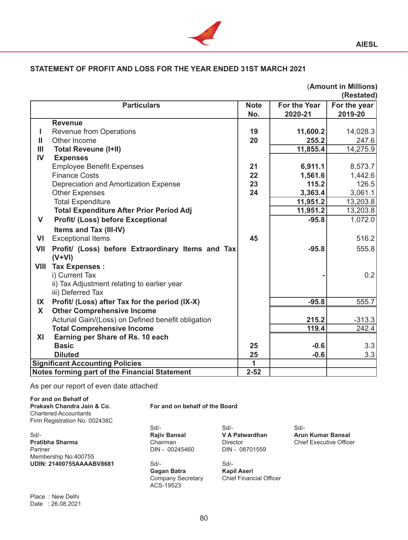

## **STATEMENT OF PROFIT AND LOSS FOR THE YEAR ENDED 31ST MARCH 2021**

|              |                                                    |             |              | (Restated)   |
|--------------|----------------------------------------------------|-------------|--------------|--------------|
|              | <b>Particulars</b>                                 | <b>Note</b> | For the Year | For the year |
|              |                                                    | No.         | 2020-21      | 2019-20      |
|              | <b>Revenue</b>                                     |             |              |              |
|              | <b>Revenue from Operations</b>                     | 19          | 11,600.2     | 14,028.3     |
| Ш            | Other Income                                       | 20          | 255.2        | 247.6        |
| Ш            | <b>Total Reveune (I+II)</b>                        |             | 11,855.4     | 14,275.9     |
| $\mathbf{I}$ | <b>Expenses</b>                                    |             |              |              |
|              | <b>Employee Benefit Expenses</b>                   | 21          | 6,911.1      | 8,573.7      |
|              | <b>Finance Costs</b>                               | 22          | 1,561.6      | 1,442.6      |
|              | Depreciation and Amortization Expense              | 23          | 115.2        | 126.5        |
|              | <b>Other Expenses</b>                              | 24          | 3,363.4      | 3,061.1      |
|              | <b>Total Expenditure</b>                           |             | 11,951.2     | 13,203.8     |
|              | <b>Total Expenditure After Prior Period Adj</b>    |             | 11,951.2     | 13,203.8     |
| V            | Profit/ (Loss) before Exceptional                  |             | $-95.8$      | 1,072.0      |
|              | Items and Tax (III-IV)                             |             |              |              |
| VI           | <b>Exceptional Items</b>                           | 45          |              | 516.2        |
| VII          | Profit/ (Loss) before Extraordinary Items and Tax  |             | $-95.8$      | 555.8        |
|              | $(V+VI)$                                           |             |              |              |
| <b>VIII</b>  | <b>Tax Expenses:</b>                               |             |              |              |
|              | i) Current Tax                                     |             |              | 0.2          |
|              | ii) Tax Adjustment relating to earlier year        |             |              |              |
|              | iii) Deferred Tax                                  |             |              |              |
| IX           | Profit/ (Loss) after Tax for the period (IX-X)     |             | $-95.8$      | 555.7        |
| X            | <b>Other Comprehensive Income</b>                  |             |              |              |
|              | Acturial Gain/(Loss) on Defined benefit obligation |             | 215.2        | $-313.3$     |
|              | <b>Total Comprehensive Income</b>                  |             | 119.4        | 242.4        |
| XI           | Earning per Share of Rs. 10 each                   |             |              |              |
|              | <b>Basic</b>                                       | 25          | $-0.6$       | 3.3          |
|              | <b>Diluted</b>                                     | 25          | $-0.6$       | 3.3          |
|              | <b>Significant Accounting Policies</b>             | 1           |              |              |
|              | Notes forming part of the Financial Statement      | $2 - 52$    |              |              |

As per our report of even date attached

Date : 26.08.2021

| For and on Behalf of<br>Prakash Chandra Jain & Co.<br><b>Chartered Accountants</b> | For and on behalf of the Board |                                |                                |
|------------------------------------------------------------------------------------|--------------------------------|--------------------------------|--------------------------------|
| Firm Registration No. 002438C                                                      |                                |                                |                                |
|                                                                                    | $Sd$ -                         | Sd/-                           | $Sd$ -                         |
| Sd                                                                                 | <b>Rajiv Bansal</b>            | V A Patwardhan                 | <b>Arun Kumar Bansal</b>       |
| <b>Pratibha Sharma</b>                                                             | Chairman                       | <b>Director</b>                | <b>Chief Executive Officer</b> |
| Partner                                                                            | DIN - 00245460                 | DIN - 08701559                 |                                |
| Membership No:400755                                                               |                                |                                |                                |
| <b>UDIN: 21400755AAAABV8681</b>                                                    | $Sd$ -                         | $Sd$ -                         |                                |
|                                                                                    | Gagan Batra                    | <b>Kapil Aseri</b>             |                                |
|                                                                                    | Company Secretary<br>ACS-19523 | <b>Chief Financial Officer</b> |                                |
| Place: New Delhi                                                                   |                                |                                |                                |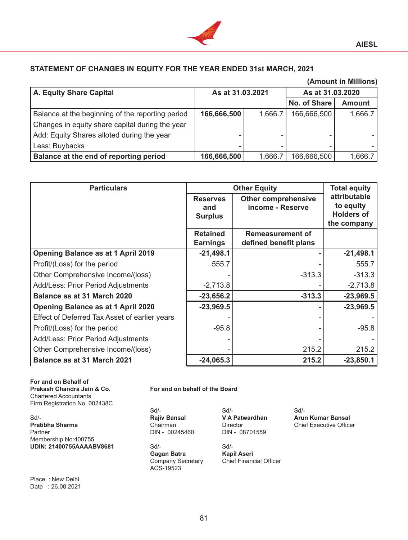

## **STATEMENT OF CHANGES IN EQUITY FOR THE YEAR ENDED 31st MARCH, 2021**

#### **(Amount in Millions)**

| <b>A. Equity Share Capital</b>                   | As at 31.03.2021 |         | As at 31.03.2020 |               |
|--------------------------------------------------|------------------|---------|------------------|---------------|
|                                                  |                  |         | No. of Share     | <b>Amount</b> |
| Balance at the beginning of the reporting period | 166,666,500      | 1,666.7 | 166,666,500      | 1,666.7       |
| Changes in equity share capital during the year  |                  |         |                  |               |
| Add: Equity Shares alloted during the year       |                  |         |                  |               |
| Less: Buybacks                                   |                  | ۰       |                  |               |
| Balance at the end of reporting period           | 166,666,500      | 1,666.  | 166,666,500      | 1,666.7       |

| <b>Particulars</b>                            | <b>Other Equity</b>                      | <b>Total equity</b>                              |                                                               |
|-----------------------------------------------|------------------------------------------|--------------------------------------------------|---------------------------------------------------------------|
|                                               | <b>Reserves</b><br>and<br><b>Surplus</b> | <b>Other comprehensive</b><br>income - Reserve   | attributable<br>to equity<br><b>Holders of</b><br>the company |
|                                               | <b>Retained</b><br><b>Earnings</b>       | <b>Remeasurement of</b><br>defined benefit plans |                                                               |
| <b>Opening Balance as at 1 April 2019</b>     | $-21,498.1$                              |                                                  | $-21,498.1$                                                   |
| Profit/(Loss) for the period                  | 555.7                                    |                                                  | 555.7                                                         |
| Other Comprehensive Income/(loss)             |                                          | $-313.3$                                         | $-313.3$                                                      |
| <b>Add/Less: Prior Period Adjustments</b>     | $-2,713.8$                               |                                                  | $-2,713.8$                                                    |
| Balance as at 31 March 2020                   | $-23,656.2$                              | $-313.3$                                         | $-23,969.5$                                                   |
| <b>Opening Balance as at 1 April 2020</b>     | $-23,969.5$                              |                                                  | $-23,969.5$                                                   |
| Effect of Deferred Tax Asset of earlier years |                                          |                                                  |                                                               |
| Profit/(Loss) for the period                  | $-95.8$                                  |                                                  | $-95.8$                                                       |
| <b>Add/Less: Prior Period Adjustments</b>     |                                          |                                                  |                                                               |
| Other Comprehensive Income/(loss)             |                                          | 215.2                                            | 215.2                                                         |
| <b>Balance as at 31 March 2021</b>            | $-24,065.3$                              | 215.2                                            | $-23,850.1$                                                   |

**For and on Behalf of** Chartered Accountants Firm Registration No. 002438C Sd/- Sd/- Sd/-

Sd/- **Rajiv Bansal V A Patwardhan Arun Kumar Bansal Pratibha Sharma**<br> **Pratibha Sharma**<br> **Partner Chairman Chairman DIN** - 00245460 **DIN** - 08701559 **Chief Executive Officer** Membership No:400755

Place : New Delhi Date : 26.08.2021 For and on behalf of the Board

DIN - 00245460

**UDIN: 21400755AAAABV8681** Sd/- Sd/- Company Secretary ACS-19523

 **Gagan Batra Kapil Aseri**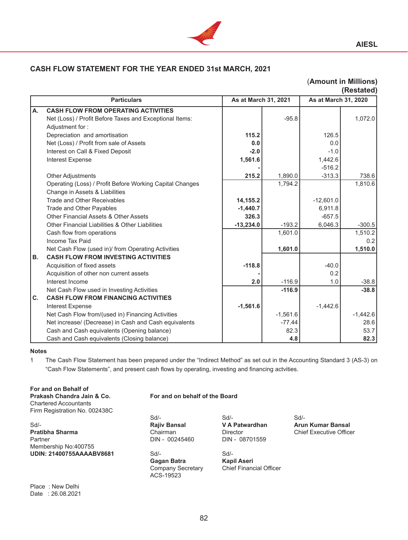

(**Amount in Millions)** 

#### **CASH FLOW STATEMENT FOR THE YEAR ENDED 31st MARCH, 2021**

|           |                                                            |                      |            |                      | (Restated) |
|-----------|------------------------------------------------------------|----------------------|------------|----------------------|------------|
|           | <b>Particulars</b>                                         | As at March 31, 2021 |            | As at March 31, 2020 |            |
| <b>A.</b> | <b>CASH FLOW FROM OPERATING ACTIVITIES</b>                 |                      |            |                      |            |
|           | Net (Loss) / Profit Before Taxes and Exceptional Items:    |                      | $-95.8$    |                      | 1,072.0    |
|           | Adjustment for:                                            |                      |            |                      |            |
|           | Depreciation and amortisation                              | 115.2                |            | 126.5                |            |
|           | Net (Loss) / Profit from sale of Assets                    | 0.0                  |            | 0.0                  |            |
|           | Interest on Call & Fixed Deposit                           | $-2.0$               |            | $-1.0$               |            |
|           | Interest Expense                                           | 1,561.6              |            | 1,442.6              |            |
|           |                                                            |                      |            | $-516.2$             |            |
|           | <b>Other Adjustments</b>                                   | 215.2                | 1,890.0    | $-313.3$             | 738.6      |
|           | Operating (Loss) / Profit Before Working Capital Changes   |                      | 1,794.2    |                      | 1,810.6    |
|           | Change in Assets & Liabilities                             |                      |            |                      |            |
|           | Trade and Other Receivables                                | 14,155.2             |            | $-12,601.0$          |            |
|           | Trade and Other Payables                                   | $-1,440.7$           |            | 6,911.8              |            |
|           | Other Financial Assets & Other Assets                      | 326.3                |            | $-657.5$             |            |
|           | <b>Other Financial Liabilities &amp; Other Liabilities</b> | $-13,234.0$          | $-193.2$   | 6,046.3              | $-300.5$   |
|           | Cash flow from operations                                  |                      | 1,601.0    |                      | 1,510.2    |
|           | Income Tax Paid                                            |                      |            |                      | 0.2        |
|           | Net Cash Flow (used in)/ from Operating Activities         |                      | 1,601.0    |                      | 1,510.0    |
| <b>B.</b> | <b>CASH FLOW FROM INVESTING ACTIVITIES</b>                 |                      |            |                      |            |
|           | Acquisition of fixed assets                                | $-118.8$             |            | $-40.0$              |            |
|           | Acquisition of other non current assets                    |                      |            | 0.2                  |            |
|           | Interest Income                                            | 2.0                  | $-116.9$   | 1.0                  | $-38.8$    |
|           | Net Cash Flow used in Investing Activities                 |                      | $-116.9$   |                      | $-38.8$    |
| C.        | <b>CASH FLOW FROM FINANCING ACTIVITIES</b>                 |                      |            |                      |            |
|           | <b>Interest Expense</b>                                    | $-1,561.6$           |            | $-1,442.6$           |            |
|           | Net Cash Flow from/(used in) Financing Activities          |                      | $-1,561.6$ |                      | $-1,442.6$ |
|           | Net increase/ (Decrease) in Cash and Cash equivalents      |                      | $-77.44$   |                      | 28.6       |
|           | Cash and Cash equivalents (Opening balance)                |                      | 82.3       |                      | 53.7       |
|           | Cash and Cash equivalents (Closing balance)                |                      | 4.8        |                      | 82.3       |

**Notes**

1 The Cash Flow Statement has been prepared under the "Indirect Method" as set out in the Accounting Standard 3 (AS-3) on "Cash Flow Statements", and present cash flows by operating, investing and financing actvities.

| For and on Behalf of<br>Prakash Chandra Jain & Co.<br><b>Chartered Accountants</b><br>Firm Registration No. 002438C | For and on behalf of the Board |                                |                                |  |  |  |
|---------------------------------------------------------------------------------------------------------------------|--------------------------------|--------------------------------|--------------------------------|--|--|--|
|                                                                                                                     | Sd                             | $Sd$ -                         | $Sd$ -                         |  |  |  |
| $Sd$ -                                                                                                              | <b>Rajiv Bansal</b>            | V A Patwardhan                 | <b>Arun Kumar Bansal</b>       |  |  |  |
| <b>Pratibha Sharma</b>                                                                                              | Chairman                       | Director                       | <b>Chief Executive Officer</b> |  |  |  |
| Partner                                                                                                             | DIN - 00245460                 | DIN - 08701559                 |                                |  |  |  |
| Membership No:400755                                                                                                |                                |                                |                                |  |  |  |
| <b>UDIN: 21400755AAAABV8681</b>                                                                                     | Sd                             | $Sd$ -                         |                                |  |  |  |
|                                                                                                                     | Gagan Batra                    | <b>Kapil Aseri</b>             |                                |  |  |  |
|                                                                                                                     | Company Secretary<br>ACS-19523 | <b>Chief Financial Officer</b> |                                |  |  |  |

Place : New Delhi Date : 26.08.2021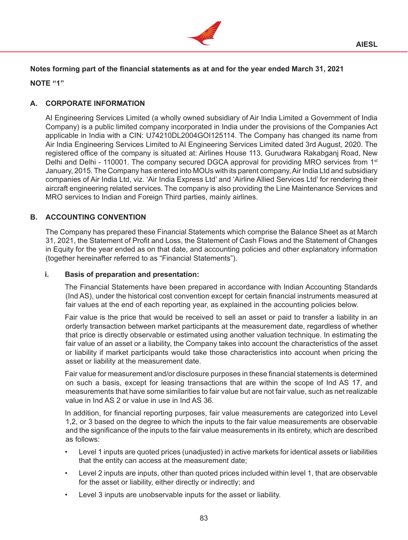

## **Notes forming part of the financial statements as at and for the year ended March 31, 2021**

**NOTE "1"** 

### **A. CORPORATE INFORMATION**

 AI Engineering Services Limited (a wholly owned subsidiary of Air India Limited a Government of India Company) is a public limited company incorporated in India under the provisions of the Companies Act applicable in India with a CIN: U74210DL2004GOI125114. The Company has changed its name from Air India Engineering Services Limited to AI Engineering Services Limited dated 3rd August, 2020. The registered office of the company is situated at: Airlines House 113, Gurudwara Rakabganj Road, New Delhi and Delhi - 110001. The company secured DGCA approval for providing MRO services from 1<sup>st</sup> January, 2015. The Company has entered into MOUs with its parent company,Air India Ltd and subsidiary companies of Air India Ltd, viz. 'Air India Express Ltd' and 'Airline Allied Services Ltd' for rendering their aircraft engineering related services. The company is also providing the Line Maintenance Services and MRO services to Indian and Foreign Third parties, mainly airlines.

## **B. ACCOUNTING CONVENTION**

The Company has prepared these Financial Statements which comprise the Balance Sheet as at March 31, 2021, the Statement of Profit and Loss, the Statement of Cash Flows and the Statement of Changes in Equity for the year ended as on that date, and accounting policies and other explanatory information (together hereinafter referred to as "Financial Statements").

#### **i. Basis of preparation and presentation:**

The Financial Statements have been prepared in accordance with Indian Accounting Standards (Ind AS), under the historical cost convention except for certain financial instruments measured at fair values at the end of each reporting year, as explained in the accounting policies below.

Fair value is the price that would be received to sell an asset or paid to transfer a liability in an orderly transaction between market participants at the measurement date, regardless of whether that price is directly observable or estimated using another valuation technique. In estimating the fair value of an asset or a liability, the Company takes into account the characteristics of the asset or liability if market participants would take those characteristics into account when pricing the asset or liability at the measurement date.

 Fair value for measurement and/or disclosure purposes in these financial statements is determined on such a basis, except for leasing transactions that are within the scope of Ind AS 17, and measurements that have some similarities to fair value but are not fair value, such as net realizable value in Ind AS 2 or value in use in Ind AS 36.

 In addition, for financial reporting purposes, fair value measurements are categorized into Level 1,2, or 3 based on the degree to which the inputs to the fair value measurements are observable and the significance of the inputs to the fair value measurements in its entirety, which are described as follows:

- Level 1 inputs are quoted prices (unadjusted) in active markets for identical assets or liabilities that the entity can access at the measurement date;
- Level 2 inputs are inputs, other than quoted prices included within level 1, that are observable for the asset or liability, either directly or indirectly; and
- Level 3 inputs are unobservable inputs for the asset or liability.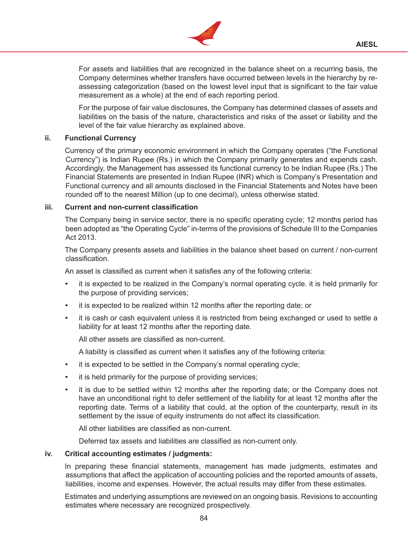

For assets and liabilities that are recognized in the balance sheet on a recurring basis, the Company determines whether transfers have occurred between levels in the hierarchy by reassessing categorization (based on the lowest level input that is significant to the fair value measurement as a whole) at the end of each reporting period.

For the purpose of fair value disclosures, the Company has determined classes of assets and liabilities on the basis of the nature, characteristics and risks of the asset or liability and the level of the fair value hierarchy as explained above.

#### **ii. Functional Currency**

 Currency of the primary economic environment in which the Company operates ("the Functional Currency") is Indian Rupee (Rs.) in which the Company primarily generates and expends cash. Accordingly, the Management has assessed its functional currency to be Indian Rupee (Rs.) The Financial Statements are presented in Indian Rupee (INR) which is Company's Presentation and Functional currency and all amounts disclosed in the Financial Statements and Notes have been rounded off to the nearest Million (up to one decimal), unless otherwise stated.

#### **iii. Current and non-current classification**

The Company being in service sector, there is no specific operating cycle; 12 months period has been adopted as "the Operating Cycle" in-terms of the provisions of Schedule III to the Companies Act 2013.

The Company presents assets and liabilities in the balance sheet based on current / non-current classification.

 An asset is classified as current when it satisfies any of the following criteria:

- it is expected to be realized in the Company's normal operating cycle. it is held primarily for the purpose of providing services;
- it is expected to be realized within 12 months after the reporting date; or
- it is cash or cash equivalent unless it is restricted from being exchanged or used to settle a liability for at least 12 months after the reporting date.

 All other assets are classified as non-current.

 A liability is classified as current when it satisfies any of the following criteria:

- it is expected to be settled in the Company's normal operating cycle;
- it is held primarily for the purpose of providing services;
- it is due to be settled within 12 months after the reporting date; or the Company does not have an unconditional right to defer settlement of the liability for at least 12 months after the reporting date. Terms of a liability that could, at the option of the counterparty, result in its settlement by the issue of equity instruments do not affect its classification.

 All other liabilities are classified as non-current.

 Deferred tax assets and liabilities are classified as non-current only.

#### **iv. Critical accounting estimates / judgments:**

 In preparing these financial statements, management has made judgments, estimates and assumptions that affect the application of accounting policies and the reported amounts of assets, liabilities, income and expenses. However, the actual results may differ from these estimates.

Estimates and underlying assumptions are reviewed on an ongoing basis. Revisions to accounting estimates where necessary are recognized prospectively.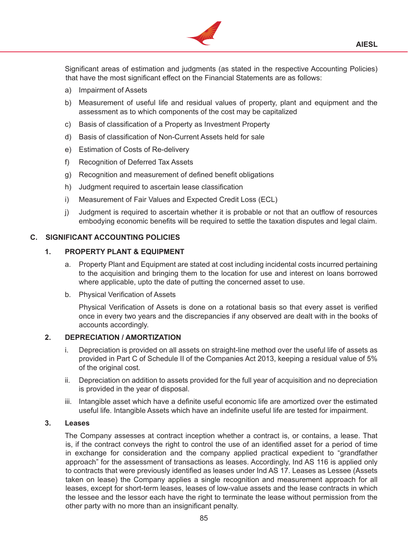

- a) Impairment of Assets
- b) Measurement of useful life and residual values of property, plant and equipment and the assessment as to which components of the cost may be capitalized
- c) Basis of classification of a Property as Investment Property
- d) Basis of classification of Non-Current Assets held for sale
- e) Estimation of Costs of Re-delivery
- f) Recognition of Deferred Tax Assets
- g) Recognition and measurement of defined benefit obligations
- h) Judgment required to ascertain lease classification
- i) Measurement of Fair Values and Expected Credit Loss (ECL)
- j) Judgment is required to ascertain whether it is probable or not that an outflow of resources embodying economic benefits will be required to settle the taxation disputes and legal claim.

### **C. SIGNIFICANT ACCOUNTING POLICIES**

### **1. PROPERTY PLANT & EQUIPMENT**

- a. Property Plant and Equipment are stated at cost including incidental costs incurred pertaining to the acquisition and bringing them to the location for use and interest on loans borrowed where applicable, upto the date of putting the concerned asset to use.
- b. Physical Verification of Assets

 Physical Verification of Assets is done on a rotational basis so that every asset is verified once in every two years and the discrepancies if any observed are dealt with in the books of accounts accordingly.

### **2. DEPRECIATION / AMORTIZATION**

- i. Depreciation is provided on all assets on straight-line method over the useful life of assets as provided in Part C of Schedule II of the Companies Act 2013, keeping a residual value of 5% of the original cost.
- ii. Depreciation on addition to assets provided for the full year of acquisition and no depreciation is provided in the year of disposal.
- iii. Intangible asset which have a definite useful economic life are amortized over the estimated useful life. Intangible Assets which have an indefinite useful life are tested for impairment.

#### **3. Leases**

The Company assesses at contract inception whether a contract is, or contains, a lease. That is, if the contract conveys the right to control the use of an identified asset for a period of time in exchange for consideration and the company applied practical expedient to "grandfather approach" for the assessment of transactions as leases. Accordingly, Ind AS 116 is applied only to contracts that were previously identified as leases under Ind AS 17. Leases as Lessee (Assets taken on lease) the Company applies a single recognition and measurement approach for all leases, except for short-term leases, leases of low-value assets and the lease contracts in which the lessee and the lessor each have the right to terminate the lease without permission from the other party with no more than an insignificant penalty.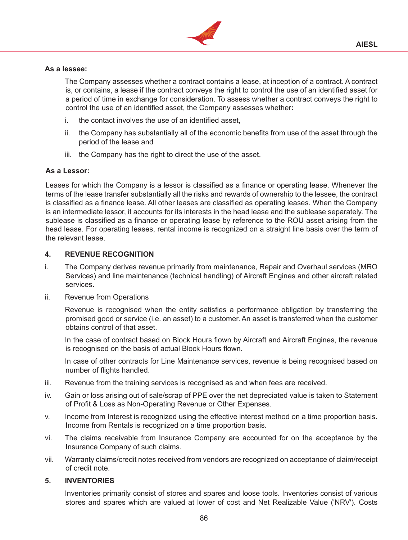

#### **As a lessee:**

The Company assesses whether a contract contains a lease, at inception of a contract. A contract is, or contains, a lease if the contract conveys the right to control the use of an identified asset for a period of time in exchange for consideration. To assess whether a contract conveys the right to control the use of an identified asset, the Company assesses whether**:** 

- i. the contact involves the use of an identified asset.
- ii. the Company has substantially all of the economic benefits from use of the asset through the period of the lease and
- iii. the Company has the right to direct the use of the asset.

#### **As a Lessor:**

 Leases for which the Company is a lessor is classified as a finance or operating lease. Whenever the terms of the lease transfer substantially all the risks and rewards of ownership to the lessee, the contract is classified as a finance lease. All other leases are classified as operating leases. When the Company is an intermediate lessor, it accounts for its interests in the head lease and the sublease separately. The sublease is classified as a finance or operating lease by reference to the ROU asset arising from the head lease. For operating leases, rental income is recognized on a straight line basis over the term of the relevant lease.

#### **4. REVENUE RECOGNITION**

i. The Company derives revenue primarily from maintenance, Repair and Overhaul services (MRO Services) and line maintenance (technical handling) of Aircraft Engines and other aircraft related services.

#### ii. Revenue from Operations

 Revenue is recognised when the entity satisfies a performance obligation by transferring the promised good or service (i.e. an asset) to a customer. An asset is transferred when the customer obtains control of that asset.

 In the case of contract based on Block Hours flown by Aircraft and Aircraft Engines, the revenue is recognised on the basis of actual Block Hours flown.

 In case of other contracts for Line Maintenance services, revenue is being recognised based on number of flights handled.

- iii. Revenue from the training services is recognised as and when fees are received.
- iv. Gain or loss arising out of sale/scrap of PPE over the net depreciated value is taken to Statement of Profit & Loss as Non-Operating Revenue or Other Expenses.
- v. Income from Interest is recognized using the effective interest method on a time proportion basis. Income from Rentals is recognized on a time proportion basis.
- vi. The claims receivable from Insurance Company are accounted for on the acceptance by the Insurance Company of such claims.
- vii. Warranty claims/credit notes received from vendors are recognized on acceptance of claim/receipt of credit note.

#### **5. INVENTORIES**

Inventories primarily consist of stores and spares and loose tools. Inventories consist of various stores and spares which are valued at lower of cost and Net Realizable Value ('NRV'). Costs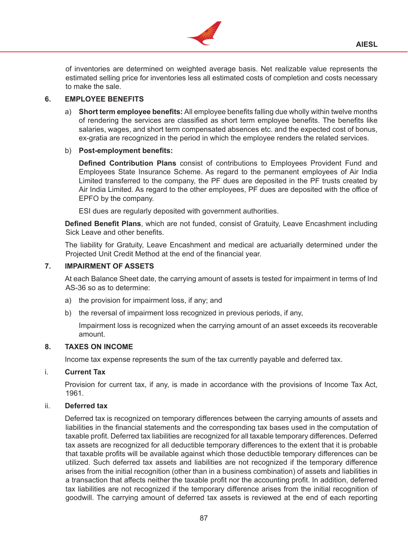

of inventories are determined on weighted average basis. Net realizable value represents the estimated selling price for inventories less all estimated costs of completion and costs necessary to make the sale.

#### **6. EMPLOYEE BENEFITS**

a) **Short term employee benefits:** All employee benefits falling due wholly within twelve months of rendering the services are classified as short term employee benefits. The benefits like salaries, wages, and short term compensated absences etc. and the expected cost of bonus, ex-gratia are recognized in the period in which the employee renders the related services.

#### b) **Post-employment benefits:**

**Defined Contribution Plans** consist of contributions to Employees Provident Fund and Employees State Insurance Scheme. As regard to the permanent employees of Air India Limited transferred to the company, the PF dues are deposited in the PF trusts created by Air India Limited. As regard to the other employees, PF dues are deposited with the office of EPFO by the company.

ESI dues are regularly deposited with government authorities.

**Defined Benefit Plans**, which are not funded, consist of Gratuity, Leave Encashment including Sick Leave and other benefits.

 The liability for Gratuity, Leave Encashment and medical are actuarially determined under the Projected Unit Credit Method at the end of the financial year.

#### **7. IMPAIRMENT OF ASSETS**

At each Balance Sheet date, the carrying amount of assets is tested for impairment in terms of Ind AS-36 so as to determine:

- a) the provision for impairment loss, if any; and
- b) the reversal of impairment loss recognized in previous periods, if any,

Impairment loss is recognized when the carrying amount of an asset exceeds its recoverable amount.

#### **8. TAXES ON INCOME**

Income tax expense represents the sum of the tax currently payable and deferred tax.

#### i. **Current Tax**

Provision for current tax, if any, is made in accordance with the provisions of Income Tax Act, 1961.

#### ii. **Deferred tax**

 Deferred tax is recognized on temporary differences between the carrying amounts of assets and liabilities in the financial statements and the corresponding tax bases used in the computation of taxable profit. Deferred tax liabilities are recognized for all taxable temporary differences. Deferred tax assets are recognized for all deductible temporary differences to the extent that it is probable that taxable profits will be available against which those deductible temporary differences can be utilized. Such deferred tax assets and liabilities are not recognized if the temporary difference arises from the initial recognition (other than in a business combination) of assets and liabilities in a transaction that affects neither the taxable profit nor the accounting profit. In addition, deferred tax liabilities are not recognized if the temporary difference arises from the initial recognition of goodwill. The carrying amount of deferred tax assets is reviewed at the end of each reporting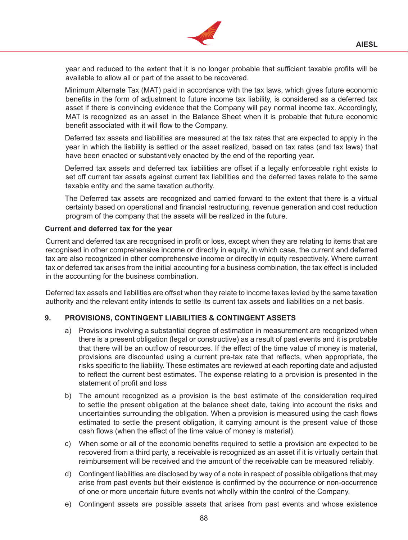

year and reduced to the extent that it is no longer probable that sufficient taxable profits will be available to allow all or part of the asset to be recovered.

Minimum Alternate Tax (MAT) paid in accordance with the tax laws, which gives future economic benefits in the form of adjustment to future income tax liability, is considered as a deferred tax asset if there is convincing evidence that the Company will pay normal income tax. Accordingly, MAT is recognized as an asset in the Balance Sheet when it is probable that future economic benefit associated with it will flow to the Company.

Deferred tax assets and liabilities are measured at the tax rates that are expected to apply in the year in which the liability is settled or the asset realized, based on tax rates (and tax laws) that have been enacted or substantively enacted by the end of the reporting year.

 Deferred tax assets and deferred tax liabilities are offset if a legally enforceable right exists to set off current tax assets against current tax liabilities and the deferred taxes relate to the same taxable entity and the same taxation authority.

The Deferred tax assets are recognized and carried forward to the extent that there is a virtual certainty based on operational and financial restructuring, revenue generation and cost reduction program of the company that the assets will be realized in the future.

#### **Current and deferred tax for the year**

Current and deferred tax are recognised in profit or loss, except when they are relating to items that are recognised in other comprehensive income or directly in equity, in which case, the current and deferred tax are also recognized in other comprehensive income or directly in equity respectively. Where current tax or deferred tax arises from the initial accounting for a business combination, the tax effect is included in the accounting for the business combination.

 Deferred tax assets and liabilities are offset when they relate to income taxes levied by the same taxation authority and the relevant entity intends to settle its current tax assets and liabilities on a net basis.

#### **9. PROVISIONS, CONTINGENT LIABILITIES & CONTINGENT ASSETS**

- a) Provisions involving a substantial degree of estimation in measurement are recognized when there is a present obligation (legal or constructive) as a result of past events and it is probable that there will be an outflow of resources. If the effect of the time value of money is material, provisions are discounted using a current pre-tax rate that reflects, when appropriate, the risks specific to the liability. These estimates are reviewed at each reporting date and adjusted to reflect the current best estimates. The expense relating to a provision is presented in the statement of profit and loss
- b) The amount recognized as a provision is the best estimate of the consideration required to settle the present obligation at the balance sheet date, taking into account the risks and uncertainties surrounding the obligation. When a provision is measured using the cash flows estimated to settle the present obligation, it carrying amount is the present value of those cash flows (when the effect of the time value of money is material).
- c) When some or all of the economic benefits required to settle a provision are expected to be recovered from a third party, a receivable is recognized as an asset if it is virtually certain that reimbursement will be received and the amount of the receivable can be measured reliably.
- d) Contingent liabilities are disclosed by way of a note in respect of possible obligations that may arise from past events but their existence is confirmed by the occurrence or non-occurrence of one or more uncertain future events not wholly within the control of the Company.
- e) Contingent assets are possible assets that arises from past events and whose existence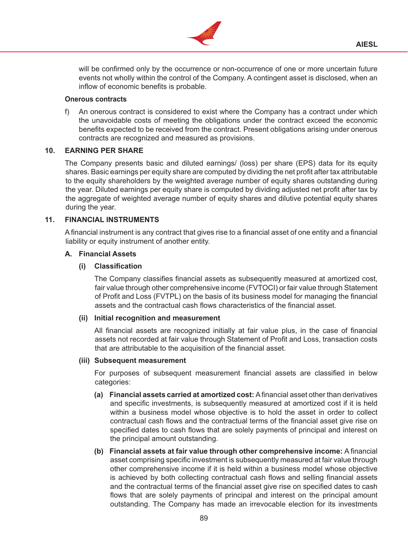

will be confirmed only by the occurrence or non-occurrence of one or more uncertain future events not wholly within the control of the Company. A contingent asset is disclosed, when an inflow of economic benefits is probable.

#### **Onerous contracts**

f) An onerous contract is considered to exist where the Company has a contract under which the unavoidable costs of meeting the obligations under the contract exceed the economic benefits expected to be received from the contract. Present obligations arising under onerous contracts are recognized and measured as provisions.

#### **10. EARNING PER SHARE**

The Company presents basic and diluted earnings/ (loss) per share (EPS) data for its equity shares. Basic earnings per equity share are computed by dividing the net profit after tax attributable to the equity shareholders by the weighted average number of equity shares outstanding during the year. Diluted earnings per equity share is computed by dividing adjusted net profit after tax by the aggregate of weighted average number of equity shares and dilutive potential equity shares during the year.

#### **11. FINANCIAL INSTRUMENTS**

Afinancial instrument is any contract that gives rise to a financial asset of one entity and a financial liability or equity instrument of another entity.

#### **A. Financial Assets**

#### **(i) Classification**

The Company classifies financial assets as subsequently measured at amortized cost, fair value through other comprehensive income (FVTOCI) or fair value through Statement of Profit and Loss (FVTPL) on the basis of its business model for managing the financial assets and the contractual cash flows characteristics of the financial asset.

#### **(ii) Initial recognition and measurement**

All financial assets are recognized initially at fair value plus, in the case of financial assets not recorded at fair value through Statement of Profit and Loss, transaction costs that are attributable to the acquisition of the financial asset.

#### **(iii) Subsequent measurement**

For purposes of subsequent measurement financial assets are classified in below categories:

- **(a) Financial assets carried at amortized cost:** Afinancial asset other than derivatives and specific investments, is subsequently measured at amortized cost if it is held within a business model whose objective is to hold the asset in order to collect contractual cash flows and the contractual terms of the financial asset give rise on specified dates to cash flows that are solely payments of principal and interest on the principal amount outstanding.
- **(b) Financial assets at fair value through other comprehensive income:** A financial asset comprising specific investment is subsequently measured at fair value through other comprehensive income if it is held within a business model whose objective is achieved by both collecting contractual cash flows and selling financial assets and the contractual terms of the financial asset give rise on specified dates to cash flows that are solely payments of principal and interest on the principal amount outstanding. The Company has made an irrevocable election for its investments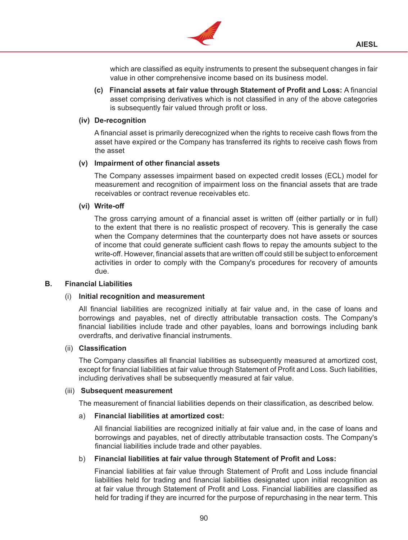which are classified as equity instruments to present the subsequent changes in fair value in other comprehensive income based on its business model.

**(c) Financial assets at fair value through Statement of Profit and Loss:** A financial asset comprising derivatives which is not classified in any of the above categories is subsequently fair valued through profit or loss.

#### **(iv) De-recognition**

A financial asset is primarily derecognized when the rights to receive cash flows from the asset have expired or the Company has transferred its rights to receive cash flows from the asset

#### **(v) Impairment of other financial assets**

The Company assesses impairment based on expected credit losses (ECL) model for measurement and recognition of impairment loss on the financial assets that are trade receivables or contract revenue receivables etc.

#### **(vi) Write-off**

The gross carrying amount of a financial asset is written off (either partially or in full) to the extent that there is no realistic prospect of recovery. This is generally the case when the Company determines that the counterparty does not have assets or sources of income that could generate sufficient cash flows to repay the amounts subject to the write-off. However, financial assets that are written off could still be subject to enforcement activities in order to comply with the Company's procedures for recovery of amounts due.

### **B. Financial Liabilities**

### (i) **Initial recognition and measurement**

All financial liabilities are recognized initially at fair value and, in the case of loans and borrowings and payables, net of directly attributable transaction costs. The Company's financial liabilities include trade and other payables, loans and borrowings including bank overdrafts, and derivative financial instruments.

#### (ii) **Classification**

The Company classifies all financial liabilities as subsequently measured at amortized cost, except for financial liabilities at fair value through Statement of Profit and Loss. Such liabilities, including derivatives shall be subsequently measured at fair value.

#### (iii) **Subsequent measurement**

The measurement of financial liabilities depends on their classification, as described below.

#### a) **Financial liabilities at amortized cost:**

All financial liabilities are recognized initially at fair value and, in the case of loans and borrowings and payables, net of directly attributable transaction costs. The Company's financial liabilities include trade and other payables.

### b) **Financial liabilities at fair value through Statement of Profit and Loss:**

Financial liabilities at fair value through Statement of Profit and Loss include financial liabilities held for trading and financial liabilities designated upon initial recognition as at fair value through Statement of Profit and Loss. Financial liabilities are classified as held for trading if they are incurred for the purpose of repurchasing in the near term. This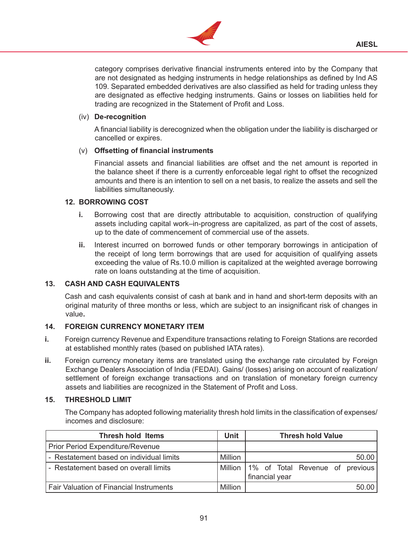

category comprises derivative financial instruments entered into by the Company that are not designated as hedging instruments in hedge relationships as defined by Ind AS 109. Separated embedded derivatives are also classified as held for trading unless they are designated as effective hedging instruments. Gains or losses on liabilities held for trading are recognized in the Statement of Profit and Loss.

#### (iv) **De-recognition**

A financial liability is derecognized when the obligation under the liability is discharged or cancelled or expires.

## (v) **Offsetting of financial instruments**

Financial assets and financial liabilities are offset and the net amount is reported in the balance sheet if there is a currently enforceable legal right to offset the recognized amounts and there is an intention to sell on a net basis, to realize the assets and sell the liabilities simultaneously.

### **12. BORROWING COST**

- **i.** Borrowing cost that are directly attributable to acquisition, construction of qualifying assets including capital work–in-progress are capitalized, as part of the cost of assets, up to the date of commencement of commercial use of the assets.
- **ii.** Interest incurred on borrowed funds or other temporary borrowings in anticipation of the receipt of long term borrowings that are used for acquisition of qualifying assets exceeding the value of Rs.10.0 million is capitalized at the weighted average borrowing rate on loans outstanding at the time of acquisition.

### **13. CASH AND CASH EQUIVALENTS**

Cash and cash equivalents consist of cash at bank and in hand and short-term deposits with an original maturity of three months or less, which are subject to an insignificant risk of changes in value**.**

### **14. FOREIGN CURRENCY MONETARY ITEM**

- **i.** Foreign currency Revenue and Expenditure transactions relating to Foreign Stations are recorded at established monthly rates (based on published IATA rates).
- **ii.** Foreign currency monetary items are translated using the exchange rate circulated by Foreign Exchange Dealers Association of India (FEDAI). Gains/ (losses) arising on account of realization/ settlement of foreign exchange transactions and on translation of monetary foreign currency assets and liabilities are recognized in the Statement of Profit and Loss.

### **15. THRESHOLD LIMIT**

The Company has adopted following materiality thresh hold limits in the classification of expenses/ incomes and disclosure:

| <b>Thresh hold Items</b>                       | <b>Unit</b>    | <b>Thresh hold Value</b>                                  |  |  |  |  |
|------------------------------------------------|----------------|-----------------------------------------------------------|--|--|--|--|
| <b>Prior Period Expenditure/Revenue</b>        |                |                                                           |  |  |  |  |
| - Restatement based on individual limits       | <b>Million</b> | 50.00                                                     |  |  |  |  |
| - Restatement based on overall limits          |                | Million 1% of Total Revenue of previous<br>financial year |  |  |  |  |
| <b>Fair Valuation of Financial Instruments</b> | Million        | 50.00                                                     |  |  |  |  |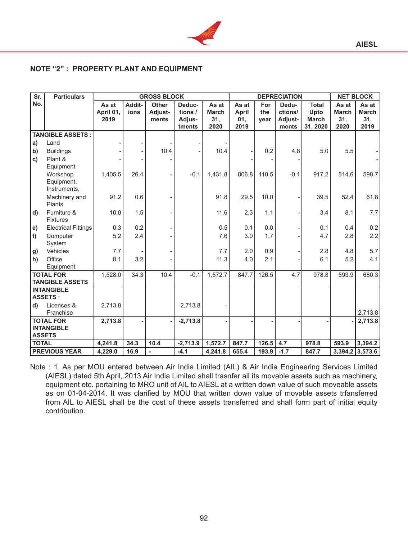

#### **NOTE "2" : PROPERTY PLANT AND EQUIPMENT**

| Sr.          | <b>Particulars</b>                                     |                            |                | <b>GROSS BLOCK</b>               |                                       |                                      | <b>DEPRECIATION</b>                  |                    |                                      |                                                  | <b>NET BLOCK</b>                     |                                      |
|--------------|--------------------------------------------------------|----------------------------|----------------|----------------------------------|---------------------------------------|--------------------------------------|--------------------------------------|--------------------|--------------------------------------|--------------------------------------------------|--------------------------------------|--------------------------------------|
| No.          |                                                        | As at<br>April 01,<br>2019 | Addit-<br>ions | <b>Other</b><br>Adjust-<br>ments | Deduc-<br>tions /<br>Adjus-<br>tments | As at<br><b>March</b><br>31,<br>2020 | As at<br><b>April</b><br>01,<br>2019 | For<br>the<br>vear | Dedu-<br>ctions/<br>Adjust-<br>ments | <b>Total</b><br>Upto<br><b>March</b><br>31, 2020 | As at<br><b>March</b><br>31,<br>2020 | As at<br><b>March</b><br>31,<br>2019 |
|              | <b>TANGIBLE ASSETS:</b>                                |                            |                |                                  |                                       |                                      |                                      |                    |                                      |                                                  |                                      |                                      |
| a)           | Land                                                   |                            |                |                                  |                                       |                                      |                                      |                    |                                      |                                                  |                                      |                                      |
| b)           | <b>Buildings</b>                                       |                            |                | 10.4                             |                                       | 10.4                                 |                                      | 0.2                | 4.8                                  | 5.0                                              | 5.5                                  |                                      |
| c)           | Plant &<br>Equipment                                   |                            |                |                                  |                                       |                                      |                                      |                    |                                      |                                                  |                                      |                                      |
|              | Workshop<br>Equipment,<br>Instruments,                 | 1,405.5                    | 26.4           |                                  | $-0.1$                                | 1,431.8                              | 806.8                                | 110.5              | $-0.1$                               | 917.2                                            | 514.6                                | 598.7                                |
|              | Machinery and<br>Plants                                | 91.2                       | 0.6            |                                  |                                       | 91.8                                 | 29.5                                 | 10.0               |                                      | 39.5                                             | 52.4                                 | 61.8                                 |
| d)           | Furniture &<br><b>Fixtures</b>                         | 10.0                       | 1.5            |                                  |                                       | 11.6                                 | 2.3                                  | 1.1                |                                      | 3.4                                              | 8.1                                  | 7.7                                  |
| e)           | <b>Electrical Fittings</b>                             | 0.3                        | 0.2            |                                  |                                       | 0.5                                  | 0.1                                  | 0.0                |                                      | 0.1                                              | 0.4                                  | 0.2                                  |
| f)           | Computer<br>System                                     | 5.2                        | 2.4            |                                  |                                       | 7.6                                  | 3.0                                  | 1.7                |                                      | 4.7                                              | 2.8                                  | 2.2                                  |
| g)           | Vehicles                                               | 7.7                        |                |                                  |                                       | 7.7                                  | 2.0                                  | 0.9                |                                      | 2.8                                              | 4.8                                  | 5.7                                  |
| h)           | Office                                                 | 8.1                        | 3.2            |                                  |                                       | 11.3                                 | 4.0                                  | 2.1                |                                      | 6.1                                              | 5.2                                  | 4.1                                  |
|              | Equipment                                              |                            |                |                                  |                                       |                                      |                                      |                    |                                      |                                                  |                                      |                                      |
|              | <b>TOTAL FOR</b><br><b>TANGIBLE ASSETS</b>             | 1,528.0                    | 34.3           | 10.4                             | $-0.1$                                | 1,572.7                              | 847.7                                | 126.5              | 4.7                                  | 978.8                                            | 593.9                                | 680.3                                |
|              | <b>INTANGIBLE</b><br><b>ASSETS:</b>                    |                            |                |                                  |                                       |                                      |                                      |                    |                                      |                                                  |                                      |                                      |
| d)           | Licenses &<br>Franchise                                | 2,713.8                    |                |                                  | $-2,713.8$                            |                                      |                                      |                    |                                      |                                                  |                                      | 2,713.8                              |
|              | <b>TOTAL FOR</b><br><b>INTANGIBLE</b><br><b>ASSETS</b> | 2,713.8                    |                |                                  | $-2,713.8$                            |                                      |                                      |                    |                                      |                                                  |                                      | 2,713.8                              |
| <b>TOTAL</b> |                                                        | 4,241.8                    | 34.3           | 10.4                             | $-2,713.9$                            | 1,572.7                              | 847.7                                | 126.5              | 4.7                                  | 978.8                                            | 593.9                                | 3,394.2                              |
|              | <b>PREVIOUS YEAR</b>                                   | 4,229.0                    | 16.9           | ä,                               | $-4.1$                                | 4.241.8                              | 655.4                                | 193.9              | $-1.7$                               | 847.7                                            |                                      | $3,394.2$ 3,573.6                    |

Note : 1. As per MOU entered between Air India Limited (AIL) & Air India Engineering Services Limited (AIESL) dated 5th April, 2013 Air India Limited shall trasnfer all its movable assets such as machinery, equipment etc. pertaining to MRO unit of AIL to AIESL at a written down value of such moveable assets as on 01-04-2014. It was clarified by MOU that written down value of movable assets trfansferred from AIL to AIESL shall be the cost of these assets transferred and shall form part of initial equity contribution.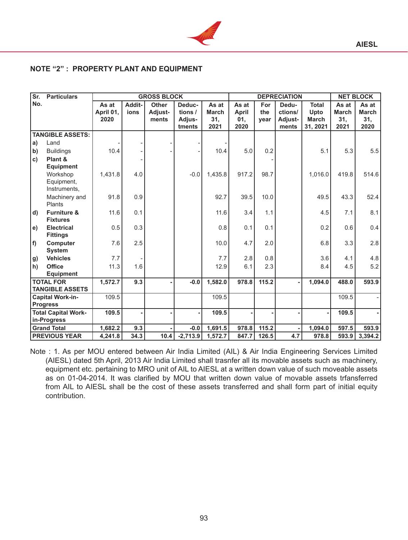

#### **NOTE "2" : PROPERTY PLANT AND EQUIPMENT**

| Sr. | <b>Particulars</b>                         |                            |                | <b>GROSS BLOCK</b>               |                                       |                                      | <b>DEPRECIATION</b>                  |                    |                                             |                                                  | <b>NET BLOCK</b>                     |                                      |
|-----|--------------------------------------------|----------------------------|----------------|----------------------------------|---------------------------------------|--------------------------------------|--------------------------------------|--------------------|---------------------------------------------|--------------------------------------------------|--------------------------------------|--------------------------------------|
| No. |                                            | As at<br>April 01,<br>2020 | Addit-<br>ions | <b>Other</b><br>Adjust-<br>ments | Deduc-<br>tions /<br>Adjus-<br>tments | As at<br><b>March</b><br>31,<br>2021 | As at<br><b>April</b><br>01,<br>2020 | For<br>the<br>year | Dedu-<br>ctions/<br><b>Adjust-</b><br>ments | <b>Total</b><br>Upto<br><b>March</b><br>31, 2021 | As at<br><b>March</b><br>31,<br>2021 | As at<br><b>March</b><br>31,<br>2020 |
|     | <b>TANGIBLE ASSETS:</b>                    |                            |                |                                  |                                       |                                      |                                      |                    |                                             |                                                  |                                      |                                      |
| a)  | Land                                       |                            |                |                                  |                                       |                                      |                                      |                    |                                             |                                                  |                                      |                                      |
| b)  | <b>Buildings</b>                           | 10.4                       |                |                                  |                                       | 10.4                                 | 5.0                                  | 0.2                |                                             | 5.1                                              | 5.3                                  | 5.5                                  |
| c)  | Plant &<br><b>Equipment</b>                |                            |                |                                  |                                       |                                      |                                      |                    |                                             |                                                  |                                      |                                      |
|     | Workshop<br>Equipment,<br>Instruments,     | 1,431.8                    | 4.0            |                                  | $-0.0$                                | 1,435.8                              | 917.2                                | 98.7               |                                             | 1,016.0                                          | 419.8                                | 514.6                                |
|     | Machinery and<br>Plants                    | 91.8                       | 0.9            |                                  |                                       | 92.7                                 | 39.5                                 | 10.0               |                                             | 49.5                                             | 43.3                                 | 52.4                                 |
| d)  | <b>Furniture &amp;</b><br><b>Fixtures</b>  | 11.6                       | 0.1            |                                  |                                       | 11.6                                 | 3.4                                  | 1.1                |                                             | 4.5                                              | 7.1                                  | 8.1                                  |
| e)  | <b>Electrical</b><br><b>Fittings</b>       | 0.5                        | 0.3            |                                  |                                       | 0.8                                  | 0.1                                  | 0.1                |                                             | 0.2                                              | 0.6                                  | 0.4                                  |
| f)  | Computer<br><b>System</b>                  | 7.6                        | 2.5            |                                  |                                       | 10.0                                 | 4.7                                  | 2.0                |                                             | 6.8                                              | 3.3                                  | 2.8                                  |
| g)  | <b>Vehicles</b>                            | 7.7                        |                |                                  |                                       | 7.7                                  | 2.8                                  | 0.8                |                                             | 3.6                                              | 4.1                                  | 4.8                                  |
| h)  | <b>Office</b><br><b>Equipment</b>          | 11.3                       | 1.6            |                                  |                                       | 12.9                                 | 6.1                                  | 2.3                |                                             | 8.4                                              | 4.5                                  | 5.2                                  |
|     | <b>TOTAL FOR</b><br><b>TANGIBLE ASSETS</b> | 1,572.7                    | 9.3            |                                  | $-0.0$                                | 1,582.0                              | 978.8                                | 115.2              |                                             | 1,094.0                                          | 488.0                                | 593.9                                |
|     | <b>Capital Work-in-</b><br><b>Progress</b> | 109.5                      |                |                                  |                                       | 109.5                                |                                      |                    |                                             |                                                  | 109.5                                |                                      |
|     | <b>Total Capital Work-</b><br>in-Progress  | 109.5                      |                |                                  |                                       | 109.5                                |                                      |                    |                                             |                                                  | 109.5                                |                                      |
|     | <b>Grand Total</b>                         | 1,682.2                    | 9.3            |                                  | $-0.0$                                | 1,691.5                              | 978.8                                | 115.2              |                                             | 1,094.0                                          | 597.5                                | 593.9                                |
|     | <b>PREVIOUS YEAR</b>                       | 4,241.8                    | 34.3           | 10.4                             | $-2,713.9$                            | 1,572.7                              | 847.7                                | 126.5              | 4.7                                         | 978.8                                            | 593.9                                | 3,394.2                              |

Note : 1. As per MOU entered between Air India Limited (AIL) & Air India Engineering Services Limited (AIESL) dated 5th April, 2013 Air India Limited shall trasnfer all its movable assets such as machinery, equipment etc. pertaining to MRO unit of AIL to AIESL at a written down value of such moveable assets as on 01-04-2014. It was clarified by MOU that written down value of movable assets trfansferred from AIL to AIESL shall be the cost of these assets transferred and shall form part of initial equity contribution.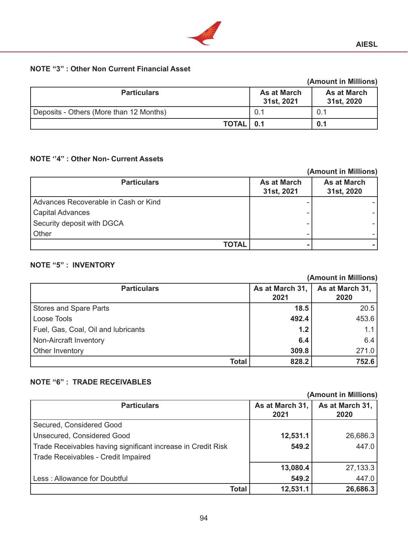

# **NOTE "3" : Other Non Current Financial Asset**

|                                         |                           | (Amount in Millions)             |
|-----------------------------------------|---------------------------|----------------------------------|
| <b>Particulars</b>                      | As at March<br>31st, 2021 | <b>As at March</b><br>31st, 2020 |
| Deposits - Others (More than 12 Months) | 0.1                       | 0.1                              |
| TOTAL 0.1                               |                           | 0.1                              |

## **NOTE ''4" : Other Non- Current Assets**

| (Amount in Millions)                 |                                  |                                  |  |  |
|--------------------------------------|----------------------------------|----------------------------------|--|--|
| <b>Particulars</b>                   | <b>As at March</b><br>31st, 2021 | <b>As at March</b><br>31st, 2020 |  |  |
| Advances Recoverable in Cash or Kind |                                  |                                  |  |  |
| <b>Capital Advances</b>              |                                  |                                  |  |  |
| Security deposit with DGCA           |                                  |                                  |  |  |
| Other                                |                                  |                                  |  |  |
| <b>TOTAL</b>                         |                                  |                                  |  |  |

## **NOTE "5" : INVENTORY**

# **(Amount in Millions)**

| <b>Particulars</b>                  | As at March 31,<br>2021 | As at March 31,<br>2020 |
|-------------------------------------|-------------------------|-------------------------|
| <b>Stores and Spare Parts</b>       | 18.5                    | 20.5                    |
| Loose Tools                         | 492.4                   | 453.6                   |
| Fuel, Gas, Coal, Oil and lubricants | 1.2                     | 1.1                     |
| <b>Non-Aircraft Inventory</b>       | 6.4                     | 6.4                     |
| Other Inventory                     | 309.8                   | 271.0                   |
| <b>Total</b>                        | 828.2                   | 752.6                   |

## **NOTE "6" : TRADE RECEIVABLES**

| <b>Particulars</b>                                           | As at March 31,<br>2021 | As at March 31,<br>2020 |
|--------------------------------------------------------------|-------------------------|-------------------------|
| Secured, Considered Good                                     |                         |                         |
| Unsecured, Considered Good                                   | 12,531.1                | 26,686.3                |
| Trade Receivables having significant increase in Credit Risk | 549.2                   | 447.0                   |
| Trade Receivables - Credit Impaired                          |                         |                         |
|                                                              | 13,080.4                | 27,133.3                |
| Less: Allowance for Doubtful                                 | 549.2                   | 447.0                   |
| <b>Total</b>                                                 | 12,531.1                | 26,686.3                |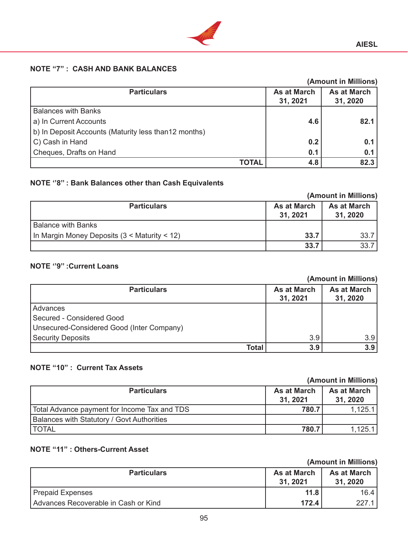

# **NOTE "7" : CASH AND BANK BALANCES**

|                                                       |              | (Amount in Millions)           |                                |  |  |
|-------------------------------------------------------|--------------|--------------------------------|--------------------------------|--|--|
| <b>Particulars</b>                                    |              | <b>As at March</b><br>31, 2021 | <b>As at March</b><br>31, 2020 |  |  |
| <b>Balances with Banks</b>                            |              |                                |                                |  |  |
| a) In Current Accounts                                |              | 4.6                            | 82.1                           |  |  |
| b) In Deposit Accounts (Maturity less than 12 months) |              |                                |                                |  |  |
| C) Cash in Hand                                       |              | 0.2                            | 0.1                            |  |  |
| Cheques, Drafts on Hand                               |              | 0.1                            | 0.1                            |  |  |
|                                                       | <b>TOTAL</b> | 4.8                            | 82.3                           |  |  |

## **NOTE ''8'' : Bank Balances other than Cash Equivalents**

|                                              |                         | (Amount in Millions)           |
|----------------------------------------------|-------------------------|--------------------------------|
| <b>Particulars</b>                           | As at March<br>31, 2021 | <b>As at March</b><br>31, 2020 |
| <b>Balance with Banks</b>                    |                         |                                |
| In Margin Money Deposits (3 < Maturity < 12) | 33.7                    | 33.7                           |
|                                              | 33.7                    | 33.7                           |

## **NOTE ''9'' :Current Loans**

| <b>Particulars</b>                        | As at March<br>31, 2021 | <b>As at March</b><br>31, 2020 |
|-------------------------------------------|-------------------------|--------------------------------|
| Advances                                  |                         |                                |
| Secured - Considered Good                 |                         |                                |
| Unsecured-Considered Good (Inter Company) |                         |                                |
| <b>Security Deposits</b>                  | 3.9                     | 3.9                            |
| Total                                     | 3.9                     | 3.9                            |

### **NOTE "10" : Current Tax Assets**

|                                                   |                                | (Amount in Millions)           |
|---------------------------------------------------|--------------------------------|--------------------------------|
| <b>Particulars</b>                                | <b>As at March</b><br>31, 2021 | <b>As at March</b><br>31, 2020 |
| Total Advance payment for Income Tax and TDS      | 780.7                          | 1,125.1                        |
| <b>Balances with Statutory / Govt Authorities</b> |                                |                                |
| l TOTAL                                           | 780.7                          | 1,125.1                        |

## **NOTE "11" : Others-Current Asset**

## **(Amount in Millions)**

| <b>Particulars</b>                   | As at March<br>31.2021 | As at March<br>31, 2020 |
|--------------------------------------|------------------------|-------------------------|
| Prepaid Expenses                     | 11.8                   | 16.4                    |
| Advances Recoverable in Cash or Kind | 172.4                  |                         |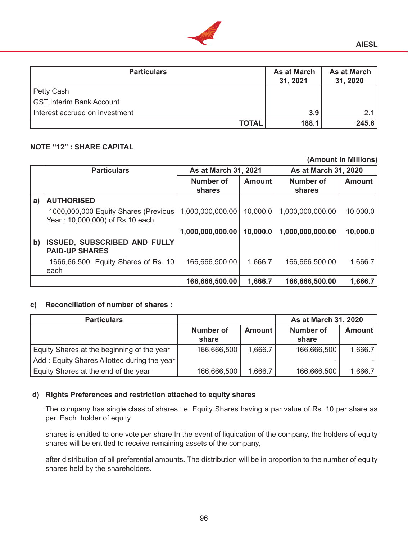

| <b>Particulars</b>             | As at March<br>31, 2021 | As at March<br>31, 2020 |
|--------------------------------|-------------------------|-------------------------|
| Petty Cash                     |                         |                         |
| GST Interim Bank Account       |                         |                         |
| Interest accrued on investment | 3.9                     | 2.1                     |
| <b>TOTAL</b>                   | 188.1                   | 245.6                   |

#### **NOTE "12" : SHARE CAPITAL**

**(Amount in Millions)**

|    | <b>Particulars</b>                                                      | As at March 31, 2021 |               | As at March 31, 2020 |               |
|----|-------------------------------------------------------------------------|----------------------|---------------|----------------------|---------------|
|    |                                                                         | Number of            | <b>Amount</b> | Number of            | <b>Amount</b> |
|    |                                                                         | shares               |               | shares               |               |
| a) | <b>AUTHORISED</b>                                                       |                      |               |                      |               |
|    | 1000,000,000 Equity Shares (Previous<br>Year: 10,000,000) of Rs.10 each | 1,000,000,000.00     | 10,000.0      | 1,000,000,000.00     | 10,000.0      |
|    |                                                                         | 1,000,000,000.00     | 10,000.0      | 1,000,000,000.00     | 10,000.0      |
| b) | <b>ISSUED, SUBSCRIBED AND FULLY</b><br><b>PAID-UP SHARES</b>            |                      |               |                      |               |
|    | 1666,66,500 Equity Shares of Rs. 10<br>each                             | 166,666,500.00       | 1,666.7       | 166,666,500.00       | 1,666.7       |
|    |                                                                         | 166,666,500.00       | 1,666.7       | 166,666,500.00       | 1,666.7       |

### **c) Reconciliation of number of shares :**

| <b>Particulars</b>                          |                           |         | As at March 31, 2020 |               |
|---------------------------------------------|---------------------------|---------|----------------------|---------------|
|                                             | <b>Number of</b><br>share | Amount  | Number of<br>share   | <b>Amount</b> |
| Equity Shares at the beginning of the year  | 166,666,500               | 1,666.7 | 166,666,500          | 1,666.7       |
| Add: Equity Shares Allotted during the year |                           |         |                      |               |
| Equity Shares at the end of the year        | 166,666,500               | 1,666.7 | 166,666,500          | 1,666.7       |

### **d) Rights Preferences and restriction attached to equity shares**

The company has single class of shares i.e. Equity Shares having a par value of Rs. 10 per share as per. Each holder of equity

shares is entitled to one vote per share In the event of liquidation of the company, the holders of equity shares will be entitled to receive remaining assets of the company,

after distribution of all preferential amounts. The distribution will be in proportion to the number of equity shares held by the shareholders.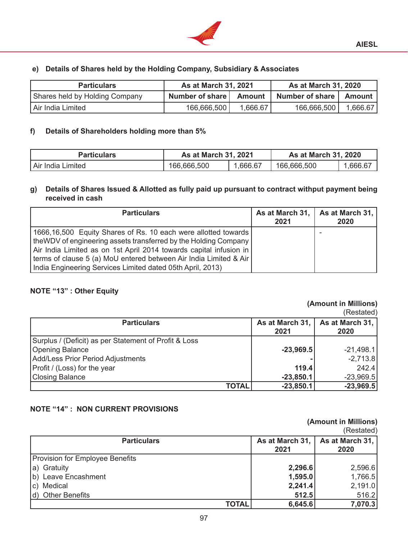

## **e) Details of Shares held by the Holding Company, Subsidiary & Associates**

| <b>Particulars</b>             | <b>As at March 31, 2021</b> |          | <b>As at March 31, 2020</b> |          |
|--------------------------------|-----------------------------|----------|-----------------------------|----------|
| Shares held by Holding Company | Number of share             | Amount   | Number of share   Amount    |          |
| Air India Limited              | 166,666,500                 | 1,666.67 | 166,666,500                 | 1,666.67 |

#### **f) Details of Shareholders holding more than 5%**

| <b>Particulars</b>  | <b>As at March 31, 2021</b> |          | As at March 31, 2020 |         |
|---------------------|-----------------------------|----------|----------------------|---------|
| l Air India Limited | 166,666,500                 | 1.666.67 | 166,666,500          | .666.67 |

#### **g) Details of Shares Issued & Allotted as fully paid up pursuant to contract withput payment being received in cash**

| <b>Particulars</b>                                                 |      | As at March 31, $\vert$ As at March 31, $\vert$ |
|--------------------------------------------------------------------|------|-------------------------------------------------|
|                                                                    | 2021 | 2020                                            |
| 1666,16,500 Equity Shares of Rs. 10 each were allotted towards     |      |                                                 |
| theWDV of engineering assets transferred by the Holding Company    |      |                                                 |
| Air India Limited as on 1st April 2014 towards capital infusion in |      |                                                 |
| terms of clause 5 (a) MoU entered between Air India Limited & Air  |      |                                                 |
| India Engineering Services Limited dated 05th April, 2013)         |      |                                                 |

## **NOTE "13" : Other Equity**

**(Amount in Millions)**

|                                                       |              |                                 | (Restated)              |
|-------------------------------------------------------|--------------|---------------------------------|-------------------------|
| <b>Particulars</b>                                    |              | As at March 31, $\vert$<br>2021 | As at March 31,<br>2020 |
| Surplus / (Deficit) as per Statement of Profit & Loss |              |                                 |                         |
| Opening Balance                                       |              | $-23,969.5$                     | $-21,498.1$             |
| Add/Less Prior Period Adjustments                     |              |                                 | $-2,713.8$              |
| Profit / (Loss) for the year                          |              | 119.4                           | 242.4                   |
| <b>Closing Balance</b>                                |              | $-23,850.1$                     | $-23,969.5$             |
|                                                       | <b>TOTAL</b> | $-23,850.1$                     | $-23,969.5$             |

### **NOTE "14" : NON CURRENT PROVISIONS**

|                                        |              |                         | (Restated)              |
|----------------------------------------|--------------|-------------------------|-------------------------|
| <b>Particulars</b>                     |              | As at March 31,<br>2021 | As at March 31,<br>2020 |
| <b>Provision for Employee Benefits</b> |              |                         |                         |
| (a) Gratuity                           |              | 2,296.6                 | 2,596.6                 |
| b) Leave Encashment                    |              | 1,595.0                 | 1,766.5                 |
| c) Medical                             |              | 2,241.4                 | 2,191.0                 |
| d) Other Benefits                      |              | 512.5                   | 516.2                   |
|                                        | <b>TOTAL</b> | 6,645.6                 | 7,070.3                 |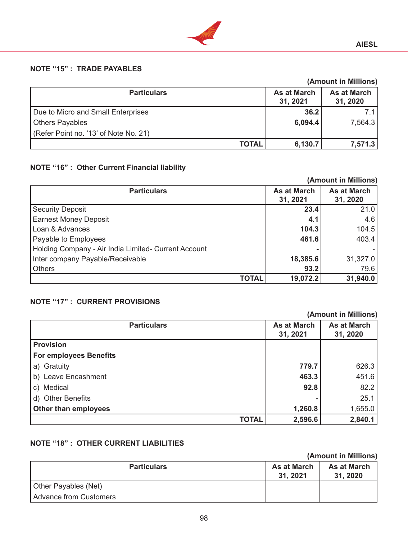

## **NOTE "15" : TRADE PAYABLES**

|                                       | (Amount in Millions) |                                |                                |
|---------------------------------------|----------------------|--------------------------------|--------------------------------|
| <b>Particulars</b>                    |                      | <b>As at March</b><br>31, 2021 | <b>As at March</b><br>31, 2020 |
| Due to Micro and Small Enterprises    |                      | 36.2                           |                                |
| <b>Others Payables</b>                |                      | 6,094.4                        | 7,564.3                        |
| (Refer Point no. '13' of Note No. 21) |                      |                                |                                |
|                                       | <b>TOTAL</b>         | 6,130.7                        | 7,571.3                        |

# **NOTE "16" : Other Current Financial liability**

|                                                      | (Amount in Millions)           |                                |
|------------------------------------------------------|--------------------------------|--------------------------------|
| <b>Particulars</b>                                   | <b>As at March</b><br>31, 2021 | <b>As at March</b><br>31, 2020 |
| <b>Security Deposit</b>                              | 23.4                           | 21.0                           |
| <b>Earnest Money Deposit</b>                         | 4.1                            | 4.6                            |
| Loan & Advances                                      | 104.3                          | 104.5                          |
| Payable to Employees                                 | 461.6                          | 403.4                          |
| Holding Company - Air India Limited- Current Account |                                |                                |
| Inter company Payable/Receivable                     | 18,385.6                       | 31,327.0                       |
| <b>Others</b>                                        | 93.2                           | 79.6                           |
| <b>TOTAL</b>                                         | 19,072.2                       | 31,940.0                       |

## **NOTE "17" : CURRENT PROVISIONS**

|                               |                                | (Amount in Millions)           |
|-------------------------------|--------------------------------|--------------------------------|
| <b>Particulars</b>            | <b>As at March</b><br>31, 2021 | <b>As at March</b><br>31, 2020 |
| <b>Provision</b>              |                                |                                |
| <b>For employees Benefits</b> |                                |                                |
| a) Gratuity                   | 779.7                          | 626.3                          |
| b) Leave Encashment           | 463.3                          | 451.6                          |
| c) Medical                    | 92.8                           | 82.2                           |
| d) Other Benefits             |                                | 25.1                           |
| Other than employees          | 1,260.8                        | 1,655.0                        |
| <b>TOTAL</b>                  | 2,596.6                        | 2,840.1                        |

# **NOTE "18" : OTHER CURRENT LIABILITIES**

| <b>Particulars</b>     | <b>As at March</b><br>31, 2021 | As at March<br>31, 2020 |
|------------------------|--------------------------------|-------------------------|
| Other Payables (Net)   |                                |                         |
| Advance from Customers |                                |                         |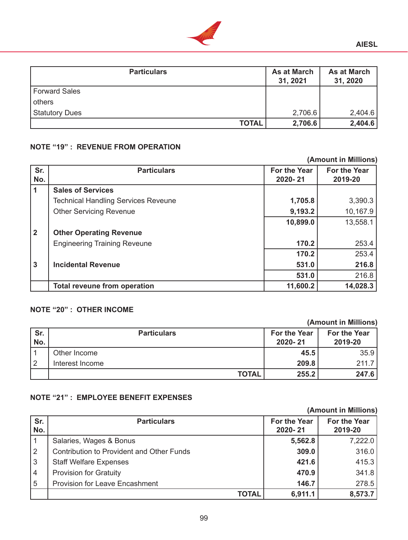

| <b>Particulars</b>    | <b>As at March</b><br>31, 2021 | <b>As at March</b><br>31, 2020 |
|-----------------------|--------------------------------|--------------------------------|
| Forward Sales         |                                |                                |
| others                |                                |                                |
| <b>Statutory Dues</b> | 2,706.6                        | 2,404.6                        |
| <b>TOTAL</b>          | 2,706.6                        | 2,404.6                        |

## **NOTE "19" : REVENUE FROM OPERATION**

|                | (Amount in Millions)                       |                         |                         |
|----------------|--------------------------------------------|-------------------------|-------------------------|
| Sr.<br>No.     | <b>Particulars</b>                         | For the Year<br>2020-21 | For the Year<br>2019-20 |
| 1              | <b>Sales of Services</b>                   |                         |                         |
|                | <b>Technical Handling Services Reveune</b> | 1,705.8                 | 3,390.3                 |
|                | <b>Other Servicing Revenue</b>             | 9,193.2                 | 10,167.9                |
|                |                                            | 10,899.0                | 13,558.1                |
| $\vert$ 2      | <b>Other Operating Revenue</b>             |                         |                         |
|                | <b>Engineering Training Reveune</b>        | 170.2                   | 253.4                   |
|                |                                            | 170.2                   | 253.4                   |
| $\overline{3}$ | <b>Incidental Revenue</b>                  | 531.0                   | 216.8                   |
|                |                                            | 531.0                   | 216.8                   |
|                | <b>Total reveune from operation</b>        | 11,600.2                | 14,028.3                |

## **NOTE "20" : OTHER INCOME**

|                |                    |                         | (Amount in Millions)    |
|----------------|--------------------|-------------------------|-------------------------|
| Sr.<br>No.     | <b>Particulars</b> | For the Year<br>2020-21 | For the Year<br>2019-20 |
|                | Other Income       | 45.5                    | 35.9                    |
| $\overline{2}$ | Interest Income    | 209.8                   | 211.7                   |
|                | <b>TOTAL</b>       | 255.2                   | 247.6                   |

# **NOTE "21" : EMPLOYEE BENEFIT EXPENSES**

|                |                                           |              | (Amount in Millions) |
|----------------|-------------------------------------------|--------------|----------------------|
| Sr.            | <b>Particulars</b>                        | For the Year | For the Year         |
| No.            |                                           | 2020-21      | 2019-20              |
|                | Salaries, Wages & Bonus                   | 5,562.8      | 7,222.0              |
| $\overline{2}$ | Contribution to Provident and Other Funds | 309.0        | 316.0                |
| 3              | <b>Staff Welfare Expenses</b>             | 421.6        | 415.3                |
| 4              | <b>Provision for Gratuity</b>             | 470.9        | 341.8                |
| 5              | <b>Provision for Leave Encashment</b>     | 146.7        | 278.5                |
|                | <b>TOTAL</b>                              | 6,911.1      | 8,573.7              |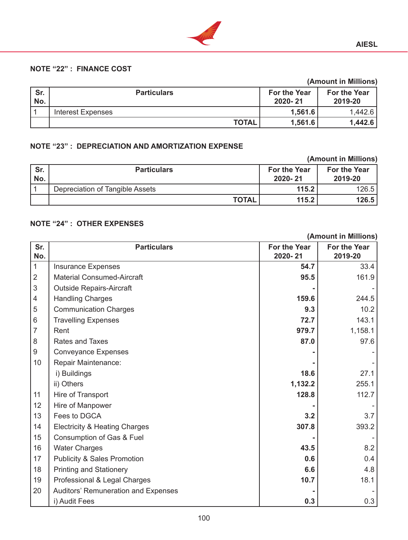

### **NOTE "22" : FINANCE COST**

|     |                    |              | (Amount in Millions) |
|-----|--------------------|--------------|----------------------|
| Sr. | <b>Particulars</b> | For the Year | For the Year         |
| No. |                    | $2020 - 21$  | 2019-20              |
|     | Interest Expenses  | 1,561.6      | 1,442.6              |
|     | <b>TOTAL</b>       | 1,561.6      | 1,442.6              |

## **NOTE "23" : DEPRECIATION AND AMORTIZATION EXPENSE**

**(Amount in Millions)**

| Sr.<br>No. | <b>Particulars</b>              | For the Year<br>2020-21 | For the Year<br>2019-20 |
|------------|---------------------------------|-------------------------|-------------------------|
|            | Depreciation of Tangible Assets | 115.2                   | 126.5                   |
|            | <b>TOTAL</b>                    | 115.2                   | 126.5                   |

#### **NOTE "24" : OTHER EXPENSES**

**(Amount in Millions) Sr. No. Particulars For the Year 2020- 21 For the Year 2019-20**  1 Insurance Expenses 33.4 2 Material Consumed-Aircraft **95.5** 161.9 3 | Outside Repairs-Aircraft 4 Handling Charges **159.6** 244.5 5 Communication Charges **9.3** 10.2 6 Travelling Expenses **72.7** 143.1 7 Rent **979.7** 1,158.1 8 Rates and Taxes **87.0** 97.6 9 | Conveyance Expenses 10 Repair Maintenance: **-**  i) Buildings **18.6** 27.1 ii) Others **1,132.2** 255.1 11 Hire of Transport **128.8** 112.7 12 | Hire of Manpower 13 Fees to DGCA **3.2** 3.7 14 Electricity & Heating Charges **307.8** 393.2 15 | Consumption of Gas & Fuel 16 | Water Charges **43.5** | **43.5** | **43.5** | **8.2 8.2** | **16 43.5** | **16 8.2 17 18.2 18.2 18.2 18.2 18.2 18.2 18.2 18.2 18.2 18.2 18.2 18.2 18.2 18.2 18.2 18.2 18.2 18.2 18.2** 17 Publicity & Sales Promotion **0.6** 0.4 18 Printing and Stationery **6.6** 4.8 19 Professional & Legal Charges **10.7** 18.1 20 | Auditors' Remuneration and Expenses i) Audit Fees **0.3** 0.3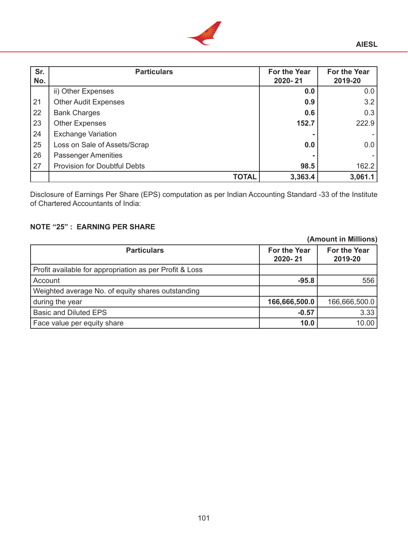

| Sr.<br>No. | <b>Particulars</b>                  | For the Year<br>2020-21 | For the Year<br>2019-20 |
|------------|-------------------------------------|-------------------------|-------------------------|
|            | ii) Other Expenses                  | 0.0                     | 0.0                     |
| 21         | <b>Other Audit Expenses</b>         | 0.9                     | 3.2                     |
| 22         | <b>Bank Charges</b>                 | 0.6                     | 0.3                     |
| 23         | <b>Other Expenses</b>               | 152.7                   | 222.9                   |
| 24         | <b>Exchange Variation</b>           |                         |                         |
| 25         | Loss on Sale of Assets/Scrap        | 0.0                     | 0.0                     |
| 26         | <b>Passenger Amenities</b>          |                         |                         |
| 27         | <b>Provision for Doubtful Debts</b> | 98.5                    | 162.2                   |
|            | <b>TOTAL</b>                        | 3,363.4                 | 3,061.1                 |

Disclosure of Earnings Per Share (EPS) computation as per Indian Accounting Standard -33 of the Institute of Chartered Accountants of India:

## **NOTE "25" : EARNING PER SHARE**

| <b>Particulars</b>                                      | <b>For the Year</b><br>2020-21 | <b>For the Year</b><br>2019-20 |
|---------------------------------------------------------|--------------------------------|--------------------------------|
| Profit available for appropriation as per Profit & Loss |                                |                                |
| Account                                                 | $-95.8$                        | 556                            |
| Weighted average No. of equity shares outstanding       |                                |                                |
| during the year                                         | 166,666,500.0                  | 166,666,500.0                  |
| <b>Basic and Diluted EPS</b>                            | $-0.57$                        | 3.33                           |
| Face value per equity share                             | 10.0                           | 10.00                          |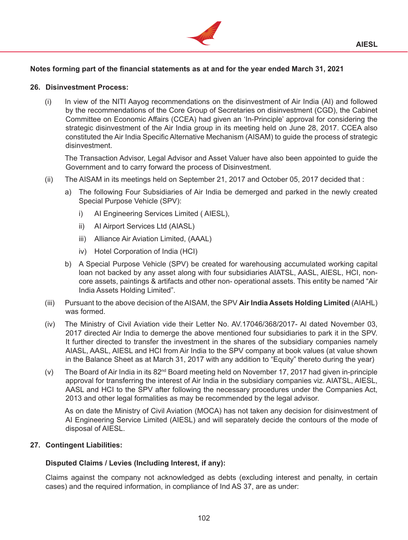

### **Notes forming part of the financial statements as at and for the year ended March 31, 2021**

#### **26. Disinvestment Process:**

(i) In view of the NITI Aayog recommendations on the disinvestment of Air India (AI) and followed by the recommendations of the Core Group of Secretaries on disinvestment (CGD), the Cabinet Committee on Economic Affairs (CCEA) had given an 'In-Principle' approval for considering the strategic disinvestment of the Air India group in its meeting held on June 28, 2017. CCEA also constituted the Air India Specific Alternative Mechanism (AISAM) to guide the process of strategic disinvestment.

 The Transaction Advisor, Legal Advisor and Asset Valuer have also been appointed to guide the Government and to carry forward the process of Disinvestment.

- (ii) The AISAM in its meetings held on September 21, 2017 and October 05, 2017 decided that :
	- a) The following Four Subsidiaries of Air India be demerged and parked in the newly created Special Purpose Vehicle (SPV):
		- i) AI Engineering Services Limited (AIESL),
		- ii) AI Airport Services Ltd (AIASL)
		- iii) Alliance Air Aviation Limited, (AAAL)
		- iv) Hotel Corporation of India (HCI)
	- b) A Special Purpose Vehicle (SPV) be created for warehousing accumulated working capital loan not backed by any asset along with four subsidiaries AIATSL, AASL, AIESL, HCI, noncore assets, paintings & artifacts and other non- operational assets. This entity be named "Air India Assets Holding Limited".
- (iii) Pursuant to the above decision of the AISAM, the SPV **Air India Assets Holding Limited** (AIAHL) was formed.
- (iv) The Ministry of Civil Aviation vide their Letter No. AV.17046/368/2017- Al dated November 03, 2017 directed Air India to demerge the above mentioned four subsidiaries to park it in the SPV. It further directed to transfer the investment in the shares of the subsidiary companies namely AIASL, AASL, AIESL and HCI from Air India to the SPV company at book values (at value shown in the Balance Sheet as at March 31, 2017 with any addition to "Equity" thereto during the year)
- (v) The Board of Air India in its  $82^{nd}$  Board meeting held on November 17, 2017 had given in-principle approval for transferring the interest of Air India in the subsidiary companies viz. AIATSL, AIESL, AASL and HCI to the SPV after following the necessary procedures under the Companies Act, 2013 and other legal formalities as may be recommended by the legal advisor.

As on date the Ministry of Civil Aviation (MOCA) has not taken any decision for disinvestment of AI Engineering Service Limited (AIESL) and will separately decide the contours of the mode of disposal of AIESL.

#### **27. Contingent Liabilities:**

### **Disputed Claims / Levies (Including Interest, if any):**

Claims against the company not acknowledged as debts (excluding interest and penalty, in certain cases) and the required information, in compliance of Ind AS 37, are as under: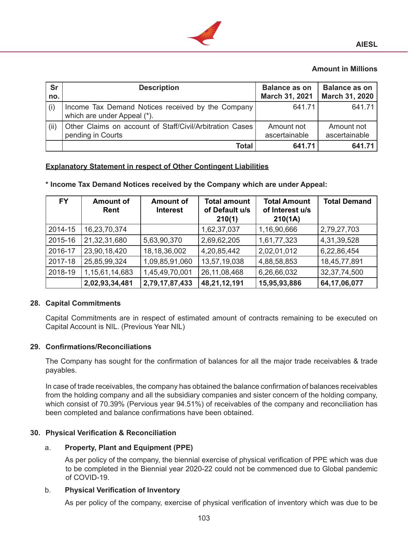

#### **Amount in Millions**

| <b>Sr</b>    | <b>Description</b>                                                               | <b>Balance as on</b>        | <b>Balance as on</b>        |
|--------------|----------------------------------------------------------------------------------|-----------------------------|-----------------------------|
| no.          |                                                                                  | March 31, 2021              | March 31, 2020              |
| (i)          | Income Tax Demand Notices received by the Company<br>which are under Appeal (*). | 641.71                      | 641.71                      |
| $\vert$ (ii) | Other Claims on account of Staff/Civil/Arbitration Cases<br>pending in Courts    | Amount not<br>ascertainable | Amount not<br>ascertainable |
|              | <b>Total</b>                                                                     | 641.71                      | 641.71                      |

## **Explanatory Statement in respect of Other Contingent Liabilities**

| <b>FY</b> | <b>Amount of</b><br>Rent | <b>Amount of</b><br><b>Interest</b> | <b>Total amount</b><br>of Default u/s<br>210(1) | <b>Total Amount</b><br>of Interest u/s<br>210(1A) | <b>Total Demand</b> |
|-----------|--------------------------|-------------------------------------|-------------------------------------------------|---------------------------------------------------|---------------------|
| 2014-15   | 16,23,70,374             |                                     | 1,62,37,037                                     | 1,16,90,666                                       | 2,79,27,703         |
| 2015-16   | 21,32,31,680             | 5,63,90,370                         | 2,69,62,205                                     | 1,61,77,323                                       | 4,31,39,528         |
| 2016-17   | 23,90,18,420             | 18, 18, 36, 002                     | 4,20,85,442                                     | 2,02,01,012                                       | 6,22,86,454         |
| 2017-18   | 25,85,99,324             | 1,09,85,91,060                      | 13,57,19,038                                    | 4,88,58,853                                       | 18,45,77,891        |
| 2018-19   | 1, 15, 61, 14, 683       | 1,45,49,70,001                      | 26, 11, 08, 468                                 | 6,26,66,032                                       | 32, 37, 74, 500     |
|           | 2,02,93,34,481           | 2,79,17,87,433                      | 48,21,12,191                                    | 15,95,93,886                                      | 64, 17, 06, 077     |

**\* Income Tax Demand Notices received by the Company which are under Appeal:** 

### **28. Capital Commitments**

Capital Commitments are in respect of estimated amount of contracts remaining to be executed on Capital Account is NIL. (Previous Year NIL)

### **29. Confirmations/Reconciliations**

 The Company has sought for the confirmation of balances for all the major trade receivables & trade payables.

 In case of trade receivables, the company has obtained the balance confirmation of balances receivables from the holding company and all the subsidiary companies and sister concern of the holding company, which consist of 70.39% (Pervious year 94.51%) of receivables of the company and reconciliation has been completed and balance confirmations have been obtained.

### **30. Physical Verification & Reconciliation**

#### a. **Property, Plant and Equipment (PPE)**

As per policy of the company, the biennial exercise of physical verification of PPE which was due to be completed in the Biennial year 2020-22 could not be commenced due to Global pandemic of COVID-19.

#### b. **Physical Verification of Inventory**

 As per policy of the company, exercise of physical verification of inventory which was due to be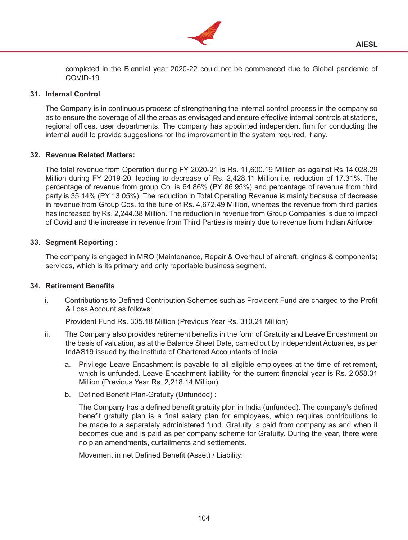

completed in the Biennial year 2020-22 could not be commenced due to Global pandemic of COVID-19.

#### **31. Internal Control**

The Company is in continuous process of strengthening the internal control process in the company so as to ensure the coverage of all the areas as envisaged and ensure effective internal controls at stations, regional offices, user departments. The company has appointed independent firm for conducting the internal audit to provide suggestions for the improvement in the system required, if any.

#### **32. Revenue Related Matters:**

The total revenue from Operation during FY 2020-21 is Rs. 11,600.19 Million as against Rs.14,028.29 Million during FY 2019-20, leading to decrease of Rs. 2,428.11 Million i.e. reduction of 17.31%. The percentage of revenue from group Co. is 64.86% (PY 86.95%) and percentage of revenue from third party is 35.14% (PY 13.05%). The reduction in Total Operating Revenue is mainly because of decrease in revenue from Group Cos. to the tune of Rs. 4,672.49 Million, whereas the revenue from third parties has increased by Rs. 2,244.38 Million. The reduction in revenue from Group Companies is due to impact of Covid and the increase in revenue from Third Parties is mainly due to revenue from Indian Airforce.

#### **33. Segment Reporting :**

The company is engaged in MRO (Maintenance, Repair & Overhaul of aircraft, engines & components) services, which is its primary and only reportable business segment.

#### **34. Retirement Benefits**

i. Contributions to Defined Contribution Schemes such as Provident Fund are charged to the Profit & Loss Account as follows:

 Provident Fund Rs. 305.18 Million (Previous Year Rs. 310.21 Million)

- ii. The Company also provides retirement benefits in the form of Gratuity and Leave Encashment on the basis of valuation, as at the Balance Sheet Date, carried out by independent Actuaries, as per IndAS19 issued by the Institute of Chartered Accountants of India.
	- a. Privilege Leave Encashment is payable to all eligible employees at the time of retirement, which is unfunded. Leave Encashment liability for the current financial year is Rs. 2,058.31 Million (Previous Year Rs. 2,218.14 Million).
	- b. Defined Benefit Plan-Gratuity (Unfunded) :

 The Company has a defined benefit gratuity plan in India (unfunded). The company's defined benefit gratuity plan is a final salary plan for employees, which requires contributions to be made to a separately administered fund. Gratuity is paid from company as and when it becomes due and is paid as per company scheme for Gratuity. During the year, there were no plan amendments, curtailments and settlements.

 Movement in net Defined Benefit (Asset) / Liability: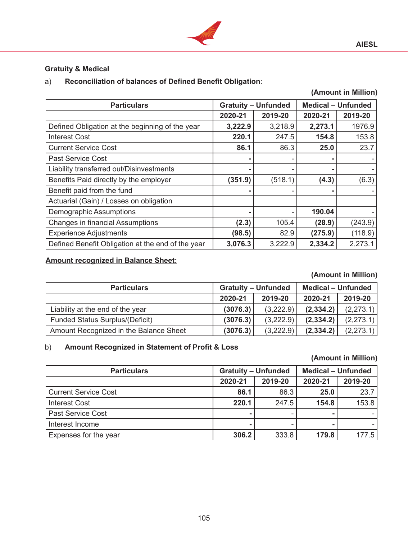

## **Gratuity & Medical**

## a) **Reconciliation of balances of Defined Benefit Obligation**:

**(Amount in Million)**

| <b>Particulars</b>                                | <b>Gratuity - Unfunded</b> |         | <b>Medical - Unfunded</b> |         |
|---------------------------------------------------|----------------------------|---------|---------------------------|---------|
|                                                   | 2020-21                    | 2019-20 | 2020-21                   | 2019-20 |
| Defined Obligation at the beginning of the year   | 3,222.9                    | 3,218.9 | 2,273.1                   | 1976.9  |
| <b>Interest Cost</b>                              | 220.1                      | 247.5   | 154.8                     | 153.8   |
| <b>Current Service Cost</b>                       | 86.1                       | 86.3    | 25.0                      | 23.7    |
| <b>Past Service Cost</b>                          |                            |         |                           |         |
| Liability transferred out/Disinvestments          |                            |         |                           |         |
| Benefits Paid directly by the employer            | (351.9)                    | (518.1) | (4.3)                     | (6.3)   |
| Benefit paid from the fund                        |                            |         |                           |         |
| Actuarial (Gain) / Losses on obligation           |                            |         |                           |         |
| Demographic Assumptions                           |                            |         | 190.04                    |         |
| <b>Changes in financial Assumptions</b>           | (2.3)                      | 105.4   | (28.9)                    | (243.9) |
| <b>Experience Adjustments</b>                     | (98.5)                     | 82.9    | (275.9)                   | (118.9) |
| Defined Benefit Obligation at the end of the year | 3,076.3                    | 3,222.9 | 2,334.2                   | 2,273.1 |

## **Amount recognized in Balance Sheet:**

## **(Amount in Million)**

| <b>Particulars</b>                     | <b>Gratuity - Unfunded</b> |           | <b>Medical - Unfunded</b> |           |
|----------------------------------------|----------------------------|-----------|---------------------------|-----------|
|                                        | 2020-21                    | 2019-20   | 2020-21                   | 2019-20   |
| Liability at the end of the year       | (3076.3)                   | (3,222.9) | (2,334.2)                 | (2,273.1) |
| <b>Funded Status Surplus/(Deficit)</b> | (3076.3)                   | (3,222.9) | (2,334.2)                 | (2,273.1) |
| Amount Recognized in the Balance Sheet | (3076.3)                   | (3,222.9) | (2,334.2)                 | (2,273.1) |

## b) **Amount Recognized in Statement of Profit & Loss**

| <b>Particulars</b>          | <b>Gratuity - Unfunded</b> |         | <b>Medical - Unfunded</b> |         |
|-----------------------------|----------------------------|---------|---------------------------|---------|
|                             | 2020-21                    | 2019-20 | 2020-21                   | 2019-20 |
| <b>Current Service Cost</b> | 86.1                       | 86.3    | 25.0                      | 23.7    |
| <b>Interest Cost</b>        | 220.1                      | 247.5   | 154.8                     | 153.8   |
| <b>Past Service Cost</b>    |                            |         |                           |         |
| Interest Income             |                            |         |                           |         |
| Expenses for the year       | 306.2                      | 333.8   | 179.8                     | 177.5   |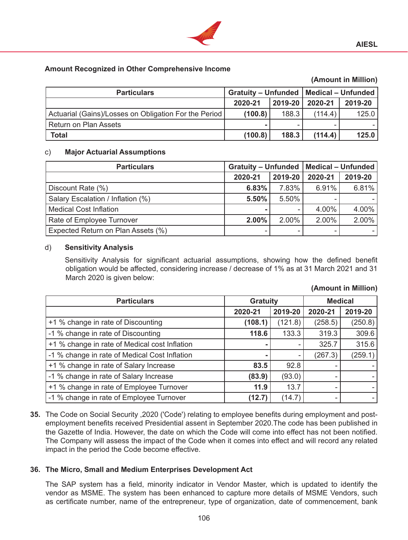

**(Amount in Million)**

### **Amount Recognized in Other Comprehensive Income**

| <b>Particulars</b>                                    | Gratuity – Unfunded   Medical – Unfunded |         |         |         |
|-------------------------------------------------------|------------------------------------------|---------|---------|---------|
|                                                       | 2020-21                                  | 2019-20 | 2020-21 | 2019-20 |
| Actuarial (Gains)/Losses on Obligation For the Period | (100.8)                                  | 188.3   | (114.4) | 125.0   |
| <b>Return on Plan Assets</b>                          |                                          |         |         |         |
| <b>Total</b>                                          | (100.8)                                  | 188.3   | (114.4) | 125.0   |

#### c) **Major Actuarial Assumptions**

| <b>Particulars</b>                 |          |         | Gratuity - Unfunded   Medical - Unfunded |          |
|------------------------------------|----------|---------|------------------------------------------|----------|
|                                    | 2020-21  | 2019-20 | 2020-21                                  | 2019-20  |
| Discount Rate (%)                  | 6.83%    | 7.83%   | 6.91%                                    | 6.81%    |
| Salary Escalation / Inflation (%)  | 5.50%    | 5.50%   |                                          |          |
| <b>Medical Cost Inflation</b>      |          |         | 4.00%                                    | $4.00\%$ |
| Rate of Employee Turnover          | $2.00\%$ | 2.00%   | 2.00%                                    | $2.00\%$ |
| Expected Return on Plan Assets (%) |          |         |                                          |          |

#### d) **Sensitivity Analysis**

 Sensitivity Analysis for significant actuarial assumptions, showing how the defined benefit obligation would be affected, considering increase / decrease of 1% as at 31 March 2021 and 31 March 2020 is given below:

#### **(Amount in Million)**

| <b>Particulars</b>                            | <b>Gratuity</b> |         | <b>Medical</b> |         |
|-----------------------------------------------|-----------------|---------|----------------|---------|
|                                               | 2020-21         | 2019-20 | 2020-21        | 2019-20 |
| +1 % change in rate of Discounting            | (108.1)         | (121.8) | (258.5)        | (250.8) |
| -1 % change in rate of Discounting            | 118.6           | 133.3   | 319.3          | 309.6   |
| +1 % change in rate of Medical cost Inflation |                 |         | 325.7          | 315.6   |
| -1 % change in rate of Medical Cost Inflation |                 |         | (267.3)        | (259.1) |
| +1 % change in rate of Salary Increase        | 83.5            | 92.8    |                |         |
| -1 % change in rate of Salary Increase        | (83.9)          | (93.0)  |                |         |
| +1 % change in rate of Employee Turnover      | 11.9            | 13.7    |                |         |
| -1 % change in rate of Employee Turnover      | (12.7)          | (14.7)  |                |         |

**35.** The Code on Social Security ,2020 ('Code') relating to employee benefits during employment and postemployment benefits received Presidential assent in September 2020.The code has been published in the Gazette of India. However, the date on which the Code will come into effect has not been notified. The Company will assess the impact of the Code when it comes into effect and will record any related impact in the period the Code become effective.

### **36. The Micro, Small and Medium Enterprises Development Act**

 The SAP system has a field, minority indicator in Vendor Master, which is updated to identify the vendor as MSME. The system has been enhanced to capture more details of MSME Vendors, such as certificate number, name of the entrepreneur, type of organization, date of commencement, bank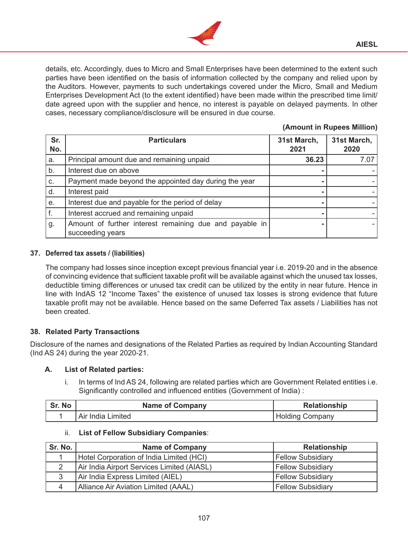

details, etc. Accordingly, dues to Micro and Small Enterprises have been determined to the extent such parties have been identified on the basis of information collected by the company and relied upon by the Auditors. However, payments to such undertakings covered under the Micro, Small and Medium Enterprises Development Act (to the extent identified) have been made within the prescribed time limit/ date agreed upon with the supplier and hence, no interest is payable on delayed payments. In other cases, necessary compliance/disclosure will be ensured in due course.

#### **(Amount in Rupees Million)**

| Sr.<br>No. | <b>Particulars</b>                                                          | 31st March,<br>2021 | 31st March,<br>2020 |
|------------|-----------------------------------------------------------------------------|---------------------|---------------------|
| a.         | Principal amount due and remaining unpaid                                   | 36.23               | 7.07                |
| b.         | Interest due on above                                                       |                     |                     |
| C.         | Payment made beyond the appointed day during the year                       |                     |                     |
| d.         | Interest paid                                                               |                     |                     |
| le.        | Interest due and payable for the period of delay                            |                     |                     |
| l f.       | Interest accrued and remaining unpaid                                       |                     |                     |
| ۱g.        | Amount of further interest remaining due and payable in<br>succeeding years |                     |                     |

#### **37. Deferred tax assets / (liabilities)**

 The company had losses since inception except previous financial year i.e. 2019-20 and in the absence of convincing evidence that sufficient taxable profit will be available against which the unused tax losses, deductible timing differences or unused tax credit can be utilized by the entity in near future. Hence in line with IndAS 12 "Income Taxes" the existence of unused tax losses is strong evidence that future taxable profit may not be available. Hence based on the same Deferred Tax assets / Liabilities has not been created.

### **38. Related Party Transactions**

Disclosure of the names and designations of the Related Parties as required by Indian Accounting Standard (Ind AS 24) during the year 2020-21.

#### **A. List of Related parties:**

i. In terms of Ind AS 24, following are related parties which are Government Related entities i.e. Significantly controlled and influenced entities (Government of India) :

| Sr. No | <b>Name of Company</b> | <b>Relationship</b> |
|--------|------------------------|---------------------|
|        | Air India Limited      | Holding Company     |

#### ii. **List of Fellow Subsidiary Companies**:

| Sr. No. | <b>Name of Company</b>                     | <b>Relationship</b>      |
|---------|--------------------------------------------|--------------------------|
|         | Hotel Corporation of India Limited (HCI)   | <b>Fellow Subsidiary</b> |
|         | Air India Airport Services Limited (AIASL) | <b>Fellow Subsidiary</b> |
|         | Air India Express Limited (AIEL)           | <b>Fellow Subsidiary</b> |
|         | Alliance Air Aviation Limited (AAAL)       | <b>Fellow Subsidiary</b> |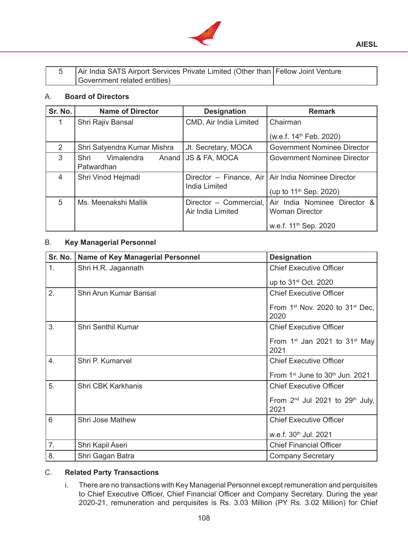

| Air India SATS Airport Services Private Limited (Other than Fellow Joint Venture |  |
|----------------------------------------------------------------------------------|--|
| Government related entities)                                                     |  |

### A. **Board of Directors**

| Sr. No. | <b>Name of Director</b>                   | <b>Designation</b>                          |                                                       |  |
|---------|-------------------------------------------|---------------------------------------------|-------------------------------------------------------|--|
|         | Shri Rajiv Bansal                         | CMD, Air India Limited                      | Chairman                                              |  |
|         |                                           |                                             | (w.e.f. 14 <sup>th</sup> Feb. 2020)                   |  |
| 2       | Shri Satyendra Kumar Mishra               | Jt. Secretary, MOCA                         | <b>Government Nominee Director</b>                    |  |
| 3       | Vimalendra<br>Anand<br>Shri<br>Patwardhan | JS & FA, MOCA                               | <b>Government Nominee Director</b>                    |  |
| 4       | Shri Vinod Hejmadi                        |                                             | Director - Finance, Air   Air India Nominee Director  |  |
|         |                                           | <b>India Limited</b>                        | (up to $11^{th}$ Sep. 2020)                           |  |
| 5       | Ms. Meenakshi Mallik                      | Director - Commercial,<br>Air India Limited | Air India Nominee Director &<br><b>Woman Director</b> |  |
|         |                                           |                                             | w.e.f. 11 <sup>th</sup> Sep. 2020                     |  |

## B. **Key Managerial Personnel**

| Sr. No. | <b>Name of Key Managerial Personnel</b> | <b>Designation</b>                                |
|---------|-----------------------------------------|---------------------------------------------------|
| 1.      | Shri H.R. Jagannath                     | <b>Chief Executive Officer</b>                    |
|         |                                         | up to 31 <sup>st</sup> Oct. 2020                  |
| 2.      | Shri Arun Kumar Bansal                  | <b>Chief Executive Officer</b>                    |
|         |                                         | From $1st$ Nov. 2020 to $31st$ Dec,<br>2020       |
| 3.      | <b>Shri Senthil Kumar</b>               | <b>Chief Executive Officer</b>                    |
|         |                                         | From $1^{st}$ Jan 2021 to $31^{st}$ May<br>2021   |
| 4.      | Shri P. Kumarvel                        | <b>Chief Executive Officer</b>                    |
|         |                                         | From $1st$ June to $30th$ Jun. 2021               |
| 5.      | <b>Shri CBK Karkhanis</b>               | <b>Chief Executive Officer</b>                    |
|         |                                         | From $2^{nd}$ Jul 2021 to $29^{th}$ July,<br>2021 |
| 6       | <b>Shri Jose Mathew</b>                 | <b>Chief Executive Officer</b>                    |
|         |                                         | w.e.f. 30 <sup>th</sup> Jul. 2021                 |
| 7.      | Shri Kapil Aseri                        | <b>Chief Financial Officer</b>                    |
| 8.      | Shri Gagan Batra                        | <b>Company Secretary</b>                          |

## C. **Related Party Transactions**

i. There are no transactions with Key Managerial Personnel except remuneration and perquisites to Chief Executive Officer, Chief Financial Officer and Company Secretary. During the year 2020-21, remuneration and perquisites is Rs. 3.03 Million (PY Rs. 3.02 Million) for Chief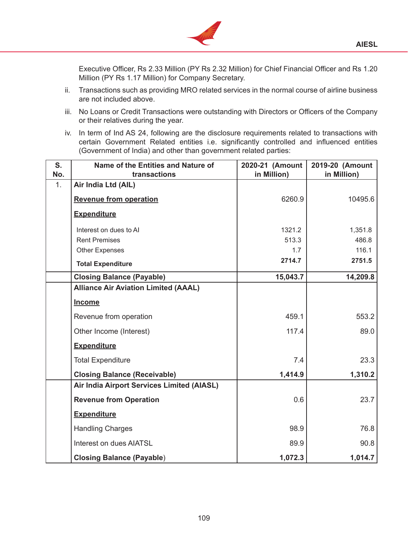

Executive Officer, Rs 2.33 Million (PY Rs 2.32 Million) for Chief Financial Officer and Rs 1.20 Million (PY Rs 1.17 Million) for Company Secretary.

- ii. Transactions such as providing MRO related services in the normal course of airline business are not included above.
- iii. No Loans or Credit Transactions were outstanding with Directors or Officers of the Company or their relatives during the year.
- iv. In term of Ind AS 24, following are the disclosure requirements related to transactions with certain Government Related entities i.e. significantly controlled and influenced entities (Government of India) and other than government related parties:

| S.<br>No. | Name of the Entities and Nature of<br>transactions | 2020-21 (Amount<br>in Million) | 2019-20 (Amount<br>in Million) |
|-----------|----------------------------------------------------|--------------------------------|--------------------------------|
| 1.        | Air India Ltd (AIL)                                |                                |                                |
|           | <b>Revenue from operation</b>                      | 6260.9                         | 10495.6                        |
|           | <b>Expenditure</b>                                 |                                |                                |
|           | Interest on dues to AI                             | 1321.2                         | 1,351.8                        |
|           | <b>Rent Premises</b>                               | 513.3                          | 486.8                          |
|           | <b>Other Expenses</b>                              | 1.7                            | 116.1                          |
|           | <b>Total Expenditure</b>                           | 2714.7                         | 2751.5                         |
|           | <b>Closing Balance (Payable)</b>                   | 15,043.7                       | 14,209.8                       |
|           | <b>Alliance Air Aviation Limited (AAAL)</b>        |                                |                                |
|           | <b>Income</b>                                      |                                |                                |
|           | Revenue from operation                             | 459.1                          | 553.2                          |
|           | Other Income (Interest)                            | 117.4                          | 89.0                           |
|           | <b>Expenditure</b>                                 |                                |                                |
|           | <b>Total Expenditure</b>                           | 7.4                            | 23.3                           |
|           | <b>Closing Balance (Receivable)</b>                | 1,414.9                        | 1,310.2                        |
|           | Air India Airport Services Limited (AIASL)         |                                |                                |
|           | <b>Revenue from Operation</b>                      | 0.6                            | 23.7                           |
|           | <b>Expenditure</b>                                 |                                |                                |
|           | <b>Handling Charges</b>                            | 98.9                           | 76.8                           |
|           | Interest on dues AIATSL                            | 89.9                           | 90.8                           |
|           | <b>Closing Balance (Payable)</b>                   | 1,072.3                        | 1,014.7                        |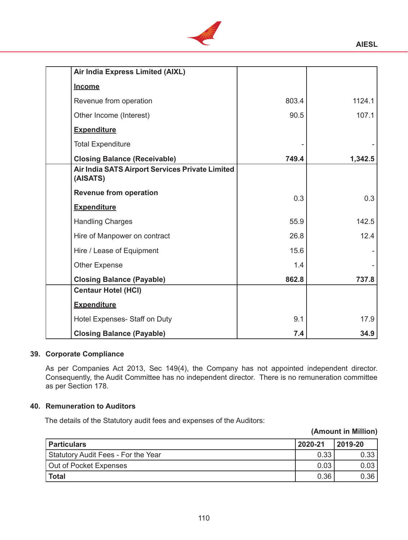

| Air India Express Limited (AIXL)                            |       |         |
|-------------------------------------------------------------|-------|---------|
| <b>Income</b>                                               |       |         |
| Revenue from operation                                      | 803.4 | 1124.1  |
| Other Income (Interest)                                     | 90.5  | 107.1   |
| <b>Expenditure</b>                                          |       |         |
| <b>Total Expenditure</b>                                    |       |         |
| <b>Closing Balance (Receivable)</b>                         | 749.4 | 1,342.5 |
| Air India SATS Airport Services Private Limited<br>(AISATS) |       |         |
| <b>Revenue from operation</b>                               | 0.3   | 0.3     |
| <b>Expenditure</b>                                          |       |         |
| <b>Handling Charges</b>                                     | 55.9  | 142.5   |
| Hire of Manpower on contract                                | 26.8  | 12.4    |
| Hire / Lease of Equipment                                   | 15.6  |         |
| Other Expense                                               | 1.4   |         |
| <b>Closing Balance (Payable)</b>                            | 862.8 | 737.8   |
| <b>Centaur Hotel (HCI)</b>                                  |       |         |
| <b>Expenditure</b>                                          |       |         |
| Hotel Expenses- Staff on Duty                               | 9.1   | 17.9    |
| <b>Closing Balance (Payable)</b>                            | 7.4   | 34.9    |

### **39. Corporate Compliance**

As per Companies Act 2013, Sec 149(4), the Company has not appointed independent director. Consequently, the Audit Committee has no independent director. There is no remuneration committee as per Section 178.

### **40. Remuneration to Auditors**

The details of the Statutory audit fees and expenses of the Auditors:

## **(Amount in Million)**

| <b>Particulars</b>                  | 2020-21 | 2019-20    |
|-------------------------------------|---------|------------|
| Statutory Audit Fees - For the Year | 0.33    | 0.33       |
| <b>Out of Pocket Expenses</b>       | 0.03    | 0.03       |
| <b>Total</b>                        | 0.36    | $0.36$ $ $ |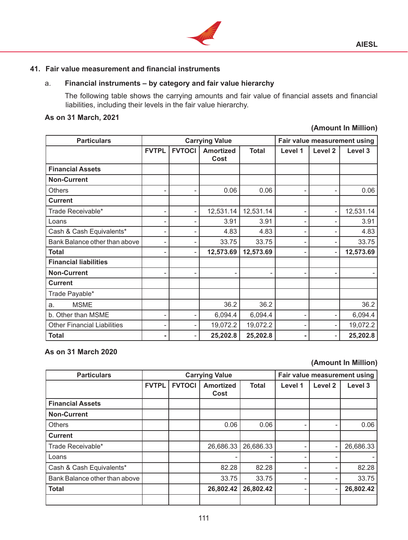

## **41. Fair value measurement and financial instruments**

## a. **Financial instruments – by category and fair value hierarchy**

The following table shows the carrying amounts and fair value of financial assets and financial liabilities, including their levels in the fair value hierarchy.

## **As on 31 March, 2021**

### **(Amount In Million)**

| <b>Particulars</b>                 | <b>Carrying Value</b> |               |                          | Fair value measurement using |         |                    |           |
|------------------------------------|-----------------------|---------------|--------------------------|------------------------------|---------|--------------------|-----------|
|                                    | <b>FVTPL</b>          | <b>FVTOCI</b> | <b>Amortized</b><br>Cost | <b>Total</b>                 | Level 1 | Level <sub>2</sub> | Level 3   |
| <b>Financial Assets</b>            |                       |               |                          |                              |         |                    |           |
| <b>Non-Current</b>                 |                       |               |                          |                              |         |                    |           |
| <b>Others</b>                      |                       |               | 0.06                     | 0.06                         |         |                    | 0.06      |
| <b>Current</b>                     |                       |               |                          |                              |         |                    |           |
| Trade Receivable*                  |                       |               | 12,531.14                | 12,531.14                    | ۰       |                    | 12,531.14 |
| Loans                              |                       |               | 3.91                     | 3.91                         | ۰       |                    | 3.91      |
| Cash & Cash Equivalents*           |                       |               | 4.83                     | 4.83                         | ۰       |                    | 4.83      |
| Bank Balance other than above      |                       |               | 33.75                    | 33.75                        | ۰       |                    | 33.75     |
| <b>Total</b>                       |                       |               | 12,573.69                | 12,573.69                    | ۰       |                    | 12,573.69 |
| <b>Financial liabilities</b>       |                       |               |                          |                              |         |                    |           |
| <b>Non-Current</b>                 |                       |               |                          |                              | ۰       |                    |           |
| <b>Current</b>                     |                       |               |                          |                              |         |                    |           |
| Trade Payable*                     |                       |               |                          |                              |         |                    |           |
| <b>MSME</b><br>a.                  |                       |               | 36.2                     | 36.2                         |         |                    | 36.2      |
| b. Other than MSME                 |                       |               | 6,094.4                  | 6,094.4                      | ۰       |                    | 6,094.4   |
| <b>Other Financial Liabilities</b> |                       |               | 19,072.2                 | 19,072.2                     | ۰       |                    | 19,072.2  |
| <b>Total</b>                       |                       |               | 25,202.8                 | 25,202.8                     |         |                    | 25,202.8  |

# **As on 31 March 2020**

## **(Amount In Million)**

| <b>Particulars</b>            | <b>Carrying Value</b> |               |                          | Fair value measurement using |         |                    |           |
|-------------------------------|-----------------------|---------------|--------------------------|------------------------------|---------|--------------------|-----------|
|                               | <b>FVTPL</b>          | <b>FVTOCI</b> | <b>Amortized</b><br>Cost | <b>Total</b>                 | Level 1 | Level <sub>2</sub> | Level 3   |
| <b>Financial Assets</b>       |                       |               |                          |                              |         |                    |           |
| <b>Non-Current</b>            |                       |               |                          |                              |         |                    |           |
| <b>Others</b>                 |                       |               | 0.06                     | 0.06                         |         |                    | 0.06      |
| <b>Current</b>                |                       |               |                          |                              |         |                    |           |
| Trade Receivable*             |                       |               | 26,686.33                | 26,686.33                    |         | ۳                  | 26,686.33 |
| Loans                         |                       |               |                          |                              |         |                    |           |
| Cash & Cash Equivalents*      |                       |               | 82.28                    | 82.28                        |         |                    | 82.28     |
| Bank Balance other than above |                       |               | 33.75                    | 33.75                        |         |                    | 33.75     |
| <b>Total</b>                  |                       |               | 26,802.42                | 26,802.42                    | -       | $\blacksquare$     | 26,802.42 |
|                               |                       |               |                          |                              |         |                    |           |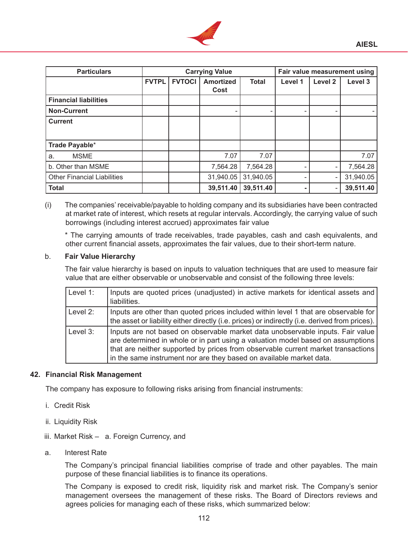| <b>Particulars</b>                 | <b>Carrying Value</b> |               |                          | Fair value measurement using |         |         |           |
|------------------------------------|-----------------------|---------------|--------------------------|------------------------------|---------|---------|-----------|
|                                    | <b>FVTPL</b>          | <b>FVTOCI</b> | <b>Amortized</b><br>Cost | <b>Total</b>                 | Level 1 | Level 2 | Level 3   |
| <b>Financial liabilities</b>       |                       |               |                          |                              |         |         |           |
| <b>Non-Current</b>                 |                       |               |                          |                              |         |         |           |
| <b>Current</b>                     |                       |               |                          |                              |         |         |           |
|                                    |                       |               |                          |                              |         |         |           |
| Trade Payable*                     |                       |               |                          |                              |         |         |           |
| <b>MSME</b><br>a.                  |                       |               | 7.07                     | 7.07                         |         |         | 7.07      |
| b. Other than MSME                 |                       |               | 7,564.28                 | 7,564.28                     |         |         | 7,564.28  |
| <b>Other Financial Liabilities</b> |                       |               | 31,940.05                | 31,940.05                    |         |         | 31,940.05 |
| <b>Total</b>                       |                       |               | 39,511.40                | 39,511.40                    | ۰       |         | 39,511.40 |

(i) The companies' receivable/payable to holding company and its subsidiaries have been contracted at market rate of interest, which resets at regular intervals. Accordingly, the carrying value of such borrowings (including interest accrued) approximates fair value

\* The carrying amounts of trade receivables, trade payables, cash and cash equivalents, and other current financial assets, approximates the fair values, due to their short-term nature.

## b. **Fair Value Hierarchy**

The fair value hierarchy is based on inputs to valuation techniques that are used to measure fair value that are either observable or unobservable and consist of the following three levels:

| Level 1: | Inputs are quoted prices (unadjusted) in active markets for identical assets and<br>liabilities.                                                                                                                                                                                                                             |
|----------|------------------------------------------------------------------------------------------------------------------------------------------------------------------------------------------------------------------------------------------------------------------------------------------------------------------------------|
| Level 2: | Inputs are other than quoted prices included within level 1 that are observable for<br>the asset or liability either directly (i.e. prices) or indirectly (i.e. derived from prices).                                                                                                                                        |
| Level 3: | Inputs are not based on observable market data unobservable inputs. Fair value<br>are determined in whole or in part using a valuation model based on assumptions<br>that are neither supported by prices from observable current market transactions<br>in the same instrument nor are they based on available market data. |

## **42. Financial Risk Management**

The company has exposure to following risks arising from financial instruments:

- i. Credit Risk
- ii. Liquidity Risk
- iii. Market Risk a. Foreign Currency, and
- a. Interest Rate

 The Company's principal financial liabilities comprise of trade and other payables. The main purpose of these financial liabilities is to finance its operations.

The Company is exposed to credit risk, liquidity risk and market risk. The Company's senior management oversees the management of these risks. The Board of Directors reviews and agrees policies for managing each of these risks, which summarized below: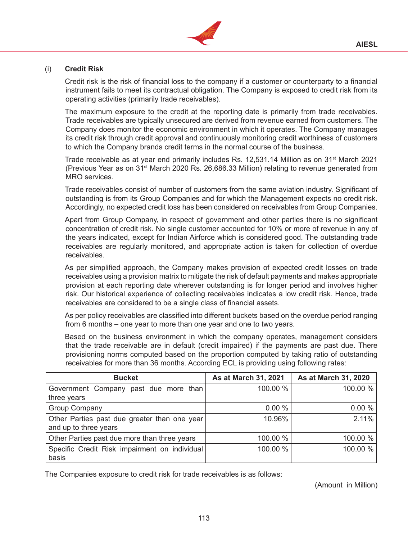

### (i) **Credit Risk**

Credit risk is the risk of financial loss to the company if a customer or counterparty to a financial instrument fails to meet its contractual obligation. The Company is exposed to credit risk from its operating activities (primarily trade receivables).

The maximum exposure to the credit at the reporting date is primarily from trade receivables. Trade receivables are typically unsecured are derived from revenue earned from customers. The Company does monitor the economic environment in which it operates. The Company manages its credit risk through credit approval and continuously monitoring credit worthiness of customers to which the Company brands credit terms in the normal course of the business.

Trade receivable as at year end primarily includes Rs. 12,531.14 Million as on 31<sup>st</sup> March 2021 (Previous Year as on 31st March 2020 Rs. 26,686.33 Million) relating to revenue generated from MRO services.

 Trade receivables consist of number of customers from the same aviation industry. Significant of outstanding is from its Group Companies and for which the Management expects no credit risk. Accordingly, no expected credit loss has been considered on receivables from Group Companies.

 Apart from Group Company, in respect of government and other parties there is no significant concentration of credit risk. No single customer accounted for 10% or more of revenue in any of the years indicated, except for Indian Airforce which is considered good. The outstanding trade receivables are regularly monitored, and appropriate action is taken for collection of overdue receivables.

 As per simplified approach, the Company makes provision of expected credit losses on trade receivables using a provision matrix to mitigate the risk of default payments and makes appropriate provision at each reporting date wherever outstanding is for longer period and involves higher risk. Our historical experience of collecting receivables indicates a low credit risk. Hence, trade receivables are considered to be a single class of financial assets.

 As per policy receivables are classified into different buckets based on the overdue period ranging from 6 months – one year to more than one year and one to two years.

Based on the business environment in which the company operates, management considers that the trade receivable are in default (credit impaired) if the payments are past due. There provisioning norms computed based on the proportion computed by taking ratio of outstanding receivables for more than 36 months. According ECL is providing using following rates:

| <b>Bucket</b>                                                         | As at March 31, 2021 | As at March 31, 2020 |
|-----------------------------------------------------------------------|----------------------|----------------------|
| Government Company past due more than<br>three years                  | 100.00 %             | 100.00 %             |
| <b>Group Company</b>                                                  | 0.00%                | 0.00%                |
| Other Parties past due greater than one year<br>and up to three years | 10.96%               | 2.11%                |
| Other Parties past due more than three years                          | 100.00 %             | 100.00 %             |
| Specific Credit Risk impairment on individual<br>basis                | 100.00 %             | 100.00 %             |

The Companies exposure to credit risk for trade receivables is as follows:

(Amount in Million)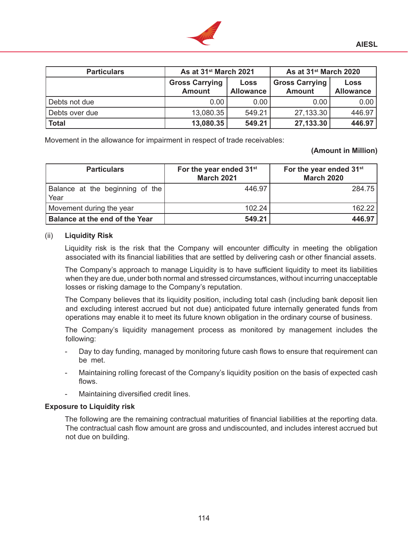

| <b>Particulars</b> | As at 31 <sup>st</sup> March 2021      |                          | As at 31 <sup>st</sup> March 2020      |                                 |
|--------------------|----------------------------------------|--------------------------|----------------------------------------|---------------------------------|
|                    | <b>Gross Carrying</b><br><b>Amount</b> | Loss<br><b>Allowance</b> | <b>Gross Carrying</b><br><b>Amount</b> | <b>Loss</b><br><b>Allowance</b> |
| Debts not due      | 0.00                                   | 0.00                     | 0.00                                   | 0.00                            |
| Debts over due     | 13,080.35                              | 549.21                   | 27,133.30                              | 446.97                          |
| <b>Total</b>       | 13,080.35                              | 549.21                   | 27,133.30                              | 446.97                          |

Movement in the allowance for impairment in respect of trade receivables:

#### **(Amount in Million)**

| <b>Particulars</b>                      | For the year ended 31 <sup>st</sup><br><b>March 2021</b> | For the year ended 31 <sup>st</sup><br><b>March 2020</b> |
|-----------------------------------------|----------------------------------------------------------|----------------------------------------------------------|
| Balance at the beginning of the<br>Year | 446.97                                                   | 284.75                                                   |
| Movement during the year                | 102.24                                                   | 162.22                                                   |
| Balance at the end of the Year          | 549.21                                                   | 446.97                                                   |

#### (ii) **Liquidity Risk**

Liquidity risk is the risk that the Company will encounter difficulty in meeting the obligation associated with its financial liabilities that are settled by delivering cash or other financial assets.

 The Company's approach to manage Liquidity is to have sufficient liquidity to meet its liabilities when they are due, under both normal and stressed circumstances, without incurring unacceptable losses or risking damage to the Company's reputation.

The Company believes that its liquidity position, including total cash (including bank deposit lien and excluding interest accrued but not due) anticipated future internally generated funds from operations may enable it to meet its future known obligation in the ordinary course of business.

The Company's liquidity management process as monitored by management includes the following:

- Day to day funding, managed by monitoring future cash flows to ensure that requirement can be met.
- Maintaining rolling forecast of the Company's liquidity position on the basis of expected cash flows.
- Maintaining diversified credit lines.

### **Exposure to Liquidity risk**

 The following are the remaining contractual maturities of financial liabilities at the reporting data. The contractual cash flow amount are gross and undiscounted, and includes interest accrued but not due on building.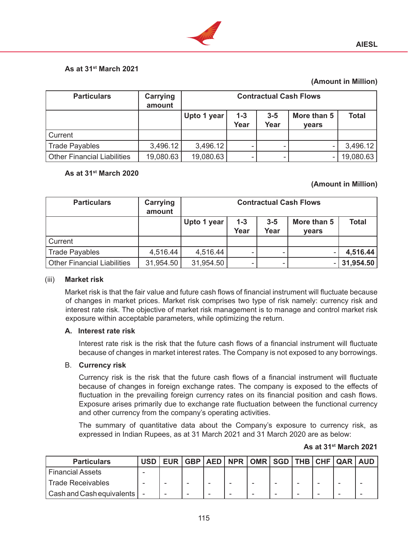

## **As at 31st March 2021**

### **(Amount in Million)**

| <b>Particulars</b>                 | Carrying<br>amount | <b>Contractual Cash Flows</b> |                 |               |                             |              |  |
|------------------------------------|--------------------|-------------------------------|-----------------|---------------|-----------------------------|--------------|--|
|                                    |                    | Upto 1 year                   | $1 - 3$<br>Year | $3-5$<br>Year | More than 5<br><b>vears</b> | <b>Total</b> |  |
| Current                            |                    |                               |                 |               |                             |              |  |
| <b>Trade Payables</b>              | 3,496.12           | 3,496.12                      |                 |               |                             | 3,496.12     |  |
| <b>Other Financial Liabilities</b> | 19,080.63          | 19,080.63                     |                 |               |                             | 19,080.63    |  |

## **As at 31st March 2020**

## **(Amount in Million)**

| <b>Particulars</b>                 | Carrying<br>amount | <b>Contractual Cash Flows</b> |                 |                 |                      |              |  |
|------------------------------------|--------------------|-------------------------------|-----------------|-----------------|----------------------|--------------|--|
|                                    |                    | Upto 1 year                   | $1 - 3$<br>Year | $3 - 5$<br>Year | More than 5<br>years | <b>Total</b> |  |
| Current                            |                    |                               |                 |                 |                      |              |  |
| <b>Trade Payables</b>              | 4,516.44           | 4,516.44                      |                 |                 |                      | 4,516.44     |  |
| <b>Other Financial Liabilities</b> | 31,954.50          | 31,954.50                     |                 |                 |                      | 31,954.50    |  |

### (iii) **Market risk**

Market risk is that the fair value and future cash flows of financial instrument will fluctuate because of changes in market prices. Market risk comprises two type of risk namely: currency risk and interest rate risk. The objective of market risk management is to manage and control market risk exposure within acceptable parameters, while optimizing the return.

### **A. Interest rate risk**

 Interest rate risk is the risk that the future cash flows of a financial instrument will fluctuate because of changes in market interest rates. The Company is not exposed to any borrowings.

### B. **Currency risk**

Currency risk is the risk that the future cash flows of a financial instrument will fluctuate because of changes in foreign exchange rates. The company is exposed to the effects of fluctuation in the prevailing foreign currency rates on its financial position and cash flows. Exposure arises primarily due to exchange rate fluctuation between the functional currency and other currency from the company's operating activities.

The summary of quantitative data about the Company's exposure to currency risk, as expressed in Indian Rupees, as at 31 March 2021 and 31 March 2020 are as below:

### **As at 31st March 2021**

| <b>Particulars</b>        | <b>USD</b> | <b>EUR</b> |   |   | GBP   AED   NPR   OMR   SGD   THB   CHF   QAR   AUD |  |  |  |
|---------------------------|------------|------------|---|---|-----------------------------------------------------|--|--|--|
| <b>Financial Assets</b>   |            |            |   |   |                                                     |  |  |  |
| <b>Trade Receivables</b>  |            |            |   | - |                                                     |  |  |  |
| Cash and Cash equivalents |            |            | - | - |                                                     |  |  |  |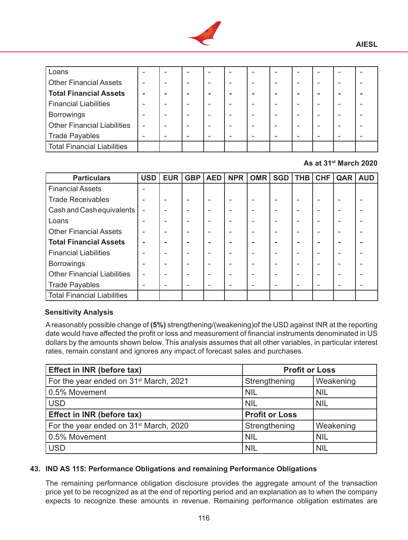

| Loans                              |  |  |  |  |  |  |
|------------------------------------|--|--|--|--|--|--|
| <b>Other Financial Assets</b>      |  |  |  |  |  |  |
| <b>Total Financial Assets</b>      |  |  |  |  |  |  |
| <b>Financial Liabilities</b>       |  |  |  |  |  |  |
| <b>Borrowings</b>                  |  |  |  |  |  |  |
| <b>Other Financial Liabilities</b> |  |  |  |  |  |  |
| <b>Trade Payables</b>              |  |  |  |  |  |  |
| <b>Total Financial Liabilities</b> |  |  |  |  |  |  |

### **As at 31st March 2020**

| <b>Particulars</b>                 | <b>USD</b> | <b>EUR</b> | <b>GBP</b> | <b>AED</b> | <b>NPR</b> | <b>OMR</b> | SGD   THB | <b>CHF</b> | QAR | <b>AUD</b> |
|------------------------------------|------------|------------|------------|------------|------------|------------|-----------|------------|-----|------------|
| <b>Financial Assets</b>            |            |            |            |            |            |            |           |            |     |            |
| <b>Trade Receivables</b>           |            |            |            |            |            |            |           |            |     |            |
| Cash and Cash equivalents          |            |            |            |            |            |            |           |            |     |            |
| Loans                              |            |            |            |            |            |            |           |            |     |            |
| <b>Other Financial Assets</b>      |            |            |            |            |            |            |           |            |     |            |
| <b>Total Financial Assets</b>      |            |            |            |            |            |            |           |            |     |            |
| <b>Financial Liabilities</b>       |            |            |            |            |            |            |           |            |     |            |
| <b>Borrowings</b>                  |            |            |            |            |            |            |           |            |     |            |
| <b>Other Financial Liabilities</b> |            |            |            |            |            |            |           |            |     |            |
| <b>Trade Payables</b>              |            |            |            |            |            |            |           |            |     |            |
| <b>Total Financial Liabilities</b> |            |            |            |            |            |            |           |            |     |            |

### **Sensitivity Analysis**

A reasonably possible change of **(5%)** strengthening/(weakening)of the USD against INR at the reporting date would have affected the profit or loss and measurement of financial instruments denominated in US dollars by the amounts shown below. This analysis assumes that all other variables, in particular interest rates, remain constant and ignores any impact of forecast sales and purchases.

| Effect in INR (before tax)                         | <b>Profit or Loss</b> |            |  |  |
|----------------------------------------------------|-----------------------|------------|--|--|
| For the year ended on 31 <sup>st</sup> March, 2021 | Strengthening         | Weakening  |  |  |
| 0.5% Movement                                      | <b>NIL</b>            | <b>NIL</b> |  |  |
| USD <sup></sup>                                    | <b>NIL</b>            | <b>NIL</b> |  |  |
| Effect in INR (before tax)                         | <b>Profit or Loss</b> |            |  |  |
| For the year ended on 31 <sup>st</sup> March, 2020 | Strengthening         | Weakening  |  |  |
| 0.5% Movement                                      | <b>NIL</b>            | <b>NIL</b> |  |  |
| USD                                                | <b>NIL</b>            | <b>NIL</b> |  |  |

## **43. IND AS 115: Performance Obligations and remaining Performance Obligations**

The remaining performance obligation disclosure provides the aggregate amount of the transaction price yet to be recognized as at the end of reporting period and an explanation as to when the company expects to recognize these amounts in revenue. Remaining performance obligation estimates are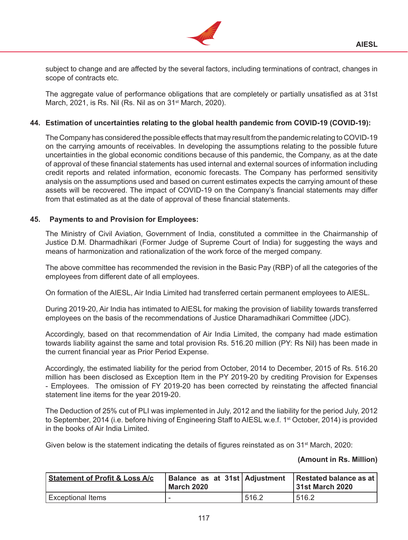

subject to change and are affected by the several factors, including terminations of contract, changes in scope of contracts etc.

 The aggregate value of performance obligations that are completely or partially unsatisfied as at 31st March, 2021, is Rs. Nil (Rs. Nil as on 31<sup>st</sup> March, 2020).

## **44. Estimation of uncertainties relating to the global health pandemic from COVID-19 (COVID-19):**

The Company has considered the possible effects that may result from the pandemic relating to COVID-19 on the carrying amounts of receivables. In developing the assumptions relating to the possible future uncertainties in the global economic conditions because of this pandemic, the Company, as at the date of approval of these financial statements has used internal and external sources of information including credit reports and related information, economic forecasts. The Company has performed sensitivity analysis on the assumptions used and based on current estimates expects the carrying amount of these assets will be recovered. The impact of COVID-19 on the Company's financial statements may differ from that estimated as at the date of approval of these financial statements.

## **45. Payments to and Provision for Employees:**

The Ministry of Civil Aviation, Government of India, constituted a committee in the Chairmanship of Justice D.M. Dharmadhikari (Former Judge of Supreme Court of India) for suggesting the ways and means of harmonization and rationalization of the work force of the merged company.

The above committee has recommended the revision in the Basic Pay (RBP) of all the categories of the employees from different date of all employees.

 On formation of the AIESL, Air India Limited had transferred certain permanent employees to AIESL.

 During 2019-20, Air India has intimated to AIESL for making the provision of liability towards transferred employees on the basis of the recommendations of Justice Dharamadhikari Committee (JDC).

 Accordingly, based on that recommendation of Air India Limited, the company had made estimation towards liability against the same and total provision Rs. 516.20 million (PY: Rs Nil) has been made in the current financial year as Prior Period Expense.

Accordingly, the estimated liability for the period from October, 2014 to December, 2015 of Rs. 516.20 million has been disclosed as Exception Item in the PY 2019-20 by crediting Provision for Expenses - Employees. The omission of FY 2019-20 has been corrected by reinstating the affected financial statement line items for the year 2019-20.

 The Deduction of 25% cut of PLI was implemented in July, 2012 and the liability for the period July, 2012 to September, 2014 (i.e. before hiving of Engineering Staff to AIESL w.e.f. 1<sup>st</sup> October, 2014) is provided in the books of Air India Limited.

Given below is the statement indicating the details of figures reinstated as on 31<sup>st</sup> March, 2020:

### **(Amount in Rs. Million)**

| <b>Statement of Profit &amp; Loss A/c</b> | March 2020 |        | Balance as at 31st   Adjustment   Restated balance as at  <br>31st March 2020 |
|-------------------------------------------|------------|--------|-------------------------------------------------------------------------------|
| <b>Exceptional Items</b>                  |            | .516.2 | 516.2                                                                         |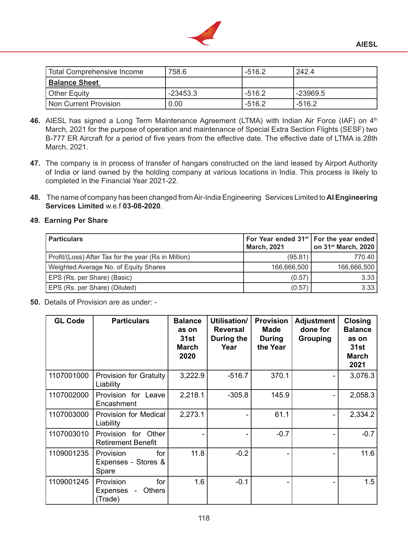

| Total Comprehensive Income | 758.6      | $-516.2$ | 242.4      |
|----------------------------|------------|----------|------------|
| <b>Balance Sheet</b>       |            |          |            |
| <b>Other Equity</b>        | $-23453.3$ | . -516.2 | $-23969.5$ |
| Non Current Provision      | 0.00       | . -516.2 | . -516.2   |

- 46. AIESL has signed a Long Term Maintenance Agreement (LTMA) with Indian Air Force (IAF) on 4<sup>th</sup> March, 2021 for the purpose of operation and maintenance of Special Extra Section Flights (SESF) two B-777 ER Aircraft for a period of five years from the effective date. The effective date of LTMA is 28th March, 2021.
- **47.** The company is in process of transfer of hangars constructed on the land leased by Airport Authority of India or land owned by the holding company at various locations in India. This process is likely to completed in the Financial Year 2021-22.
- **48.** The name of company has been changed fromAir-India Engineering Services Limited to **AI Engineering Services Limited** w.e.f **03-08-2020**.

## **49. Earning Per Share**

| <b>Particulars</b>                                   | For Year ended $31^{st}$ For the year ended<br><b>March, 2021</b> | on 31st March, 2020 |
|------------------------------------------------------|-------------------------------------------------------------------|---------------------|
| Profit/(Loss) After Tax for the year (Rs in Million) | (95.81)                                                           | 770.40              |
| Weighted Average No. of Equity Shares                | 166,666,500                                                       | 166,666,500         |
| EPS (Rs. per Share) (Basic)                          | (0.57)                                                            | 3.33                |
| EPS (Rs. per Share) (Diluted)                        | (0.57)                                                            | 3.33                |

**50.** Details of Provision are as under: -

| <b>GL Code</b> | <b>Particulars</b>                                                                   | <b>Balance</b><br>as on<br>31st<br>March<br>2020 | Utilisation/<br><b>Reversal</b><br>During the<br>Year | <b>Provision</b><br>Made<br><b>During</b><br>the Year | <b>Adjustment</b><br>done for<br><b>Grouping</b> | <b>Closing</b><br><b>Balance</b><br>as on<br>31st<br><b>March</b><br>2021 |
|----------------|--------------------------------------------------------------------------------------|--------------------------------------------------|-------------------------------------------------------|-------------------------------------------------------|--------------------------------------------------|---------------------------------------------------------------------------|
| 1107001000     | <b>Provision for Gratuity</b><br>Liability                                           | 3,222.9                                          | $-516.7$                                              | 370.1                                                 |                                                  | 3,076.3                                                                   |
| 1107002000     | Provision for Leave<br>Encashment                                                    | 2,218.1                                          | $-305.8$                                              | 145.9                                                 |                                                  | 2,058.3                                                                   |
| 1107003000     | <b>Provision for Medical</b><br>Liability                                            | 2,273.1                                          |                                                       | 61.1                                                  |                                                  | 2,334.2                                                                   |
| 1107003010     | Provision<br>for<br>Other<br><b>Retirement Benefit</b>                               |                                                  |                                                       | $-0.7$                                                |                                                  | $-0.7$                                                                    |
| 1109001235     | <b>Provision</b><br>for<br>Expenses - Stores &<br>Spare                              | 11.8                                             | $-0.2$                                                |                                                       |                                                  | 11.6                                                                      |
| 1109001245     | Provision<br>for<br><b>Others</b><br>Expenses<br>$\overline{\phantom{0}}$<br>(Trade) | 1.6                                              | $-0.1$                                                |                                                       |                                                  | 1.5                                                                       |